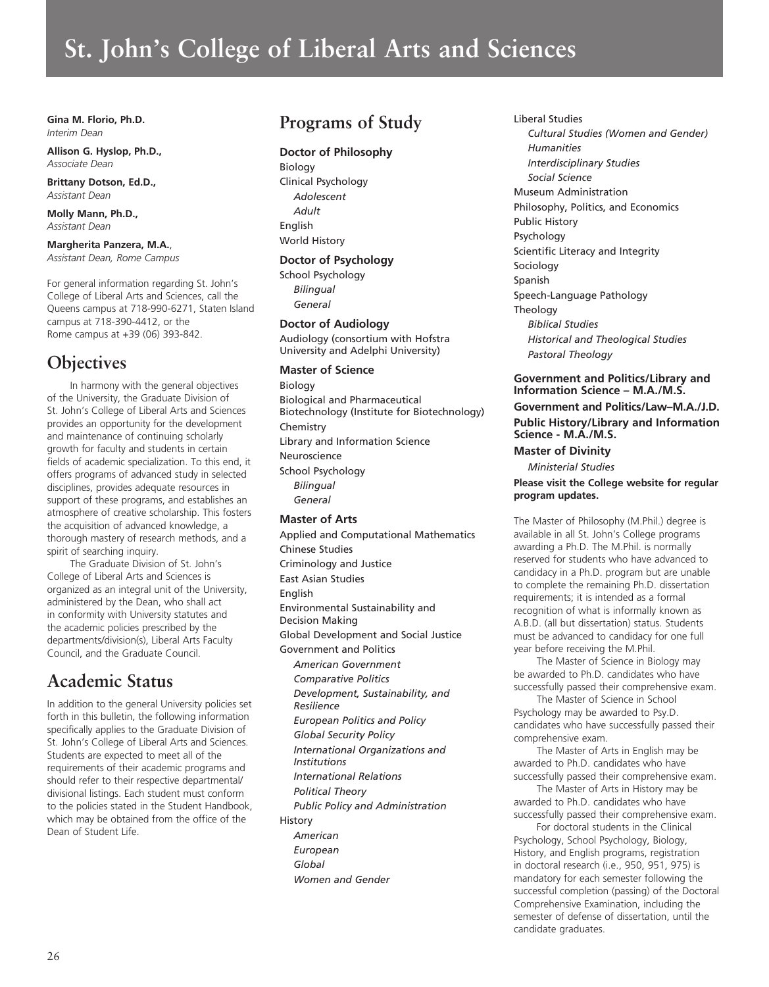# **St. John's College of Liberal Arts and Sciences**

**Gina M. Florio, Ph.D.** *Interim Dean*

**Allison G. Hyslop, Ph.D.,** *Associate Dean*

**Brittany Dotson, Ed.D.,** *Assistant Dean* 

**Molly Mann, Ph.D.,** *Assistant Dean*

**Margherita Panzera, M.A.**, *Assistant Dean, Rome Campus*

For general information regarding St. John's College of Liberal Arts and Sciences, call the Queens campus at 718-990-6271, Staten Island campus at 718-390-4412, or the Rome campus at +39 (06) 393-842.

# **Objectives**

In harmony with the general objectives of the University, the Graduate Division of St. John's College of Liberal Arts and Sciences provides an opportunity for the development and maintenance of continuing scholarly growth for faculty and students in certain fields of academic specialization. To this end, it offers programs of advanced study in selected disciplines, provides adequate resources in support of these programs, and establishes an atmosphere of creative scholarship. This fosters the acquisition of advanced knowledge, a thorough mastery of research methods, and a spirit of searching inquiry.

The Graduate Division of St. John's College of Liberal Arts and Sciences is organized as an integral unit of the University, administered by the Dean, who shall act in conformity with University statutes and the academic policies prescribed by the departments/division(s), Liberal Arts Faculty Council, and the Graduate Council.

# **Academic Status**

In addition to the general University policies set forth in this bulletin, the following information specifically applies to the Graduate Division of St. John's College of Liberal Arts and Sciences. Students are expected to meet all of the requirements of their academic programs and should refer to their respective departmental/ divisional listings. Each student must conform to the policies stated in the Student Handbook, which may be obtained from the office of the Dean of Student Life.

# **Programs of Study**

# **Doctor of Philosophy**

Biology Clinical Psychology *Adolescent Adult*  English World History

# **Doctor of Psychology**

School Psychology *Bilingual General*

# **Doctor of Audiology**

Audiology (consortium with Hofstra University and Adelphi University)

## **Master of Science**

Biology Biological and Pharmaceutical Biotechnology (Institute for Biotechnology) Chemistry Library and Information Science Neuroscience School Psychology *Bilingual General*

# **Master of Arts**

Applied and Computational Mathematics Chinese Studies Criminology and Justice East Asian Studies English Environmental Sustainability and Decision Making Global Development and Social Justice Government and Politics *American Government Comparative Politics Development, Sustainability, and Resilience European Politics and Policy Global Security Policy International Organizations and Institutions International Relations Political Theory Public Policy and Administration* History *American European Global Women and Gender*

Liberal Studies

*Cultural Studies (Women and Gender) Humanities Interdisciplinary Studies Social Science* Museum Administration Philosophy, Politics, and Economics Public History Psychology Scientific Literacy and Integrity Sociology Spanish Speech-Language Pathology Theology *Biblical Studies Historical and Theological Studies Pastoral Theology*

# **Government and Politics/Library and Information Science – M.A./M.S. Government and Politics/Law–M.A./J.D. Public History/Library and Information Science - M.A./M.S. Master of Divinity**

*Ministerial Studies*

# **Please visit the College website for regular program updates.**

The Master of Philosophy (M.Phil.) degree is available in all St. John's College programs awarding a Ph.D. The M.Phil. is normally reserved for students who have advanced to candidacy in a Ph.D. program but are unable to complete the remaining Ph.D. dissertation requirements; it is intended as a formal recognition of what is informally known as A.B.D. (all but dissertation) status. Students must be advanced to candidacy for one full year before receiving the M.Phil.

The Master of Science in Biology may be awarded to Ph.D. candidates who have successfully passed their comprehensive exam.

The Master of Science in School Psychology may be awarded to Psy.D. candidates who have successfully passed their comprehensive exam.

The Master of Arts in English may be awarded to Ph.D. candidates who have successfully passed their comprehensive exam.

The Master of Arts in History may be awarded to Ph.D. candidates who have successfully passed their comprehensive exam.

For doctoral students in the Clinical Psychology, School Psychology, Biology, History, and English programs, registration in doctoral research (i.e., 950, 951, 975) is mandatory for each semester following the successful completion (passing) of the Doctoral Comprehensive Examination, including the semester of defense of dissertation, until the candidate graduates.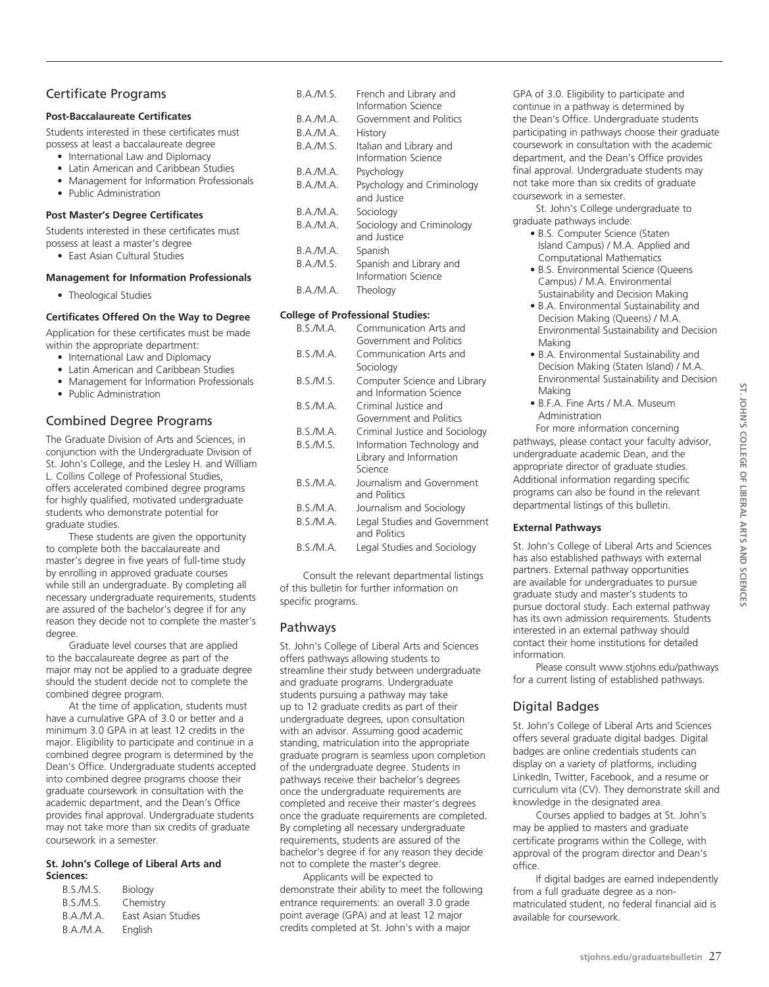# Certificate Programs

#### **Post-Baccalaureate Certificates**

Students interested in these certificates must possess at least a baccalaureate degree

- International Law and Diplomacy
- Latin American and Caribbean Studies
- Management for Information Professionals
- Public Administration

#### **Post Master's Degree Certificates**

Students interested in these certificates must possess at least a master's degree

• East Asian Cultural Studies

#### **Management for Information Professionals**

• Theological Studies

#### **Certificates Offered On the Way to Degree**

Application for these certificates must be made within the appropriate department:

- International Law and Diplomacy
- Latin American and Caribbean Studies
- Management for Information Professionals
- Public Administration

# Combined Degree Programs

The Graduate Division of Arts and Sciences, in conjunction with the Undergraduate Division of St. John's College, and the Lesley H. and William L. Collins College of Professional Studies, offers accelerated combined degree programs for highly qualified, motivated undergraduate students who demonstrate potential for graduate studies.

These students are given the opportunity to complete both the baccalaureate and master's degree in five years of full-time study by enrolling in approved graduate courses while still an undergraduate. By completing all necessary undergraduate requirements, students are assured of the bachelor's degree if for any reason they decide not to complete the master's degree.

Graduate level courses that are applied to the baccalaureate degree as part of the major may not be applied to a graduate degree should the student decide not to complete the combined degree program.

At the time of application, students must have a cumulative GPA of 3.0 or better and a minimum 3.0 GPA in at least 12 credits in the major. Eligibility to participate and continue in a combined degree program is determined by the Dean's Office. Undergraduate students accepted into combined degree programs choose their graduate coursework in consultation with the academic department, and the Dean's Office provides final approval. Undergraduate students may not take more than six credits of graduate coursework in a semester.

#### **St. John's College of Liberal Arts and Sciences:**

| B.S./M.S.        | Biology            |
|------------------|--------------------|
| B.S./M.S.        | Chemistry          |
| B.A.M.A.         | East Asian Studies |
| <b>B.A./M.A.</b> | English            |

| R A /M S         | French and Library and<br>Information Science  |
|------------------|------------------------------------------------|
| R A /M A         | Government and Politics                        |
| B.A./M.A.        | History                                        |
| B.A./M.S.        | Italian and Library and<br>Information Science |
| <b>B.A./M.A.</b> | Psychology                                     |
| R A /M A         | Psychology and Criminology                     |
|                  | and Justice                                    |
| R A /M A         | Sociology                                      |
| R A /M A         | Sociology and Criminology<br>and Justice       |
| B.A./M.A.        | Spanish                                        |
| B.A./M.S.        | Spanish and Library and<br>Information Science |
| B.A./M.A.        | Theology                                       |
|                  |                                                |

#### **College of Professional Studies:**

| <b>B.S./M.A.</b> | Communication Arts and                                           |
|------------------|------------------------------------------------------------------|
|                  | Government and Politics                                          |
| <b>B.S./M.A.</b> | Communication Arts and                                           |
|                  | Sociology                                                        |
| <b>B.S./M.S.</b> | Computer Science and Library<br>and Information Science          |
| <b>B.S./M.A.</b> | Criminal Justice and<br>Government and Politics                  |
| B.S./M.A.        | Criminal Justice and Sociology                                   |
| <b>B.S./M.S.</b> | Information Technology and<br>Library and Information<br>Science |
| <b>B.S./M.A.</b> | Journalism and Government<br>and Politics                        |
| <b>B.S./M.A.</b> | Journalism and Sociology                                         |
| B.S./M.A.        | Legal Studies and Government<br>and Politics                     |
| B.S./M.A.        | Legal Studies and Sociology                                      |

Consult the relevant departmental listings of this bulletin for further information on specific programs.

## Pathways

St. John's College of Liberal Arts and Sciences offers pathways allowing students to streamline their study between undergraduate and graduate programs. Undergraduate students pursuing a pathway may take up to 12 graduate credits as part of their undergraduate degrees, upon consultation with an advisor. Assuming good academic standing, matriculation into the appropriate graduate program is seamless upon completion of the undergraduate degree. Students in pathways receive their bachelor's degrees once the undergraduate requirements are completed and receive their master's degrees once the graduate requirements are completed. By completing all necessary undergraduate requirements, students are assured of the bachelor's degree if for any reason they decide not to complete the master's degree.

Applicants will be expected to demonstrate their ability to meet the following entrance requirements: an overall 3.0 grade point average (GPA) and at least 12 major credits completed at St. John's with a major

GPA of 3.0. Eligibility to participate and continue in a pathway is determined by the Dean's Office. Undergraduate students participating in pathways choose their graduate coursework in consultation with the academic department, and the Dean's Office provides final approval. Undergraduate students may not take more than six credits of graduate coursework in a semester.

St. John's College undergraduate to graduate pathways include:

- B.S. Computer Science (Staten Island Campus) / M.A. Applied and Computational Mathematics
- B.S. Environmental Science (Queens Campus) / M.A. Environmental Sustainability and Decision Making
- B.A. Environmental Sustainability and Decision Making (Queens) / M.A. Environmental Sustainability and Decision Making
- B.A. Environmental Sustainability and Decision Making (Staten Island) / M.A. Environmental Sustainability and Decision Making
- B.F.A. Fine Arts / M.A. Museum Administration

For more information concerning pathways, please contact your faculty advisor, undergraduate academic Dean, and the appropriate director of graduate studies. Additional information regarding specific programs can also be found in the relevant departmental listings of this bulletin.

#### **External Pathways**

St. John's College of Liberal Arts and Sciences has also established pathways with external partners. External pathway opportunities are available for undergraduates to pursue graduate study and master's students to pursue doctoral study. Each external pathway has its own admission requirements. Students interested in an external pathway should contact their home institutions for detailed information.

Please consult www.stjohns.edu/pathways for a current listing of established pathways.

# Digital Badges

St. John's College of Liberal Arts and Sciences offers several graduate digital badges. Digital badges are online credentials students can display on a variety of platforms, including LinkedIn, Twitter, Facebook, and a resume or curriculum vita (CV). They demonstrate skill and knowledge in the designated area.

Courses applied to badges at St. John's may be applied to masters and graduate certificate programs within the College, with approval of the program director and Dean's office.

If digital badges are earned independently from a full graduate degree as a nonmatriculated student, no federal financial aid is available for coursework.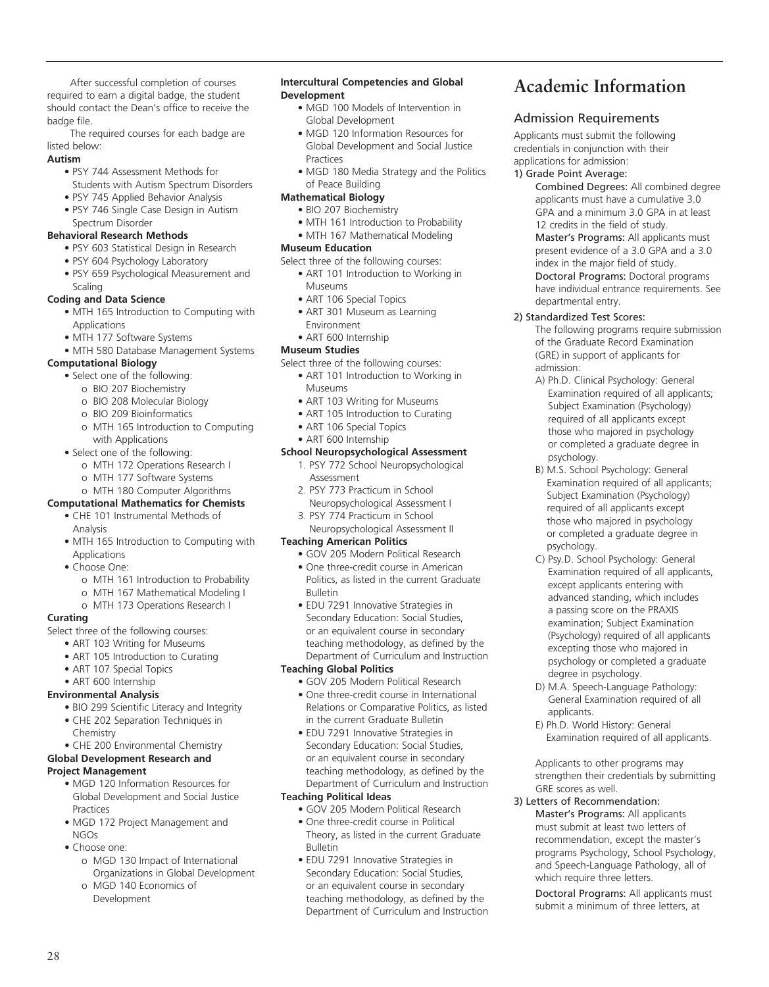After successful completion of courses required to earn a digital badge, the student should contact the Dean's office to receive the badge file.

The required courses for each badge are listed below:

# **Autism**

- PSY 744 Assessment Methods for Students with Autism Spectrum Disorders
- PSY 745 Applied Behavior Analysis • PSY 746 Single Case Design in Autism

# Spectrum Disorder

# **Behavioral Research Methods**

- PSY 603 Statistical Design in Research
- PSY 604 Psychology Laboratory
- PSY 659 Psychological Measurement and Scaling

# **Coding and Data Science**

- MTH 165 Introduction to Computing with Applications
- MTH 177 Software Systems
- MTH 580 Database Management Systems

## **Computational Biology**

- Select one of the following:
	- o BIO 207 Biochemistry
	- o BIO 208 Molecular Biology
	- o BIO 209 Bioinformatics
	- o MTH 165 Introduction to Computing with Applications
- Select one of the following:
	- o MTH 172 Operations Research I
	- o MTH 177 Software Systems

# o MTH 180 Computer Algorithms

#### **Computational Mathematics for Chemists** • CHE 101 Instrumental Methods of

- Analysis
- MTH 165 Introduction to Computing with Applications
- Choose One:
	- o MTH 161 Introduction to Probability
	- o MTH 167 Mathematical Modeling I
	- o MTH 173 Operations Research I

## **Curating**

- Select three of the following courses:
	- ART 103 Writing for Museums
	- ART 105 Introduction to Curating
	- ART 107 Special Topics
	- ART 600 Internship

## **Environmental Analysis**

- BIO 299 Scientific Literacy and Integrity
- CHE 202 Separation Techniques in Chemistry
- CHE 200 Environmental Chemistry
- **Global Development Research and**

## **Project Management**

- MGD 120 Information Resources for Global Development and Social Justice Practices
- MGD 172 Project Management and NGOs
- Choose one:

28

- o MGD 130 Impact of International Organizations in Global Development
- o MGD 140 Economics of Development

#### **Intercultural Competencies and Global Development**

- MGD 100 Models of Intervention in Global Development
- MGD 120 Information Resources for Global Development and Social Justice Practices
- MGD 180 Media Strategy and the Politics of Peace Building

## **Mathematical Biology**

- BIO 207 Biochemistry
- MTH 161 Introduction to Probability
- MTH 167 Mathematical Modeling

# **Museum Education**

- Select three of the following courses:
	- ART 101 Introduction to Working in Museums
	- ART 106 Special Topics
	- ART 301 Museum as Learning Environment
	- ART 600 Internship

# **Museum Studies**

- Select three of the following courses:
	- ART 101 Introduction to Working in Museums
	- ART 103 Writing for Museums
	- ART 105 Introduction to Curating
	- ART 106 Special Topics
	- ART 600 Internship

# **School Neuropsychological Assessment**

- 1. PSY 772 School Neuropsychological Assessment
- 2. PSY 773 Practicum in School Neuropsychological Assessment I
- 3. PSY 774 Practicum in School Neuropsychological Assessment II

# **Teaching American Politics**

- GOV 205 Modern Political Research
- One three-credit course in American Politics, as listed in the current Graduate Bulletin
- EDU 7291 Innovative Strategies in Secondary Education: Social Studies, or an equivalent course in secondary teaching methodology, as defined by the Department of Curriculum and Instruction

# **Teaching Global Politics**

- GOV 205 Modern Political Research
- One three-credit course in International Relations or Comparative Politics, as listed in the current Graduate Bulletin
- EDU 7291 Innovative Strategies in Secondary Education: Social Studies, or an equivalent course in secondary teaching methodology, as defined by the Department of Curriculum and Instruction

## **Teaching Political Ideas**

- GOV 205 Modern Political Research
- One three-credit course in Political Theory, as listed in the current Graduate Bulletin
- EDU 7291 Innovative Strategies in Secondary Education: Social Studies, or an equivalent course in secondary teaching methodology, as defined by the Department of Curriculum and Instruction

# **Academic Information**

# Admission Requirements

Applicants must submit the following credentials in conjunction with their applications for admission:

#### 1) Grade Point Average:

Combined Degrees: All combined degree applicants must have a cumulative 3.0 GPA and a minimum 3.0 GPA in at least 12 credits in the field of study. Master's Programs: All applicants must present evidence of a 3.0 GPA and a 3.0 index in the major field of study. Doctoral Programs: Doctoral programs have individual entrance requirements. See departmental entry.

## 2) Standardized Test Scores:

- The following programs require submission of the Graduate Record Examination (GRE) in support of applicants for admission:
- A) Ph.D. Clinical Psychology: General Examination required of all applicants; Subject Examination (Psychology) required of all applicants except those who majored in psychology or completed a graduate degree in psychology.
- B) M.S. School Psychology: General Examination required of all applicants; Subject Examination (Psychology) required of all applicants except those who majored in psychology or completed a graduate degree in psychology.
- C) Psy.D. School Psychology: General Examination required of all applicants, except applicants entering with advanced standing, which includes a passing score on the PRAXIS examination; Subject Examination (Psychology) required of all applicants excepting those who majored in psychology or completed a graduate degree in psychology.
- D) M.A. Speech-Language Pathology: General Examination required of all applicants.
- E) Ph.D. World History: General Examination required of all applicants.

Applicants to other programs may strengthen their credentials by submitting GRE scores as well.

## 3) Letters of Recommendation:

Master's Programs: All applicants must submit at least two letters of recommendation, except the master's programs Psychology, School Psychology, and Speech-Language Pathology, all of which require three letters.

Doctoral Programs: All applicants must submit a minimum of three letters, at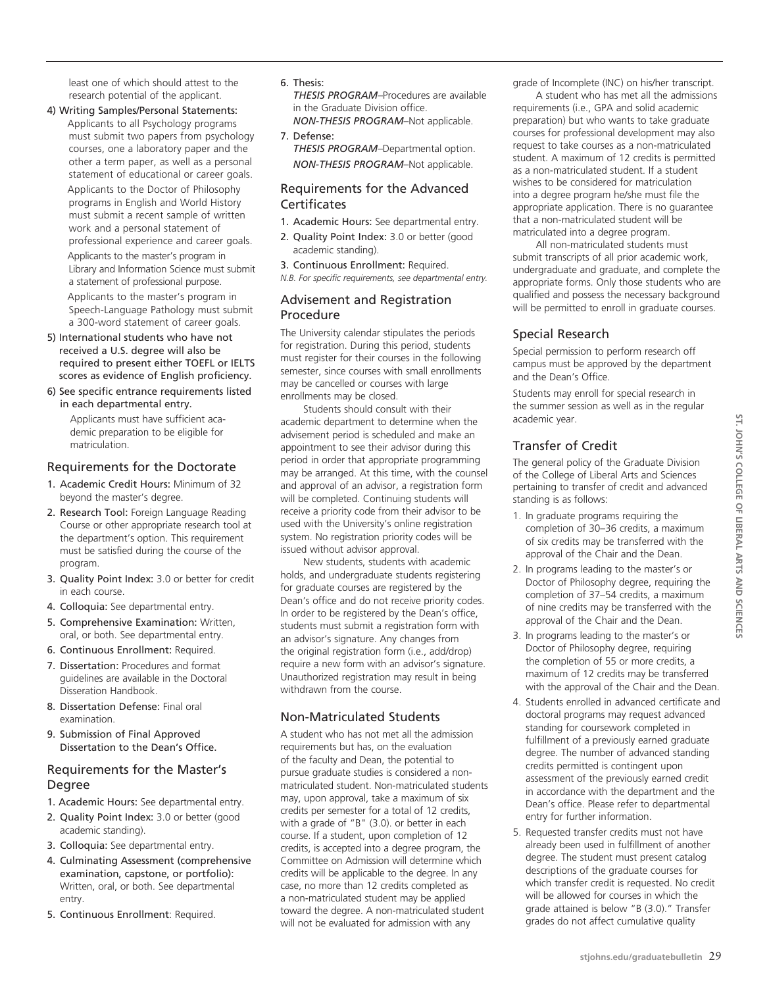least one of which should attest to the research potential of the applicant.

4) Writing Samples/Personal Statements: Applicants to all Psychology programs must submit two papers from psychology courses, one a laboratory paper and the other a term paper, as well as a personal statement of educational or career goals.

Applicants to the Doctor of Philosophy programs in English and World History must submit a recent sample of written work and a personal statement of professional experience and career goals.

Applicants to the master's program in Library and Information Science must submit a statement of professional purpose.

Applicants to the master's program in Speech-Language Pathology must submit a 300-word statement of career goals.

- 5) International students who have not received a U.S. degree will also be required to present either TOEFL or IELTS scores as evidence of English proficiency.
- 6) See specific entrance requirements listed in each departmental entry.

Applicants must have sufficient academic preparation to be eligible for matriculation.

# Requirements for the Doctorate

- 1. Academic Credit Hours: Minimum of 32 beyond the master's degree.
- 2. Research Tool: Foreign Language Reading Course or other appropriate research tool at the department's option. This requirement must be satisfied during the course of the program.
- 3. Quality Point Index: 3.0 or better for credit in each course.
- 4. Colloquia: See departmental entry.
- 5. Comprehensive Examination: Written, oral, or both. See departmental entry.
- 6. Continuous Enrollment: Required.
- 7. Dissertation: Procedures and format guidelines are available in the Doctoral Disseration Handbook.
- 8. Dissertation Defense: Final oral examination.
- 9. Submission of Final Approved Dissertation to the Dean's Office.

# Requirements for the Master's Degree

- 1. Academic Hours: See departmental entry.
- 2. Quality Point Index: 3.0 or better (good academic standing).
- 3. Colloquia: See departmental entry.
- 4. Culminating Assessment (comprehensive examination, capstone, or portfolio): Written, oral, or both. See departmental entry.
- 5. Continuous Enrollment: Required.

6. Thesis:

*THESIS PROGRAM*–Procedures are available in the Graduate Division office. *NON-THESIS PROGRAM*–Not applicable.

7. Defense: *THESIS PROGRAM*–Departmental option. *NON-THESIS PROGRAM*–Not applicable.

# Requirements for the Advanced **Certificates**

- 1. Academic Hours: See departmental entry.
- 2. Quality Point Index: 3.0 or better (good academic standing).
- 3. Continuous Enrollment: Required.
- *N.B. For specific requirements, see departmental entry.*

# Advisement and Registration Procedure

The University calendar stipulates the periods for registration. During this period, students must register for their courses in the following semester, since courses with small enrollments may be cancelled or courses with large enrollments may be closed.

Students should consult with their academic department to determine when the advisement period is scheduled and make an appointment to see their advisor during this period in order that appropriate programming may be arranged. At this time, with the counsel and approval of an advisor, a registration form will be completed. Continuing students will receive a priority code from their advisor to be used with the University's online registration system. No registration priority codes will be issued without advisor approval.

New students, students with academic holds, and undergraduate students registering for graduate courses are registered by the Dean's office and do not receive priority codes. In order to be registered by the Dean's office, students must submit a registration form with an advisor's signature. Any changes from the original registration form (i.e., add/drop) require a new form with an advisor's signature. Unauthorized registration may result in being withdrawn from the course.

# Non-Matriculated Students

A student who has not met all the admission requirements but has, on the evaluation of the faculty and Dean, the potential to pursue graduate studies is considered a nonmatriculated student. Non-matriculated students may, upon approval, take a maximum of six credits per semester for a total of 12 credits, with a grade of "B" (3.0). or better in each course. If a student, upon completion of 12 credits, is accepted into a degree program, the Committee on Admission will determine which credits will be applicable to the degree. In any case, no more than 12 credits completed as a non-matriculated student may be applied toward the degree. A non-matriculated student will not be evaluated for admission with any

grade of Incomplete (INC) on his/her transcript.

A student who has met all the admissions requirements (i.e., GPA and solid academic preparation) but who wants to take graduate courses for professional development may also request to take courses as a non-matriculated student. A maximum of 12 credits is permitted as a non-matriculated student. If a student wishes to be considered for matriculation into a degree program he/she must file the appropriate application. There is no guarantee that a non-matriculated student will be matriculated into a degree program.

All non-matriculated students must submit transcripts of all prior academic work, undergraduate and graduate, and complete the appropriate forms. Only those students who are qualified and possess the necessary background will be permitted to enroll in graduate courses.

# Special Research

Special permission to perform research off campus must be approved by the department and the Dean's Office.

Students may enroll for special research in the summer session as well as in the regular academic year.

# Transfer of Credit

The general policy of the Graduate Division of the College of Liberal Arts and Sciences pertaining to transfer of credit and advanced standing is as follows:

- 1. In graduate programs requiring the completion of 30–36 credits, a maximum of six credits may be transferred with the approval of the Chair and the Dean.
- 2. In programs leading to the master's or Doctor of Philosophy degree, requiring the completion of 37–54 credits, a maximum of nine credits may be transferred with the approval of the Chair and the Dean.
- 3. In programs leading to the master's or Doctor of Philosophy degree, requiring the completion of 55 or more credits, a maximum of 12 credits may be transferred with the approval of the Chair and the Dean.
- 4. Students enrolled in advanced certificate and doctoral programs may request advanced standing for coursework completed in fulfillment of a previously earned graduate degree. The number of advanced standing credits permitted is contingent upon assessment of the previously earned credit in accordance with the department and the Dean's office. Please refer to departmental entry for further information.
- 5. Requested transfer credits must not have already been used in fulfillment of another degree. The student must present catalog descriptions of the graduate courses for which transfer credit is requested. No credit will be allowed for courses in which the grade attained is below "B (3.0)." Transfer grades do not affect cumulative quality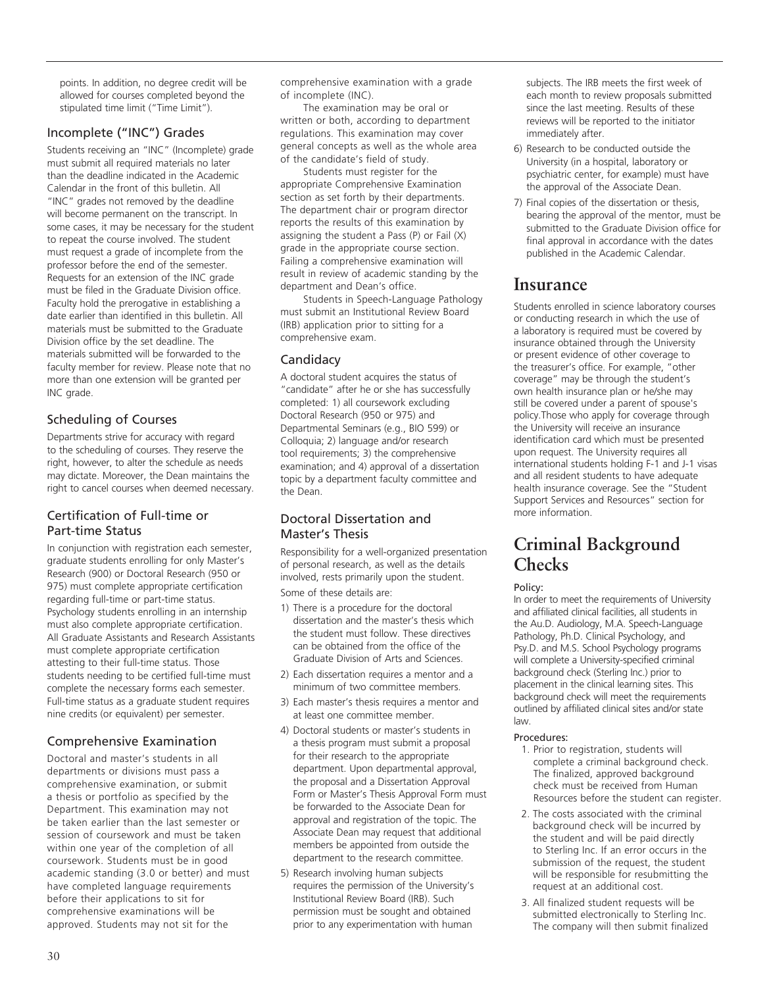points. In addition, no degree credit will be allowed for courses completed beyond the stipulated time limit ("Time Limit").

# Incomplete ("INC") Grades

Students receiving an "INC" (Incomplete) grade must submit all required materials no later than the deadline indicated in the Academic Calendar in the front of this bulletin. All "INC" grades not removed by the deadline will become permanent on the transcript. In some cases, it may be necessary for the student to repeat the course involved. The student must request a grade of incomplete from the professor before the end of the semester. Requests for an extension of the INC grade must be filed in the Graduate Division office. Faculty hold the prerogative in establishing a date earlier than identified in this bulletin. All materials must be submitted to the Graduate Division office by the set deadline. The materials submitted will be forwarded to the faculty member for review. Please note that no more than one extension will be granted per INC grade.

# Scheduling of Courses

Departments strive for accuracy with regard to the scheduling of courses. They reserve the right, however, to alter the schedule as needs may dictate. Moreover, the Dean maintains the right to cancel courses when deemed necessary.

# Certification of Full-time or Part-time Status

In conjunction with registration each semester, graduate students enrolling for only Master's Research (900) or Doctoral Research (950 or 975) must complete appropriate certification regarding full-time or part-time status. Psychology students enrolling in an internship must also complete appropriate certification. All Graduate Assistants and Research Assistants must complete appropriate certification attesting to their full-time status. Those students needing to be certified full-time must complete the necessary forms each semester. Full-time status as a graduate student requires nine credits (or equivalent) per semester.

# Comprehensive Examination

Doctoral and master's students in all departments or divisions must pass a comprehensive examination, or submit a thesis or portfolio as specified by the Department. This examination may not be taken earlier than the last semester or session of coursework and must be taken within one year of the completion of all coursework. Students must be in good academic standing (3.0 or better) and must have completed language requirements before their applications to sit for comprehensive examinations will be approved. Students may not sit for the

comprehensive examination with a grade of incomplete (INC).

The examination may be oral or written or both, according to department regulations. This examination may cover general concepts as well as the whole area of the candidate's field of study.

Students must register for the appropriate Comprehensive Examination section as set forth by their departments. The department chair or program director reports the results of this examination by assigning the student a Pass (P) or Fail (X) grade in the appropriate course section. Failing a comprehensive examination will result in review of academic standing by the department and Dean's office.

Students in Speech-Language Pathology must submit an Institutional Review Board (IRB) application prior to sitting for a comprehensive exam.

# Candidacy

A doctoral student acquires the status of "candidate" after he or she has successfully completed: 1) all coursework excluding Doctoral Research (950 or 975) and Departmental Seminars (e.g., BIO 599) or Colloquia; 2) language and/or research tool requirements; 3) the comprehensive examination; and 4) approval of a dissertation topic by a department faculty committee and the Dean.

# Doctoral Dissertation and Master's Thesis

Responsibility for a well-organized presentation of personal research, as well as the details involved, rests primarily upon the student. Some of these details are:

- 1) There is a procedure for the doctoral dissertation and the master's thesis which the student must follow. These directives can be obtained from the office of the Graduate Division of Arts and Sciences.
- 2) Each dissertation requires a mentor and a minimum of two committee members.
- 3) Each master's thesis requires a mentor and at least one committee member.
- 4) Doctoral students or master's students in a thesis program must submit a proposal for their research to the appropriate department. Upon departmental approval, the proposal and a Dissertation Approval Form or Master's Thesis Approval Form must be forwarded to the Associate Dean for approval and registration of the topic. The Associate Dean may request that additional members be appointed from outside the department to the research committee.
- 5) Research involving human subjects requires the permission of the University's Institutional Review Board (IRB). Such permission must be sought and obtained prior to any experimentation with human

subjects. The IRB meets the first week of each month to review proposals submitted since the last meeting. Results of these reviews will be reported to the initiator immediately after.

- 6) Research to be conducted outside the University (in a hospital, laboratory or psychiatric center, for example) must have the approval of the Associate Dean.
- 7) Final copies of the dissertation or thesis, bearing the approval of the mentor, must be submitted to the Graduate Division office for final approval in accordance with the dates published in the Academic Calendar.

# **Insurance**

Students enrolled in science laboratory courses or conducting research in which the use of a laboratory is required must be covered by insurance obtained through the University or present evidence of other coverage to the treasurer's office. For example, "other coverage" may be through the student's own health insurance plan or he/she may still be covered under a parent of spouse's policy.Those who apply for coverage through the University will receive an insurance identification card which must be presented upon request. The University requires all international students holding F-1 and J-1 visas and all resident students to have adequate health insurance coverage. See the "Student Support Services and Resources" section for more information.

# **Criminal Background Checks**

# Policy:

In order to meet the requirements of University and affiliated clinical facilities, all students in the Au.D. Audiology, M.A. Speech-Language Pathology, Ph.D. Clinical Psychology, and Psy.D. and M.S. School Psychology programs will complete a University-specified criminal background check (Sterling Inc.) prior to placement in the clinical learning sites. This background check will meet the requirements outlined by affiliated clinical sites and/or state law.

# Procedures:

- 1. Prior to registration, students will complete a criminal background check. The finalized, approved background check must be received from Human Resources before the student can register.
- 2. The costs associated with the criminal background check will be incurred by the student and will be paid directly to Sterling Inc. If an error occurs in the submission of the request, the student will be responsible for resubmitting the request at an additional cost.
- 3. All finalized student requests will be submitted electronically to Sterling Inc. The company will then submit finalized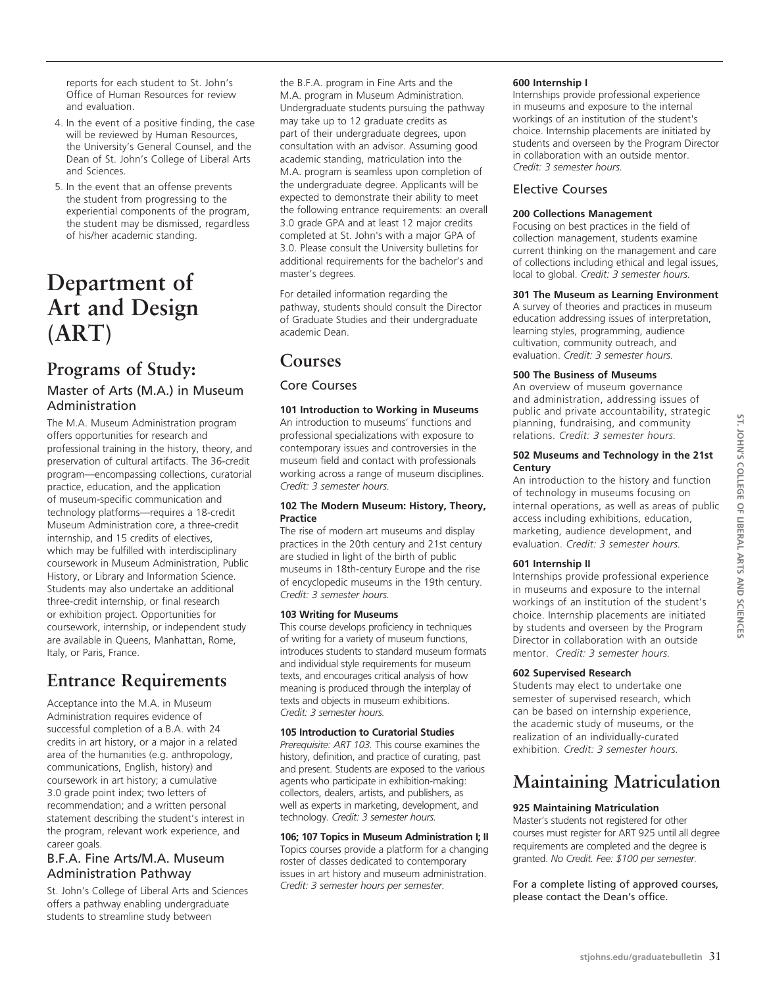reports for each student to St. John's Office of Human Resources for review and evaluation.

- 4. In the event of a positive finding, the case will be reviewed by Human Resources, the University's General Counsel, and the Dean of St. John's College of Liberal Arts and Sciences.
- 5. In the event that an offense prevents the student from progressing to the experiential components of the program, the student may be dismissed, regardless of his/her academic standing.

# **Department of Art and Design (ART)**

# **Programs of Study:**

# Master of Arts (M.A.) in Museum Administration

The M.A. Museum Administration program offers opportunities for research and professional training in the history, theory, and preservation of cultural artifacts. The 36-credit program—encompassing collections, curatorial practice, education, and the application of museum-specific communication and technology platforms—requires a 18-credit Museum Administration core, a three-credit internship, and 15 credits of electives, which may be fulfilled with interdisciplinary coursework in Museum Administration, Public History, or Library and Information Science. Students may also undertake an additional three-credit internship, or final research or exhibition project. Opportunities for coursework, internship, or independent study are available in Queens, Manhattan, Rome, Italy, or Paris, France.

# **Entrance Requirements**

Acceptance into the M.A. in Museum Administration requires evidence of successful completion of a B.A. with 24 credits in art history, or a major in a related area of the humanities (e.g. anthropology, communications, English, history) and coursework in art history; a cumulative 3.0 grade point index; two letters of recommendation; and a written personal statement describing the student's interest in the program, relevant work experience, and career goals.

# B.F.A. Fine Arts/M.A. Museum Administration Pathway

St. John's College of Liberal Arts and Sciences offers a pathway enabling undergraduate students to streamline study between

the B.F.A. program in Fine Arts and the M.A. program in Museum Administration. Undergraduate students pursuing the pathway may take up to 12 graduate credits as part of their undergraduate degrees, upon consultation with an advisor. Assuming good academic standing, matriculation into the M.A. program is seamless upon completion of the undergraduate degree. Applicants will be expected to demonstrate their ability to meet the following entrance requirements: an overall 3.0 grade GPA and at least 12 major credits completed at St. John's with a major GPA of 3.0. Please consult the University bulletins for additional requirements for the bachelor's and master's degrees.

For detailed information regarding the pathway, students should consult the Director of Graduate Studies and their undergraduate academic Dean.

# **Courses**

# Core Courses

# **101 Introduction to Working in Museums**  An introduction to museums' functions and

professional specializations with exposure to contemporary issues and controversies in the museum field and contact with professionals working across a range of museum disciplines. *Credit: 3 semester hours.*

# **102 The Modern Museum: History, Theory, Practice**

The rise of modern art museums and display practices in the 20th century and 21st century are studied in light of the birth of public museums in 18th-century Europe and the rise of encyclopedic museums in the 19th century. *Credit: 3 semester hours.*

# **103 Writing for Museums**

This course develops proficiency in techniques of writing for a variety of museum functions, introduces students to standard museum formats and individual style requirements for museum texts, and encourages critical analysis of how meaning is produced through the interplay of texts and objects in museum exhibitions. *Credit: 3 semester hours.* 

## **105 Introduction to Curatorial Studies**

*Prerequisite: ART 103.* This course examines the history, definition, and practice of curating, past and present. Students are exposed to the various agents who participate in exhibition-making: collectors, dealers, artists, and publishers, as well as experts in marketing, development, and technology. *Credit: 3 semester hours.*

## **106; 107 Topics in Museum Administration I; II**

Topics courses provide a platform for a changing roster of classes dedicated to contemporary issues in art history and museum administration. *Credit: 3 semester hours per semester.* 

# **600 Internship I**

Internships provide professional experience in museums and exposure to the internal workings of an institution of the student's choice. Internship placements are initiated by students and overseen by the Program Director in collaboration with an outside mentor. *Credit: 3 semester hours.*

# Elective Courses

# **200 Collections Management**

Focusing on best practices in the field of collection management, students examine current thinking on the management and care of collections including ethical and legal issues, local to global. *Credit: 3 semester hours.*

# **301 The Museum as Learning Environment**

A survey of theories and practices in museum education addressing issues of interpretation, learning styles, programming, audience cultivation, community outreach, and evaluation. *Credit: 3 semester hours.*

# **500 The Business of Museums**

An overview of museum governance and administration, addressing issues of public and private accountability, strategic planning, fundraising, and community relations. *Credit: 3 semester hours.*

#### **502 Museums and Technology in the 21st Century**

An introduction to the history and function of technology in museums focusing on internal operations, as well as areas of public access including exhibitions, education, marketing, audience development, and evaluation. *Credit: 3 semester hours.*

# **601 Internship II**

Internships provide professional experience in museums and exposure to the internal workings of an institution of the student's choice. Internship placements are initiated by students and overseen by the Program Director in collaboration with an outside mentor. *Credit: 3 semester hours.* 

## **602 Supervised Research**

Students may elect to undertake one semester of supervised research, which can be based on internship experience, the academic study of museums, or the realization of an individually-curated exhibition. *Credit: 3 semester hours.* 

# **Maintaining Matriculation**

## **925 Maintaining Matriculation**

Master's students not registered for other courses must register for ART 925 until all degree requirements are completed and the degree is granted. *No Credit. Fee: \$100 per semester.*

For a complete listing of approved courses, please contact the Dean's office.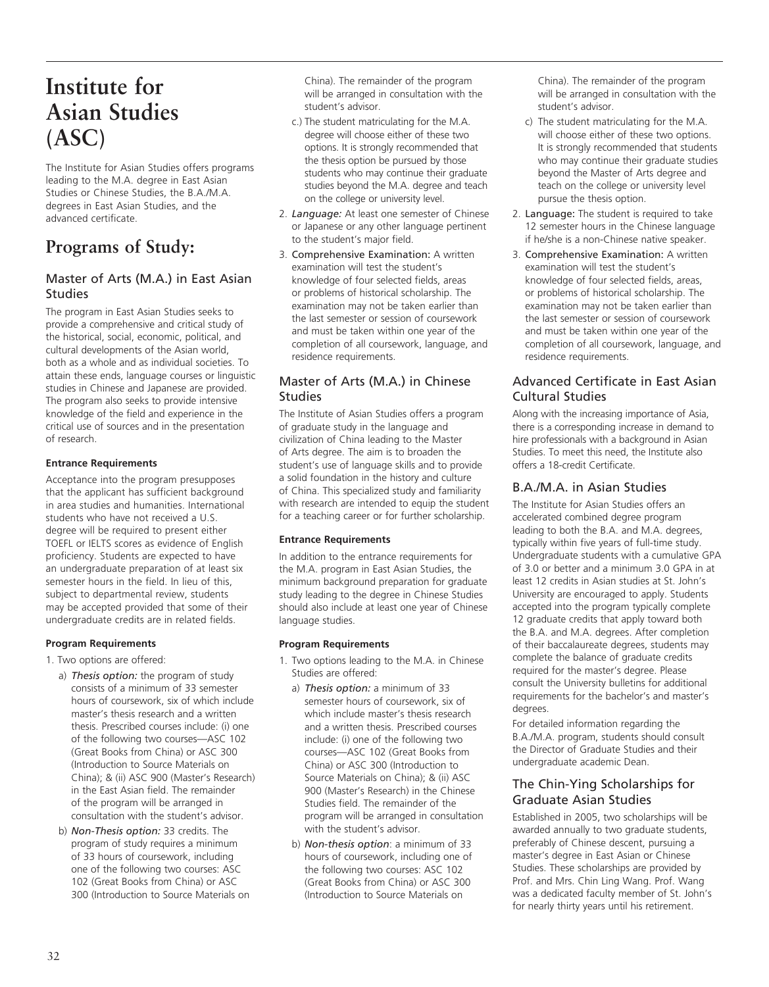# **Institute for Asian Studies (ASC)**

The Institute for Asian Studies offers programs leading to the M.A. degree in East Asian Studies or Chinese Studies, the B.A./M.A. degrees in East Asian Studies, and the advanced certificate.

# **Programs of Study:**

# Master of Arts (M.A.) in East Asian **Studies**

The program in East Asian Studies seeks to provide a comprehensive and critical study of the historical, social, economic, political, and cultural developments of the Asian world, both as a whole and as individual societies. To attain these ends, language courses or linguistic studies in Chinese and Japanese are provided. The program also seeks to provide intensive knowledge of the field and experience in the critical use of sources and in the presentation of research.

# **Entrance Requirements**

Acceptance into the program presupposes that the applicant has sufficient background in area studies and humanities. International students who have not received a U.S. degree will be required to present either TOEFL or IELTS scores as evidence of English proficiency. Students are expected to have an undergraduate preparation of at least six semester hours in the field. In lieu of this, subject to departmental review, students may be accepted provided that some of their undergraduate credits are in related fields.

# **Program Requirements**

- 1. Two options are offered:
	- a) *Thesis option:* the program of study consists of a minimum of 33 semester hours of coursework, six of which include master's thesis research and a written thesis. Prescribed courses include: (i) one of the following two courses—ASC 102 (Great Books from China) or ASC 300 (Introduction to Source Materials on China); & (ii) ASC 900 (Master's Research) in the East Asian field. The remainder of the program will be arranged in consultation with the student's advisor.
	- b) *Non-Thesis option:* 33 credits. The program of study requires a minimum of 33 hours of coursework, including one of the following two courses: ASC 102 (Great Books from China) or ASC 300 (Introduction to Source Materials on

China). The remainder of the program will be arranged in consultation with the student's advisor.

- c.) The student matriculating for the M.A. degree will choose either of these two options. It is strongly recommended that the thesis option be pursued by those students who may continue their graduate studies beyond the M.A. degree and teach on the college or university level.
- 2. *Language:* At least one semester of Chinese or Japanese or any other language pertinent to the student's major field.
- 3. Comprehensive Examination: A written examination will test the student's knowledge of four selected fields, areas or problems of historical scholarship. The examination may not be taken earlier than the last semester or session of coursework and must be taken within one year of the completion of all coursework, language, and residence requirements.

# Master of Arts (M.A.) in Chinese Studies

The Institute of Asian Studies offers a program of graduate study in the language and civilization of China leading to the Master of Arts degree. The aim is to broaden the student's use of language skills and to provide a solid foundation in the history and culture of China. This specialized study and familiarity with research are intended to equip the student for a teaching career or for further scholarship.

# **Entrance Requirements**

In addition to the entrance requirements for the M.A. program in East Asian Studies, the minimum background preparation for graduate study leading to the degree in Chinese Studies should also include at least one year of Chinese language studies.

# **Program Requirements**

- 1. Two options leading to the M.A. in Chinese Studies are offered:
	- a) *Thesis option:* a minimum of 33 semester hours of coursework, six of which include master's thesis research and a written thesis. Prescribed courses include: (i) one of the following two courses—ASC 102 (Great Books from China) or ASC 300 (Introduction to Source Materials on China); & (ii) ASC 900 (Master's Research) in the Chinese Studies field. The remainder of the program will be arranged in consultation with the student's advisor.
	- b) *Non-thesis option*: a minimum of 33 hours of coursework, including one of the following two courses: ASC 102 (Great Books from China) or ASC 300 (Introduction to Source Materials on

China). The remainder of the program will be arranged in consultation with the student's advisor.

- c) The student matriculating for the M.A. will choose either of these two options. It is strongly recommended that students who may continue their graduate studies beyond the Master of Arts degree and teach on the college or university level pursue the thesis option.
- 2. Language: The student is required to take 12 semester hours in the Chinese language if he/she is a non-Chinese native speaker.
- 3. Comprehensive Examination: A written examination will test the student's knowledge of four selected fields, areas, or problems of historical scholarship. The examination may not be taken earlier than the last semester or session of coursework and must be taken within one year of the completion of all coursework, language, and residence requirements.

# Advanced Certificate in East Asian Cultural Studies

Along with the increasing importance of Asia, there is a corresponding increase in demand to hire professionals with a background in Asian Studies. To meet this need, the Institute also offers a 18-credit Certificate.

# B.A./M.A. in Asian Studies

The Institute for Asian Studies offers an accelerated combined degree program leading to both the B.A. and M.A. degrees, typically within five years of full-time study. Undergraduate students with a cumulative GPA of 3.0 or better and a minimum 3.0 GPA in at least 12 credits in Asian studies at St. John's University are encouraged to apply. Students accepted into the program typically complete 12 graduate credits that apply toward both the B.A. and M.A. degrees. After completion of their baccalaureate degrees, students may complete the balance of graduate credits required for the master's degree. Please consult the University bulletins for additional requirements for the bachelor's and master's degrees.

For detailed information regarding the B.A./M.A. program, students should consult the Director of Graduate Studies and their undergraduate academic Dean.

# The Chin-Ying Scholarships for Graduate Asian Studies

Established in 2005, two scholarships will be awarded annually to two graduate students, preferably of Chinese descent, pursuing a master's degree in East Asian or Chinese Studies. These scholarships are provided by Prof. and Mrs. Chin Ling Wang. Prof. Wang was a dedicated faculty member of St. John's for nearly thirty years until his retirement.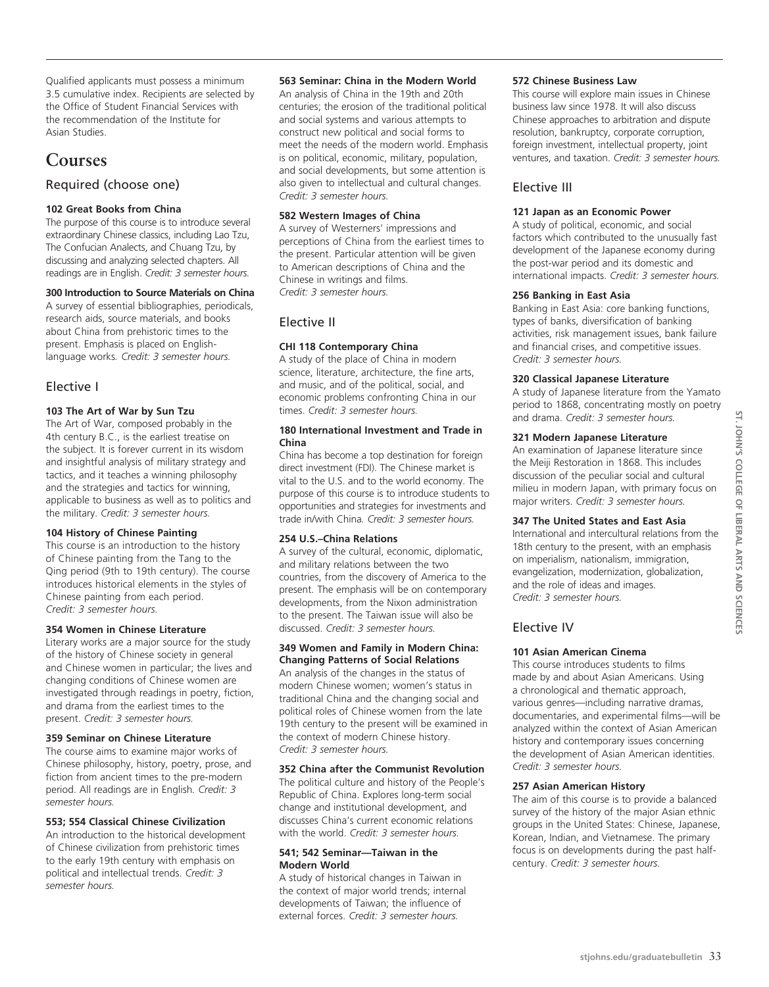Qualified applicants must possess a minimum 3.5 cumulative index. Recipients are selected by the Office of Student Financial Services with the recommendation of the Institute for Asian Studies.

# **Courses**

# Required (choose one)

# **102 Great Books from China**

The purpose of this course is to introduce several extraordinary Chinese classics, including Lao Tzu, The Confucian Analects, and Chuang Tzu, by discussing and analyzing selected chapters. All readings are in English. *Credit: 3 semester hours.*

# **300 Introduction to Source Materials on China**

A survey of essential bibliographies, periodicals, research aids, source materials, and books about China from prehistoric times to the present. Emphasis is placed on Englishlanguage works*. Credit: 3 semester hours.*

# Elective I

# **103 The Art of War by Sun Tzu**

The Art of War, composed probably in the 4th century B.C., is the earliest treatise on the subject. It is forever current in its wisdom and insightful analysis of military strategy and tactics, and it teaches a winning philosophy and the strategies and tactics for winning, applicable to business as well as to politics and the military. *Credit: 3 semester hours.*

## **104 History of Chinese Painting**

This course is an introduction to the history of Chinese painting from the Tang to the Qing period (9th to 19th century). The course introduces historical elements in the styles of Chinese painting from each period. *Credit: 3 semester hours.*

## **354 Women in Chinese Literature**

Literary works are a major source for the study of the history of Chinese society in general and Chinese women in particular; the lives and changing conditions of Chinese women are investigated through readings in poetry, fiction, and drama from the earliest times to the present. *Credit: 3 semester hours.*

# **359 Seminar on Chinese Literature**

The course aims to examine major works of Chinese philosophy, history, poetry, prose, and fiction from ancient times to the pre-modern period. All readings are in English*. Credit: 3 semester hours.*

#### **553; 554 Classical Chinese Civilization**

An introduction to the historical development of Chinese civilization from prehistoric times to the early 19th century with emphasis on political and intellectual trends. *Credit: 3 semester hours.*

#### **563 Seminar: China in the Modern World**

An analysis of China in the 19th and 20th centuries; the erosion of the traditional political and social systems and various attempts to construct new political and social forms to meet the needs of the modern world. Emphasis is on political, economic, military, population, and social developments, but some attention is also given to intellectual and cultural changes. *Credit: 3 semester hours.*

## **582 Western Images of China**

A survey of Westerners' impressions and perceptions of China from the earliest times to the present. Particular attention will be given to American descriptions of China and the Chinese in writings and films. *Credit: 3 semester hours.*

# Elective II

# **CHI 118 Contemporary China**

A study of the place of China in modern science, literature, architecture, the fine arts, and music, and of the political, social, and economic problems confronting China in our times. *Credit: 3 semester hours.*

#### **180 International Investment and Trade in China**

China has become a top destination for foreign direct investment (FDI). The Chinese market is vital to the U.S. and to the world economy. The purpose of this course is to introduce students to opportunities and strategies for investments and trade in/with China*. Credit: 3 semester hours.*

## **254 U.S.–China Relations**

A survey of the cultural, economic, diplomatic, and military relations between the two countries, from the discovery of America to the present. The emphasis will be on contemporary developments, from the Nixon administration to the present. The Taiwan issue will also be discussed. *Credit: 3 semester hours.*

#### **349 Women and Family in Modern China: Changing Patterns of Social Relations**

An analysis of the changes in the status of modern Chinese women; women's status in traditional China and the changing social and political roles of Chinese women from the late 19th century to the present will be examined in the context of modern Chinese history. *Credit: 3 semester hours.*

## **352 China after the Communist Revolution**

The political culture and history of the People's Republic of China. Explores long-term social change and institutional development, and discusses China's current economic relations with the world. *Credit: 3 semester hours.*

#### **541; 542 Seminar—Taiwan in the Modern World**

A study of historical changes in Taiwan in the context of major world trends; internal developments of Taiwan; the influence of external forces. *Credit: 3 semester hours.*

#### **572 Chinese Business Law**

This course will explore main issues in Chinese business law since 1978. It will also discuss Chinese approaches to arbitration and dispute resolution, bankruptcy, corporate corruption, foreign investment, intellectual property, joint ventures, and taxation. *Credit: 3 semester hours.*

# Elective III

# **121 Japan as an Economic Power**

A study of political, economic, and social factors which contributed to the unusually fast development of the Japanese economy during the post-war period and its domestic and international impacts. *Credit: 3 semester hours.*

#### **256 Banking in East Asia**

Banking in East Asia: core banking functions, types of banks, diversification of banking activities, risk management issues, bank failure and financial crises, and competitive issues. *Credit: 3 semester hours.*

## **320 Classical Japanese Literature**

A study of Japanese literature from the Yamato period to 1868, concentrating mostly on poetry and drama. *Credit: 3 semester hours.*

#### **321 Modern Japanese Literature**

An examination of Japanese literature since the Meiji Restoration in 1868. This includes discussion of the peculiar social and cultural milieu in modern Japan, with primary focus on major writers. *Credit: 3 semester hours.*

## **347 The United States and East Asia**

International and intercultural relations from the 18th century to the present, with an emphasis on imperialism, nationalism, immigration, evangelization, modernization, globalization, and the role of ideas and images. *Credit: 3 semester hours.*

# Elective IV

# **101 Asian American Cinema**

This course introduces students to films made by and about Asian Americans. Using a chronological and thematic approach, various genres—including narrative dramas, documentaries, and experimental films—will be analyzed within the context of Asian American history and contemporary issues concerning the development of Asian American identities. *Credit: 3 semester hours.*

## **257 Asian American History**

The aim of this course is to provide a balanced survey of the history of the major Asian ethnic groups in the United States: Chinese, Japanese, Korean, Indian, and Vietnamese. The primary focus is on developments during the past halfcentury. *Credit: 3 semester hours.*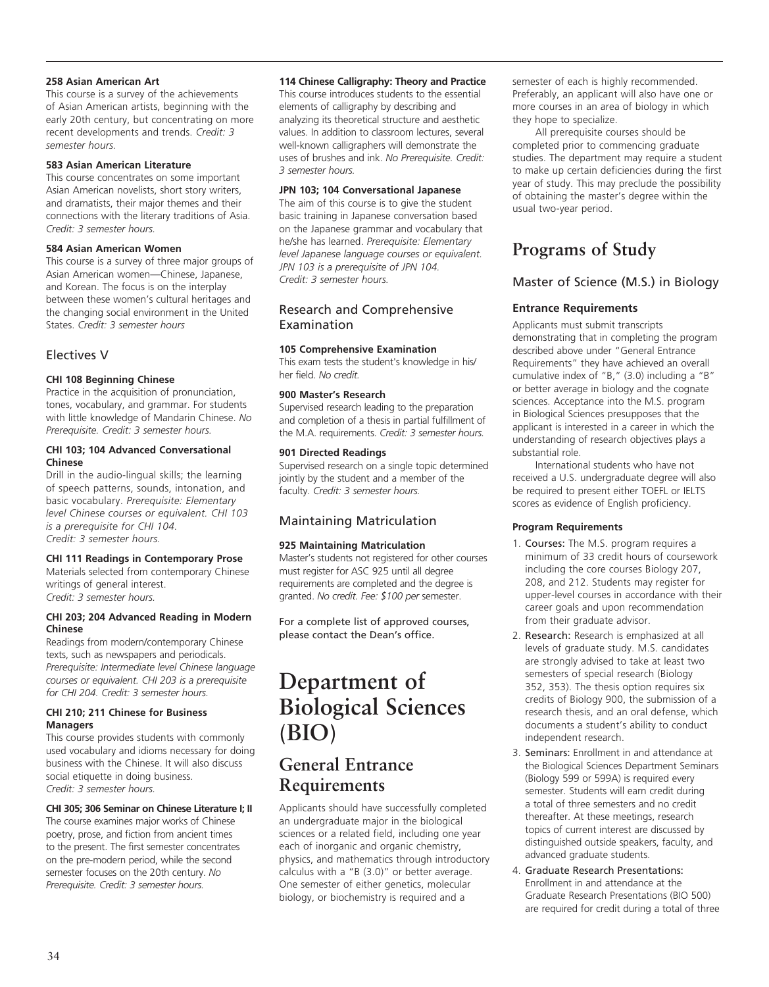#### **258 Asian American Art**

This course is a survey of the achievements of Asian American artists, beginning with the early 20th century, but concentrating on more recent developments and trends. *Credit: 3 semester hours.*

## **583 Asian American Literature**

This course concentrates on some important Asian American novelists, short story writers, and dramatists, their major themes and their connections with the literary traditions of Asia. *Credit: 3 semester hours.*

#### **584 Asian American Women**

This course is a survey of three major groups of Asian American women—Chinese, Japanese, and Korean. The focus is on the interplay between these women's cultural heritages and the changing social environment in the United States. *Credit: 3 semester hours*

# Electives V

# **CHI 108 Beginning Chinese**

Practice in the acquisition of pronunciation, tones, vocabulary, and grammar. For students with little knowledge of Mandarin Chinese. *No Prerequisite. Credit: 3 semester hours.*

#### **CHI 103; 104 Advanced Conversational Chinese**

Drill in the audio-lingual skills; the learning of speech patterns, sounds, intonation, and basic vocabulary. *Prerequisite: Elementary level Chinese courses or equivalent. CHI 103 is a prerequisite for CHI 104. Credit: 3 semester hours.*

## **CHI 111 Readings in Contemporary Prose**

Materials selected from contemporary Chinese writings of general interest. *Credit: 3 semester hours.* 

## **CHI 203; 204 Advanced Reading in Modern Chinese**

Readings from modern/contemporary Chinese texts, such as newspapers and periodicals. *Prerequisite: Intermediate level Chinese language courses or equivalent. CHI 203 is a prerequisite for CHI 204. Credit: 3 semester hours.*

#### **CHI 210; 211 Chinese for Business Managers**

This course provides students with commonly used vocabulary and idioms necessary for doing business with the Chinese. It will also discuss social etiquette in doing business. *Credit: 3 semester hours.*

## **CHI 305; 306 Seminar on Chinese Literature I; II**

The course examines major works of Chinese poetry, prose, and fiction from ancient times to the present. The first semester concentrates on the pre-modern period, while the second semester focuses on the 20th century. *No Prerequisite. Credit: 3 semester hours.*

#### **114 Chinese Calligraphy: Theory and Practice**

This course introduces students to the essential elements of calligraphy by describing and analyzing its theoretical structure and aesthetic values. In addition to classroom lectures, several well-known calligraphers will demonstrate the uses of brushes and ink. *No Prerequisite. Credit: 3 semester hours.*

#### **JPN 103; 104 Conversational Japanese**

The aim of this course is to give the student basic training in Japanese conversation based on the Japanese grammar and vocabulary that he/she has learned. *Prerequisite: Elementary level Japanese language courses or equivalent. JPN 103 is a prerequisite of JPN 104. Credit: 3 semester hours.*

# Research and Comprehensive Examination

## **105 Comprehensive Examination**

This exam tests the student's knowledge in his/ her field. *No credit.*

## **900 Master's Research**

Supervised research leading to the preparation and completion of a thesis in partial fulfillment of the M.A. requirements. *Credit: 3 semester hours.*

#### **901 Directed Readings**

Supervised research on a single topic determined jointly by the student and a member of the faculty. *Credit: 3 semester hours.*

# Maintaining Matriculation

## **925 Maintaining Matriculation**

Master's students not registered for other courses must register for ASC 925 until all degree requirements are completed and the degree is granted. *No credit. Fee: \$100 per* semester.

For a complete list of approved courses, please contact the Dean's office.

# **Department of Biological Sciences (BIO)**

# **General Entrance Requirements**

Applicants should have successfully completed an undergraduate major in the biological sciences or a related field, including one year each of inorganic and organic chemistry, physics, and mathematics through introductory calculus with a "B (3.0)" or better average. One semester of either genetics, molecular biology, or biochemistry is required and a

semester of each is highly recommended. Preferably, an applicant will also have one or more courses in an area of biology in which they hope to specialize.

All prerequisite courses should be completed prior to commencing graduate studies. The department may require a student to make up certain deficiencies during the first year of study. This may preclude the possibility of obtaining the master's degree within the usual two-year period.

# **Programs of Study**

# Master of Science (M.S.) in Biology

# **Entrance Requirements**

Applicants must submit transcripts demonstrating that in completing the program described above under "General Entrance Requirements" they have achieved an overall cumulative index of "B," (3.0) including a "B" or better average in biology and the cognate sciences. Acceptance into the M.S. program in Biological Sciences presupposes that the applicant is interested in a career in which the understanding of research objectives plays a substantial role.

International students who have not received a U.S. undergraduate degree will also be required to present either TOEFL or IELTS scores as evidence of English proficiency.

## **Program Requirements**

- 1. Courses: The M.S. program requires a minimum of 33 credit hours of coursework including the core courses Biology 207, 208, and 212. Students may register for upper-level courses in accordance with their career goals and upon recommendation from their graduate advisor.
- 2. Research: Research is emphasized at all levels of graduate study. M.S. candidates are strongly advised to take at least two semesters of special research (Biology 352, 353). The thesis option requires six credits of Biology 900, the submission of a research thesis, and an oral defense, which documents a student's ability to conduct independent research.
- 3. Seminars: Enrollment in and attendance at the Biological Sciences Department Seminars (Biology 599 or 599A) is required every semester. Students will earn credit during a total of three semesters and no credit thereafter. At these meetings, research topics of current interest are discussed by distinguished outside speakers, faculty, and advanced graduate students.
- 4. Graduate Research Presentations: Enrollment in and attendance at the Graduate Research Presentations (BIO 500) are required for credit during a total of three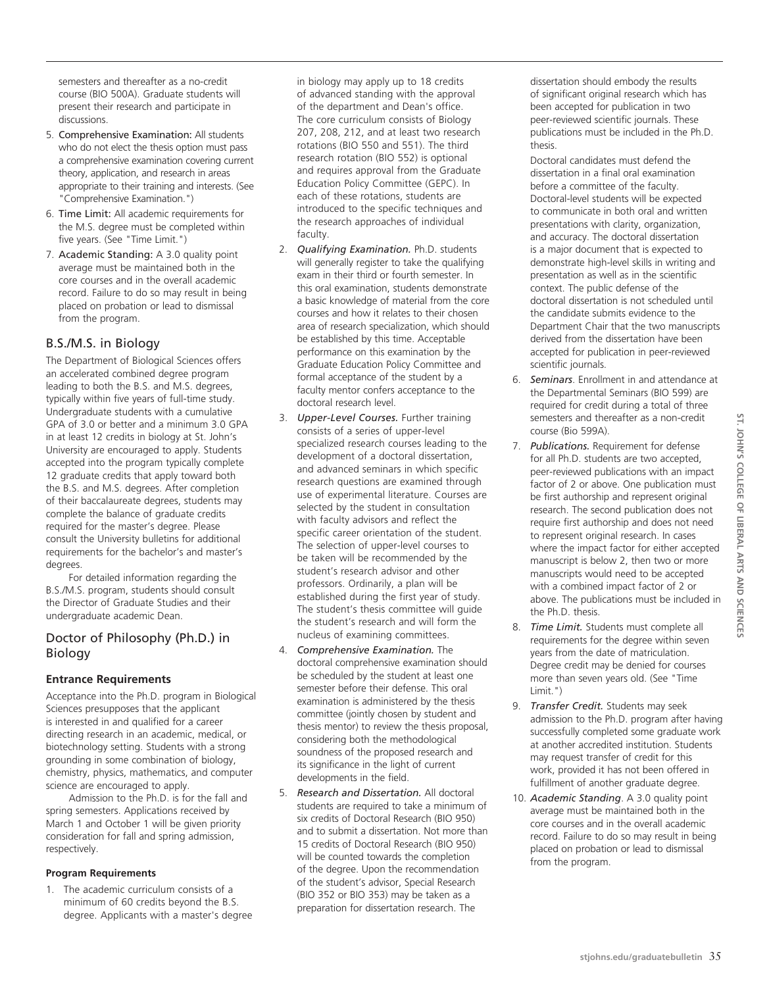semesters and thereafter as a no-credit course (BIO 500A). Graduate students will present their research and participate in discussions.

- 5. Comprehensive Examination: All students who do not elect the thesis option must pass a comprehensive examination covering current theory, application, and research in areas appropriate to their training and interests. (See "Comprehensive Examination.")
- 6. Time Limit: All academic requirements for the M.S. degree must be completed within five years. (See "Time Limit.")
- 7. Academic Standing: A 3.0 quality point average must be maintained both in the core courses and in the overall academic record. Failure to do so may result in being placed on probation or lead to dismissal from the program.

# B.S./M.S. in Biology

The Department of Biological Sciences offers an accelerated combined degree program leading to both the B.S. and M.S. degrees, typically within five years of full-time study. Undergraduate students with a cumulative GPA of 3.0 or better and a minimum 3.0 GPA in at least 12 credits in biology at St. John's University are encouraged to apply. Students accepted into the program typically complete 12 graduate credits that apply toward both the B.S. and M.S. degrees. After completion of their baccalaureate degrees, students may complete the balance of graduate credits required for the master's degree. Please consult the University bulletins for additional requirements for the bachelor's and master's degrees.

For detailed information regarding the B.S./M.S. program, students should consult the Director of Graduate Studies and their undergraduate academic Dean.

# Doctor of Philosophy (Ph.D.) in Biology

# **Entrance Requirements**

Acceptance into the Ph.D. program in Biological Sciences presupposes that the applicant is interested in and qualified for a career directing research in an academic, medical, or biotechnology setting. Students with a strong grounding in some combination of biology, chemistry, physics, mathematics, and computer science are encouraged to apply.

Admission to the Ph.D. is for the fall and spring semesters. Applications received by March 1 and October 1 will be given priority consideration for fall and spring admission, respectively.

# **Program Requirements**

1. The academic curriculum consists of a minimum of 60 credits beyond the B.S. degree. Applicants with a master's degree

in biology may apply up to 18 credits of advanced standing with the approval of the department and Dean's office. The core curriculum consists of Biology 207, 208, 212, and at least two research rotations (BIO 550 and 551). The third research rotation (BIO 552) is optional and requires approval from the Graduate Education Policy Committee (GEPC). In each of these rotations, students are introduced to the specific techniques and the research approaches of individual faculty.

- 2. *Qualifying Examination.* Ph.D. students will generally register to take the qualifying exam in their third or fourth semester. In this oral examination, students demonstrate a basic knowledge of material from the core courses and how it relates to their chosen area of research specialization, which should be established by this time. Acceptable performance on this examination by the Graduate Education Policy Committee and formal acceptance of the student by a faculty mentor confers acceptance to the doctoral research level.
- 3. *Upper-Level Courses.* Further training consists of a series of upper-level specialized research courses leading to the development of a doctoral dissertation, and advanced seminars in which specific research questions are examined through use of experimental literature. Courses are selected by the student in consultation with faculty advisors and reflect the specific career orientation of the student. The selection of upper-level courses to be taken will be recommended by the student's research advisor and other professors. Ordinarily, a plan will be established during the first year of study. The student's thesis committee will guide the student's research and will form the nucleus of examining committees.
- 4. *Comprehensive Examination.* The doctoral comprehensive examination should be scheduled by the student at least one semester before their defense. This oral examination is administered by the thesis committee (jointly chosen by student and thesis mentor) to review the thesis proposal, considering both the methodological soundness of the proposed research and its significance in the light of current developments in the field.
- 5. *Research and Dissertation.* All doctoral students are required to take a minimum of six credits of Doctoral Research (BIO 950) and to submit a dissertation. Not more than 15 credits of Doctoral Research (BIO 950) will be counted towards the completion of the degree. Upon the recommendation of the student's advisor, Special Research (BIO 352 or BIO 353) may be taken as a preparation for dissertation research. The

dissertation should embody the results of significant original research which has been accepted for publication in two peer-reviewed scientific journals. These publications must be included in the Ph.D. thesis.

Doctoral candidates must defend the dissertation in a final oral examination before a committee of the faculty. Doctoral-level students will be expected to communicate in both oral and written presentations with clarity, organization, and accuracy. The doctoral dissertation is a major document that is expected to demonstrate high-level skills in writing and presentation as well as in the scientific context. The public defense of the doctoral dissertation is not scheduled until the candidate submits evidence to the Department Chair that the two manuscripts derived from the dissertation have been accepted for publication in peer-reviewed scientific journals.

- 6. *Seminars*. Enrollment in and attendance at the Departmental Seminars (BIO 599) are required for credit during a total of three semesters and thereafter as a non-credit course (Bio 599A).
- 7. *Publications.* Requirement for defense for all Ph.D. students are two accepted, peer-reviewed publications with an impact factor of 2 or above. One publication must be first authorship and represent original research. The second publication does not require first authorship and does not need to represent original research. In cases where the impact factor for either accepted manuscript is below 2, then two or more manuscripts would need to be accepted with a combined impact factor of 2 or above. The publications must be included in the Ph.D. thesis.
- 8. *Time Limit.* Students must complete all requirements for the degree within seven years from the date of matriculation. Degree credit may be denied for courses more than seven years old. (See "Time Limit.")
- 9. *Transfer Credit.* Students may seek admission to the Ph.D. program after having successfully completed some graduate work at another accredited institution. Students may request transfer of credit for this work, provided it has not been offered in fulfillment of another graduate degree.
- 10. *Academic Standing*. A 3.0 quality point average must be maintained both in the core courses and in the overall academic record. Failure to do so may result in being placed on probation or lead to dismissal from the program.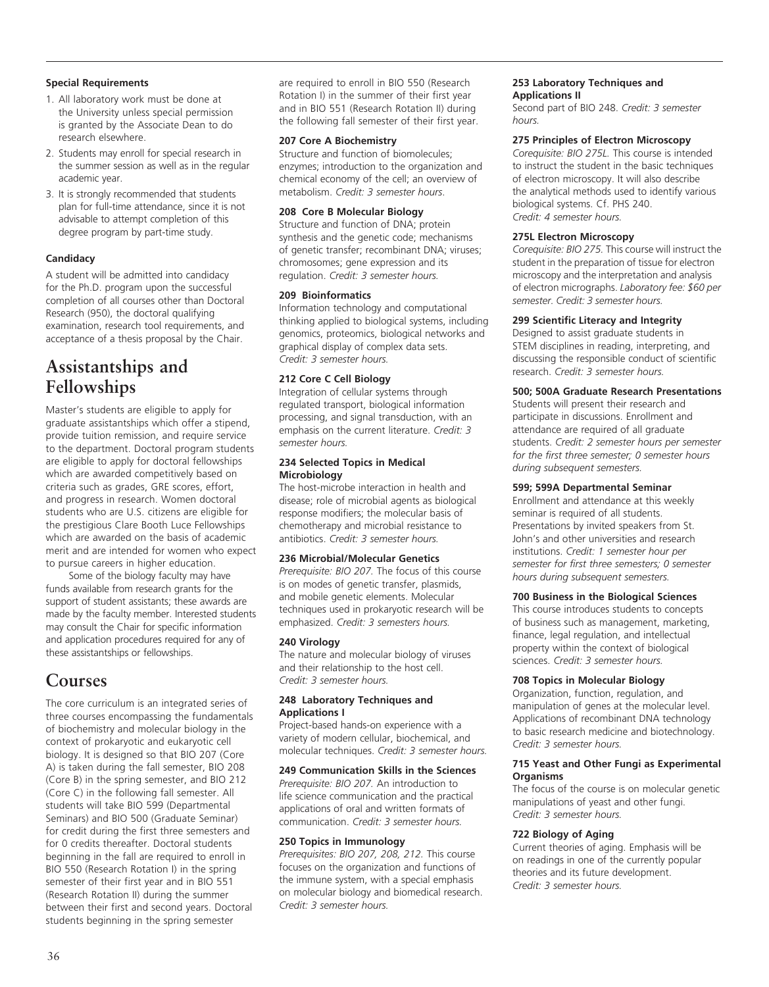#### **Special Requirements**

- 1. All laboratory work must be done at the University unless special permission is granted by the Associate Dean to do research elsewhere.
- 2. Students may enroll for special research in the summer session as well as in the regular academic year.
- 3. It is strongly recommended that students plan for full-time attendance, since it is not advisable to attempt completion of this degree program by part-time study.

# **Candidacy**

A student will be admitted into candidacy for the Ph.D. program upon the successful completion of all courses other than Doctoral Research (950), the doctoral qualifying examination, research tool requirements, and acceptance of a thesis proposal by the Chair.

# **Assistantships and Fellowships**

Master's students are eligible to apply for graduate assistantships which offer a stipend, provide tuition remission, and require service to the department. Doctoral program students are eligible to apply for doctoral fellowships which are awarded competitively based on criteria such as grades, GRE scores, effort, and progress in research. Women doctoral students who are U.S. citizens are eligible for the prestigious Clare Booth Luce Fellowships which are awarded on the basis of academic merit and are intended for women who expect to pursue careers in higher education.

Some of the biology faculty may have funds available from research grants for the support of student assistants; these awards are made by the faculty member. Interested students may consult the Chair for specific information and application procedures required for any of these assistantships or fellowships.

# **Courses**

The core curriculum is an integrated series of three courses encompassing the fundamentals of biochemistry and molecular biology in the context of prokaryotic and eukaryotic cell biology. It is designed so that BIO 207 (Core A) is taken during the fall semester, BIO 208 (Core B) in the spring semester, and BIO 212 (Core C) in the following fall semester. All students will take BIO 599 (Departmental Seminars) and BIO 500 (Graduate Seminar) for credit during the first three semesters and for 0 credits thereafter. Doctoral students beginning in the fall are required to enroll in BIO 550 (Research Rotation I) in the spring semester of their first year and in BIO 551 (Research Rotation II) during the summer between their first and second years. Doctoral students beginning in the spring semester

are required to enroll in BIO 550 (Research Rotation I) in the summer of their first year and in BIO 551 (Research Rotation II) during the following fall semester of their first year.

#### **207 Core A Biochemistry**

Structure and function of biomolecules; enzymes; introduction to the organization and chemical economy of the cell; an overview of metabolism. *Credit: 3 semester hours*.

#### **208 Core B Molecular Biology**

Structure and function of DNA; protein synthesis and the genetic code; mechanisms of genetic transfer; recombinant DNA; viruses; chromosomes; gene expression and its regulation. *Credit: 3 semester hours.*

#### **209 Bioinformatics**

Information technology and computational thinking applied to biological systems, including genomics, proteomics, biological networks and graphical display of complex data sets. *Credit: 3 semester hours.*

#### **212 Core C Cell Biology**

Integration of cellular systems through regulated transport, biological information processing, and signal transduction, with an emphasis on the current literature. *Credit: 3 semester hours.*

#### **234 Selected Topics in Medical Microbiology**

The host-microbe interaction in health and disease; role of microbial agents as biological response modifiers; the molecular basis of chemotherapy and microbial resistance to antibiotics. *Credit: 3 semester hours.*

#### **236 Microbial/Molecular Genetics**

*Prerequisite: BIO 207.* The focus of this course is on modes of genetic transfer, plasmids, and mobile genetic elements. Molecular techniques used in prokaryotic research will be emphasized. *Credit: 3 semesters hours.*

#### **240 Virology**

The nature and molecular biology of viruses and their relationship to the host cell. *Credit: 3 semester hours.*

#### **248 Laboratory Techniques and Applications I**

Project-based hands-on experience with a variety of modern cellular, biochemical, and molecular techniques. *Credit: 3 semester hours.*

# **249 Communication Skills in the Sciences**

*Prerequisite: BIO 207.* An introduction to life science communication and the practical applications of oral and written formats of communication. *Credit: 3 semester hours.* 

#### **250 Topics in Immunology**

*Prerequisites: BIO 207, 208, 212.* This course focuses on the organization and functions of the immune system, with a special emphasis on molecular biology and biomedical research. *Credit: 3 semester hours.*

# **253 Laboratory Techniques and Applications II**

Second part of BIO 248. *Credit: 3 semester hours.*

#### **275 Principles of Electron Microscopy**

*Corequisite: BIO 275L.* This course is intended to instruct the student in the basic techniques of electron microscopy. It will also describe the analytical methods used to identify various biological systems. Cf. PHS 240. *Credit: 4 semester hours.*

#### **275L Electron Microscopy**

*Corequisite: BIO 275.* This course will instruct the student in the preparation of tissue for electron microscopy and the interpretation and analysis of electron micrographs. *Laboratory fee: \$60 per semester. Credit: 3 semester hours.*

#### **299 Scientific Literacy and Integrity**

Designed to assist graduate students in STEM disciplines in reading, interpreting, and discussing the responsible conduct of scientific research. *Credit: 3 semester hours.* 

## **500; 500A Graduate Research Presentations**

Students will present their research and participate in discussions. Enrollment and attendance are required of all graduate students. *Credit: 2 semester hours per semester for the first three semester; 0 semester hours during subsequent semesters.*

## **599; 599A Departmental Seminar**

Enrollment and attendance at this weekly seminar is required of all students. Presentations by invited speakers from St. John's and other universities and research institutions. *Credit: 1 semester hour per semester for first three semesters; 0 semester hours during subsequent semesters.*

#### **700 Business in the Biological Sciences**

This course introduces students to concepts of business such as management, marketing, finance, legal regulation, and intellectual property within the context of biological sciences. *Credit: 3 semester hours.*

#### **708 Topics in Molecular Biology**

Organization, function, regulation, and manipulation of genes at the molecular level. Applications of recombinant DNA technology to basic research medicine and biotechnology. *Credit: 3 semester hours.*

#### **715 Yeast and Other Fungi as Experimental Organisms**

The focus of the course is on molecular genetic manipulations of yeast and other fungi. *Credit: 3 semester hours.*

#### **722 Biology of Aging**

Current theories of aging. Emphasis will be on readings in one of the currently popular theories and its future development. *Credit: 3 semester hours.*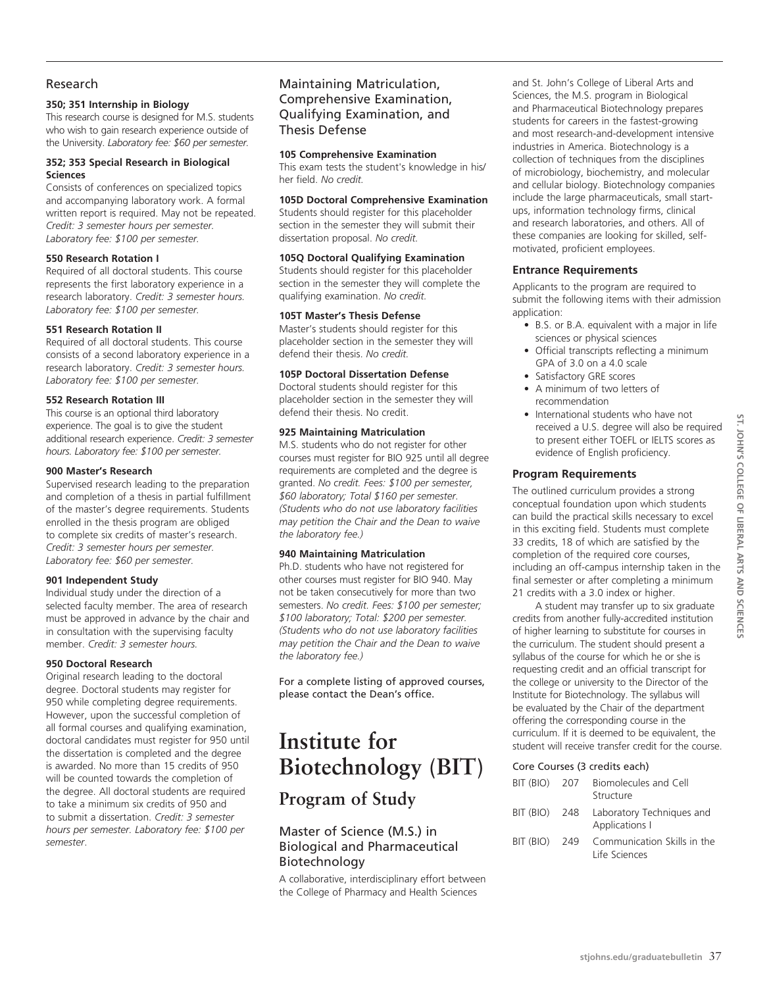# Research

# **350; 351 Internship in Biology**

This research course is designed for M.S. students who wish to gain research experience outside of the University. *Laboratory fee: \$60 per semester.*

# **352; 353 Special Research in Biological Sciences**

Consists of conferences on specialized topics and accompanying laboratory work. A formal written report is required. May not be repeated. *Credit: 3 semester hours per semester. Laboratory fee: \$100 per semester.*

# **550 Research Rotation I**

Required of all doctoral students. This course represents the first laboratory experience in a research laboratory. *Credit: 3 semester hours. Laboratory fee: \$100 per semester.*

# **551 Research Rotation II**

Required of all doctoral students. This course consists of a second laboratory experience in a research laboratory. *Credit: 3 semester hours. Laboratory fee: \$100 per semester.*

# **552 Research Rotation III**

This course is an optional third laboratory experience. The goal is to give the student additional research experience. *Credit: 3 semester hours. Laboratory fee: \$100 per semester.*

## **900 Master's Research**

Supervised research leading to the preparation and completion of a thesis in partial fulfillment of the master's degree requirements. Students enrolled in the thesis program are obliged to complete six credits of master's research. *Credit: 3 semester hours per semester. Laboratory fee: \$60 per semester.*

## **901 Independent Study**

Individual study under the direction of a selected faculty member. The area of research must be approved in advance by the chair and in consultation with the supervising faculty member. *Credit: 3 semester hours.* 

# **950 Doctoral Research**

Original research leading to the doctoral degree. Doctoral students may register for 950 while completing degree requirements. However, upon the successful completion of all formal courses and qualifying examination, doctoral candidates must register for 950 until the dissertation is completed and the degree is awarded. No more than 15 credits of 950 will be counted towards the completion of the degree. All doctoral students are required to take a minimum six credits of 950 and to submit a dissertation. *Credit: 3 semester hours per semester. Laboratory fee: \$100 per semester*.

# Maintaining Matriculation, Comprehensive Examination, Qualifying Examination, and Thesis Defense

#### **105 Comprehensive Examination**

This exam tests the student's knowledge in his/ her field. *No credit.* 

# **105D Doctoral Comprehensive Examination**

Students should register for this placeholder section in the semester they will submit their dissertation proposal. *No credit.*

## **105Q Doctoral Qualifying Examination**

Students should register for this placeholder section in the semester they will complete the qualifying examination. *No credit.*

# **105T Master's Thesis Defense**

Master's students should register for this placeholder section in the semester they will defend their thesis. *No credit.* 

## **105P Doctoral Dissertation Defense**

Doctoral students should register for this placeholder section in the semester they will defend their thesis. No credit.

## **925 Maintaining Matriculation**

M.S. students who do not register for other courses must register for BIO 925 until all degree requirements are completed and the degree is granted. *No credit. Fees: \$100 per semester, \$60 laboratory; Total \$160 per semester. (Students who do not use laboratory facilities may petition the Chair and the Dean to waive the laboratory fee.)*

# **940 Maintaining Matriculation**

Ph.D. students who have not registered for other courses must register for BIO 940. May not be taken consecutively for more than two semesters. *No credit. Fees: \$100 per semester; \$100 laboratory; Total: \$200 per semester. (Students who do not use laboratory facilities may petition the Chair and the Dean to waive the laboratory fee.)*

For a complete listing of approved courses, please contact the Dean's office.

# **Institute for Biotechnology (BIT)**

# **Program of Study**

# Master of Science (M.S.) in Biological and Pharmaceutical Biotechnology

A collaborative, interdisciplinary effort between the College of Pharmacy and Health Sciences

and St. John's College of Liberal Arts and Sciences, the M.S. program in Biological and Pharmaceutical Biotechnology prepares students for careers in the fastest-growing and most research-and-development intensive industries in America. Biotechnology is a collection of techniques from the disciplines of microbiology, biochemistry, and molecular and cellular biology. Biotechnology companies include the large pharmaceuticals, small startups, information technology firms, clinical and research laboratories, and others. All of these companies are looking for skilled, selfmotivated, proficient employees.

# **Entrance Requirements**

Applicants to the program are required to submit the following items with their admission application:

- B.S. or B.A. equivalent with a major in life sciences or physical sciences
- Official transcripts reflecting a minimum GPA of 3.0 on a 4.0 scale
- Satisfactory GRE scores
- • A minimum of two letters of recommendation
- International students who have not received a U.S. degree will also be required to present either TOEFL or IELTS scores as evidence of English proficiency.

# **Program Requirements**

The outlined curriculum provides a strong conceptual foundation upon which students can build the practical skills necessary to excel in this exciting field. Students must complete 33 credits, 18 of which are satisfied by the completion of the required core courses, including an off-campus internship taken in the final semester or after completing a minimum 21 credits with a 3.0 index or higher.

A student may transfer up to six graduate credits from another fully-accredited institution of higher learning to substitute for courses in the curriculum. The student should present a syllabus of the course for which he or she is requesting credit and an official transcript for the college or university to the Director of the Institute for Biotechnology. The syllabus will be evaluated by the Chair of the department offering the corresponding course in the curriculum. If it is deemed to be equivalent, the student will receive transfer credit for the course.

## Core Courses (3 credits each)

| BIT (BIO) 207 | Biomolecules and Cell<br>Structure                         |
|---------------|------------------------------------------------------------|
|               | BIT (BIO) 248 Laboratory Techniques and<br>Applications I  |
|               | BIT (BIO) 249 Communication Skills in the<br>Life Sciences |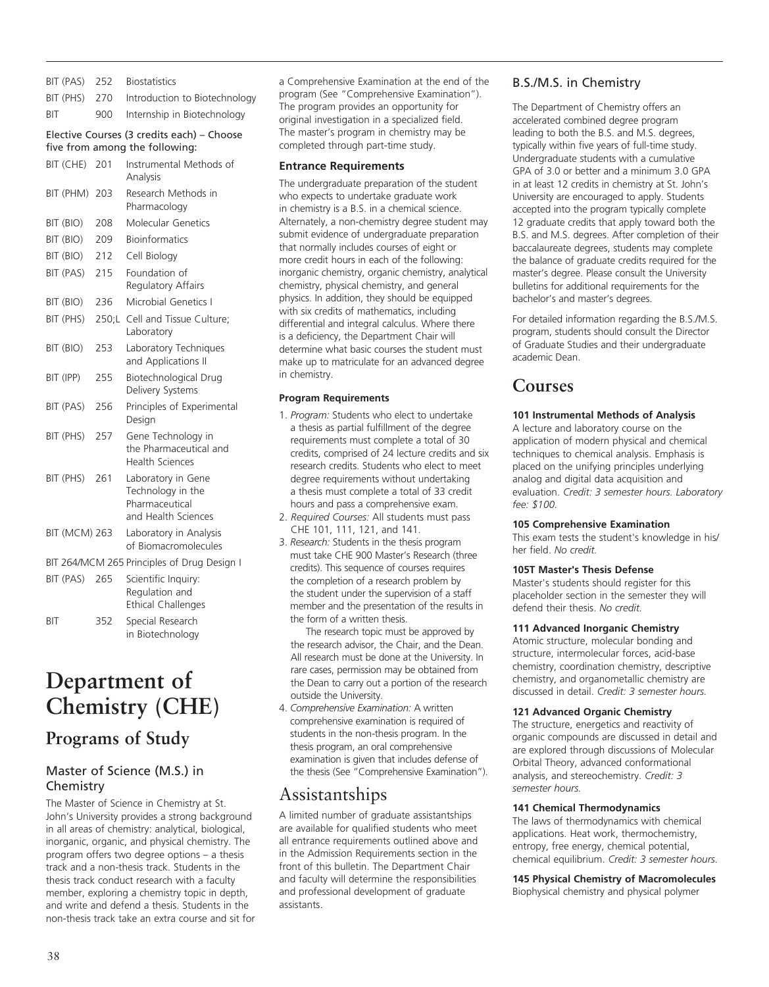|      | BIT (PAS) 252 Biostatistics                 |
|------|---------------------------------------------|
|      | BIT (PHS) 270 Introduction to Biotechnology |
| BIT. | 900 Internship in Biotechnology             |

# Elective Courses (3 credits each) – Choose five from among the following:

| BIT (CHE)            | 201   | Instrumental Methods of<br>Analysis                                              |
|----------------------|-------|----------------------------------------------------------------------------------|
| BIT (PHM)            | 203   | Research Methods in<br>Pharmacology                                              |
| BIT (BIO)            | 208   | Molecular Genetics                                                               |
| BIT (BIO)            | 209   | <b>Bioinformatics</b>                                                            |
| BIT (BIO)            | 212   | Cell Biology                                                                     |
| BIT (PAS)            | 215   | Foundation of<br>Regulatory Affairs                                              |
| BIT (BIO)            | 236   | Microbial Genetics I                                                             |
| BIT (PHS)            | 250;L | Cell and Tissue Culture;<br>Laboratory                                           |
| BIT (BIO)            | 253   | Laboratory Techniques<br>and Applications II                                     |
| BIT (IPP)            | 255   | Biotechnological Drug<br>Delivery Systems                                        |
| BIT (PAS)            | 256   | Principles of Experimental<br>Design                                             |
| BIT (PHS)            | 257   | Gene Technology in<br>the Pharmaceutical and<br><b>Health Sciences</b>           |
| BIT (PHS)            | 261   | Laboratory in Gene<br>Technology in the<br>Pharmaceutical<br>and Health Sciences |
| <b>BIT (MCM) 263</b> |       | Laboratory in Analysis<br>of Biomacromolecules                                   |
|                      |       | BIT 264/MCM 265 Principles of Drug Design I                                      |
| BIT (PAS)            | 265   | Scientific Inquiry:<br>Regulation and<br><b>Ethical Challenges</b>               |
| ВIТ                  | 352   | Special Research<br>in Biotechnology                                             |

# **Department of Chemistry (CHE)**

# **Programs of Study**

# Master of Science (M.S.) in **Chemistry**

The Master of Science in Chemistry at St. John's University provides a strong background in all areas of chemistry: analytical, biological, inorganic, organic, and physical chemistry. The program offers two degree options – a thesis track and a non-thesis track. Students in the thesis track conduct research with a faculty member, exploring a chemistry topic in depth, and write and defend a thesis. Students in the non-thesis track take an extra course and sit for a Comprehensive Examination at the end of the program (See "Comprehensive Examination"). The program provides an opportunity for original investigation in a specialized field. The master's program in chemistry may be completed through part-time study.

# **Entrance Requirements**

The undergraduate preparation of the student who expects to undertake graduate work in chemistry is a B.S. in a chemical science. Alternately, a non-chemistry degree student may submit evidence of undergraduate preparation that normally includes courses of eight or more credit hours in each of the following: inorganic chemistry, organic chemistry, analytical chemistry, physical chemistry, and general physics. In addition, they should be equipped with six credits of mathematics, including differential and integral calculus. Where there is a deficiency, the Department Chair will determine what basic courses the student must make up to matriculate for an advanced degree in chemistry.

## **Program Requirements**

- 1. *Program:* Students who elect to undertake a thesis as partial fulfillment of the degree requirements must complete a total of 30 credits, comprised of 24 lecture credits and six research credits. Students who elect to meet degree requirements without undertaking a thesis must complete a total of 33 credit hours and pass a comprehensive exam.
- 2. *Required Courses:* All students must pass CHE 101, 111, 121, and 141.
- 3. *Research:* Students in the thesis program must take CHE 900 Master's Research (three credits). This sequence of courses requires the completion of a research problem by the student under the supervision of a staff member and the presentation of the results in the form of a written thesis.

The research topic must be approved by the research advisor, the Chair, and the Dean. All research must be done at the University. In rare cases, permission may be obtained from the Dean to carry out a portion of the research outside the University.

4. *Comprehensive Examination:* A written comprehensive examination is required of students in the non-thesis program. In the thesis program, an oral comprehensive examination is given that includes defense of the thesis (See "Comprehensive Examination").

# Assistantships

A limited number of graduate assistantships are available for qualified students who meet all entrance requirements outlined above and in the Admission Requirements section in the front of this bulletin. The Department Chair and faculty will determine the responsibilities and professional development of graduate assistants.

# B.S./M.S. in Chemistry

The Department of Chemistry offers an accelerated combined degree program leading to both the B.S. and M.S. degrees, typically within five years of full-time study. Undergraduate students with a cumulative GPA of 3.0 or better and a minimum 3.0 GPA in at least 12 credits in chemistry at St. John's University are encouraged to apply. Students accepted into the program typically complete 12 graduate credits that apply toward both the B.S. and M.S. degrees. After completion of their baccalaureate degrees, students may complete the balance of graduate credits required for the master's degree. Please consult the University bulletins for additional requirements for the bachelor's and master's degrees.

For detailed information regarding the B.S./M.S. program, students should consult the Director of Graduate Studies and their undergraduate academic Dean.

# **Courses**

# **101 Instrumental Methods of Analysis**

A lecture and laboratory course on the application of modern physical and chemical techniques to chemical analysis. Emphasis is placed on the unifying principles underlying analog and digital data acquisition and evaluation. *Credit: 3 semester hours. Laboratory fee: \$100.*

## **105 Comprehensive Examination**

This exam tests the student's knowledge in his/ her field. *No credit.* 

# **105T Master's Thesis Defense**

Master's students should register for this placeholder section in the semester they will defend their thesis. *No credit.* 

## **111 Advanced Inorganic Chemistry**

Atomic structure, molecular bonding and structure, intermolecular forces, acid-base chemistry, coordination chemistry, descriptive chemistry, and organometallic chemistry are discussed in detail. *Credit: 3 semester hours.*

# **121 Advanced Organic Chemistry**

The structure, energetics and reactivity of organic compounds are discussed in detail and are explored through discussions of Molecular Orbital Theory, advanced conformational analysis, and stereochemistry. *Credit: 3 semester hours.*

## **141 Chemical Thermodynamics**

The laws of thermodynamics with chemical applications. Heat work, thermochemistry, entropy, free energy, chemical potential, chemical equilibrium. *Credit: 3 semester hours.*

## **145 Physical Chemistry of Macromolecules**

Biophysical chemistry and physical polymer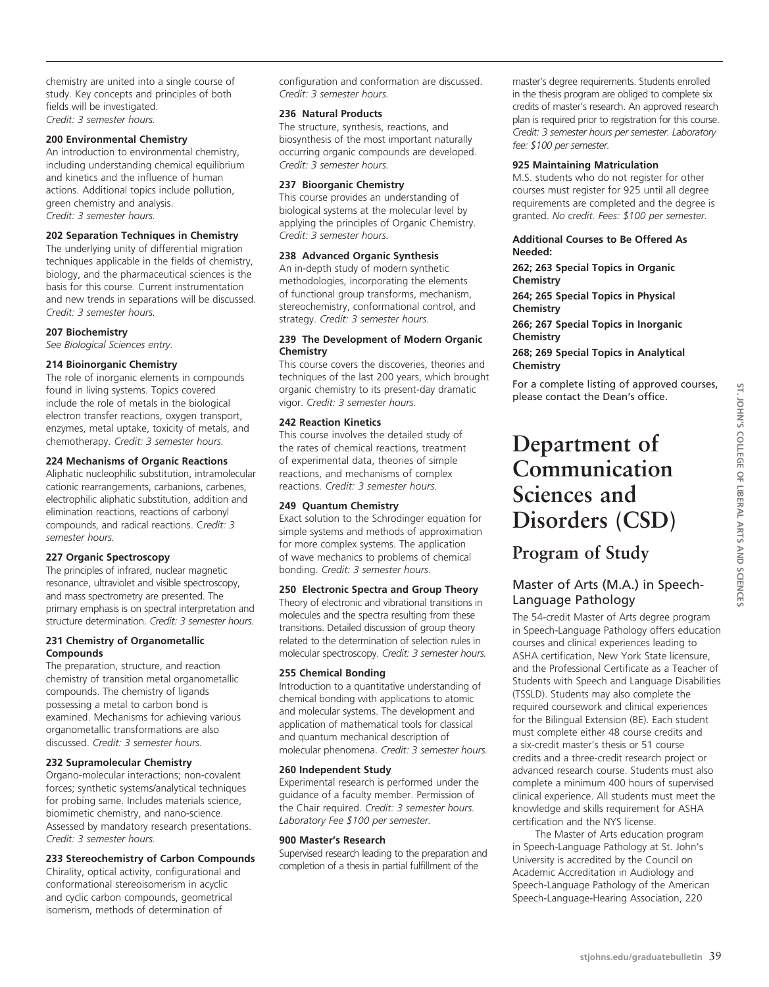chemistry are united into a single course of study. Key concepts and principles of both fields will be investigated. *Credit: 3 semester hours.*

#### **200 Environmental Chemistry**

An introduction to environmental chemistry, including understanding chemical equilibrium and kinetics and the influence of human actions. Additional topics include pollution, green chemistry and analysis. *Credit: 3 semester hours.*

#### **202 Separation Techniques in Chemistry**

The underlying unity of differential migration techniques applicable in the fields of chemistry, biology, and the pharmaceutical sciences is the basis for this course. Current instrumentation and new trends in separations will be discussed. *Credit: 3 semester hours.*

#### **207 Biochemistry**

*See Biological Sciences entry.*

#### **214 Bioinorganic Chemistry**

The role of inorganic elements in compounds found in living systems. Topics covered include the role of metals in the biological electron transfer reactions, oxygen transport, enzymes, metal uptake, toxicity of metals, and chemotherapy. *Credit: 3 semester hours.*

#### **224 Mechanisms of Organic Reactions**

Aliphatic nucleophilic substitution, intramolecular cationic rearrangements, carbanions, carbenes, electrophilic aliphatic substitution, addition and elimination reactions, reactions of carbonyl compounds, and radical reactions. C*redit: 3 semester hours.*

#### **227 Organic Spectroscopy**

The principles of infrared, nuclear magnetic resonance, ultraviolet and visible spectroscopy, and mass spectrometry are presented. The primary emphasis is on spectral interpretation and structure determination. *Credit: 3 semester hours.*

#### **231 Chemistry of Organometallic Compounds**

The preparation, structure, and reaction chemistry of transition metal organometallic compounds. The chemistry of ligands possessing a metal to carbon bond is examined. Mechanisms for achieving various organometallic transformations are also discussed. *Credit: 3 semester hours.*

#### **232 Supramolecular Chemistry**

Organo-molecular interactions; non-covalent forces; synthetic systems/analytical techniques for probing same. Includes materials science, biomimetic chemistry, and nano-science. Assessed by mandatory research presentations. *Credit: 3 semester hours.* 

#### **233 Stereochemistry of Carbon Compounds**

Chirality, optical activity, configurational and conformational stereoisomerism in acyclic and cyclic carbon compounds, geometrical isomerism, methods of determination of

configuration and conformation are discussed. *Credit: 3 semester hours.* 

#### **236 Natural Products**

The structure, synthesis, reactions, and biosynthesis of the most important naturally occurring organic compounds are developed. *Credit: 3 semester hours.*

#### **237 Bioorganic Chemistry**

This course provides an understanding of biological systems at the molecular level by applying the principles of Organic Chemistry. *Credit: 3 semester hours.*

#### **238 Advanced Organic Synthesis**

An in-depth study of modern synthetic methodologies, incorporating the elements of functional group transforms, mechanism, stereochemistry, conformational control, and strategy. *Credit: 3 semester hours.*

#### **239 The Development of Modern Organic Chemistry**

This course covers the discoveries, theories and techniques of the last 200 years, which brought organic chemistry to its present-day dramatic vigor. *Credit: 3 semester hours.*

#### **242 Reaction Kinetics**

This course involves the detailed study of the rates of chemical reactions, treatment of experimental data, theories of simple reactions, and mechanisms of complex reactions. *Credit: 3 semester hours.*

#### **249 Quantum Chemistry**

Exact solution to the Schrodinger equation for simple systems and methods of approximation for more complex systems. The application of wave mechanics to problems of chemical bonding. *Credit: 3 semester hours.*

#### **250 Electronic Spectra and Group Theory**

Theory of electronic and vibrational transitions in molecules and the spectra resulting from these transitions. Detailed discussion of group theory related to the determination of selection rules in molecular spectroscopy. *Credit: 3 semester hours.*

#### **255 Chemical Bonding**

Introduction to a quantitative understanding of chemical bonding with applications to atomic and molecular systems. The development and application of mathematical tools for classical and quantum mechanical description of molecular phenomena. *Credit: 3 semester hours.*

#### **260 Independent Study**

Experimental research is performed under the guidance of a faculty member. Permission of the Chair required. *Credit: 3 semester hours. Laboratory Fee \$100 per semester.*

#### **900 Master's Research**

Supervised research leading to the preparation and completion of a thesis in partial fulfillment of the

master's degree requirements. Students enrolled in the thesis program are obliged to complete six credits of master's research. An approved research plan is required prior to registration for this course. *Credit: 3 semester hours per semester. Laboratory fee: \$100 per semester.*

#### **925 Maintaining Matriculation**

M.S. students who do not register for other courses must register for 925 until all degree requirements are completed and the degree is granted. *No credit. Fees: \$100 per semester.*

#### **Additional Courses to Be Offered As Needed:**

**262; 263 Special Topics in Organic Chemistry**

**264; 265 Special Topics in Physical Chemistry**

**266; 267 Special Topics in Inorganic Chemistry**

#### **268; 269 Special Topics in Analytical Chemistry**

For a complete listing of approved courses, please contact the Dean's office.

# **Department of Communication Sciences and Disorders (CSD)**

# **Program of Study**

# Master of Arts (M.A.) in Speech-Language Pathology

The 54-credit Master of Arts degree program in Speech-Language Pathology offers education courses and clinical experiences leading to ASHA certification, New York State licensure, and the Professional Certificate as a Teacher of Students with Speech and Language Disabilities (TSSLD). Students may also complete the required coursework and clinical experiences for the Bilingual Extension (BE). Each student must complete either 48 course credits and a six-credit master's thesis or 51 course credits and a three-credit research project or advanced research course. Students must also complete a minimum 400 hours of supervised clinical experience. All students must meet the knowledge and skills requirement for ASHA certification and the NYS license.

The Master of Arts education program in Speech-Language Pathology at St. John's University is accredited by the Council on Academic Accreditation in Audiology and Speech-Language Pathology of the American Speech-Language-Hearing Association, 220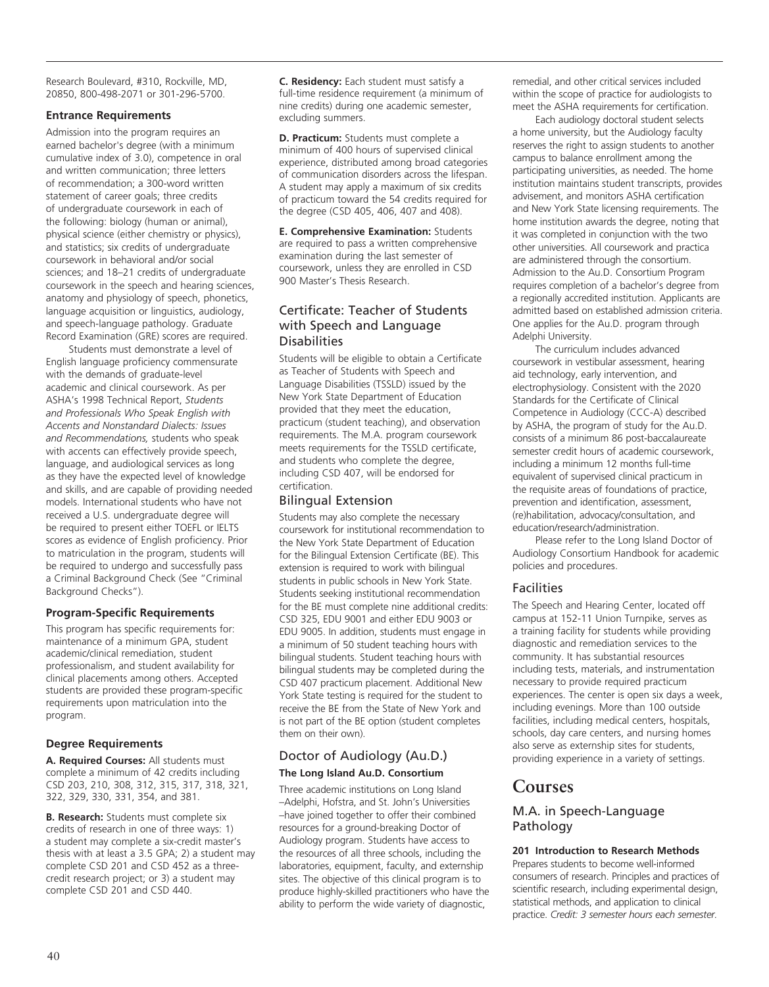Research Boulevard, #310, Rockville, MD, 20850, 800-498-2071 or 301-296-5700.

# **Entrance Requirements**

Admission into the program requires an earned bachelor's degree (with a minimum cumulative index of 3.0), competence in oral and written communication; three letters of recommendation; a 300-word written statement of career goals; three credits of undergraduate coursework in each of the following: biology (human or animal), physical science (either chemistry or physics), and statistics; six credits of undergraduate coursework in behavioral and/or social sciences; and 18–21 credits of undergraduate coursework in the speech and hearing sciences, anatomy and physiology of speech, phonetics, language acquisition or linguistics, audiology, and speech-language pathology. Graduate Record Examination (GRE) scores are required.

Students must demonstrate a level of English language proficiency commensurate with the demands of graduate-level academic and clinical coursework. As per ASHA's 1998 Technical Report, *Students and Professionals Who Speak English with Accents and Nonstandard Dialects: Issues and Recommendations,* students who speak with accents can effectively provide speech, language, and audiological services as long as they have the expected level of knowledge and skills, and are capable of providing needed models. International students who have not received a U.S. undergraduate degree will be required to present either TOEFL or IELTS scores as evidence of English proficiency. Prior to matriculation in the program, students will be required to undergo and successfully pass a Criminal Background Check (See "Criminal Background Checks").

# **Program-Specific Requirements**

This program has specific requirements for: maintenance of a minimum GPA, student academic/clinical remediation, student professionalism, and student availability for clinical placements among others. Accepted students are provided these program-specific requirements upon matriculation into the program.

# **Degree Requirements**

**A. Required Courses:** All students must complete a minimum of 42 credits including CSD 203, 210, 308, 312, 315, 317, 318, 321, 322, 329, 330, 331, 354, and 381.

**B. Research:** Students must complete six credits of research in one of three ways: 1) a student may complete a six-credit master's thesis with at least a 3.5 GPA; 2) a student may complete CSD 201 and CSD 452 as a threecredit research project; or 3) a student may complete CSD 201 and CSD 440.

**C. Residency:** Each student must satisfy a full-time residence requirement (a minimum of nine credits) during one academic semester, excluding summers.

**D. Practicum:** Students must complete a minimum of 400 hours of supervised clinical experience, distributed among broad categories of communication disorders across the lifespan. A student may apply a maximum of six credits of practicum toward the 54 credits required for the degree (CSD 405, 406, 407 and 408).

**E. Comprehensive Examination:** Students are required to pass a written comprehensive examination during the last semester of coursework, unless they are enrolled in CSD 900 Master's Thesis Research.

# Certificate: Teacher of Students with Speech and Language Disabilities

Students will be eligible to obtain a Certificate as Teacher of Students with Speech and Language Disabilities (TSSLD) issued by the New York State Department of Education provided that they meet the education, practicum (student teaching), and observation requirements. The M.A. program coursework meets requirements for the TSSLD certificate, and students who complete the degree, including CSD 407, will be endorsed for certification.

# Bilingual Extension

Students may also complete the necessary coursework for institutional recommendation to the New York State Department of Education for the Bilingual Extension Certificate (BE). This extension is required to work with bilingual students in public schools in New York State. Students seeking institutional recommendation for the BE must complete nine additional credits: CSD 325, EDU 9001 and either EDU 9003 or EDU 9005. In addition, students must engage in a minimum of 50 student teaching hours with bilingual students. Student teaching hours with bilingual students may be completed during the CSD 407 practicum placement. Additional New York State testing is required for the student to receive the BE from the State of New York and is not part of the BE option (student completes them on their own).

# Doctor of Audiology (Au.D.) **The Long Island Au.D. Consortium**

Three academic institutions on Long Island –Adelphi, Hofstra, and St. John's Universities –have joined together to offer their combined resources for a ground-breaking Doctor of Audiology program. Students have access to the resources of all three schools, including the laboratories, equipment, faculty, and externship sites. The objective of this clinical program is to produce highly-skilled practitioners who have the ability to perform the wide variety of diagnostic,

remedial, and other critical services included within the scope of practice for audiologists to meet the ASHA requirements for certification.

Each audiology doctoral student selects a home university, but the Audiology faculty reserves the right to assign students to another campus to balance enrollment among the participating universities, as needed. The home institution maintains student transcripts, provides advisement, and monitors ASHA certification and New York State licensing requirements. The home institution awards the degree, noting that it was completed in conjunction with the two other universities. All coursework and practica are administered through the consortium. Admission to the Au.D. Consortium Program requires completion of a bachelor's degree from a regionally accredited institution. Applicants are admitted based on established admission criteria. One applies for the Au.D. program through Adelphi University.

The curriculum includes advanced coursework in vestibular assessment, hearing aid technology, early intervention, and electrophysiology. Consistent with the 2020 Standards for the Certificate of Clinical Competence in Audiology (CCC-A) described by ASHA, the program of study for the Au.D. consists of a minimum 86 post-baccalaureate semester credit hours of academic coursework, including a minimum 12 months full-time equivalent of supervised clinical practicum in the requisite areas of foundations of practice, prevention and identification, assessment, (re)habilitation, advocacy/consultation, and education/research/administration.

Please refer to the Long Island Doctor of Audiology Consortium Handbook for academic policies and procedures.

# Facilities

The Speech and Hearing Center, located off campus at 152-11 Union Turnpike, serves as a training facility for students while providing diagnostic and remediation services to the community. It has substantial resources including tests, materials, and instrumentation necessary to provide required practicum experiences. The center is open six days a week, including evenings. More than 100 outside facilities, including medical centers, hospitals, schools, day care centers, and nursing homes also serve as externship sites for students, providing experience in a variety of settings.

# **Courses**

# M.A. in Speech-Language Pathology

# **201 Introduction to Research Methods**

Prepares students to become well-informed consumers of research. Principles and practices of scientific research, including experimental design, statistical methods, and application to clinical practice. *Credit: 3 semester hours each semester.*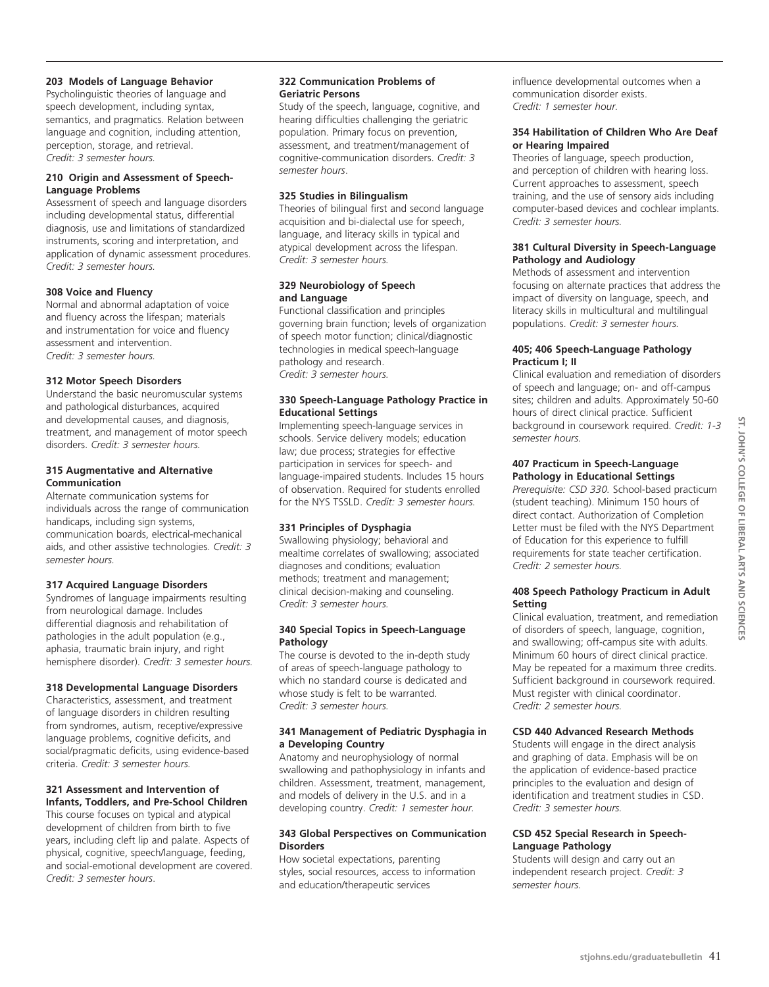# **203 Models of Language Behavior**

Psycholinguistic theories of language and speech development, including syntax, semantics, and pragmatics. Relation between language and cognition, including attention, perception, storage, and retrieval. *Credit: 3 semester hours.*

#### **210 Origin and Assessment of Speech-Language Problems**

Assessment of speech and language disorders including developmental status, differential diagnosis, use and limitations of standardized instruments, scoring and interpretation, and application of dynamic assessment procedures. *Credit: 3 semester hours.*

## **308 Voice and Fluency**

Normal and abnormal adaptation of voice and fluency across the lifespan; materials and instrumentation for voice and fluency assessment and intervention. *Credit: 3 semester hours.* 

# **312 Motor Speech Disorders**

Understand the basic neuromuscular systems and pathological disturbances, acquired and developmental causes, and diagnosis, treatment, and management of motor speech disorders. *Credit: 3 semester hours.* 

#### **315 Augmentative and Alternative Communication**

Alternate communication systems for individuals across the range of communication handicaps, including sign systems, communication boards, electrical-mechanical aids, and other assistive technologies. *Credit: 3 semester hours.* 

# **317 Acquired Language Disorders**

Syndromes of language impairments resulting from neurological damage. Includes differential diagnosis and rehabilitation of pathologies in the adult population (e.g., aphasia, traumatic brain injury, and right hemisphere disorder). *Credit: 3 semester hours.* 

## **318 Developmental Language Disorders**

Characteristics, assessment, and treatment of language disorders in children resulting from syndromes, autism, receptive/expressive language problems, cognitive deficits, and social/pragmatic deficits, using evidence-based criteria. *Credit: 3 semester hours.* 

# **321 Assessment and Intervention of Infants, Toddlers, and Pre-School Children**

This course focuses on typical and atypical development of children from birth to five years, including cleft lip and palate. Aspects of physical, cognitive, speech/language, feeding, and social-emotional development are covered. *Credit: 3 semester hours*.

# **322 Communication Problems of Geriatric Persons**

Study of the speech, language, cognitive, and hearing difficulties challenging the geriatric population. Primary focus on prevention, assessment, and treatment/management of cognitive-communication disorders. *Credit: 3 semester hours*.

# **325 Studies in Bilingualism**

Theories of bilingual first and second language acquisition and bi-dialectal use for speech, language, and literacy skills in typical and atypical development across the lifespan. *Credit: 3 semester hours.* 

## **329 Neurobiology of Speech and Language**

Functional classification and principles governing brain function; levels of organization of speech motor function; clinical/diagnostic technologies in medical speech-language pathology and research. *Credit: 3 semester hours.* 

# **330 Speech-Language Pathology Practice in Educational Settings**

Implementing speech-language services in schools. Service delivery models; education law; due process; strategies for effective participation in services for speech- and language-impaired students. Includes 15 hours of observation. Required for students enrolled for the NYS TSSLD. *Credit: 3 semester hours.*

# **331 Principles of Dysphagia**

Swallowing physiology; behavioral and mealtime correlates of swallowing; associated diagnoses and conditions; evaluation methods; treatment and management; clinical decision-making and counseling. *Credit: 3 semester hours.* 

## **340 Special Topics in Speech-Language Pathology**

The course is devoted to the in-depth study of areas of speech-language pathology to which no standard course is dedicated and whose study is felt to be warranted. *Credit: 3 semester hours.* 

## **341 Management of Pediatric Dysphagia in a Developing Country**

Anatomy and neurophysiology of normal swallowing and pathophysiology in infants and children. Assessment, treatment, management, and models of delivery in the U.S. and in a developing country. *Credit: 1 semester hour.* 

## **343 Global Perspectives on Communication Disorders**

How societal expectations, parenting styles, social resources, access to information and education/therapeutic services

influence developmental outcomes when a communication disorder exists. *Credit: 1 semester hour.* 

## **354 Habilitation of Children Who Are Deaf or Hearing Impaired**

Theories of language, speech production, and perception of children with hearing loss. Current approaches to assessment, speech training, and the use of sensory aids including computer-based devices and cochlear implants. *Credit: 3 semester hours.* 

#### **381 Cultural Diversity in Speech-Language Pathology and Audiology**

Methods of assessment and intervention focusing on alternate practices that address the impact of diversity on language, speech, and literacy skills in multicultural and multilingual populations. *Credit: 3 semester hours.* 

## **405; 406 Speech-Language Pathology Practicum I; II**

Clinical evaluation and remediation of disorders of speech and language; on- and off-campus sites; children and adults. Approximately 50-60 hours of direct clinical practice. Sufficient background in coursework required. *Credit: 1-3 semester hours.* 

## **407 Practicum in Speech-Language Pathology in Educational Settings**

*Prerequisite: CSD 330.* School-based practicum (student teaching). Minimum 150 hours of direct contact. Authorization of Completion Letter must be filed with the NYS Department of Education for this experience to fulfill requirements for state teacher certification. *Credit: 2 semester hours.*

# **408 Speech Pathology Practicum in Adult Setting**

Clinical evaluation, treatment, and remediation of disorders of speech, language, cognition, and swallowing; off-campus site with adults. Minimum 60 hours of direct clinical practice. May be repeated for a maximum three credits. Sufficient background in coursework required. Must register with clinical coordinator. *Credit: 2 semester hours.*

# **CSD 440 Advanced Research Methods**

Students will engage in the direct analysis and graphing of data. Emphasis will be on the application of evidence-based practice principles to the evaluation and design of identification and treatment studies in CSD. *Credit: 3 semester hours.*

## **CSD 452 Special Research in Speech-Language Pathology**

Students will design and carry out an independent research project. *Credit: 3 semester hours.*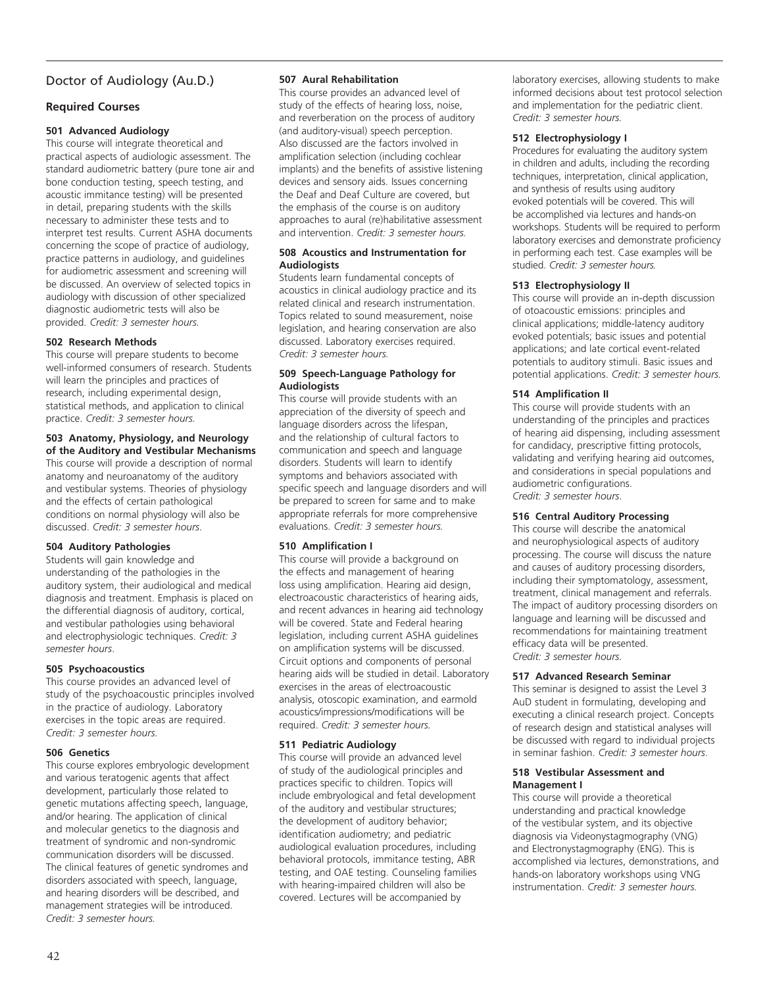# Doctor of Audiology (Au.D.)

# **Required Courses**

## **501 Advanced Audiology**

This course will integrate theoretical and practical aspects of audiologic assessment. The standard audiometric battery (pure tone air and bone conduction testing, speech testing, and acoustic immitance testing) will be presented in detail, preparing students with the skills necessary to administer these tests and to interpret test results. Current ASHA documents concerning the scope of practice of audiology, practice patterns in audiology, and guidelines for audiometric assessment and screening will be discussed. An overview of selected topics in audiology with discussion of other specialized diagnostic audiometric tests will also be provided. *Credit: 3 semester hours.*

#### **502 Research Methods**

This course will prepare students to become well-informed consumers of research. Students will learn the principles and practices of research, including experimental design, statistical methods, and application to clinical practice. *Credit: 3 semester hours.*

# **503 Anatomy, Physiology, and Neurology**

**of the Auditory and Vestibular Mechanisms**  This course will provide a description of normal anatomy and neuroanatomy of the auditory and vestibular systems. Theories of physiology and the effects of certain pathological conditions on normal physiology will also be discussed. *Credit: 3 semester hours*.

## **504 Auditory Pathologies**

Students will gain knowledge and understanding of the pathologies in the auditory system, their audiological and medical diagnosis and treatment. Emphasis is placed on the differential diagnosis of auditory, cortical, and vestibular pathologies using behavioral and electrophysiologic techniques. *Credit: 3 semester hours*.

## **505 Psychoacoustics**

This course provides an advanced level of study of the psychoacoustic principles involved in the practice of audiology. Laboratory exercises in the topic areas are required. *Credit: 3 semester hours.*

## **506 Genetics**

This course explores embryologic development and various teratogenic agents that affect development, particularly those related to genetic mutations affecting speech, language, and/or hearing. The application of clinical and molecular genetics to the diagnosis and treatment of syndromic and non-syndromic communication disorders will be discussed. The clinical features of genetic syndromes and disorders associated with speech, language, and hearing disorders will be described, and management strategies will be introduced. *Credit: 3 semester hours.*

## **507 Aural Rehabilitation**

This course provides an advanced level of study of the effects of hearing loss, noise, and reverberation on the process of auditory (and auditory-visual) speech perception. Also discussed are the factors involved in amplification selection (including cochlear implants) and the benefits of assistive listening devices and sensory aids. Issues concerning the Deaf and Deaf Culture are covered, but the emphasis of the course is on auditory approaches to aural (re)habilitative assessment and intervention. *Credit: 3 semester hours.*

#### **508 Acoustics and Instrumentation for Audiologists**

Students learn fundamental concepts of acoustics in clinical audiology practice and its related clinical and research instrumentation. Topics related to sound measurement, noise legislation, and hearing conservation are also discussed. Laboratory exercises required. *Credit: 3 semester hours.*

#### **509 Speech-Language Pathology for Audiologists**

This course will provide students with an appreciation of the diversity of speech and language disorders across the lifespan, and the relationship of cultural factors to communication and speech and language disorders. Students will learn to identify symptoms and behaviors associated with specific speech and language disorders and will be prepared to screen for same and to make appropriate referrals for more comprehensive evaluations. *Credit: 3 semester hours.*

## **510 Amplification I**

This course will provide a background on the effects and management of hearing loss using amplification. Hearing aid design, electroacoustic characteristics of hearing aids, and recent advances in hearing aid technology will be covered. State and Federal hearing legislation, including current ASHA guidelines on amplification systems will be discussed. Circuit options and components of personal hearing aids will be studied in detail. Laboratory exercises in the areas of electroacoustic analysis, otoscopic examination, and earmold acoustics/impressions/modifications will be required. *Credit: 3 semester hours.*

## **511 Pediatric Audiology**

This course will provide an advanced level of study of the audiological principles and practices specific to children. Topics will include embryological and fetal development of the auditory and vestibular structures; the development of auditory behavior; identification audiometry; and pediatric audiological evaluation procedures, including behavioral protocols, immitance testing, ABR testing, and OAE testing. Counseling families with hearing-impaired children will also be covered. Lectures will be accompanied by

laboratory exercises, allowing students to make informed decisions about test protocol selection and implementation for the pediatric client. *Credit: 3 semester hours.*

#### **512 Electrophysiology I**

Procedures for evaluating the auditory system in children and adults, including the recording techniques, interpretation, clinical application, and synthesis of results using auditory evoked potentials will be covered. This will be accomplished via lectures and hands-on workshops. Students will be required to perform laboratory exercises and demonstrate proficiency in performing each test. Case examples will be studied. *Credit: 3 semester hours.*

#### **513 Electrophysiology II**

This course will provide an in-depth discussion of otoacoustic emissions: principles and clinical applications; middle-latency auditory evoked potentials; basic issues and potential applications; and late cortical event-related potentials to auditory stimuli. Basic issues and potential applications. *Credit: 3 semester hours.*

#### **514 Amplification II**

This course will provide students with an understanding of the principles and practices of hearing aid dispensing, including assessment for candidacy, prescriptive fitting protocols, validating and verifying hearing aid outcomes, and considerations in special populations and audiometric configurations. *Credit: 3 semester hours*.

# **516 Central Auditory Processing**

This course will describe the anatomical and neurophysiological aspects of auditory processing. The course will discuss the nature and causes of auditory processing disorders, including their symptomatology, assessment, treatment, clinical management and referrals. The impact of auditory processing disorders on language and learning will be discussed and recommendations for maintaining treatment efficacy data will be presented. *Credit: 3 semester hours.*

#### **517 Advanced Research Seminar**

This seminar is designed to assist the Level 3 AuD student in formulating, developing and executing a clinical research project. Concepts of research design and statistical analyses will be discussed with regard to individual projects in seminar fashion. *Credit: 3 semester hours*.

#### **518 Vestibular Assessment and Management I**

This course will provide a theoretical understanding and practical knowledge of the vestibular system, and its objective diagnosis via Videonystagmography (VNG) and Electronystagmography (ENG). This is accomplished via lectures, demonstrations, and hands-on laboratory workshops using VNG instrumentation. *Credit: 3 semester hours.*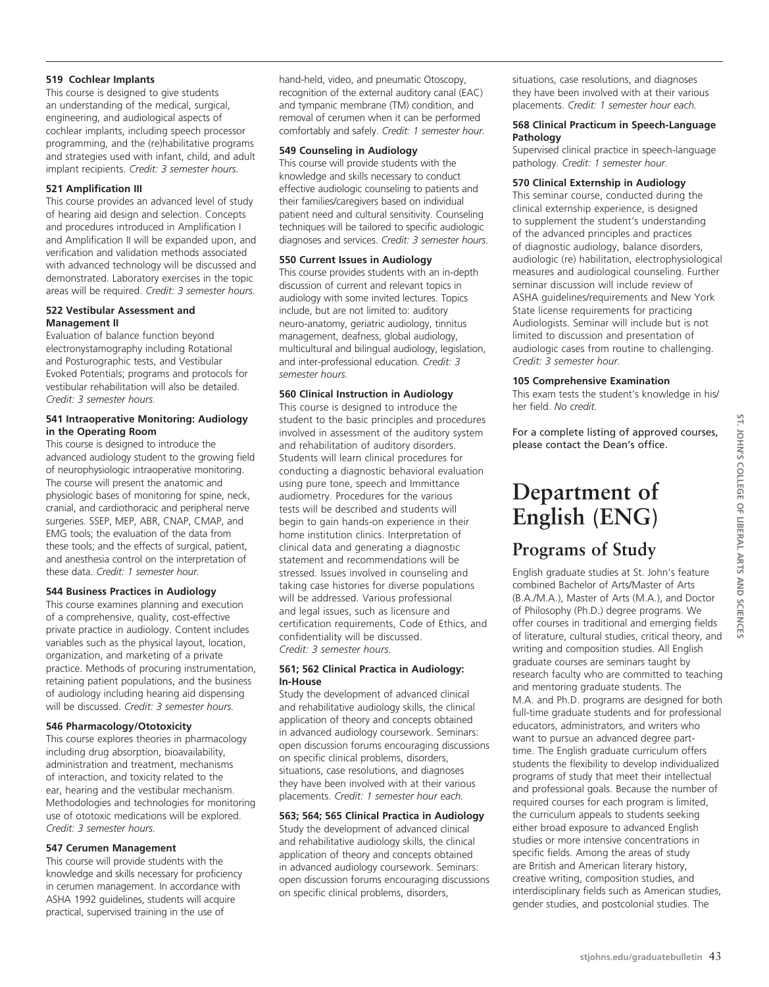#### **519 Cochlear Implants**

This course is designed to give students an understanding of the medical, surgical, engineering, and audiological aspects of cochlear implants, including speech processor programming, and the (re)habilitative programs and strategies used with infant, child, and adult implant recipients. *Credit: 3 semester hours.*

# **521 Amplification III**

This course provides an advanced level of study of hearing aid design and selection. Concepts and procedures introduced in Amplification I and Amplification II will be expanded upon, and verification and validation methods associated with advanced technology will be discussed and demonstrated. Laboratory exercises in the topic areas will be required. *Credit: 3 semester hours.*

#### **522 Vestibular Assessment and Management II**

Evaluation of balance function beyond electronystamography including Rotational and Posturographic tests, and Vestibular Evoked Potentials; programs and protocols for vestibular rehabilitation will also be detailed. *Credit: 3 semester hours.*

#### **541 Intraoperative Monitoring: Audiology in the Operating Room**

This course is designed to introduce the advanced audiology student to the growing field of neurophysiologic intraoperative monitoring. The course will present the anatomic and physiologic bases of monitoring for spine, neck, cranial, and cardiothoracic and peripheral nerve surgeries. SSEP, MEP, ABR, CNAP, CMAP, and EMG tools; the evaluation of the data from these tools; and the effects of surgical, patient, and anesthesia control on the interpretation of these data. *Credit: 1 semester hour.*

## **544 Business Practices in Audiology**

This course examines planning and execution of a comprehensive, quality, cost-effective private practice in audiology. Content includes variables such as the physical layout, location, organization, and marketing of a private practice. Methods of procuring instrumentation, retaining patient populations, and the business of audiology including hearing aid dispensing will be discussed. *Credit: 3 semester hours.*

## **546 Pharmacology/Ototoxicity**

This course explores theories in pharmacology including drug absorption, bioavailability, administration and treatment, mechanisms of interaction, and toxicity related to the ear, hearing and the vestibular mechanism. Methodologies and technologies for monitoring use of ototoxic medications will be explored. *Credit: 3 semester hours.*

## **547 Cerumen Management**

This course will provide students with the knowledge and skills necessary for proficiency in cerumen management. In accordance with ASHA 1992 guidelines, students will acquire practical, supervised training in the use of

hand-held, video, and pneumatic Otoscopy, recognition of the external auditory canal (EAC) and tympanic membrane (TM) condition, and removal of cerumen when it can be performed comfortably and safely. *Credit: 1 semester hour.*

#### **549 Counseling in Audiology**

This course will provide students with the knowledge and skills necessary to conduct effective audiologic counseling to patients and their families/caregivers based on individual patient need and cultural sensitivity. Counseling techniques will be tailored to specific audiologic diagnoses and services. *Credit: 3 semester hours.*

#### **550 Current Issues in Audiology**

This course provides students with an in-depth discussion of current and relevant topics in audiology with some invited lectures. Topics include, but are not limited to: auditory neuro-anatomy, geriatric audiology, tinnitus management, deafness, global audiology, multicultural and bilingual audiology, legislation, and inter-professional education. *Credit: 3 semester hours.*

#### **560 Clinical Instruction in Audiology**

This course is designed to introduce the student to the basic principles and procedures involved in assessment of the auditory system and rehabilitation of auditory disorders. Students will learn clinical procedures for conducting a diagnostic behavioral evaluation using pure tone, speech and Immittance audiometry. Procedures for the various tests will be described and students will begin to gain hands-on experience in their home institution clinics. Interpretation of clinical data and generating a diagnostic statement and recommendations will be stressed. Issues involved in counseling and taking case histories for diverse populations will be addressed. Various professional and legal issues, such as licensure and certification requirements, Code of Ethics, and confidentiality will be discussed. *Credit: 3 semester hours.*

#### **561; 562 Clinical Practica in Audiology: In-House**

Study the development of advanced clinical and rehabilitative audiology skills, the clinical application of theory and concepts obtained in advanced audiology coursework. Seminars: open discussion forums encouraging discussions on specific clinical problems, disorders, situations, case resolutions, and diagnoses they have been involved with at their various placements. *Credit: 1 semester hour each.*

# **563; 564; 565 Clinical Practica in Audiology**

Study the development of advanced clinical and rehabilitative audiology skills, the clinical application of theory and concepts obtained in advanced audiology coursework. Seminars: open discussion forums encouraging discussions on specific clinical problems, disorders,

situations, case resolutions, and diagnoses they have been involved with at their various placements. *Credit: 1 semester hour each.*

#### **568 Clinical Practicum in Speech-Language Pathology**

Supervised clinical practice in speech-language pathology. *Credit: 1 semester hour.*

#### **570 Clinical Externship in Audiology**

This seminar course, conducted during the clinical externship experience, is designed to supplement the student's understanding of the advanced principles and practices of diagnostic audiology, balance disorders, audiologic (re) habilitation, electrophysiological measures and audiological counseling. Further seminar discussion will include review of ASHA guidelines/requirements and New York State license requirements for practicing Audiologists. Seminar will include but is not limited to discussion and presentation of audiologic cases from routine to challenging. *Credit: 3 semester hour.*

#### **105 Comprehensive Examination**

This exam tests the student's knowledge in his/ her field. *No credit.*

For a complete listing of approved courses, please contact the Dean's office.

# **Department of English (Eng)**

# **Programs of Study**

English graduate studies at St. John's feature combined Bachelor of Arts/Master of Arts (B.A./M.A.), Master of Arts (M.A.), and Doctor of Philosophy (Ph.D.) degree programs. We offer courses in traditional and emerging fields of literature, cultural studies, critical theory, and writing and composition studies. All English graduate courses are seminars taught by research faculty who are committed to teaching and mentoring graduate students. The M.A. and Ph.D. programs are designed for both full-time graduate students and for professional educators, administrators, and writers who want to pursue an advanced degree parttime. The English graduate curriculum offers students the flexibility to develop individualized programs of study that meet their intellectual and professional goals. Because the number of required courses for each program is limited, the curriculum appeals to students seeking either broad exposure to advanced English studies or more intensive concentrations in specific fields. Among the areas of study are British and American literary history, creative writing, composition studies, and interdisciplinary fields such as American studies, gender studies, and postcolonial studies. The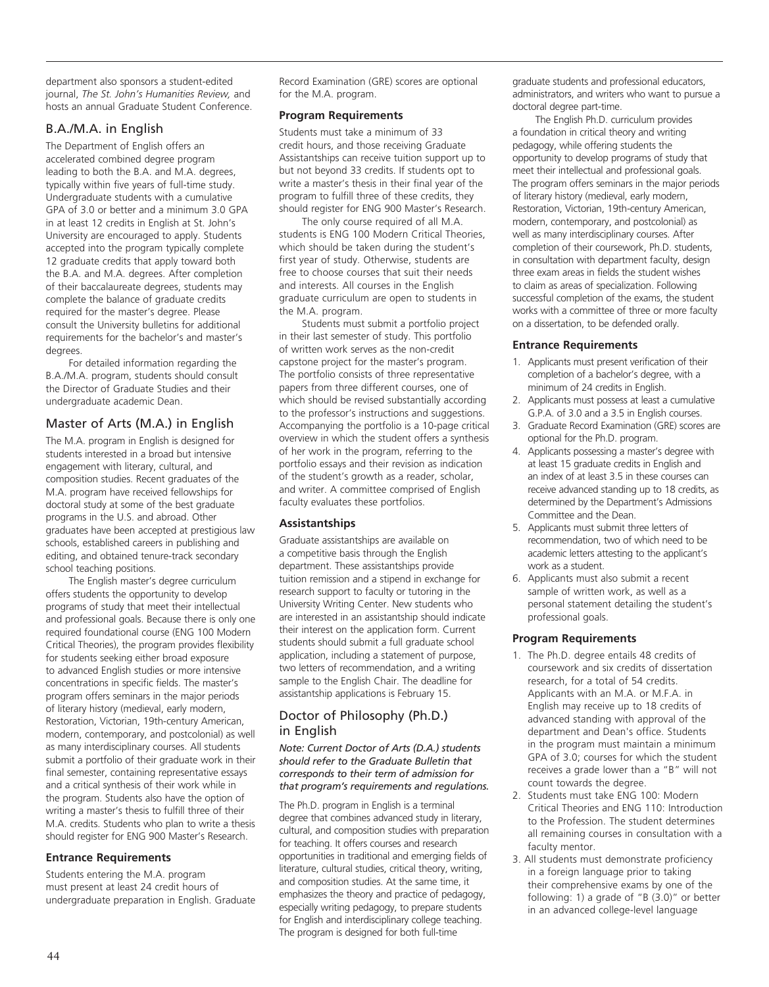department also sponsors a student-edited journal, *The St. John's Humanities Review,* and hosts an annual Graduate Student Conference.

# B.A./M.A. in English

The Department of English offers an accelerated combined degree program leading to both the B.A. and M.A. degrees, typically within five years of full-time study. Undergraduate students with a cumulative GPA of 3.0 or better and a minimum 3.0 GPA in at least 12 credits in English at St. John's University are encouraged to apply. Students accepted into the program typically complete 12 graduate credits that apply toward both the B.A. and M.A. degrees. After completion of their baccalaureate degrees, students may complete the balance of graduate credits required for the master's degree. Please consult the University bulletins for additional requirements for the bachelor's and master's degrees.

For detailed information regarding the B.A./M.A. program, students should consult the Director of Graduate Studies and their undergraduate academic Dean.

# Master of Arts (M.A.) in English

The M.A. program in English is designed for students interested in a broad but intensive engagement with literary, cultural, and composition studies. Recent graduates of the M.A. program have received fellowships for doctoral study at some of the best graduate programs in the U.S. and abroad. Other graduates have been accepted at prestigious law schools, established careers in publishing and editing, and obtained tenure-track secondary school teaching positions.

The English master's degree curriculum offers students the opportunity to develop programs of study that meet their intellectual and professional goals. Because there is only one required foundational course (ENG 100 Modern Critical Theories), the program provides flexibility for students seeking either broad exposure to advanced English studies or more intensive concentrations in specific fields. The master's program offers seminars in the major periods of literary history (medieval, early modern, Restoration, Victorian, 19th-century American, modern, contemporary, and postcolonial) as well as many interdisciplinary courses. All students submit a portfolio of their graduate work in their final semester, containing representative essays and a critical synthesis of their work while in the program. Students also have the option of writing a master's thesis to fulfill three of their M.A. credits. Students who plan to write a thesis should register for ENG 900 Master's Research.

# **Entrance Requirements**

Students entering the M.A. program must present at least 24 credit hours of undergraduate preparation in English. Graduate

Record Examination (GRE) scores are optional for the M.A. program.

# **Program Requirements**

Students must take a minimum of 33 credit hours, and those receiving Graduate Assistantships can receive tuition support up to but not beyond 33 credits. If students opt to write a master's thesis in their final year of the program to fulfill three of these credits, they should register for ENG 900 Master's Research.

The only course required of all M.A. students is ENG 100 Modern Critical Theories, which should be taken during the student's first year of study. Otherwise, students are free to choose courses that suit their needs and interests. All courses in the English graduate curriculum are open to students in the M.A. program.

Students must submit a portfolio project in their last semester of study. This portfolio of written work serves as the non-credit capstone project for the master's program. The portfolio consists of three representative papers from three different courses, one of which should be revised substantially according to the professor's instructions and suggestions. Accompanying the portfolio is a 10-page critical overview in which the student offers a synthesis of her work in the program, referring to the portfolio essays and their revision as indication of the student's growth as a reader, scholar, and writer. A committee comprised of English faculty evaluates these portfolios.

# **Assistantships**

Graduate assistantships are available on a competitive basis through the English department. These assistantships provide tuition remission and a stipend in exchange for research support to faculty or tutoring in the University Writing Center. New students who are interested in an assistantship should indicate their interest on the application form. Current students should submit a full graduate school application, including a statement of purpose, two letters of recommendation, and a writing sample to the English Chair. The deadline for assistantship applications is February 15.

# Doctor of Philosophy (Ph.D.) in English

*Note: Current Doctor of Arts (D.A.) students should refer to the Graduate Bulletin that corresponds to their term of admission for that program's requirements and regulations.*

The Ph.D. program in English is a terminal degree that combines advanced study in literary, cultural, and composition studies with preparation for teaching. It offers courses and research opportunities in traditional and emerging fields of literature, cultural studies, critical theory, writing, and composition studies. At the same time, it emphasizes the theory and practice of pedagogy, especially writing pedagogy, to prepare students for English and interdisciplinary college teaching. The program is designed for both full-time

graduate students and professional educators, administrators, and writers who want to pursue a doctoral degree part-time.

The English Ph.D. curriculum provides a foundation in critical theory and writing pedagogy, while offering students the opportunity to develop programs of study that meet their intellectual and professional goals. The program offers seminars in the major periods of literary history (medieval, early modern, Restoration, Victorian, 19th-century American, modern, contemporary, and postcolonial) as well as many interdisciplinary courses. After completion of their coursework, Ph.D. students, in consultation with department faculty, design three exam areas in fields the student wishes to claim as areas of specialization. Following successful completion of the exams, the student works with a committee of three or more faculty on a dissertation, to be defended orally.

# **Entrance Requirements**

- 1. Applicants must present verification of their completion of a bachelor's degree, with a minimum of 24 credits in English.
- 2. Applicants must possess at least a cumulative G.P.A. of 3.0 and a 3.5 in English courses.
- 3. Graduate Record Examination (GRE) scores are optional for the Ph.D. program.
- 4. Applicants possessing a master's degree with at least 15 graduate credits in English and an index of at least 3.5 in these courses can receive advanced standing up to 18 credits, as determined by the Department's Admissions Committee and the Dean.
- 5. Applicants must submit three letters of recommendation, two of which need to be academic letters attesting to the applicant's work as a student.
- 6. Applicants must also submit a recent sample of written work, as well as a personal statement detailing the student's professional goals.

## **Program Requirements**

- 1. The Ph.D. degree entails 48 credits of coursework and six credits of dissertation research, for a total of 54 credits. Applicants with an M.A. or M.F.A. in English may receive up to 18 credits of advanced standing with approval of the department and Dean's office. Students in the program must maintain a minimum GPA of 3.0; courses for which the student receives a grade lower than a "B" will not count towards the degree.
- 2. Students must take ENG 100: Modern Critical Theories and ENG 110: Introduction to the Profession. The student determines all remaining courses in consultation with a faculty mentor.
- 3. All students must demonstrate proficiency in a foreign language prior to taking their comprehensive exams by one of the following: 1) a grade of "B (3.0)" or better in an advanced college-level language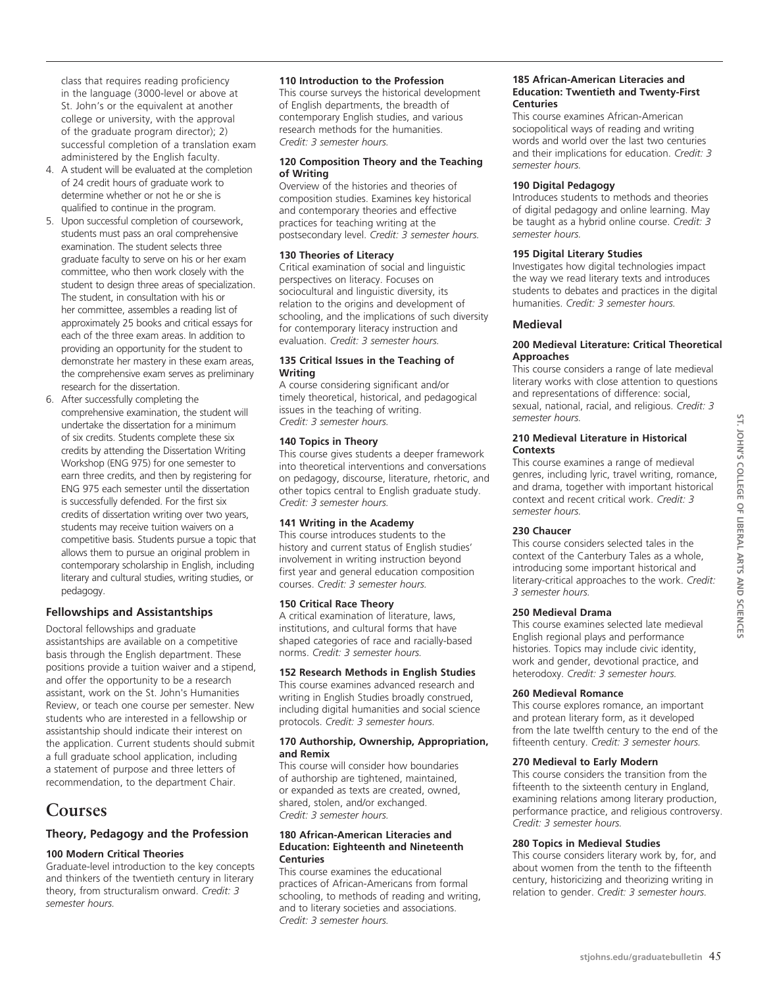class that requires reading proficiency in the language (3000-level or above at St. John's or the equivalent at another college or university, with the approval of the graduate program director); 2) successful completion of a translation exam administered by the English faculty.

- 4. A student will be evaluated at the completion of 24 credit hours of graduate work to determine whether or not he or she is qualified to continue in the program.
- 5. Upon successful completion of coursework, students must pass an oral comprehensive examination. The student selects three graduate faculty to serve on his or her exam committee, who then work closely with the student to design three areas of specialization. The student, in consultation with his or her committee, assembles a reading list of approximately 25 books and critical essays for each of the three exam areas. In addition to providing an opportunity for the student to demonstrate her mastery in these exam areas, the comprehensive exam serves as preliminary research for the dissertation.
- 6. After successfully completing the comprehensive examination, the student will undertake the dissertation for a minimum of six credits. Students complete these six credits by attending the Dissertation Writing Workshop (ENG 975) for one semester to earn three credits, and then by registering for ENG 975 each semester until the dissertation is successfully defended. For the first six credits of dissertation writing over two years, students may receive tuition waivers on a competitive basis. Students pursue a topic that allows them to pursue an original problem in contemporary scholarship in English, including literary and cultural studies, writing studies, or pedagogy.

## **Fellowships and Assistantships**

Doctoral fellowships and graduate assistantships are available on a competitive basis through the English department. These positions provide a tuition waiver and a stipend, and offer the opportunity to be a research assistant, work on the St. John's Humanities Review, or teach one course per semester. New students who are interested in a fellowship or assistantship should indicate their interest on the application. Current students should submit a full graduate school application, including a statement of purpose and three letters of recommendation, to the department Chair.

# **Courses**

# **Theory, Pedagogy and the Profession**

#### **100 Modern Critical Theories**

Graduate-level introduction to the key concepts and thinkers of the twentieth century in literary theory, from structuralism onward. *Credit: 3 semester hours.* 

#### **110 Introduction to the Profession**

This course surveys the historical development of English departments, the breadth of contemporary English studies, and various research methods for the humanities. *Credit: 3 semester hours.*

#### **120 Composition Theory and the Teaching of Writing**

Overview of the histories and theories of composition studies. Examines key historical and contemporary theories and effective practices for teaching writing at the postsecondary level. *Credit: 3 semester hours.* 

#### **130 Theories of Literacy**

Critical examination of social and linguistic perspectives on literacy. Focuses on sociocultural and linguistic diversity, its relation to the origins and development of schooling, and the implications of such diversity for contemporary literacy instruction and evaluation. *Credit: 3 semester hours.* 

#### **135 Critical Issues in the Teaching of Writing**

A course considering significant and/or timely theoretical, historical, and pedagogical issues in the teaching of writing. *Credit: 3 semester hours.* 

#### **140 Topics in Theory**

This course gives students a deeper framework into theoretical interventions and conversations on pedagogy, discourse, literature, rhetoric, and other topics central to English graduate study. *Credit: 3 semester hours.* 

#### **141 Writing in the Academy**

This course introduces students to the history and current status of English studies' involvement in writing instruction beyond first year and general education composition courses. *Credit: 3 semester hours.* 

#### **150 Critical Race Theory**

A critical examination of literature, laws, institutions, and cultural forms that have shaped categories of race and racially-based norms. *Credit: 3 semester hours.* 

#### **152 Research Methods in English Studies**

This course examines advanced research and writing in English Studies broadly construed, including digital humanities and social science protocols. *Credit: 3 semester hours.* 

#### **170 Authorship, Ownership, Appropriation, and Remix**

This course will consider how boundaries of authorship are tightened, maintained, or expanded as texts are created, owned, shared, stolen, and/or exchanged. *Credit: 3 semester hours.* 

#### **180 African-American Literacies and Education: Eighteenth and Nineteenth Centuries**

This course examines the educational practices of African-Americans from formal schooling, to methods of reading and writing, and to literary societies and associations. *Credit: 3 semester hours.* 

#### **185 African-American Literacies and Education: Twentieth and Twenty-First Centuries**

This course examines African-American sociopolitical ways of reading and writing words and world over the last two centuries and their implications for education. *Credit: 3 semester hours.* 

# **190 Digital Pedagogy**

Introduces students to methods and theories of digital pedagogy and online learning. May be taught as a hybrid online course. *Credit: 3 semester hours.* 

#### **195 Digital Literary Studies**

Investigates how digital technologies impact the way we read literary texts and introduces students to debates and practices in the digital humanities. *Credit: 3 semester hours.* 

# **Medieval**

#### **200 Medieval Literature: Critical Theoretical Approaches**

This course considers a range of late medieval literary works with close attention to questions and representations of difference: social, sexual, national, racial, and religious. *Credit: 3 semester hours.* 

#### **210 Medieval Literature in Historical Contexts**

This course examines a range of medieval genres, including lyric, travel writing, romance, and drama, together with important historical context and recent critical work. *Credit: 3 semester hours.* 

# **230 Chaucer**

This course considers selected tales in the context of the Canterbury Tales as a whole, introducing some important historical and literary-critical approaches to the work. *Credit: 3 semester hours.* 

# **250 Medieval Drama**

This course examines selected late medieval English regional plays and performance histories. Topics may include civic identity, work and gender, devotional practice, and heterodoxy. *Credit: 3 semester hours.* 

#### **260 Medieval Romance**

This course explores romance, an important and protean literary form, as it developed from the late twelfth century to the end of the fifteenth century. *Credit: 3 semester hours.* 

#### **270 Medieval to Early Modern**

This course considers the transition from the fifteenth to the sixteenth century in England, examining relations among literary production, performance practice, and religious controversy. *Credit: 3 semester hours.*

#### **280 Topics in Medieval Studies**

This course considers literary work by, for, and about women from the tenth to the fifteenth century, historicizing and theorizing writing in relation to gender. *Credit: 3 semester hours.*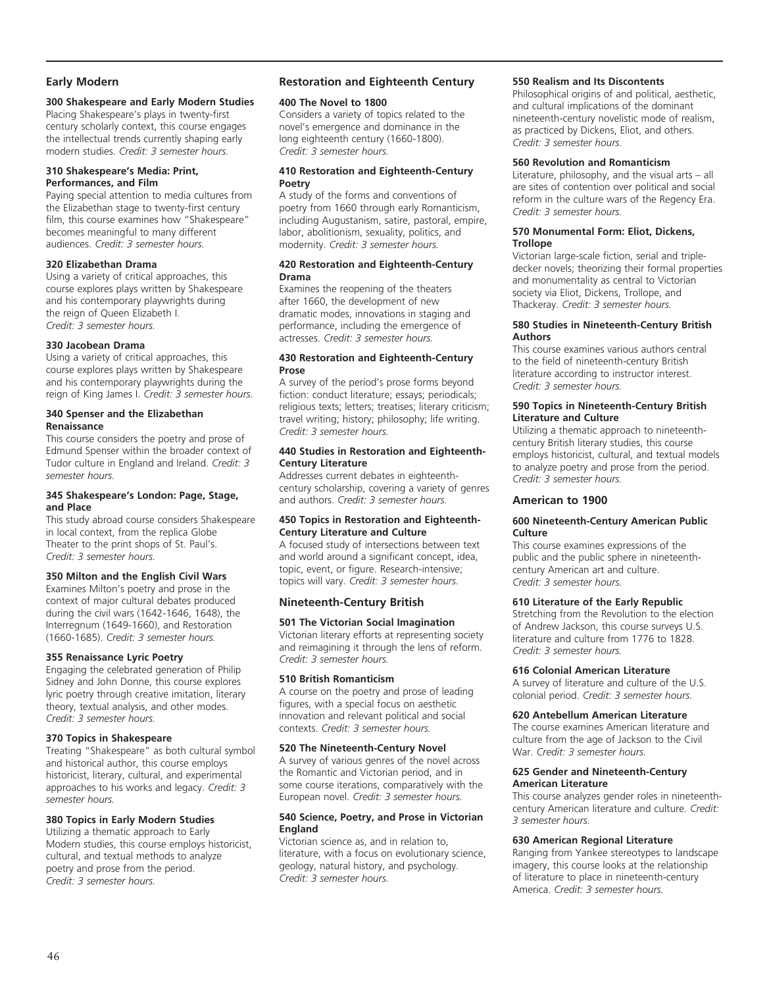# **Early Modern**

# **300 Shakespeare and Early Modern Studies**

Placing Shakespeare's plays in twenty-first century scholarly context, this course engages the intellectual trends currently shaping early modern studies. *Credit: 3 semester hours.*

#### **310 Shakespeare's Media: Print, Performances, and Film**

Paying special attention to media cultures from the Elizabethan stage to twenty-first century film, this course examines how "Shakespeare" becomes meaningful to many different audiences. *Credit: 3 semester hours.* 

#### **320 Elizabethan Drama**

Using a variety of critical approaches, this course explores plays written by Shakespeare and his contemporary playwrights during the reign of Queen Elizabeth I. *Credit: 3 semester hours.* 

#### **330 Jacobean Drama**

Using a variety of critical approaches, this course explores plays written by Shakespeare and his contemporary playwrights during the reign of King James I. *Credit: 3 semester hours.* 

#### **340 Spenser and the Elizabethan Renaissance**

This course considers the poetry and prose of Edmund Spenser within the broader context of Tudor culture in England and Ireland. *Credit: 3 semester hours.* 

#### **345 Shakespeare's London: Page, Stage, and Place**

This study abroad course considers Shakespeare in local context, from the replica Globe Theater to the print shops of St. Paul's. *Credit: 3 semester hours.* 

# **350 Milton and the English Civil Wars**

Examines Milton's poetry and prose in the context of major cultural debates produced during the civil wars (1642-1646, 1648), the Interregnum (1649-1660), and Restoration (1660-1685). *Credit: 3 semester hours.* 

#### **355 Renaissance Lyric Poetry**

Engaging the celebrated generation of Philip Sidney and John Donne, this course explores lyric poetry through creative imitation, literary theory, textual analysis, and other modes. *Credit: 3 semester hours.* 

## **370 Topics in Shakespeare**

Treating "Shakespeare" as both cultural symbol and historical author, this course employs historicist, literary, cultural, and experimental approaches to his works and legacy. *Credit: 3 semester hours.* 

#### **380 Topics in Early Modern Studies**

Utilizing a thematic approach to Early Modern studies, this course employs historicist, cultural, and textual methods to analyze poetry and prose from the period. *Credit: 3 semester hours.* 

# **Restoration and Eighteenth Century**

#### **400 The Novel to 1800**

Considers a variety of topics related to the novel's emergence and dominance in the long eighteenth century (1660-1800). *Credit: 3 semester hours.* 

#### **410 Restoration and Eighteenth-Century Poetry**

A study of the forms and conventions of poetry from 1660 through early Romanticism, including Augustanism, satire, pastoral, empire, labor, abolitionism, sexuality, politics, and modernity. *Credit: 3 semester hours.*

#### **420 Restoration and Eighteenth-Century Drama**

Examines the reopening of the theaters after 1660, the development of new dramatic modes, innovations in staging and performance, including the emergence of actresses. *Credit: 3 semester hours.* 

#### **430 Restoration and Eighteenth-Century Prose**

A survey of the period's prose forms beyond fiction: conduct literature; essays; periodicals; religious texts; letters; treatises; literary criticism; travel writing; history; philosophy; life writing. *Credit: 3 semester hours.* 

#### **440 Studies in Restoration and Eighteenth-Century Literature**

Addresses current debates in eighteenthcentury scholarship, covering a variety of genres and authors. *Credit: 3 semester hours.* 

#### **450 Topics in Restoration and Eighteenth-Century Literature and Culture**

A focused study of intersections between text and world around a significant concept, idea, topic, event, or figure. Research-intensive; topics will vary. *Credit: 3 semester hours.* 

# **Nineteenth-Century British**

## **501 The Victorian Social Imagination**

Victorian literary efforts at representing society and reimagining it through the lens of reform. *Credit: 3 semester hours.* 

#### **510 British Romanticism**

A course on the poetry and prose of leading figures, with a special focus on aesthetic innovation and relevant political and social contexts. *Credit: 3 semester hours.* 

#### **520 The Nineteenth-Century Novel**

A survey of various genres of the novel across the Romantic and Victorian period, and in some course iterations, comparatively with the European novel. *Credit: 3 semester hours.* 

#### **540 Science, Poetry, and Prose in Victorian England**

Victorian science as, and in relation to, literature, with a focus on evolutionary science, geology, natural history, and psychology. *Credit: 3 semester hours.* 

#### **550 Realism and Its Discontents**

Philosophical origins of and political, aesthetic, and cultural implications of the dominant nineteenth-century novelistic mode of realism, as practiced by Dickens, Eliot, and others. *Credit: 3 semester hours.* 

#### **560 Revolution and Romanticism**

Literature, philosophy, and the visual arts – all are sites of contention over political and social reform in the culture wars of the Regency Era. *Credit: 3 semester hours.* 

#### **570 Monumental Form: Eliot, Dickens, Trollope**

Victorian large-scale fiction, serial and tripledecker novels; theorizing their formal properties and monumentality as central to Victorian society via Eliot, Dickens, Trollope, and Thackeray. *Credit: 3 semester hours.* 

#### **580 Studies in Nineteenth-Century British Authors**

This course examines various authors central to the field of nineteenth-century British literature according to instructor interest. *Credit: 3 semester hours.* 

#### **590 Topics in Nineteenth-Century British Literature and Culture**

Utilizing a thematic approach to nineteenthcentury British literary studies, this course employs historicist, cultural, and textual models to analyze poetry and prose from the period. *Credit: 3 semester hours.* 

# **American to 1900**

#### **600 Nineteenth-Century American Public Culture**

This course examines expressions of the public and the public sphere in nineteenthcentury American art and culture. *Credit: 3 semester hours.* 

## **610 Literature of the Early Republic**

Stretching from the Revolution to the election of Andrew Jackson, this course surveys U.S. literature and culture from 1776 to 1828. *Credit: 3 semester hours.* 

#### **616 Colonial American Literature**

A survey of literature and culture of the U.S. colonial period. *Credit: 3 semester hours.* 

## **620 Antebellum American Literature**

The course examines American literature and culture from the age of Jackson to the Civil War. *Credit: 3 semester hours.* 

#### **625 Gender and Nineteenth-Century American Literature**

This course analyzes gender roles in nineteenthcentury American literature and culture. *Credit: 3 semester hours.* 

## **630 American Regional Literature**

Ranging from Yankee stereotypes to landscape imagery, this course looks at the relationship of literature to place in nineteenth-century America. *Credit: 3 semester hours.*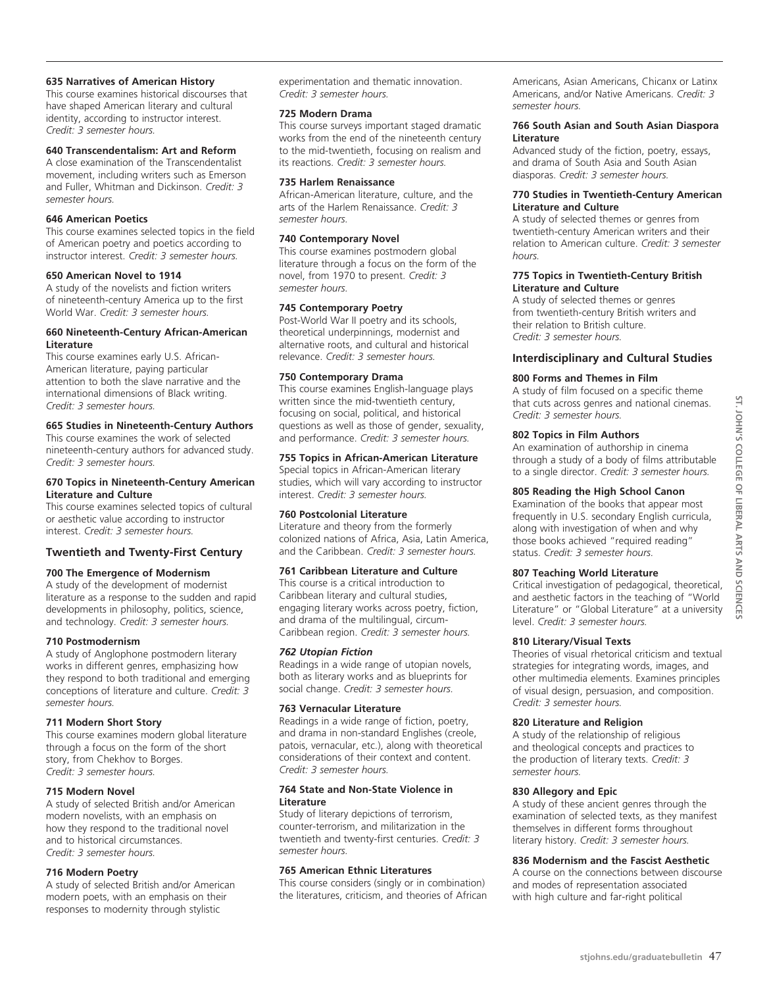#### **635 Narratives of American History**

This course examines historical discourses that have shaped American literary and cultural identity, according to instructor interest. *Credit: 3 semester hours.* 

#### **640 Transcendentalism: Art and Reform**

A close examination of the Transcendentalist movement, including writers such as Emerson and Fuller, Whitman and Dickinson. *Credit: 3 semester hours.* 

#### **646 American Poetics**

This course examines selected topics in the field of American poetry and poetics according to instructor interest. *Credit: 3 semester hours.* 

#### **650 American Novel to 1914**

A study of the novelists and fiction writers of nineteenth-century America up to the first World War. *Credit: 3 semester hours.* 

#### **660 Nineteenth-Century African-American Literature**

This course examines early U.S. African-American literature, paying particular attention to both the slave narrative and the international dimensions of Black writing. *Credit: 3 semester hours.*

#### **665 Studies in Nineteenth-Century Authors**

This course examines the work of selected nineteenth-century authors for advanced study. *Credit: 3 semester hours.* 

#### **670 Topics in Nineteenth-Century American Literature and Culture**

This course examines selected topics of cultural or aesthetic value according to instructor interest. *Credit: 3 semester hours.* 

## **Twentieth and Twenty-First Century**

## **700 The Emergence of Modernism**

A study of the development of modernist literature as a response to the sudden and rapid developments in philosophy, politics, science, and technology. *Credit: 3 semester hours.* 

#### **710 Postmodernism**

A study of Anglophone postmodern literary works in different genres, emphasizing how they respond to both traditional and emerging conceptions of literature and culture. *Credit: 3 semester hours.* 

#### **711 Modern Short Story**

This course examines modern global literature through a focus on the form of the short story, from Chekhov to Borges. *Credit: 3 semester hours.* 

## **715 Modern Novel**

A study of selected British and/or American modern novelists, with an emphasis on how they respond to the traditional novel and to historical circumstances. *Credit: 3 semester hours.* 

#### **716 Modern Poetry**

A study of selected British and/or American modern poets, with an emphasis on their responses to modernity through stylistic

experimentation and thematic innovation. *Credit: 3 semester hours.* 

#### **725 Modern Drama**

This course surveys important staged dramatic works from the end of the nineteenth century to the mid-twentieth, focusing on realism and its reactions. *Credit: 3 semester hours.* 

#### **735 Harlem Renaissance**

African-American literature, culture, and the arts of the Harlem Renaissance. *Credit: 3 semester hours.* 

#### **740 Contemporary Novel**

This course examines postmodern global literature through a focus on the form of the novel, from 1970 to present. *Credit: 3 semester hours.* 

#### **745 Contemporary Poetry**

Post-World War II poetry and its schools, theoretical underpinnings, modernist and alternative roots, and cultural and historical relevance. *Credit: 3 semester hours.* 

#### **750 Contemporary Drama**

This course examines English-language plays written since the mid-twentieth century, focusing on social, political, and historical questions as well as those of gender, sexuality, and performance. *Credit: 3 semester hours.* 

#### **755 Topics in African-American Literature**

Special topics in African-American literary studies, which will vary according to instructor interest. *Credit: 3 semester hours.* 

#### **760 Postcolonial Literature**

Literature and theory from the formerly colonized nations of Africa, Asia, Latin America, and the Caribbean. *Credit: 3 semester hours.* 

## **761 Caribbean Literature and Culture**

This course is a critical introduction to Caribbean literary and cultural studies, engaging literary works across poetry, fiction, and drama of the multilingual, circum-Caribbean region. *Credit: 3 semester hours.* 

#### *762 Utopian Fiction*

Readings in a wide range of utopian novels, both as literary works and as blueprints for social change. *Credit: 3 semester hours.* 

#### **763 Vernacular Literature**

Readings in a wide range of fiction, poetry, and drama in non-standard Englishes (creole, patois, vernacular, etc.), along with theoretical considerations of their context and content. *Credit: 3 semester hours.*

#### **764 State and Non-State Violence in Literature**

Study of literary depictions of terrorism, counter-terrorism, and militarization in the twentieth and twenty-first centuries. *Credit: 3 semester hours.* 

#### **765 American Ethnic Literatures**

This course considers (singly or in combination) the literatures, criticism, and theories of African Americans, Asian Americans, Chicanx or Latinx Americans, and/or Native Americans. *Credit: 3 semester hours.* 

#### **766 South Asian and South Asian Diaspora Literature**

Advanced study of the fiction, poetry, essays, and drama of South Asia and South Asian diasporas. *Credit: 3 semester hours.* 

#### **770 Studies in Twentieth-Century American Literature and Culture**

A study of selected themes or genres from twentieth-century American writers and their relation to American culture. *Credit: 3 semester hours.* 

#### **775 Topics in Twentieth-Century British Literature and Culture**

A study of selected themes or genres from twentieth-century British writers and their relation to British culture. *Credit: 3 semester hours.* 

# **Interdisciplinary and Cultural Studies**

## **800 Forms and Themes in Film**

A study of film focused on a specific theme that cuts across genres and national cinemas. *Credit: 3 semester hours.* 

#### **802 Topics in Film Authors**

An examination of authorship in cinema through a study of a body of films attributable to a single director. *Credit: 3 semester hours.*

# **805 Reading the High School Canon**

Examination of the books that appear most frequently in U.S. secondary English curricula, along with investigation of when and why those books achieved "required reading" status. *Credit: 3 semester hours.* 

## **807 Teaching World Literature**

Critical investigation of pedagogical, theoretical, and aesthetic factors in the teaching of "World Literature" or "Global Literature" at a university level. *Credit: 3 semester hours.* 

#### **810 Literary/Visual Texts**

Theories of visual rhetorical criticism and textual strategies for integrating words, images, and other multimedia elements. Examines principles of visual design, persuasion, and composition. *Credit: 3 semester hours.* 

#### **820 Literature and Religion**

A study of the relationship of religious and theological concepts and practices to the production of literary texts. *Credit: 3 semester hours.* 

#### **830 Allegory and Epic**

A study of these ancient genres through the examination of selected texts, as they manifest themselves in different forms throughout literary history. *Credit: 3 semester hours.* 

## **836 Modernism and the Fascist Aesthetic**

A course on the connections between discourse and modes of representation associated with high culture and far-right political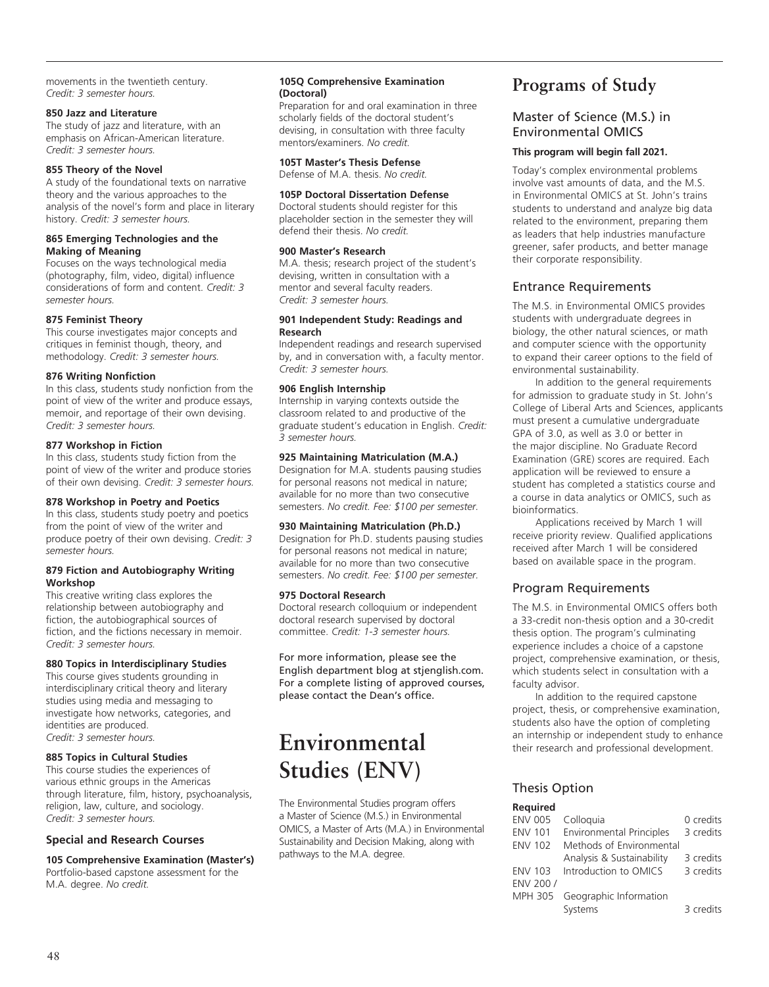movements in the twentieth century. *Credit: 3 semester hours.* 

# **850 Jazz and Literature**

The study of jazz and literature, with an emphasis on African-American literature. *Credit: 3 semester hours.* 

## **855 Theory of the Novel**

A study of the foundational texts on narrative theory and the various approaches to the analysis of the novel's form and place in literary history. *Credit: 3 semester hours.* 

#### **865 Emerging Technologies and the Making of Meaning**

Focuses on the ways technological media (photography, film, video, digital) influence considerations of form and content. *Credit: 3 semester hours.* 

## **875 Feminist Theory**

This course investigates major concepts and critiques in feminist though, theory, and methodology. *Credit: 3 semester hours.* 

# **876 Writing Nonfiction**

In this class, students study nonfiction from the point of view of the writer and produce essays, memoir, and reportage of their own devising. *Credit: 3 semester hours.* 

## **877 Workshop in Fiction**

In this class, students study fiction from the point of view of the writer and produce stories of their own devising. *Credit: 3 semester hours.* 

## **878 Workshop in Poetry and Poetics**

In this class, students study poetry and poetics from the point of view of the writer and produce poetry of their own devising. *Credit: 3 semester hours.* 

#### **879 Fiction and Autobiography Writing Workshop**

This creative writing class explores the relationship between autobiography and fiction, the autobiographical sources of fiction, and the fictions necessary in memoir. *Credit: 3 semester hours.* 

# **880 Topics in Interdisciplinary Studies**

This course gives students grounding in interdisciplinary critical theory and literary studies using media and messaging to investigate how networks, categories, and identities are produced. *Credit: 3 semester hours.* 

# **885 Topics in Cultural Studies**

This course studies the experiences of various ethnic groups in the Americas through literature, film, history, psychoanalysis, religion, law, culture, and sociology. *Credit: 3 semester hours.* 

# **Special and Research Courses**

**105 Comprehensive Examination (Master's)** Portfolio-based capstone assessment for the M.A. degree. *No credit.*

#### **105Q Comprehensive Examination (Doctoral)**

Preparation for and oral examination in three scholarly fields of the doctoral student's devising, in consultation with three faculty mentors/examiners. *No credit.*

#### **105T Master's Thesis Defense** Defense of M.A. thesis. *No credit.*

# **105P Doctoral Dissertation Defense**

Doctoral students should register for this placeholder section in the semester they will defend their thesis. *No credit.*

#### **900 Master's Research**

M.A. thesis; research project of the student's devising, written in consultation with a mentor and several faculty readers. *Credit: 3 semester hours.* 

#### **901 Independent Study: Readings and Research**

Independent readings and research supervised by, and in conversation with, a faculty mentor. *Credit: 3 semester hours.* 

# **906 English Internship**

Internship in varying contexts outside the classroom related to and productive of the graduate student's education in English. *Credit: 3 semester hours.* 

# **925 Maintaining Matriculation (M.A.)**

Designation for M.A. students pausing studies for personal reasons not medical in nature; available for no more than two consecutive semesters. *No credit. Fee: \$100 per semester.*

## **930 Maintaining Matriculation (Ph.D.)**

Designation for Ph.D. students pausing studies for personal reasons not medical in nature; available for no more than two consecutive semesters. *No credit. Fee: \$100 per semester.*

## **975 Doctoral Research**

Doctoral research colloquium or independent doctoral research supervised by doctoral committee. *Credit: 1-3 semester hours.* 

For more information, please see the English department blog at stjenglish.com. For a complete listing of approved courses, please contact the Dean's office.

# **Environmental Studies (ENV)**

The Environmental Studies program offers a Master of Science (M.S.) in Environmental OMICS, a Master of Arts (M.A.) in Environmental Sustainability and Decision Making, along with pathways to the M.A. degree.

# **Programs of Study**

# Master of Science (M.S.) in Environmental OMICS

# **This program will begin fall 2021.**

Today's complex environmental problems involve vast amounts of data, and the M.S. in Environmental OMICS at St. John's trains students to understand and analyze big data related to the environment, preparing them as leaders that help industries manufacture greener, safer products, and better manage their corporate responsibility.

# Entrance Requirements

The M.S. in Environmental OMICS provides students with undergraduate degrees in biology, the other natural sciences, or math and computer science with the opportunity to expand their career options to the field of environmental sustainability.

In addition to the general requirements for admission to graduate study in St. John's College of Liberal Arts and Sciences, applicants must present a cumulative undergraduate GPA of 3.0, as well as 3.0 or better in the major discipline. No Graduate Record Examination (GRE) scores are required. Each application will be reviewed to ensure a student has completed a statistics course and a course in data analytics or OMICS, such as bioinformatics.

Applications received by March 1 will receive priority review. Qualified applications received after March 1 will be considered based on available space in the program.

# Program Requirements

The M.S. in Environmental OMICS offers both a 33-credit non-thesis option and a 30-credit thesis option. The program's culminating experience includes a choice of a capstone project, comprehensive examination, or thesis, which students select in consultation with a faculty advisor.

In addition to the required capstone project, thesis, or comprehensive examination, students also have the option of completing an internship or independent study to enhance their research and professional development.

# Thesis Option

| <b>Required</b> |                                 |           |
|-----------------|---------------------------------|-----------|
| <b>ENV 005</b>  | Colloquia                       | 0 credits |
| <b>ENV 101</b>  | <b>Environmental Principles</b> | 3 credits |
| <b>ENV 102</b>  | Methods of Environmental        |           |
|                 | Analysis & Sustainability       | 3 credits |
| <b>ENV 103</b>  | Introduction to OMICS           | 3 credits |
| ENV 200/        |                                 |           |
| MPH 305         | Geographic Information          |           |
|                 | Systems                         | 3 credits |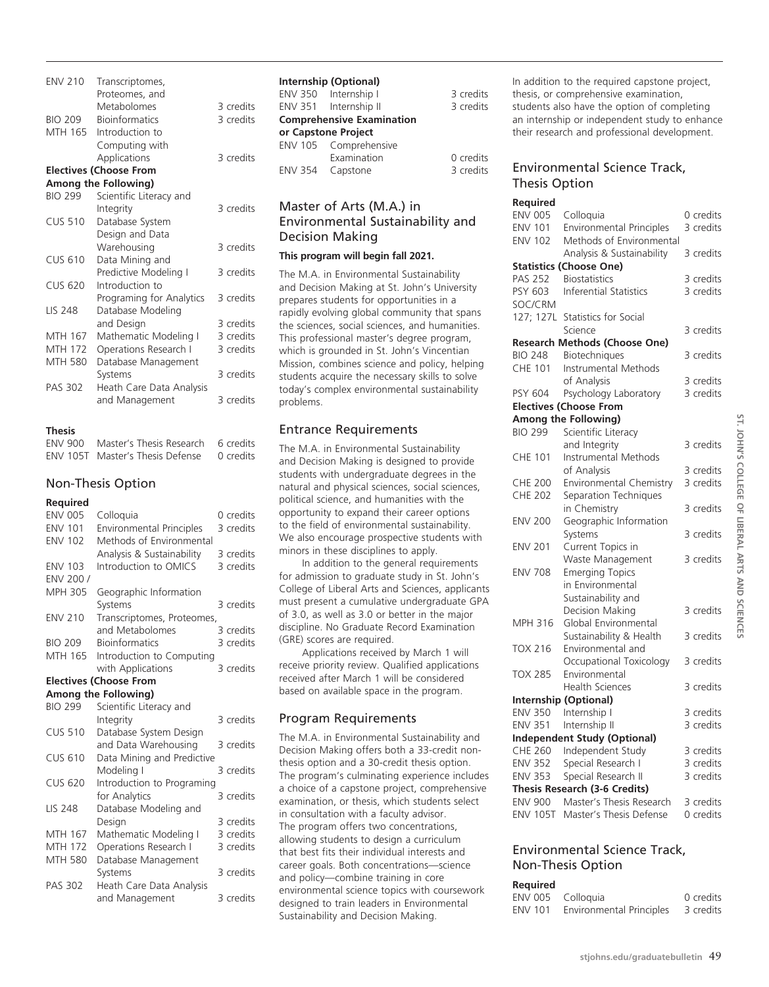| <b>ENV 210</b> | Transcriptomes,<br>Proteomes, and |           |
|----------------|-----------------------------------|-----------|
|                | Metabolomes                       | 3 credits |
| <b>BIO 209</b> | <b>Bioinformatics</b>             | 3 credits |
| MTH 165        | Introduction to                   |           |
|                | Computing with                    |           |
|                | Applications                      | 3 credits |
|                | <b>Electives (Choose From</b>     |           |
|                | Among the Following)              |           |
| <b>BIO 299</b> | Scientific Literacy and           |           |
|                | Integrity                         | 3 credits |
| <b>CUS 510</b> | Database System                   |           |
|                | Design and Data                   |           |
|                | Warehousing                       | 3 credits |
| <b>CUS 610</b> | Data Mining and                   |           |
|                | Predictive Modeling I             | 3 credits |
| <b>CUS 620</b> | Introduction to                   |           |
|                | Programing for Analytics          | 3 credits |
| <b>LIS 248</b> | Database Modeling                 |           |
|                | and Design                        | 3 credits |
| MTH 167        | Mathematic Modeling I             | 3 credits |
| <b>MTH 172</b> | Operations Research I             | 3 credits |
| <b>MTH 580</b> | Database Management               |           |
|                | Systems                           | 3 credits |
| <b>PAS 302</b> | Heath Care Data Analysis          |           |
|                | and Management                    | 3 credits |
|                |                                   |           |

## **Thesis**

| ENV 900 Master's Thesis Research 6 credits |           |
|--------------------------------------------|-----------|
| ENV 105T Master's Thesis Defense           | 0 credits |

## Non-Thesis Option

#### **Required**

| <b>ENV 005</b> | Colloquia                       | 0 credits |
|----------------|---------------------------------|-----------|
| <b>ENV 101</b> | <b>Environmental Principles</b> | 3 credits |
| <b>ENV 102</b> | Methods of Environmental        |           |
|                | Analysis & Sustainability       | 3 credits |
| <b>ENV 103</b> | Introduction to OMICS           | 3 credits |
| ENV 200 /      |                                 |           |
| <b>MPH 305</b> | Geographic Information          |           |
|                | Systems                         | 3 credits |
| <b>ENV 210</b> | Transcriptomes, Proteomes,      |           |
|                | and Metabolomes                 | 3 credits |
| <b>BIO 209</b> | <b>Bioinformatics</b>           | 3 credits |
| MTH 165        | Introduction to Computing       |           |
|                | with Applications               | 3 credits |
|                | <b>Electives (Choose From</b>   |           |
|                | Among the Following)            |           |
| <b>BIO 299</b> | Scientific Literacy and         |           |
|                | Integrity                       | 3 credits |
| <b>CUS 510</b> | Database System Design          |           |
|                | and Data Warehousing            | 3 credits |
| <b>CUS 610</b> | Data Mining and Predictive      |           |
|                | Modeling I                      | 3 credits |
| <b>CUS 620</b> | Introduction to Programing      |           |
|                | for Analytics                   | 3 credits |
| <b>LIS 248</b> | Database Modeling and           |           |
|                | Design                          | 3 credits |
| MTH 167        | Mathematic Modeling I           | 3 credits |
| <b>MTH 172</b> | Operations Research I           | 3 credits |
| MTH 580        | Database Management             |           |
|                | Systems                         | 3 credits |
| <b>PAS 302</b> | Heath Care Data Analysis        |           |
|                | and Management                  | 3 credits |

|  | Internship (Optional)            |           |
|--|----------------------------------|-----------|
|  | ENV 350 Internship I             | 3 credits |
|  | ENV 351 Internship II            | 3 credits |
|  | <b>Comprehensive Examination</b> |           |
|  | or Capstone Project              |           |
|  | ENV 105 Comprehensive            |           |
|  | Examination                      | 0 credits |
|  | ENV 354 Capstone                 | 3 credits |

# Master of Arts (M.A.) in Environmental Sustainability and Decision Making

#### **This program will begin fall 2021.**

The M.A. in Environmental Sustainability and Decision Making at St. John's University prepares students for opportunities in a rapidly evolving global community that spans the sciences, social sciences, and humanities. This professional master's degree program, which is grounded in St. John's Vincentian Mission, combines science and policy, helping students acquire the necessary skills to solve today's complex environmental sustainability problems.

# Entrance Requirements

The M.A. in Environmental Sustainability and Decision Making is designed to provide students with undergraduate degrees in the natural and physical sciences, social sciences, political science, and humanities with the opportunity to expand their career options to the field of environmental sustainability. We also encourage prospective students with minors in these disciplines to apply.

In addition to the general requirements for admission to graduate study in St. John's College of Liberal Arts and Sciences, applicants must present a cumulative undergraduate GPA of 3.0, as well as 3.0 or better in the major discipline. No Graduate Record Examination (GRE) scores are required.

Applications received by March 1 will receive priority review. Qualified applications received after March 1 will be considered based on available space in the program.

# Program Requirements

The M.A. in Environmental Sustainability and Decision Making offers both a 33-credit nonthesis option and a 30-credit thesis option. The program's culminating experience includes a choice of a capstone project, comprehensive examination, or thesis, which students select in consultation with a faculty advisor. The program offers two concentrations, allowing students to design a curriculum that best fits their individual interests and career goals. Both concentrations—science and policy—combine training in core environmental science topics with coursework designed to train leaders in Environmental Sustainability and Decision Making.

In addition to the required capstone project, thesis, or comprehensive examination, students also have the option of completing an internship or independent study to enhance their research and professional development.

# Environmental Science Track, Thesis Option

# **Required**

| <b>ENV 005</b>  | Colloquia                            | 0 credits |
|-----------------|--------------------------------------|-----------|
| <b>ENV 101</b>  | <b>Environmental Principles</b>      | 3 credits |
| <b>ENV 102</b>  | Methods of Environmental             |           |
|                 | Analysis & Sustainability            | 3 credits |
|                 | <b>Statistics (Choose One)</b>       |           |
| <b>PAS 252</b>  | <b>Biostatistics</b>                 | 3 credits |
| PSY 603         | <b>Inferential Statistics</b>        | 3 credits |
| SOC/CRM         |                                      |           |
| 127; 127L       | Statistics for Social                |           |
|                 | Science                              | 3 credits |
|                 | <b>Research Methods (Choose One)</b> |           |
| <b>BIO 248</b>  | Biotechniques                        | 3 credits |
| <b>CHE 101</b>  | Instrumental Methods                 |           |
|                 | of Analysis                          | 3 credits |
| PSY 604         | Psychology Laboratory                | 3 credits |
|                 | <b>Electives (Choose From</b>        |           |
|                 | Among the Following)                 |           |
| <b>BIO 299</b>  | Scientific Literacy                  |           |
|                 | and Integrity                        | 3 credits |
| <b>CHE 101</b>  | Instrumental Methods                 |           |
|                 | of Analysis                          | 3 credits |
| <b>CHE 200</b>  | Environmental Chemistry              | 3 credits |
| <b>CHE 202</b>  | Separation Techniques                |           |
|                 | in Chemistry                         | 3 credits |
| <b>ENV 200</b>  | Geographic Information               |           |
|                 | Systems                              | 3 credits |
| <b>ENV 201</b>  | Current Topics in                    |           |
|                 | Waste Management                     | 3 credits |
| <b>ENV 708</b>  | <b>Emerging Topics</b>               |           |
|                 | in Environmental                     |           |
|                 | Sustainability and                   |           |
|                 | Decision Making                      | 3 credits |
| MPH 316         | Global Environmental                 |           |
|                 | Sustainability & Health              | 3 credits |
| <b>TOX 216</b>  | Environmental and                    |           |
|                 | Occupational Toxicology              | 3 credits |
| <b>TOX 285</b>  | Environmental                        |           |
|                 | <b>Health Sciences</b>               | 3 credits |
|                 | <b>Internship (Optional)</b>         |           |
| <b>ENV 350</b>  | Internship I                         | 3 credits |
| <b>ENV 351</b>  | Internship II                        | 3 credits |
|                 | <b>Independent Study (Optional)</b>  |           |
| CHE 260         | Independent Study                    | 3 credits |
| <b>ENV 352</b>  | Special Research I                   | 3 credits |
| <b>ENV 353</b>  | Special Research II                  | 3 credits |
|                 | Thesis Research (3-6 Credits)        |           |
| <b>ENV 900</b>  | Master's Thesis Research             | 3 credits |
| <b>ENV 105T</b> | Master's Thesis Defense              | 0 credits |
|                 |                                      |           |

## Environmental Science Track, Non-Thesis Option

#### **Required**

| .                 |                          |           |
|-------------------|--------------------------|-----------|
| ENV 005 Colloquia |                          | 0 credits |
| <b>ENV 101</b>    | Environmental Principles | 3 credits |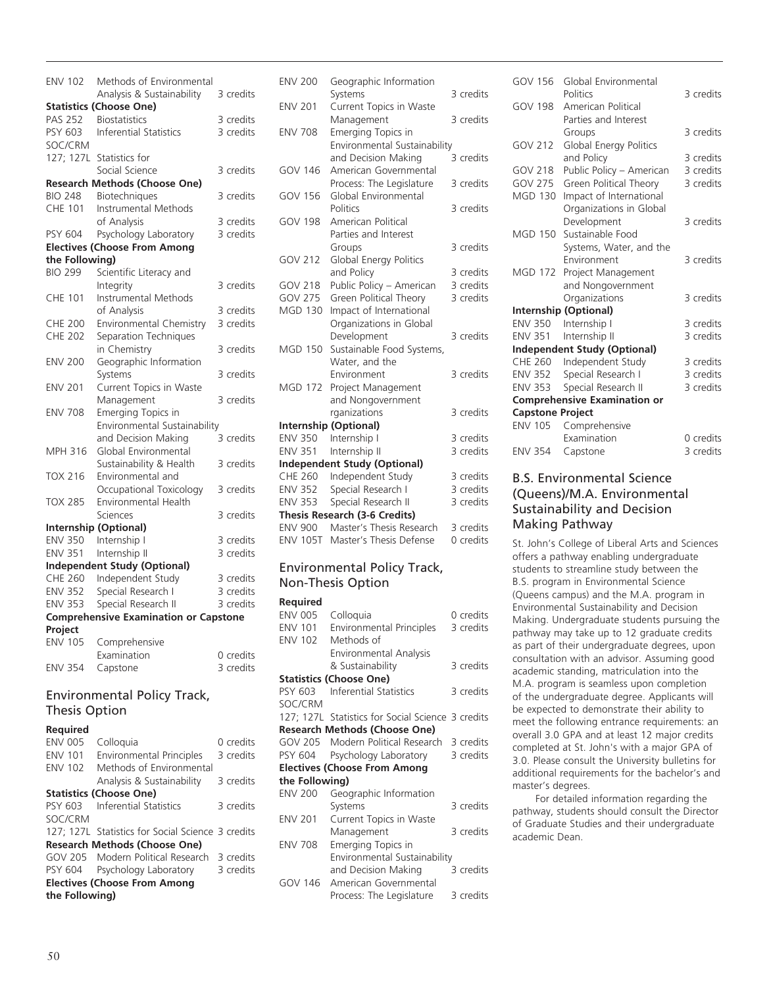| <b>ENV 102</b>       | Methods of Environmental                     |           |
|----------------------|----------------------------------------------|-----------|
|                      | Analysis & Sustainability                    | 3 credits |
|                      | <b>Statistics (Choose One)</b>               |           |
| <b>PAS 252</b>       | <b>Biostatistics</b>                         | 3 credits |
| PSY 603              | <b>Inferential Statistics</b>                | 3 credits |
| SOC/CRM              |                                              |           |
| 127; 127L            | Statistics for                               |           |
|                      | Social Science                               | 3 credits |
|                      | <b>Research Methods (Choose One)</b>         |           |
| <b>BIO 248</b>       | Biotechniques                                | 3 credits |
| <b>CHE 101</b>       | <b>Instrumental Methods</b>                  |           |
|                      | of Analysis                                  | 3 credits |
| PSY 604              | Psychology Laboratory                        | 3 credits |
|                      | <b>Electives (Choose From Among</b>          |           |
| the Following)       |                                              |           |
| <b>BIO 299</b>       | Scientific Literacy and                      |           |
|                      | Integrity                                    | 3 credits |
| CHE 101              | Instrumental Methods                         |           |
|                      | of Analysis                                  | 3 credits |
| <b>CHE 200</b>       | Environmental Chemistry                      | 3 credits |
| <b>CHE 202</b>       | Separation Techniques                        |           |
|                      | in Chemistry                                 | 3 credits |
| <b>ENV 200</b>       | Geographic Information                       |           |
|                      | Systems                                      | 3 credits |
| <b>ENV 201</b>       | Current Topics in Waste                      |           |
|                      | Management                                   | 3 credits |
| <b>ENV 708</b>       | Emerging Topics in                           |           |
|                      | Environmental Sustainability                 |           |
|                      | and Decision Making                          | 3 credits |
| MPH 316              | Global Environmental                         |           |
|                      | Sustainability & Health                      | 3 credits |
| <b>TOX 216</b>       | Environmental and                            |           |
|                      | Occupational Toxicology                      | 3 credits |
| <b>TOX 285</b>       | Environmental Health                         |           |
|                      | Sciences                                     | 3 credits |
|                      | Internship (Optional)                        |           |
| <b>ENV 350</b>       | Internship I                                 | 3 credits |
| <b>ENV 351</b>       | Internship II                                | 3 credits |
|                      | <b>Independent Study (Optional)</b>          |           |
| <b>CHE 260</b>       | Independent Study                            | 3 credits |
| <b>ENV 352</b>       | Special Research I                           | 3 credits |
| <b>ENV 353</b>       | Special Research II                          | 3 credits |
| Project              | <b>Comprehensive Examination or Capstone</b> |           |
| <b>ENV 105</b>       | Comprehensive                                |           |
|                      | Examination                                  | 0 credits |
| <b>ENV 354</b>       | Capstone                                     | 3 credits |
|                      |                                              |           |
|                      | <b>Environmental Policy Track,</b>           |           |
| <b>Thesis Option</b> |                                              |           |
|                      |                                              |           |

#### **Required**

| <b>ENV 005</b> | Colloguia                                         | 0 credits |
|----------------|---------------------------------------------------|-----------|
| <b>ENV 101</b> | <b>Environmental Principles</b>                   | 3 credits |
| <b>ENV 102</b> | Methods of Environmental                          |           |
|                | Analysis & Sustainability                         | 3 credits |
|                | <b>Statistics (Choose One)</b>                    |           |
|                | PSY 603 Inferential Statistics                    | 3 credits |
| SOC/CRM        |                                                   |           |
|                | 127; 127L Statistics for Social Science 3 credits |           |
|                | <b>Research Methods (Choose One)</b>              |           |
|                | GOV 205 Modern Political Research                 | 3 credits |
| PSY 604        | Psychology Laboratory                             | 3 credits |
|                | <b>Electives (Choose From Among</b>               |           |
| the Following) |                                                   |           |

| <b>ENV 200</b>  | Geographic Information                             | 3 credits |
|-----------------|----------------------------------------------------|-----------|
| <b>ENV 201</b>  | Systems<br>Current Topics in Waste                 |           |
|                 | Management                                         | 3 credits |
| <b>ENV 708</b>  |                                                    |           |
|                 | Emerging Topics in<br>Environmental Sustainability |           |
|                 |                                                    | 3 credits |
| <b>GOV 146</b>  | and Decision Making                                |           |
|                 | American Governmental                              | 3 credits |
|                 | Process: The Legislature                           |           |
| <b>GOV 156</b>  | Global Environmental                               | 3 credits |
|                 | Politics                                           |           |
| <b>GOV 198</b>  | American Political                                 |           |
|                 | Parties and Interest                               |           |
|                 | Groups                                             | 3 credits |
| <b>GOV 212</b>  | Global Energy Politics                             |           |
|                 | and Policy                                         | 3 credits |
| <b>GOV 218</b>  | Public Policy - American                           | 3 credits |
| <b>GOV 275</b>  | Green Political Theory                             | 3 credits |
| <b>MGD 130</b>  | Impact of International                            |           |
|                 | Organizations in Global                            |           |
|                 | Development                                        | 3 credits |
| <b>MGD 150</b>  | Sustainable Food Systems,                          |           |
|                 | Water, and the                                     |           |
|                 | Environment                                        | 3 credits |
| <b>MGD 172</b>  | Project Management                                 |           |
|                 | and Nongovernment                                  |           |
|                 | rganizations                                       | 3 credits |
|                 | Internship (Optional)                              |           |
| <b>ENV 350</b>  | Internship I                                       | 3 credits |
| <b>ENV 351</b>  | Internship II                                      | 3 credits |
|                 | <b>Independent Study (Optional)</b>                |           |
| <b>CHE 260</b>  | Independent Study                                  | 3 credits |
| <b>ENV 352</b>  | Special Research I                                 | 3 credits |
| <b>ENV 353</b>  | Special Research II                                | 3 credits |
|                 | Thesis Research (3-6 Credits)                      |           |
| <b>ENV 900</b>  | Master's Thesis Research                           | 3 credits |
| <b>ENV 105T</b> | Master's Thesis Defense                            | 0 credits |
| ومنائب والمسارا | وامتصد ومثلمها المفعو                              |           |

## Environmental Policy Track, Non-Thesis Option

#### **Required**

| ENV 005        | Colloquia                                         | 0 credits |
|----------------|---------------------------------------------------|-----------|
| <b>ENV 101</b> | Environmental Principles                          | 3 credits |
| <b>ENV 102</b> | Methods of                                        |           |
|                | Environmental Analysis                            |           |
|                | & Sustainability                                  | 3 credits |
|                | <b>Statistics (Choose One)</b>                    |           |
|                | PSY 603 Inferential Statistics                    | 3 credits |
| SOC/CRM        |                                                   |           |
|                | 127; 127L Statistics for Social Science 3 credits |           |
|                | <b>Research Methods (Choose One)</b>              |           |
|                | GOV 205 Modern Political Research 3 credits       |           |
| PSY 604        | Psychology Laboratory                             | 3 credits |
|                | <b>Electives (Choose From Among</b>               |           |
| the Following) |                                                   |           |
| <b>ENV 200</b> | Geographic Information                            |           |
|                | Systems                                           | 3 credits |
| <b>ENV 201</b> | Current Topics in Waste                           |           |
|                | Management                                        | 3 credits |
| <b>ENV 708</b> | Emerging Topics in                                |           |
|                | Environmental Sustainability                      |           |
|                | and Decision Making                               | 3 credits |
| GOV 146        | American Governmental                             |           |
|                | Process: The Legislature                          | 3 credits |

| GOV 156                 | Global Environmental                |           |
|-------------------------|-------------------------------------|-----------|
|                         | Politics                            | 3 credits |
| <b>GOV 198</b>          | American Political                  |           |
|                         | Parties and Interest                |           |
|                         | Groups                              | 3 credits |
| <b>GOV 212</b>          | Global Energy Politics              |           |
|                         | and Policy                          | 3 credits |
| <b>GOV 218</b>          | Public Policy - American            | 3 credits |
| <b>GOV 275</b>          | Green Political Theory              | 3 credits |
| <b>MGD 130</b>          | Impact of International             |           |
|                         | Organizations in Global             |           |
|                         | Development                         | 3 credits |
| MGD 150                 | Sustainable Food                    |           |
|                         | Systems, Water, and the             |           |
|                         | Environment                         | 3 credits |
| <b>MGD 172</b>          | Project Management                  |           |
|                         | and Nongovernment                   |           |
|                         | Organizations                       | 3 credits |
|                         | <b>Internship (Optional)</b>        |           |
| <b>ENV 350</b>          | Internship I                        | 3 credits |
| <b>ENV 351</b>          | Internship II                       | 3 credits |
|                         | <b>Independent Study (Optional)</b> |           |
| CHE 260                 | Independent Study                   | 3 credits |
| <b>ENV 352</b>          | Special Research I                  | 3 credits |
| <b>ENV 353</b>          | Special Research II                 | 3 credits |
|                         | <b>Comprehensive Examination or</b> |           |
| <b>Capstone Project</b> |                                     |           |
| <b>ENV 105</b>          | Comprehensive                       |           |
|                         | Examination                         | 0 credits |
| <b>ENV 354</b>          | Capstone                            | 3 credits |

# B.S. Environmental Science (Queens)/M.A. Environmental Sustainability and Decision Making Pathway

St. John's College of Liberal Arts and Sciences offers a pathway enabling undergraduate students to streamline study between the B.S. program in Environmental Science (Queens campus) and the M.A. program in Environmental Sustainability and Decision Making. Undergraduate students pursuing the pathway may take up to 12 graduate credits as part of their undergraduate degrees, upon consultation with an advisor. Assuming good academic standing, matriculation into the M.A. program is seamless upon completion of the undergraduate degree. Applicants will be expected to demonstrate their ability to meet the following entrance requirements: an overall 3.0 GPA and at least 12 major credits completed at St. John's with a major GPA of 3.0. Please consult the University bulletins for additional requirements for the bachelor's and master's degrees.

For detailed information regarding the pathway, students should consult the Director of Graduate Studies and their undergraduate academic Dean.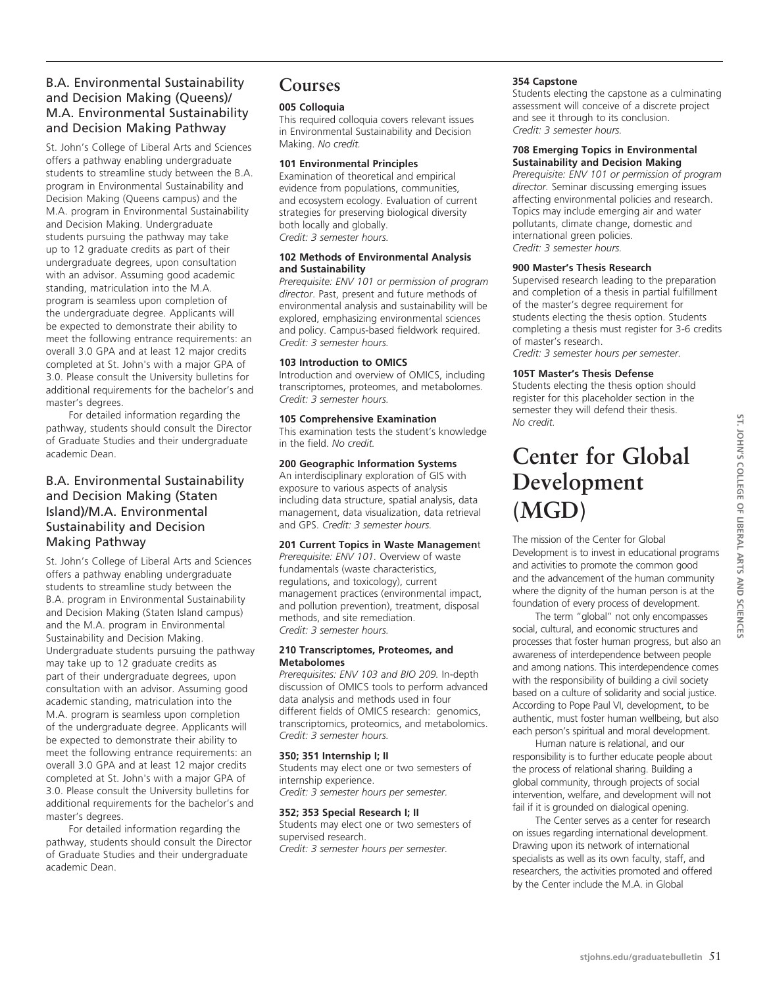# B.A. Environmental Sustainability and Decision Making (Queens)/ M.A. Environmental Sustainability and Decision Making Pathway

St. John's College of Liberal Arts and Sciences offers a pathway enabling undergraduate students to streamline study between the B.A. program in Environmental Sustainability and Decision Making (Queens campus) and the M.A. program in Environmental Sustainability and Decision Making. Undergraduate students pursuing the pathway may take up to 12 graduate credits as part of their undergraduate degrees, upon consultation with an advisor. Assuming good academic standing, matriculation into the M.A. program is seamless upon completion of the undergraduate degree. Applicants will be expected to demonstrate their ability to meet the following entrance requirements: an overall 3.0 GPA and at least 12 major credits completed at St. John's with a major GPA of 3.0. Please consult the University bulletins for additional requirements for the bachelor's and master's degrees.

For detailed information regarding the pathway, students should consult the Director of Graduate Studies and their undergraduate academic Dean.

# B.A. Environmental Sustainability and Decision Making (Staten Island)/M.A. Environmental Sustainability and Decision Making Pathway

St. John's College of Liberal Arts and Sciences offers a pathway enabling undergraduate students to streamline study between the B.A. program in Environmental Sustainability and Decision Making (Staten Island campus) and the M.A. program in Environmental Sustainability and Decision Making. Undergraduate students pursuing the pathway may take up to 12 graduate credits as part of their undergraduate degrees, upon consultation with an advisor. Assuming good academic standing, matriculation into the M.A. program is seamless upon completion of the undergraduate degree. Applicants will be expected to demonstrate their ability to meet the following entrance requirements: an overall 3.0 GPA and at least 12 major credits completed at St. John's with a major GPA of 3.0. Please consult the University bulletins for additional requirements for the bachelor's and master's degrees.

For detailed information regarding the pathway, students should consult the Director of Graduate Studies and their undergraduate academic Dean.

# **Courses**

# **005 Colloquia**

This required colloquia covers relevant issues in Environmental Sustainability and Decision Making. *No credit.* 

#### **101 Environmental Principles**

Examination of theoretical and empirical evidence from populations, communities, and ecosystem ecology. Evaluation of current strategies for preserving biological diversity both locally and globally. *Credit: 3 semester hours.*

#### **102 Methods of Environmental Analysis and Sustainability**

*Prerequisite: ENV 101 or permission of program director*. Past, present and future methods of environmental analysis and sustainability will be explored, emphasizing environmental sciences and policy. Campus-based fieldwork required. *Credit: 3 semester hours.*

## **103 Introduction to OMICS**

Introduction and overview of OMICS, including transcriptomes, proteomes, and metabolomes. *Credit: 3 semester hours.*

## **105 Comprehensive Examination**

This examination tests the student's knowledge in the field. *No credit.* 

# **200 Geographic Information Systems**

An interdisciplinary exploration of GIS with exposure to various aspects of analysis including data structure, spatial analysis, data management, data visualization, data retrieval and GPS. *Credit: 3 semester hours.*

## **201 Current Topics in Waste Managemen**t

*Prerequisite: ENV 101.* Overview of waste fundamentals (waste characteristics, regulations, and toxicology), current management practices (environmental impact, and pollution prevention), treatment, disposal methods, and site remediation. *Credit: 3 semester hours.*

#### **210 Transcriptomes, Proteomes, and Metabolomes**

*Prerequisites: ENV 103 and BIO 209.* In-depth discussion of OMICS tools to perform advanced data analysis and methods used in four different fields of OMICS research: genomics, transcriptomics, proteomics, and metabolomics. *Credit: 3 semester hours.*

#### **350; 351 Internship I; II**

Students may elect one or two semesters of internship experience. *Credit: 3 semester hours per semester.*

#### **352; 353 Special Research I; II**

Students may elect one or two semesters of supervised research. *Credit: 3 semester hours per semester.*

# **354 Capstone**

Students electing the capstone as a culminating assessment will conceive of a discrete project and see it through to its conclusion. *Credit: 3 semester hours.*

#### **708 Emerging Topics in Environmental Sustainability and Decision Making**

*Prerequisite: ENV 101 or permission of program director.* Seminar discussing emerging issues affecting environmental policies and research. Topics may include emerging air and water pollutants, climate change, domestic and international green policies. *Credit: 3 semester hours.*

#### **900 Master's Thesis Research**

Supervised research leading to the preparation and completion of a thesis in partial fulfillment of the master's degree requirement for students electing the thesis option. Students completing a thesis must register for 3-6 credits of master's research.

*Credit: 3 semester hours per semester.*

## **105T Master's Thesis Defense**

Students electing the thesis option should register for this placeholder section in the semester they will defend their thesis. *No credit.*

# **Center for Global Development (MGD)**

The mission of the Center for Global Development is to invest in educational programs and activities to promote the common good and the advancement of the human community where the dignity of the human person is at the foundation of every process of development.

The term "global" not only encompasses social, cultural, and economic structures and processes that foster human progress, but also an awareness of interdependence between people and among nations. This interdependence comes with the responsibility of building a civil society based on a culture of solidarity and social justice. According to Pope Paul VI, development, to be authentic, must foster human wellbeing, but also each person's spiritual and moral development.

Human nature is relational, and our responsibility is to further educate people about the process of relational sharing. Building a global community, through projects of social intervention, welfare, and development will not fail if it is grounded on dialogical opening.

The Center serves as a center for research on issues regarding international development. Drawing upon its network of international specialists as well as its own faculty, staff, and researchers, the activities promoted and offered by the Center include the M.A. in Global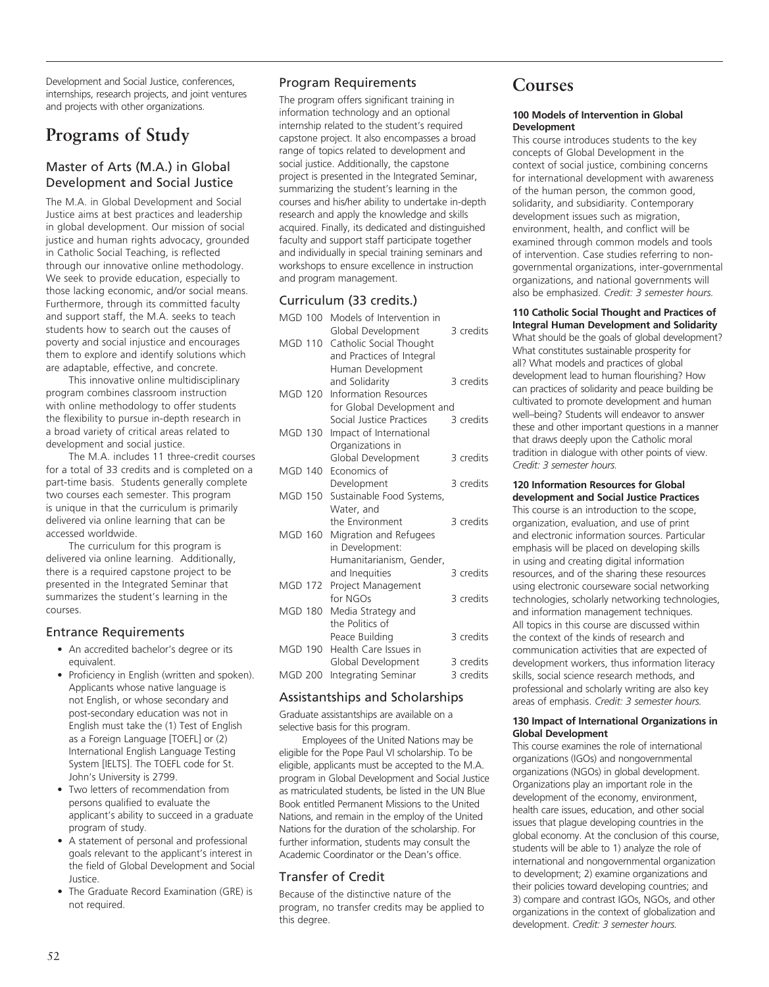Development and Social Justice, conferences, internships, research projects, and joint ventures and projects with other organizations.

# **Programs of Study**

# Master of Arts (M.A.) in Global Development and Social Justice

The M.A. in Global Development and Social Justice aims at best practices and leadership in global development. Our mission of social justice and human rights advocacy, grounded in Catholic Social Teaching, is reflected through our innovative online methodology. We seek to provide education, especially to those lacking economic, and/or social means. Furthermore, through its committed faculty and support staff, the M.A. seeks to teach students how to search out the causes of poverty and social injustice and encourages them to explore and identify solutions which are adaptable, effective, and concrete.

This innovative online multidisciplinary program combines classroom instruction with online methodology to offer students the flexibility to pursue in-depth research in a broad variety of critical areas related to development and social justice.

The M.A. includes 11 three-credit courses for a total of 33 credits and is completed on a part-time basis. Students generally complete two courses each semester. This program is unique in that the curriculum is primarily delivered via online learning that can be accessed worldwide.

The curriculum for this program is delivered via online learning. Additionally, there is a required capstone project to be presented in the Integrated Seminar that summarizes the student's learning in the courses.

# Entrance Requirements

- An accredited bachelor's degree or its equivalent.
- Proficiency in English (written and spoken). Applicants whose native language is not English, or whose secondary and post-secondary education was not in English must take the (1) Test of English as a Foreign Language [TOEFL] or (2) International English Language Testing System [IELTS]. The TOEFL code for St. John's University is 2799.
- Two letters of recommendation from persons qualified to evaluate the applicant's ability to succeed in a graduate program of study.
- A statement of personal and professional goals relevant to the applicant's interest in the field of Global Development and Social Justice.
- The Graduate Record Examination (GRE) is not required.

# Program Requirements

The program offers significant training in information technology and an optional internship related to the student's required capstone project. It also encompasses a broad range of topics related to development and social justice. Additionally, the capstone project is presented in the Integrated Seminar, summarizing the student's learning in the courses and his/her ability to undertake in-depth research and apply the knowledge and skills acquired. Finally, its dedicated and distinguished faculty and support staff participate together and individually in special training seminars and workshops to ensure excellence in instruction and program management.

# Curriculum (33 credits.)

| <b>MGD 100</b> | Models of Intervention in<br>Global Development | 3 credits |
|----------------|-------------------------------------------------|-----------|
| <b>MGD 110</b> | Catholic Social Thought                         |           |
|                | and Practices of Integral<br>Human Development  |           |
|                | and Solidarity                                  | 3 credits |
| MGD 120        | <b>Information Resources</b>                    |           |
|                | for Global Development and                      |           |
|                | Social Justice Practices                        | 3 credits |
| <b>MGD 130</b> | Impact of International                         |           |
|                | Organizations in                                |           |
|                | Global Development                              | 3 credits |
| <b>MGD 140</b> | Economics of                                    |           |
|                | Development                                     | 3 credits |
| <b>MGD 150</b> | Sustainable Food Systems,                       |           |
|                | Water, and                                      |           |
|                | the Environment                                 | 3 credits |
| <b>MGD 160</b> | Migration and Refugees                          |           |
|                | in Development:<br>Humanitarianism, Gender,     |           |
|                |                                                 | 3 credits |
| <b>MGD 172</b> | and Inequities<br>Project Management            |           |
|                | for NGOs                                        | 3 credits |
| <b>MGD 180</b> | Media Strategy and                              |           |
|                | the Politics of                                 |           |
|                | Peace Building                                  | 3 credits |
| <b>MGD 190</b> | Health Care Issues in                           |           |
|                | Global Development                              | 3 credits |
| <b>MGD 200</b> | Integrating Seminar                             | 3 credits |
|                |                                                 |           |

# Assistantships and Scholarships

Graduate assistantships are available on a selective basis for this program.

Employees of the United Nations may be eligible for the Pope Paul VI scholarship. To be eligible, applicants must be accepted to the M.A. program in Global Development and Social Justice as matriculated students, be listed in the UN Blue Book entitled Permanent Missions to the United Nations, and remain in the employ of the United Nations for the duration of the scholarship. For further information, students may consult the Academic Coordinator or the Dean's office.

# Transfer of Credit

Because of the distinctive nature of the program, no transfer credits may be applied to this degree.

# **Courses**

#### **100 Models of Intervention in Global Development**

This course introduces students to the key concepts of Global Development in the context of social justice, combining concerns for international development with awareness of the human person, the common good, solidarity, and subsidiarity. Contemporary development issues such as migration, environment, health, and conflict will be examined through common models and tools of intervention. Case studies referring to nongovernmental organizations, inter-governmental organizations, and national governments will also be emphasized. *Credit: 3 semester hours.*

**110 Catholic Social Thought and Practices of** 

**Integral Human Development and Solidarity** What should be the goals of global development? What constitutes sustainable prosperity for all? What models and practices of global development lead to human flourishing? How can practices of solidarity and peace building be cultivated to promote development and human well–being? Students will endeavor to answer these and other important questions in a manner that draws deeply upon the Catholic moral tradition in dialogue with other points of view. *Credit: 3 semester hours.*

#### **120 Information Resources for Global development and Social Justice Practices**

This course is an introduction to the scope, organization, evaluation, and use of print and electronic information sources. Particular emphasis will be placed on developing skills in using and creating digital information resources, and of the sharing these resources using electronic courseware social networking technologies, scholarly networking technologies, and information management techniques. All topics in this course are discussed within the context of the kinds of research and communication activities that are expected of development workers, thus information literacy skills, social science research methods, and professional and scholarly writing are also key areas of emphasis. *Credit: 3 semester hours.*

#### **130 Impact of International Organizations in Global Development**

This course examines the role of international organizations (IGOs) and nongovernmental organizations (NGOs) in global development. Organizations play an important role in the development of the economy, environment, health care issues, education, and other social issues that plague developing countries in the global economy. At the conclusion of this course, students will be able to 1) analyze the role of international and nongovernmental organization to development; 2) examine organizations and their policies toward developing countries; and 3) compare and contrast IGOs, NGOs, and other organizations in the context of globalization and development. *Credit: 3 semester hours.*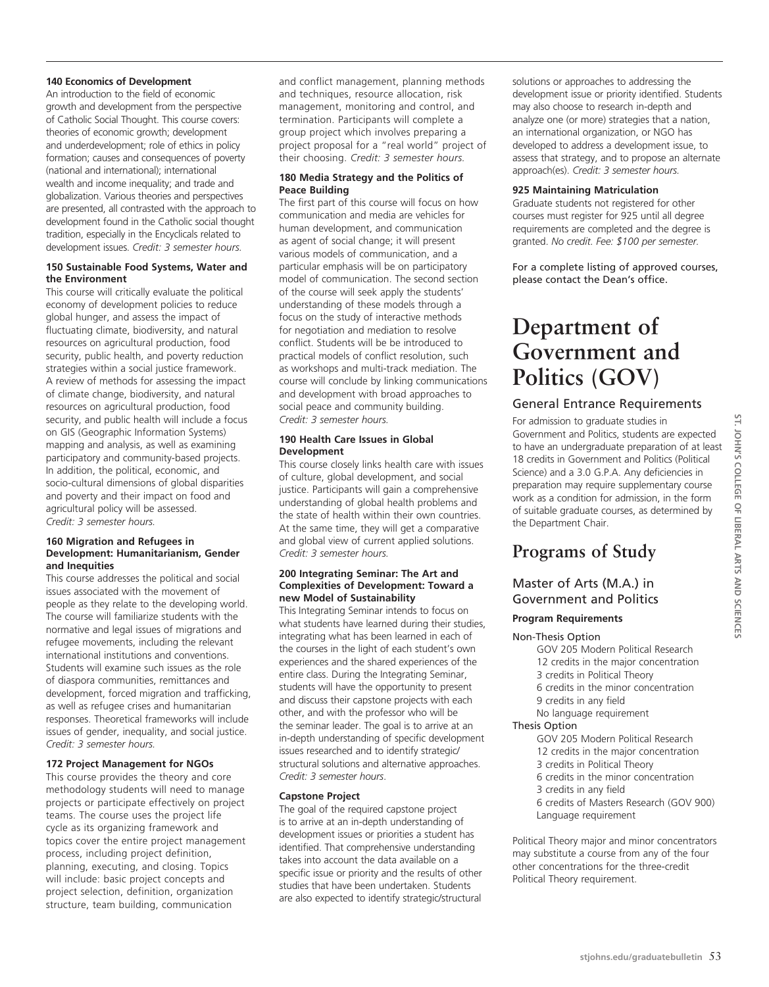#### **140 Economics of Development**

An introduction to the field of economic growth and development from the perspective of Catholic Social Thought. This course covers: theories of economic growth; development and underdevelopment; role of ethics in policy formation; causes and consequences of poverty (national and international); international wealth and income inequality; and trade and globalization. Various theories and perspectives are presented, all contrasted with the approach to development found in the Catholic social thought tradition, especially in the Encyclicals related to development issues. *Credit: 3 semester hours.*

#### **150 Sustainable Food Systems, Water and the Environment**

This course will critically evaluate the political economy of development policies to reduce global hunger, and assess the impact of fluctuating climate, biodiversity, and natural resources on agricultural production, food security, public health, and poverty reduction strategies within a social justice framework. A review of methods for assessing the impact of climate change, biodiversity, and natural resources on agricultural production, food security, and public health will include a focus on GIS (Geographic Information Systems) mapping and analysis, as well as examining participatory and community-based projects. In addition, the political, economic, and socio-cultural dimensions of global disparities and poverty and their impact on food and agricultural policy will be assessed. *Credit: 3 semester hours.*

#### **160 Migration and Refugees in Development: Humanitarianism, Gender and Inequities**

This course addresses the political and social issues associated with the movement of people as they relate to the developing world. The course will familiarize students with the normative and legal issues of migrations and refugee movements, including the relevant international institutions and conventions. Students will examine such issues as the role of diaspora communities, remittances and development, forced migration and trafficking, as well as refugee crises and humanitarian responses. Theoretical frameworks will include issues of gender, inequality, and social justice. *Credit: 3 semester hours.*

# **172 Project Management for NGOs**

This course provides the theory and core methodology students will need to manage projects or participate effectively on project teams. The course uses the project life cycle as its organizing framework and topics cover the entire project management process, including project definition, planning, executing, and closing. Topics will include: basic project concepts and project selection, definition, organization structure, team building, communication

and conflict management, planning methods and techniques, resource allocation, risk management, monitoring and control, and termination. Participants will complete a group project which involves preparing a project proposal for a "real world" project of their choosing. *Credit: 3 semester hours.*

#### **180 Media Strategy and the Politics of Peace Building**

The first part of this course will focus on how communication and media are vehicles for human development, and communication as agent of social change; it will present various models of communication, and a particular emphasis will be on participatory model of communication. The second section of the course will seek apply the students' understanding of these models through a focus on the study of interactive methods for negotiation and mediation to resolve conflict. Students will be be introduced to practical models of conflict resolution, such as workshops and multi-track mediation. The course will conclude by linking communications and development with broad approaches to social peace and community building. *Credit: 3 semester hours.*

#### **190 Health Care Issues in Global Development**

This course closely links health care with issues of culture, global development, and social justice. Participants will gain a comprehensive understanding of global health problems and the state of health within their own countries. At the same time, they will get a comparative and global view of current applied solutions. *Credit: 3 semester hours.*

#### **200 Integrating Seminar: The Art and Complexities of Development: Toward a new Model of Sustainability**

This Integrating Seminar intends to focus on what students have learned during their studies, integrating what has been learned in each of the courses in the light of each student's own experiences and the shared experiences of the entire class. During the Integrating Seminar, students will have the opportunity to present and discuss their capstone projects with each other, and with the professor who will be the seminar leader. The goal is to arrive at an in-depth understanding of specific development issues researched and to identify strategic/ structural solutions and alternative approaches. *Credit: 3 semester hours*.

## **Capstone Project**

The goal of the required capstone project is to arrive at an in-depth understanding of development issues or priorities a student has identified. That comprehensive understanding takes into account the data available on a specific issue or priority and the results of other studies that have been undertaken. Students are also expected to identify strategic/structural solutions or approaches to addressing the development issue or priority identified. Students may also choose to research in-depth and analyze one (or more) strategies that a nation, an international organization, or NGO has developed to address a development issue, to assess that strategy, and to propose an alternate approach(es). *Credit: 3 semester hours.*

#### **925 Maintaining Matriculation**

Graduate students not registered for other courses must register for 925 until all degree requirements are completed and the degree is granted. *No credit. Fee: \$100 per semester.*

For a complete listing of approved courses, please contact the Dean's office.

# **Department of Government and Politics (GOV)**

# General Entrance Requirements

For admission to graduate studies in Government and Politics, students are expected to have an undergraduate preparation of at least 18 credits in Government and Politics (Political Science) and a 3.0 G.P.A. Any deficiencies in preparation may require supplementary course work as a condition for admission, in the form of suitable graduate courses, as determined by the Department Chair.

# **Programs of Study**

# Master of Arts (M.A.) in Government and Politics

## **Program Requirements**

#### Non-Thesis Option

GOV 205 Modern Political Research 12 credits in the major concentration 3 credits in Political Theory 6 credits in the minor concentration 9 credits in any field No language requirement

# Thesis Option

- GOV 205 Modern Political Research
- 12 credits in the major concentration
- 3 credits in Political Theory 6 credits in the minor concentration
- 3 credits in any field
- 
- 6 credits of Masters Research (GOV 900) Language requirement

Political Theory major and minor concentrators may substitute a course from any of the four other concentrations for the three-credit Political Theory requirement.

**st. John's**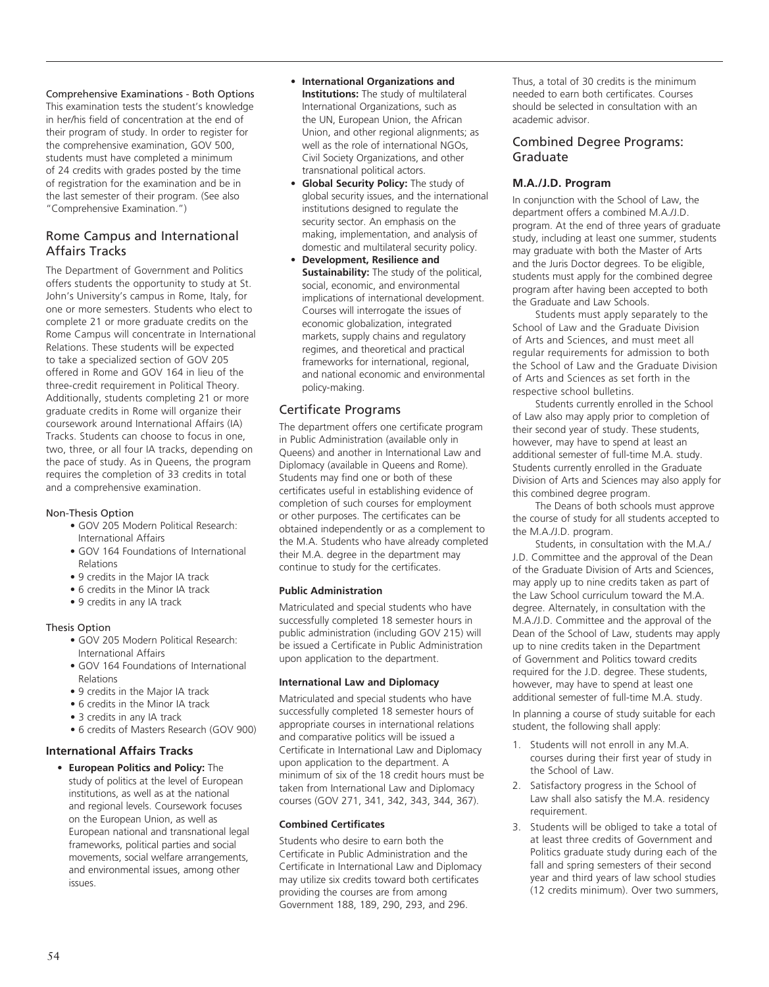Comprehensive Examinations - Both Options

This examination tests the student's knowledge in her/his field of concentration at the end of their program of study. In order to register for the comprehensive examination, GOV 500, students must have completed a minimum of 24 credits with grades posted by the time of registration for the examination and be in the last semester of their program. (See also "Comprehensive Examination.")

# Rome Campus and International Affairs Tracks

The Department of Government and Politics offers students the opportunity to study at St. John's University's campus in Rome, Italy, for one or more semesters. Students who elect to complete 21 or more graduate credits on the Rome Campus will concentrate in International Relations. These students will be expected to take a specialized section of GOV 205 offered in Rome and GOV 164 in lieu of the three-credit requirement in Political Theory. Additionally, students completing 21 or more graduate credits in Rome will organize their coursework around International Affairs (IA) Tracks. Students can choose to focus in one, two, three, or all four IA tracks, depending on the pace of study. As in Queens, the program requires the completion of 33 credits in total and a comprehensive examination.

## Non-Thesis Option

- GOV 205 Modern Political Research: International Affairs
- GOV 164 Foundations of International Relations
- 9 credits in the Major IA track
- 6 credits in the Minor IA track
- 9 credits in any IA track

## Thesis Option

- GOV 205 Modern Political Research: International Affairs
- GOV 164 Foundations of International Relations
- 9 credits in the Major IA track
- 6 credits in the Minor IA track
- 3 credits in any IA track
- 6 credits of Masters Research (GOV 900)

## **International Affairs Tracks**

• **European Politics and Policy:** The study of politics at the level of European institutions, as well as at the national and regional levels. Coursework focuses on the European Union, as well as European national and transnational legal frameworks, political parties and social movements, social welfare arrangements, and environmental issues, among other issues.

- • **International Organizations and Institutions:** The study of multilateral International Organizations, such as the UN, European Union, the African Union, and other regional alignments; as well as the role of international NGOs, Civil Society Organizations, and other transnational political actors.
- • **Global Security Policy:** The study of global security issues, and the international institutions designed to regulate the security sector. An emphasis on the making, implementation, and analysis of domestic and multilateral security policy.
- • **Development, Resilience and Sustainability:** The study of the political, social, economic, and environmental implications of international development. Courses will interrogate the issues of economic globalization, integrated markets, supply chains and regulatory regimes, and theoretical and practical frameworks for international, regional, and national economic and environmental policy-making.

# Certificate Programs

The department offers one certificate program in Public Administration (available only in Queens) and another in International Law and Diplomacy (available in Queens and Rome). Students may find one or both of these certificates useful in establishing evidence of completion of such courses for employment or other purposes. The certificates can be obtained independently or as a complement to the M.A. Students who have already completed their M.A. degree in the department may continue to study for the certificates.

## **Public Administration**

Matriculated and special students who have successfully completed 18 semester hours in public administration (including GOV 215) will be issued a Certificate in Public Administration upon application to the department.

# **International Law and Diplomacy**

Matriculated and special students who have successfully completed 18 semester hours of appropriate courses in international relations and comparative politics will be issued a Certificate in International Law and Diplomacy upon application to the department. A minimum of six of the 18 credit hours must be taken from International Law and Diplomacy courses (GOV 271, 341, 342, 343, 344, 367).

# **Combined Certificates**

Students who desire to earn both the Certificate in Public Administration and the Certificate in International Law and Diplomacy may utilize six credits toward both certificates providing the courses are from among Government 188, 189, 290, 293, and 296.

Thus, a total of 30 credits is the minimum needed to earn both certificates. Courses should be selected in consultation with an academic advisor.

# Combined Degree Programs: Graduate

# **M.A./J.D. Program**

In conjunction with the School of Law, the department offers a combined M.A./J.D. program. At the end of three years of graduate study, including at least one summer, students may graduate with both the Master of Arts and the Juris Doctor degrees. To be eligible, students must apply for the combined degree program after having been accepted to both the Graduate and Law Schools.

Students must apply separately to the School of Law and the Graduate Division of Arts and Sciences, and must meet all regular requirements for admission to both the School of Law and the Graduate Division of Arts and Sciences as set forth in the respective school bulletins.

Students currently enrolled in the School of Law also may apply prior to completion of their second year of study. These students, however, may have to spend at least an additional semester of full-time M.A. study. Students currently enrolled in the Graduate Division of Arts and Sciences may also apply for this combined degree program.

The Deans of both schools must approve the course of study for all students accepted to the M.A./J.D. program.

Students, in consultation with the M.A./ J.D. Committee and the approval of the Dean of the Graduate Division of Arts and Sciences, may apply up to nine credits taken as part of the Law School curriculum toward the M.A. degree. Alternately, in consultation with the M.A./J.D. Committee and the approval of the Dean of the School of Law, students may apply up to nine credits taken in the Department of Government and Politics toward credits required for the J.D. degree. These students, however, may have to spend at least one additional semester of full-time M.A. study.

In planning a course of study suitable for each student, the following shall apply:

- 1. Students will not enroll in any M.A. courses during their first year of study in the School of Law.
- 2. Satisfactory progress in the School of Law shall also satisfy the M.A. residency requirement.
- 3. Students will be obliged to take a total of at least three credits of Government and Politics graduate study during each of the fall and spring semesters of their second year and third years of law school studies (12 credits minimum). Over two summers,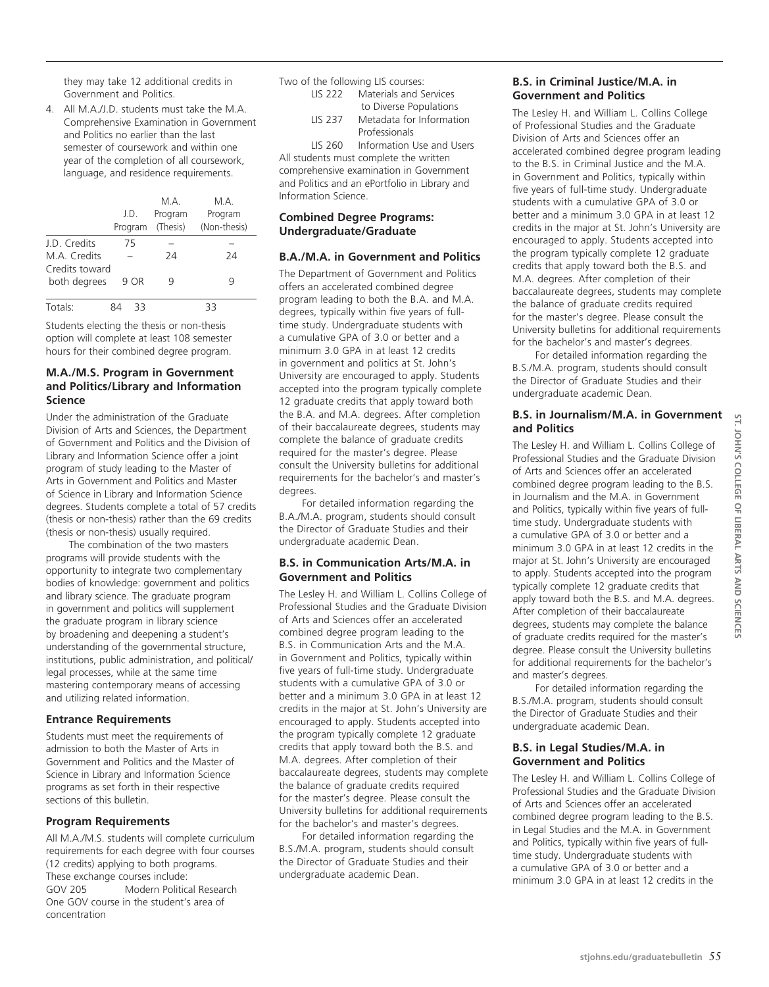they may take 12 additional credits in Government and Politics.

4. All M.A./J.D. students must take the M.A. Comprehensive Examination in Government and Politics no earlier than the last semester of coursework and within one year of the completion of all coursework, language, and residence requirements.

|                                | J.D.<br>Program | M A<br>Program<br>(Thesis) | M A<br>Program<br>(Non-thesis) |
|--------------------------------|-----------------|----------------------------|--------------------------------|
| J.D. Credits                   | 75              |                            |                                |
| M.A. Credits                   |                 | 24                         | 24                             |
| Credits toward<br>both degrees | 9 OR            | g                          | g                              |
| Totals:                        | 33              |                            | 33                             |

Students electing the thesis or non-thesis option will complete at least 108 semester hours for their combined degree program.

# **M.A./M.S. Program in Government and Politics/Library and Information Science**

Under the administration of the Graduate Division of Arts and Sciences, the Department of Government and Politics and the Division of Library and Information Science offer a joint program of study leading to the Master of Arts in Government and Politics and Master of Science in Library and Information Science degrees. Students complete a total of 57 credits (thesis or non-thesis) rather than the 69 credits (thesis or non-thesis) usually required.

The combination of the two masters programs will provide students with the opportunity to integrate two complementary bodies of knowledge: government and politics and library science. The graduate program in government and politics will supplement the graduate program in library science by broadening and deepening a student's understanding of the governmental structure, institutions, public administration, and political/ legal processes, while at the same time mastering contemporary means of accessing and utilizing related information.

## **Entrance Requirements**

Students must meet the requirements of admission to both the Master of Arts in Government and Politics and the Master of Science in Library and Information Science programs as set forth in their respective sections of this bulletin.

## **Program Requirements**

All M.A./M.S. students will complete curriculum requirements for each degree with four courses (12 credits) applying to both programs. These exchange courses include: GOV 205 Modern Political Research One GOV course in the student's area of concentration

Two of the following LIS courses:<br>LIS 222 Materials and S Materials and Services

 to Diverse Populations LIS 237 Metadata for Information Professionals

LIS 260 Information Use and Users

All students must complete the written comprehensive examination in Government and Politics and an ePortfolio in Library and Information Science.

## **Combined Degree Programs: Undergraduate/Graduate**

# **B.A./M.A. in Government and Politics**

The Department of Government and Politics offers an accelerated combined degree program leading to both the B.A. and M.A. degrees, typically within five years of fulltime study. Undergraduate students with a cumulative GPA of 3.0 or better and a minimum 3.0 GPA in at least 12 credits in government and politics at St. John's University are encouraged to apply. Students accepted into the program typically complete 12 graduate credits that apply toward both the B.A. and M.A. degrees. After completion of their baccalaureate degrees, students may complete the balance of graduate credits required for the master's degree. Please consult the University bulletins for additional requirements for the bachelor's and master's degrees.

For detailed information regarding the B.A./M.A. program, students should consult the Director of Graduate Studies and their undergraduate academic Dean.

# **B.S. in Communication Arts/M.A. in Government and Politics**

The Lesley H. and William L. Collins College of Professional Studies and the Graduate Division of Arts and Sciences offer an accelerated combined degree program leading to the B.S. in Communication Arts and the M.A. in Government and Politics, typically within five years of full-time study. Undergraduate students with a cumulative GPA of 3.0 or better and a minimum 3.0 GPA in at least 12 credits in the major at St. John's University are encouraged to apply. Students accepted into the program typically complete 12 graduate credits that apply toward both the B.S. and M.A. degrees. After completion of their baccalaureate degrees, students may complete the balance of graduate credits required for the master's degree. Please consult the University bulletins for additional requirements for the bachelor's and master's degrees.

For detailed information regarding the B.S./M.A. program, students should consult the Director of Graduate Studies and their undergraduate academic Dean.

# **B.S. in Criminal Justice/M.A. in Government and Politics**

The Lesley H. and William L. Collins College of Professional Studies and the Graduate Division of Arts and Sciences offer an accelerated combined degree program leading to the B.S. in Criminal Justice and the M.A. in Government and Politics, typically within five years of full-time study. Undergraduate students with a cumulative GPA of 3.0 or better and a minimum 3.0 GPA in at least 12 credits in the major at St. John's University are encouraged to apply. Students accepted into the program typically complete 12 graduate credits that apply toward both the B.S. and M.A. degrees. After completion of their baccalaureate degrees, students may complete the balance of graduate credits required for the master's degree. Please consult the University bulletins for additional requirements for the bachelor's and master's degrees.

For detailed information regarding the B.S./M.A. program, students should consult the Director of Graduate Studies and their undergraduate academic Dean.

# **B.S. in Journalism/M.A. in Government and Politics**

The Lesley H. and William L. Collins College of Professional Studies and the Graduate Division of Arts and Sciences offer an accelerated combined degree program leading to the B.S. in Journalism and the M.A. in Government and Politics, typically within five years of fulltime study. Undergraduate students with a cumulative GPA of 3.0 or better and a minimum 3.0 GPA in at least 12 credits in the major at St. John's University are encouraged to apply. Students accepted into the program typically complete 12 graduate credits that apply toward both the B.S. and M.A. degrees. After completion of their baccalaureate degrees, students may complete the balance of graduate credits required for the master's degree. Please consult the University bulletins for additional requirements for the bachelor's and master's degrees.

For detailed information regarding the B.S./M.A. program, students should consult the Director of Graduate Studies and their undergraduate academic Dean.

# **B.S. in Legal Studies/M.A. in Government and Politics**

The Lesley H. and William L. Collins College of Professional Studies and the Graduate Division of Arts and Sciences offer an accelerated combined degree program leading to the B.S. in Legal Studies and the M.A. in Government and Politics, typically within five years of fulltime study. Undergraduate students with a cumulative GPA of 3.0 or better and a minimum 3.0 GPA in at least 12 credits in the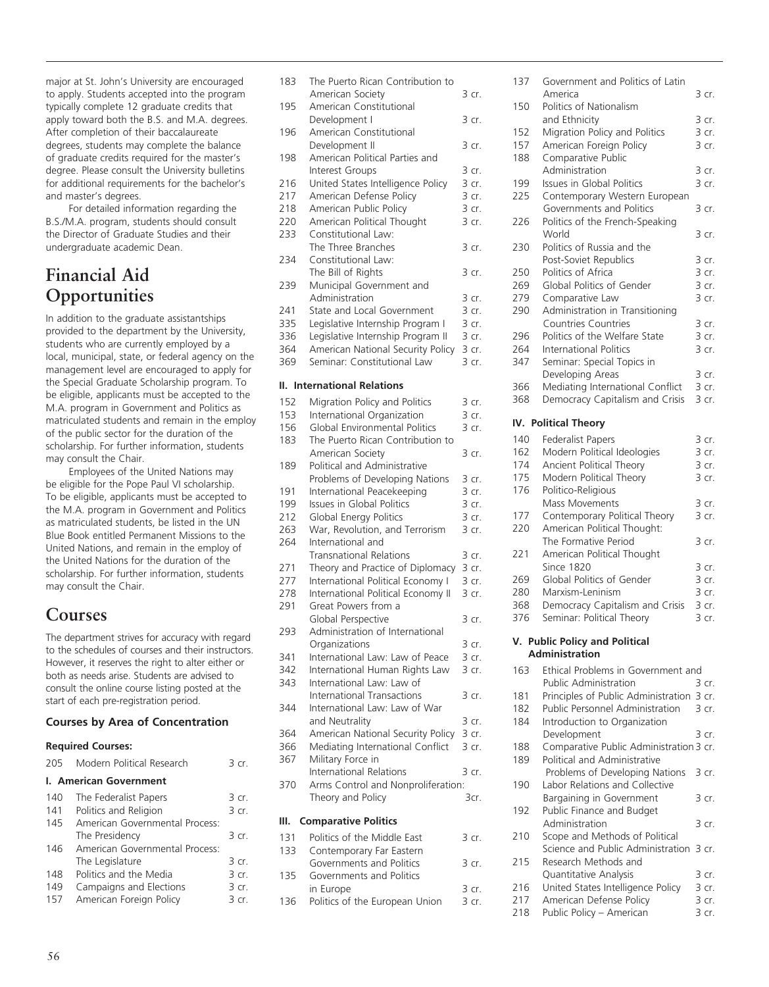major at St. John's University are encouraged to apply. Students accepted into the program typically complete 12 graduate credits that apply toward both the B.S. and M.A. degrees. After completion of their baccalaureate degrees, students may complete the balance of graduate credits required for the master's degree. Please consult the University bulletins for additional requirements for the bachelor's and master's degrees.

For detailed information regarding the B.S./M.A. program, students should consult the Director of Graduate Studies and their undergraduate academic Dean.

# **Financial Aid Opportunities**

In addition to the graduate assistantships provided to the department by the University, students who are currently employed by a local, municipal, state, or federal agency on the management level are encouraged to apply for the Special Graduate Scholarship program. To be eligible, applicants must be accepted to the M.A. program in Government and Politics as matriculated students and remain in the employ of the public sector for the duration of the scholarship. For further information, students may consult the Chair.

Employees of the United Nations may be eligible for the Pope Paul VI scholarship. To be eligible, applicants must be accepted to the M.A. program in Government and Politics as matriculated students, be listed in the UN Blue Book entitled Permanent Missions to the United Nations, and remain in the employ of the United Nations for the duration of the scholarship. For further information, students may consult the Chair.

# **Courses**

The department strives for accuracy with regard to the schedules of courses and their instructors. However, it reserves the right to alter either or both as needs arise. Students are advised to consult the online course listing posted at the start of each pre-registration period.

# **Courses by Area of Concentration**

# **Required Courses:**

| 205 | Modern Political Research      | 3 cr  |
|-----|--------------------------------|-------|
|     | <b>I. American Government</b>  |       |
| 140 | The Federalist Papers          | 3 cr. |
| 141 | Politics and Religion          | 3 cr. |
| 145 | American Governmental Process: |       |
|     | The Presidency                 | 3 cr. |
| 146 | American Governmental Process: |       |
|     | The Legislature                | 3 cr. |
| 148 | Politics and the Media         | 3 cr. |
| 149 | Campaigns and Elections        | 3 cr. |
| 157 | American Foreign Policy        | 3 cr. |

| 183 | The Puerto Rican Contribution to   |       |
|-----|------------------------------------|-------|
|     | American Society                   | 3 cr. |
| 195 | American Constitutional            |       |
|     |                                    |       |
|     | Development I                      | 3 cr. |
| 196 | American Constitutional            |       |
|     | Development II                     | 3 cr. |
| 198 | American Political Parties and     |       |
|     | Interest Groups                    | 3 cr. |
| 216 | United States Intelligence Policy  | 3 cr. |
| 217 | American Defense Policy            | 3 cr. |
|     |                                    | 3 cr. |
| 218 | American Public Policy             |       |
| 220 | American Political Thought         | 3 cr. |
| 233 | Constitutional Law:                |       |
|     | The Three Branches                 | 3 cr. |
| 234 | Constitutional Law:                |       |
|     | The Bill of Rights                 | 3 cr. |
| 239 | Municipal Government and           |       |
|     |                                    |       |
|     | Administration                     | 3 cr. |
| 241 | State and Local Government         | 3 cr. |
| 335 | Legislative Internship Program I   | 3 cr. |
| 336 | Legislative Internship Program II  | 3 cr. |
| 364 | American National Security Policy  | 3 cr. |
| 369 | Seminar: Constitutional Law        | 3 cr. |
|     |                                    |       |
| II. | <b>International Relations</b>     |       |
|     |                                    |       |
| 152 | Migration Policy and Politics      | 3 cr. |
| 153 | International Organization         | 3 cr. |
| 156 | Global Environmental Politics      | 3 cr. |
| 183 | The Puerto Rican Contribution to   |       |
|     |                                    |       |
|     | American Society                   | 3 cr. |
| 189 | Political and Administrative       |       |
|     | Problems of Developing Nations     | 3 cr. |
| 191 | International Peacekeeping         | 3 cr. |
| 199 | Issues in Global Politics          | 3 cr. |
| 212 | Global Energy Politics             | 3 cr. |
| 263 | War, Revolution, and Terrorism     | 3 cr. |
|     |                                    |       |
| 264 | International and                  |       |
|     | <b>Transnational Relations</b>     | 3 cr. |
| 271 | Theory and Practice of Diplomacy   | 3 cr. |
| 277 | International Political Economy I  | 3 cr. |
| 278 | International Political Economy II | 3 cr. |
| 291 | Great Powers from a                |       |
|     | Global Perspective                 | 3 cr. |
|     |                                    |       |
| 293 | Administration of International    |       |
|     | Organizations                      | 3 cr. |
| 341 | International Law: Law of Peace    | 3 cr. |
| 342 | International Human Rights Law     | 3 cr. |
| 343 | International Law: Law of          |       |
|     | <b>International Transactions</b>  | 3 cr. |
| 344 | International Law: Law of War      |       |
|     |                                    |       |
|     | and Neutrality                     | 3 cr. |
| 364 | American National Security Policy  | 3 cr. |
| 366 | Mediating International Conflict   | 3 cr. |
| 367 | Military Force in                  |       |
|     | <b>International Relations</b>     | 3 cr. |
| 370 | Arms Control and Nonproliferation: |       |
|     |                                    |       |
|     | Theory and Policy                  | 3cr.  |
|     |                                    |       |
| Ш.  | <b>Comparative Politics</b>        |       |
| 131 | Politics of the Middle East        | 3 cr. |
| 133 | Contemporary Far Eastern           |       |
|     | Governments and Politics           | 3 cr. |
| 135 |                                    |       |
|     |                                    |       |
|     | Governments and Politics           |       |
|     | in Europe                          | 3 cr. |
| 136 | Politics of the European Union     | 3 cr. |

| 137 | Government and Politics of Latin                             |                |
|-----|--------------------------------------------------------------|----------------|
|     | America                                                      | 3 cr.          |
| 150 | Politics of Nationalism                                      |                |
|     | and Ethnicity                                                | 3 cr.          |
| 152 | Migration Policy and Politics                                | 3 cr.          |
| 157 | American Foreign Policy                                      | 3 cr.          |
| 188 | Comparative Public                                           |                |
| 199 | Administration                                               | 3 cr.<br>3 cr. |
| 225 | Issues in Global Politics                                    |                |
|     | Contemporary Western European<br>Governments and Politics    | 3 cr.          |
| 226 | Politics of the French-Speaking                              |                |
|     | World                                                        | 3 cr.          |
| 230 | Politics of Russia and the                                   |                |
|     | Post-Soviet Republics                                        | 3 cr.          |
| 250 | Politics of Africa                                           | 3 cr.          |
| 269 | Global Politics of Gender                                    | 3 cr.          |
| 279 | Comparative Law                                              | 3 cr.          |
| 290 | Administration in Transitioning                              |                |
|     | <b>Countries Countries</b>                                   | 3 cr.          |
| 296 | Politics of the Welfare State                                | 3 cr.          |
| 264 | <b>International Politics</b>                                | 3 cr.          |
| 347 | Seminar: Special Topics in                                   |                |
|     | Developing Areas                                             | 3 cr.          |
| 366 | Mediating International Conflict                             | 3 cr.          |
| 368 | Democracy Capitalism and Crisis                              | 3 cr.          |
|     |                                                              |                |
| IV. | <b>Political Theory</b>                                      |                |
| 140 | <b>Federalist Papers</b>                                     | 3 cr.          |
| 162 | Modern Political Ideologies                                  | 3 cr.          |
| 174 | Ancient Political Theory                                     | 3 cr.          |
| 175 | Modern Political Theory                                      | 3 cr.          |
| 176 | Politico-Religious                                           |                |
|     | Mass Movements                                               | 3 cr.          |
| 177 | Contemporary Political Theory                                | 3 cr.          |
| 220 | American Political Thought:                                  |                |
|     | The Formative Period                                         | 3 cr.          |
| 221 | American Political Thought                                   |                |
|     | <b>Since 1820</b>                                            | 3 cr.          |
| 269 | Global Politics of Gender                                    | $3$ cr.        |
| 280 | Marxism-Leninism                                             | 3 cr.          |
| 368 | Democracy Capitalism and Crisis                              | 3 cr.          |
| 376 | Seminar: Political Theory                                    | 3 cr.          |
|     | V. Public Policy and Political                               |                |
|     | <b>Administration</b>                                        |                |
| 163 | Ethical Problems in Government and                           |                |
|     | Public Administration                                        | 3 cr.          |
| 181 | Principles of Public Administration                          | 3 cr.          |
| 182 | Public Personnel Administration                              | 3 cr.          |
| 184 | Introduction to Organization                                 |                |
|     | Development                                                  | 3 cr.          |
| 188 | Comparative Public Administration 3 cr.                      |                |
| 189 | Political and Administrative                                 |                |
|     | Problems of Developing Nations                               | 3 cr.          |
| 190 | Labor Relations and Collective                               |                |
|     | Bargaining in Government                                     | 3 cr.          |
| 192 | Public Finance and Budget                                    |                |
|     | Administration                                               | 3 cr.          |
| 210 | Scope and Methods of Political                               |                |
|     | Science and Public Administration                            | 3 cr.          |
| 215 | Research Methods and                                         |                |
|     | Quantitative Analysis                                        | 3 cr.          |
| 216 |                                                              |                |
| 217 | United States Intelligence Policy<br>American Defense Policy | 3 cr.<br>3 cr. |

218 Public Policy – American 3 cr.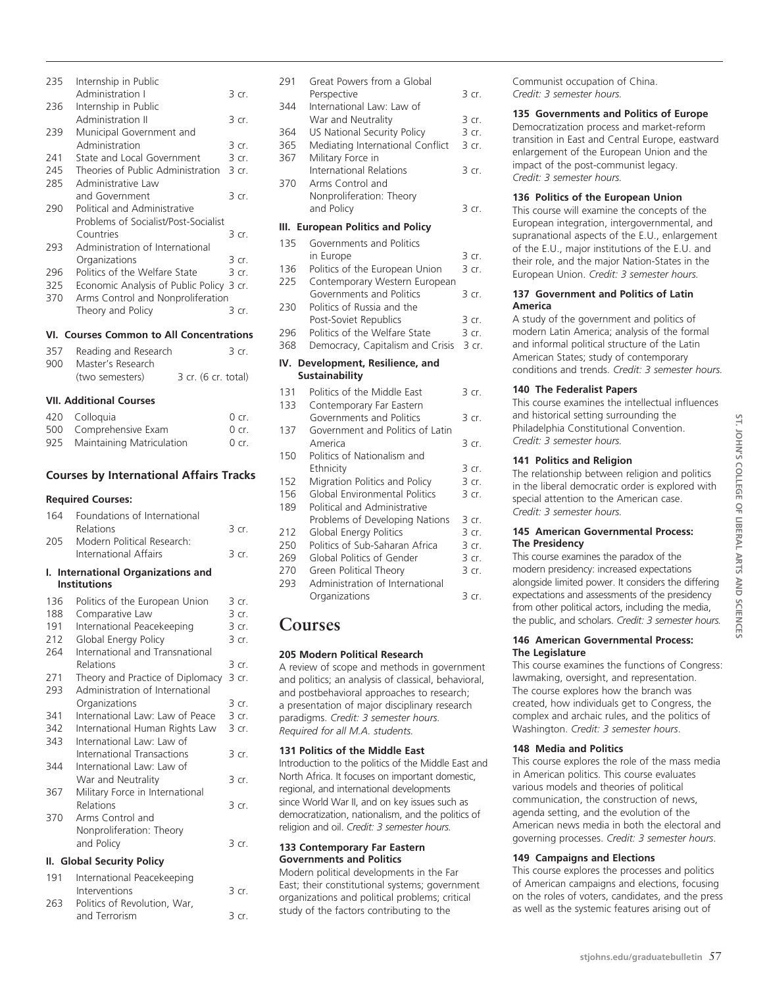| 235        | Internship in Public                                                |                |
|------------|---------------------------------------------------------------------|----------------|
| 236        | Administration I<br>Internship in Public                            | 3 cr.          |
|            | Administration II                                                   | 3 cr.          |
| 239        | Municipal Government and<br>Administration                          | 3 cr.          |
|            |                                                                     |                |
| 241        | State and Local Government                                          | 3 cr.          |
| 245        | Theories of Public Administration                                   | 3 cr.          |
| 285        | Administrative Law                                                  |                |
| 290        | and Government<br>Political and Administrative                      | 3 cr.          |
|            | Problems of Socialist/Post-Socialist                                |                |
|            | Countries                                                           |                |
| 293        | Administration of International                                     | 3 cr.          |
|            | Organizations                                                       |                |
|            |                                                                     | 3 cr.<br>3 cr. |
| 296<br>325 | Politics of the Welfare State<br>Economic Analysis of Public Policy |                |
| 370        | Arms Control and Nonproliferation                                   | 3 cr.          |
|            | Theory and Policy                                                   | 3 cr.          |
|            |                                                                     |                |
|            | VI. Courses Common to All Concentrations                            |                |
| 357        | Reading and Research                                                | 3 cr.          |
| 900        | Master's Research                                                   |                |
|            | (two semesters)<br>3 cr. (6 cr. total)                              |                |
|            | <b>VII. Additional Courses</b>                                      |                |
|            |                                                                     |                |
| 420        | Colloquia                                                           | 0 cr.          |
| 500        | Comprehensive Exam                                                  | $0$ cr.        |
| 925        | Maintaining Matriculation                                           | $0$ cr.        |
|            | <b>Courses by International Affairs Tracks</b>                      |                |
|            |                                                                     |                |
|            |                                                                     |                |
|            | <b>Required Courses:</b>                                            |                |
| 164        | Foundations of International                                        |                |
|            | Relations                                                           | 3 cr.          |
| 205        | Modern Political Research:                                          |                |
|            | International Affairs                                               | 3 cr.          |
| ı.         | <b>International Organizations and</b>                              |                |
|            | <b>Institutions</b>                                                 |                |
| 136        | Politics of the European Union                                      | 3 cr.          |
| 188        | Comparative Law                                                     | 3 cr.          |
| 191        | International Peacekeeping                                          | 3 cr.          |
| 212        | Global Energy Policy                                                | 3 cr.          |
| 264        | International and Transnational                                     |                |
|            | Relations                                                           | 3 cr.          |
| 271        | Theory and Practice of Diplomacy                                    | 3 cr.          |
| 293        | Administration of International                                     |                |
|            | Organizations                                                       | 3 cr.          |
| 341        | International Law: Law of Peace                                     | 3 cr.          |
| 342        | International Human Rights Law                                      | 3 cr.          |
| 343        | International Law: Law of                                           |                |
|            | <b>International Transactions</b>                                   | 3 cr.          |
| 344        | International Law: Law of                                           |                |
|            | War and Neutrality                                                  | 3 cr.          |
| 367        | Military Force in International                                     |                |
|            | Relations                                                           | 3 cr.          |
| 370        | Arms Control and                                                    |                |
|            | Nonproliferation: Theory                                            |                |
|            | and Policy                                                          | 3 cr.          |
|            | II. Global Security Policy                                          |                |
| 191        | International Peacekeeping                                          |                |
| 263        | Interventions<br>Politics of Revolution, War.                       | 3 cr.          |

and Terrorism 3 cr.

| 135<br>Governments and Politics<br>in Europe<br>3 cr.<br>Politics of the European Union<br>3 cr.<br>136<br>225<br>Contemporary Western European<br>Governments and Politics<br>3 cr.<br>Politics of Russia and the<br>230<br>Post-Soviet Republics<br>3 cr.<br>Politics of the Welfare State<br>296<br>3 cr.<br>Democracy, Capitalism and Crisis<br>3 cr.<br>368<br>Development, Resilience, and<br>IV.<br><b>Sustainability</b><br>Politics of the Middle East<br>131<br>3 cr.<br>133<br>Contemporary Far Eastern<br>Governments and Politics<br>3 cr.<br>Government and Politics of Latin<br>137<br>America<br>3 cr.<br>Politics of Nationalism and<br>150<br>Ethnicity<br>3 cr.<br>3 cr.<br>152<br>Migration Politics and Policy<br>Global Environmental Politics<br>156<br>3 cr.<br>Political and Administrative<br>189<br>Problems of Developing Nations<br>3 cr.<br>212<br>Global Energy Politics<br>$3$ cr.<br>250<br>Politics of Sub-Saharan Africa<br>3 cr.<br>Global Politics of Gender<br>3 cr.<br>269<br>270<br>Green Political Theory<br>3 cr.<br>293<br>Administration of International<br>Organizations<br>3 cr.<br>Courses<br>205 Modern Political Research<br>A review of scope and methods in government<br>and politics; an analysis of classical, behavioral,<br>and postbehavioral approaches to research;<br>a presentation of major disciplinary research<br>paradigms. Credit: 3 semester hours.<br>Required for all M.A. students.<br>131 Politics of the Middle East<br>Introduction to the politics of the Middle East and<br>North Africa. It focuses on important domestic,<br>regional, and international developments<br>since World War II, and on key issues such as<br>democratization, nationalism, and the politics of<br>religion and oil. Credit: 3 semester hours.<br>133 Contemporary Far Eastern<br><b>Governments and Politics</b><br>Modern political developments in the Far<br>East; their constitutional systems; government<br>organizations and political problems; critical<br>study of the factors contributing to the |  |  |
|--------------------------------------------------------------------------------------------------------------------------------------------------------------------------------------------------------------------------------------------------------------------------------------------------------------------------------------------------------------------------------------------------------------------------------------------------------------------------------------------------------------------------------------------------------------------------------------------------------------------------------------------------------------------------------------------------------------------------------------------------------------------------------------------------------------------------------------------------------------------------------------------------------------------------------------------------------------------------------------------------------------------------------------------------------------------------------------------------------------------------------------------------------------------------------------------------------------------------------------------------------------------------------------------------------------------------------------------------------------------------------------------------------------------------------------------------------------------------------------------------------------------------------------------------------------------------------------------------------------------------------------------------------------------------------------------------------------------------------------------------------------------------------------------------------------------------------------------------------------------------------------------------------------------------------------------------------------------------------------------------------------------------------------------------------------------------|--|--|
|                                                                                                                                                                                                                                                                                                                                                                                                                                                                                                                                                                                                                                                                                                                                                                                                                                                                                                                                                                                                                                                                                                                                                                                                                                                                                                                                                                                                                                                                                                                                                                                                                                                                                                                                                                                                                                                                                                                                                                                                                                                                          |  |  |
|                                                                                                                                                                                                                                                                                                                                                                                                                                                                                                                                                                                                                                                                                                                                                                                                                                                                                                                                                                                                                                                                                                                                                                                                                                                                                                                                                                                                                                                                                                                                                                                                                                                                                                                                                                                                                                                                                                                                                                                                                                                                          |  |  |
|                                                                                                                                                                                                                                                                                                                                                                                                                                                                                                                                                                                                                                                                                                                                                                                                                                                                                                                                                                                                                                                                                                                                                                                                                                                                                                                                                                                                                                                                                                                                                                                                                                                                                                                                                                                                                                                                                                                                                                                                                                                                          |  |  |
|                                                                                                                                                                                                                                                                                                                                                                                                                                                                                                                                                                                                                                                                                                                                                                                                                                                                                                                                                                                                                                                                                                                                                                                                                                                                                                                                                                                                                                                                                                                                                                                                                                                                                                                                                                                                                                                                                                                                                                                                                                                                          |  |  |
|                                                                                                                                                                                                                                                                                                                                                                                                                                                                                                                                                                                                                                                                                                                                                                                                                                                                                                                                                                                                                                                                                                                                                                                                                                                                                                                                                                                                                                                                                                                                                                                                                                                                                                                                                                                                                                                                                                                                                                                                                                                                          |  |  |
|                                                                                                                                                                                                                                                                                                                                                                                                                                                                                                                                                                                                                                                                                                                                                                                                                                                                                                                                                                                                                                                                                                                                                                                                                                                                                                                                                                                                                                                                                                                                                                                                                                                                                                                                                                                                                                                                                                                                                                                                                                                                          |  |  |
|                                                                                                                                                                                                                                                                                                                                                                                                                                                                                                                                                                                                                                                                                                                                                                                                                                                                                                                                                                                                                                                                                                                                                                                                                                                                                                                                                                                                                                                                                                                                                                                                                                                                                                                                                                                                                                                                                                                                                                                                                                                                          |  |  |
|                                                                                                                                                                                                                                                                                                                                                                                                                                                                                                                                                                                                                                                                                                                                                                                                                                                                                                                                                                                                                                                                                                                                                                                                                                                                                                                                                                                                                                                                                                                                                                                                                                                                                                                                                                                                                                                                                                                                                                                                                                                                          |  |  |
|                                                                                                                                                                                                                                                                                                                                                                                                                                                                                                                                                                                                                                                                                                                                                                                                                                                                                                                                                                                                                                                                                                                                                                                                                                                                                                                                                                                                                                                                                                                                                                                                                                                                                                                                                                                                                                                                                                                                                                                                                                                                          |  |  |
|                                                                                                                                                                                                                                                                                                                                                                                                                                                                                                                                                                                                                                                                                                                                                                                                                                                                                                                                                                                                                                                                                                                                                                                                                                                                                                                                                                                                                                                                                                                                                                                                                                                                                                                                                                                                                                                                                                                                                                                                                                                                          |  |  |
|                                                                                                                                                                                                                                                                                                                                                                                                                                                                                                                                                                                                                                                                                                                                                                                                                                                                                                                                                                                                                                                                                                                                                                                                                                                                                                                                                                                                                                                                                                                                                                                                                                                                                                                                                                                                                                                                                                                                                                                                                                                                          |  |  |
|                                                                                                                                                                                                                                                                                                                                                                                                                                                                                                                                                                                                                                                                                                                                                                                                                                                                                                                                                                                                                                                                                                                                                                                                                                                                                                                                                                                                                                                                                                                                                                                                                                                                                                                                                                                                                                                                                                                                                                                                                                                                          |  |  |
|                                                                                                                                                                                                                                                                                                                                                                                                                                                                                                                                                                                                                                                                                                                                                                                                                                                                                                                                                                                                                                                                                                                                                                                                                                                                                                                                                                                                                                                                                                                                                                                                                                                                                                                                                                                                                                                                                                                                                                                                                                                                          |  |  |
|                                                                                                                                                                                                                                                                                                                                                                                                                                                                                                                                                                                                                                                                                                                                                                                                                                                                                                                                                                                                                                                                                                                                                                                                                                                                                                                                                                                                                                                                                                                                                                                                                                                                                                                                                                                                                                                                                                                                                                                                                                                                          |  |  |
|                                                                                                                                                                                                                                                                                                                                                                                                                                                                                                                                                                                                                                                                                                                                                                                                                                                                                                                                                                                                                                                                                                                                                                                                                                                                                                                                                                                                                                                                                                                                                                                                                                                                                                                                                                                                                                                                                                                                                                                                                                                                          |  |  |
|                                                                                                                                                                                                                                                                                                                                                                                                                                                                                                                                                                                                                                                                                                                                                                                                                                                                                                                                                                                                                                                                                                                                                                                                                                                                                                                                                                                                                                                                                                                                                                                                                                                                                                                                                                                                                                                                                                                                                                                                                                                                          |  |  |
|                                                                                                                                                                                                                                                                                                                                                                                                                                                                                                                                                                                                                                                                                                                                                                                                                                                                                                                                                                                                                                                                                                                                                                                                                                                                                                                                                                                                                                                                                                                                                                                                                                                                                                                                                                                                                                                                                                                                                                                                                                                                          |  |  |
|                                                                                                                                                                                                                                                                                                                                                                                                                                                                                                                                                                                                                                                                                                                                                                                                                                                                                                                                                                                                                                                                                                                                                                                                                                                                                                                                                                                                                                                                                                                                                                                                                                                                                                                                                                                                                                                                                                                                                                                                                                                                          |  |  |
|                                                                                                                                                                                                                                                                                                                                                                                                                                                                                                                                                                                                                                                                                                                                                                                                                                                                                                                                                                                                                                                                                                                                                                                                                                                                                                                                                                                                                                                                                                                                                                                                                                                                                                                                                                                                                                                                                                                                                                                                                                                                          |  |  |
|                                                                                                                                                                                                                                                                                                                                                                                                                                                                                                                                                                                                                                                                                                                                                                                                                                                                                                                                                                                                                                                                                                                                                                                                                                                                                                                                                                                                                                                                                                                                                                                                                                                                                                                                                                                                                                                                                                                                                                                                                                                                          |  |  |
|                                                                                                                                                                                                                                                                                                                                                                                                                                                                                                                                                                                                                                                                                                                                                                                                                                                                                                                                                                                                                                                                                                                                                                                                                                                                                                                                                                                                                                                                                                                                                                                                                                                                                                                                                                                                                                                                                                                                                                                                                                                                          |  |  |
|                                                                                                                                                                                                                                                                                                                                                                                                                                                                                                                                                                                                                                                                                                                                                                                                                                                                                                                                                                                                                                                                                                                                                                                                                                                                                                                                                                                                                                                                                                                                                                                                                                                                                                                                                                                                                                                                                                                                                                                                                                                                          |  |  |
|                                                                                                                                                                                                                                                                                                                                                                                                                                                                                                                                                                                                                                                                                                                                                                                                                                                                                                                                                                                                                                                                                                                                                                                                                                                                                                                                                                                                                                                                                                                                                                                                                                                                                                                                                                                                                                                                                                                                                                                                                                                                          |  |  |
|                                                                                                                                                                                                                                                                                                                                                                                                                                                                                                                                                                                                                                                                                                                                                                                                                                                                                                                                                                                                                                                                                                                                                                                                                                                                                                                                                                                                                                                                                                                                                                                                                                                                                                                                                                                                                                                                                                                                                                                                                                                                          |  |  |
|                                                                                                                                                                                                                                                                                                                                                                                                                                                                                                                                                                                                                                                                                                                                                                                                                                                                                                                                                                                                                                                                                                                                                                                                                                                                                                                                                                                                                                                                                                                                                                                                                                                                                                                                                                                                                                                                                                                                                                                                                                                                          |  |  |
|                                                                                                                                                                                                                                                                                                                                                                                                                                                                                                                                                                                                                                                                                                                                                                                                                                                                                                                                                                                                                                                                                                                                                                                                                                                                                                                                                                                                                                                                                                                                                                                                                                                                                                                                                                                                                                                                                                                                                                                                                                                                          |  |  |
|                                                                                                                                                                                                                                                                                                                                                                                                                                                                                                                                                                                                                                                                                                                                                                                                                                                                                                                                                                                                                                                                                                                                                                                                                                                                                                                                                                                                                                                                                                                                                                                                                                                                                                                                                                                                                                                                                                                                                                                                                                                                          |  |  |
|                                                                                                                                                                                                                                                                                                                                                                                                                                                                                                                                                                                                                                                                                                                                                                                                                                                                                                                                                                                                                                                                                                                                                                                                                                                                                                                                                                                                                                                                                                                                                                                                                                                                                                                                                                                                                                                                                                                                                                                                                                                                          |  |  |
|                                                                                                                                                                                                                                                                                                                                                                                                                                                                                                                                                                                                                                                                                                                                                                                                                                                                                                                                                                                                                                                                                                                                                                                                                                                                                                                                                                                                                                                                                                                                                                                                                                                                                                                                                                                                                                                                                                                                                                                                                                                                          |  |  |
|                                                                                                                                                                                                                                                                                                                                                                                                                                                                                                                                                                                                                                                                                                                                                                                                                                                                                                                                                                                                                                                                                                                                                                                                                                                                                                                                                                                                                                                                                                                                                                                                                                                                                                                                                                                                                                                                                                                                                                                                                                                                          |  |  |
|                                                                                                                                                                                                                                                                                                                                                                                                                                                                                                                                                                                                                                                                                                                                                                                                                                                                                                                                                                                                                                                                                                                                                                                                                                                                                                                                                                                                                                                                                                                                                                                                                                                                                                                                                                                                                                                                                                                                                                                                                                                                          |  |  |
|                                                                                                                                                                                                                                                                                                                                                                                                                                                                                                                                                                                                                                                                                                                                                                                                                                                                                                                                                                                                                                                                                                                                                                                                                                                                                                                                                                                                                                                                                                                                                                                                                                                                                                                                                                                                                                                                                                                                                                                                                                                                          |  |  |
|                                                                                                                                                                                                                                                                                                                                                                                                                                                                                                                                                                                                                                                                                                                                                                                                                                                                                                                                                                                                                                                                                                                                                                                                                                                                                                                                                                                                                                                                                                                                                                                                                                                                                                                                                                                                                                                                                                                                                                                                                                                                          |  |  |
|                                                                                                                                                                                                                                                                                                                                                                                                                                                                                                                                                                                                                                                                                                                                                                                                                                                                                                                                                                                                                                                                                                                                                                                                                                                                                                                                                                                                                                                                                                                                                                                                                                                                                                                                                                                                                                                                                                                                                                                                                                                                          |  |  |

291 Great Powers from a Global

Nonproliferation: Theory

**III. European Politics and Policy** 

344 International Law: Law of

367 Military Force in

370 Arms Control and

Perspective 3 cr.

War and Neutrality 3 cr. 364 US National Security Policy 3 cr. 365 Mediating International Conflict 3 cr.

International Relations 3 cr.

and Policy 3 cr.

Communist occupation of China. *Credit: 3 semester hours.*

#### **135 Governments and Politics of Europe**

Democratization process and market-reform transition in East and Central Europe, eastward enlargement of the European Union and the impact of the post-communist legacy. *Credit: 3 semester hours.*

#### **136 Politics of the European Union**

This course will examine the concepts of the European integration, intergovernmental, and supranational aspects of the E.U., enlargement of the E.U., major institutions of the E.U. and their role, and the major Nation-States in the European Union. *Credit: 3 semester hours.*

#### **137 Government and Politics of Latin America**

A study of the government and politics of modern Latin America; analysis of the formal and informal political structure of the Latin American States; study of contemporary conditions and trends. *Credit: 3 semester hours.*

#### **140 The Federalist Papers**

This course examines the intellectual influences and historical setting surrounding the Philadelphia Constitutional Convention. *Credit: 3 semester hours.*

#### **141 Politics and Religion**

The relationship between religion and politics in the liberal democratic order is explored with special attention to the American case. *Credit: 3 semester hours.*

#### **145 American Governmental Process: The Presidency**

This course examines the paradox of the modern presidency: increased expectations alongside limited power. It considers the differing expectations and assessments of the presidency from other political actors, including the media, the public, and scholars. *Credit: 3 semester hours.*

#### **146 American Governmental Process: The Legislature**

This course examines the functions of Congress: lawmaking, oversight, and representation. The course explores how the branch was created, how individuals get to Congress, the complex and archaic rules, and the politics of Washington. *Credit: 3 semester hours*.

#### **148 Media and Politics**

This course explores the role of the mass media in American politics. This course evaluates various models and theories of political communication, the construction of news, agenda setting, and the evolution of the American news media in both the electoral and governing processes. *Credit: 3 semester hours*.

#### **149 Campaigns and Elections**

This course explores the processes and politics of American campaigns and elections, focusing on the roles of voters, candidates, and the press as well as the systemic features arising out of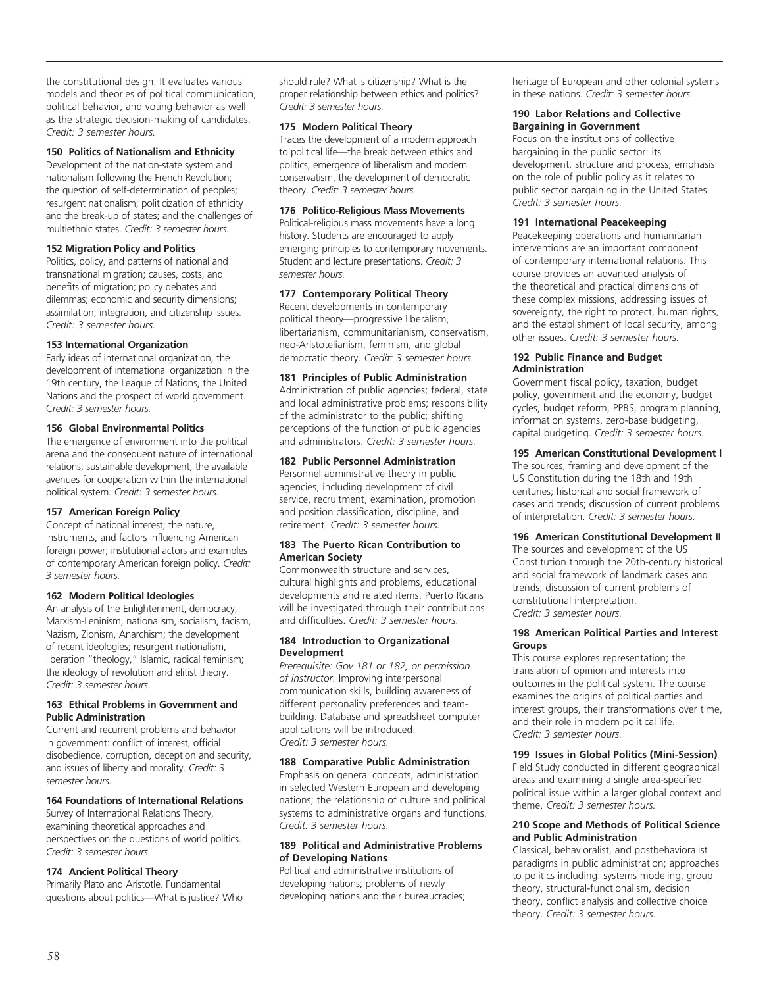the constitutional design. It evaluates various models and theories of political communication, political behavior, and voting behavior as well as the strategic decision-making of candidates. *Credit: 3 semester hours.*

#### **150 Politics of Nationalism and Ethnicity**

Development of the nation-state system and nationalism following the French Revolution; the question of self-determination of peoples; resurgent nationalism; politicization of ethnicity and the break-up of states; and the challenges of multiethnic states. *Credit: 3 semester hours.*

#### **152 Migration Policy and Politics**

Politics, policy, and patterns of national and transnational migration; causes, costs, and benefits of migration; policy debates and dilemmas; economic and security dimensions; assimilation, integration, and citizenship issues. *Credit: 3 semester hours.*

#### **153 International Organization**

Early ideas of international organization, the development of international organization in the 19th century, the League of Nations, the United Nations and the prospect of world government. C*redit: 3 semester hours.*

#### **156 Global Environmental Politics**

The emergence of environment into the political arena and the consequent nature of international relations; sustainable development; the available avenues for cooperation within the international political system. *Credit: 3 semester hours.*

#### **157 American Foreign Policy**

Concept of national interest; the nature, instruments, and factors influencing American foreign power; institutional actors and examples of contemporary American foreign policy. *Credit: 3 semester hours.*

#### **162 Modern Political Ideologies**

An analysis of the Enlightenment, democracy, Marxism-Leninism, nationalism, socialism, facism, Nazism, Zionism, Anarchism; the development of recent ideologies; resurgent nationalism, liberation "theology," Islamic, radical feminism; the ideology of revolution and elitist theory. *Credit: 3 semester hours*.

#### **163 Ethical Problems in Government and Public Administration**

Current and recurrent problems and behavior in government: conflict of interest, official disobedience, corruption, deception and security, and issues of liberty and morality. *Credit: 3 semester hours.*

# **164 Foundations of International Relations**

Survey of International Relations Theory, examining theoretical approaches and perspectives on the questions of world politics. *Credit: 3 semester hours.* 

#### **174 Ancient Political Theory**

Primarily Plato and Aristotle. Fundamental questions about politics—What is justice? Who should rule? What is citizenship? What is the proper relationship between ethics and politics? *Credit: 3 semester hours.*

#### **175 Modern Political Theory**

Traces the development of a modern approach to political life—the break between ethics and politics, emergence of liberalism and modern conservatism, the development of democratic theory. *Credit: 3 semester hours.*

#### **176 Politico-Religious Mass Movements**

Political-religious mass movements have a long history. Students are encouraged to apply emerging principles to contemporary movements. Student and lecture presentations. *Credit: 3 semester hours.*

#### **177 Contemporary Political Theory**

Recent developments in contemporary political theory—progressive liberalism, libertarianism, communitarianism, conservatism, neo-Aristotelianism, feminism, and global democratic theory. *Credit: 3 semester hours.*

#### **181 Principles of Public Administration**

Administration of public agencies; federal, state and local administrative problems; responsibility of the administrator to the public; shifting perceptions of the function of public agencies and administrators. *Credit: 3 semester hours.*

#### **182 Public Personnel Administration**

Personnel administrative theory in public agencies, including development of civil service, recruitment, examination, promotion and position classification, discipline, and retirement. *Credit: 3 semester hours.*

#### **183 The Puerto Rican Contribution to American Society**

Commonwealth structure and services, cultural highlights and problems, educational developments and related items. Puerto Ricans will be investigated through their contributions and difficulties. *Credit: 3 semester hours.*

#### **184 Introduction to Organizational Development**

*Prerequisite: Gov 181 or 182, or permission of instructor.* Improving interpersonal communication skills, building awareness of different personality preferences and teambuilding. Database and spreadsheet computer applications will be introduced. *Credit: 3 semester hours.*

#### **188 Comparative Public Administration**

Emphasis on general concepts, administration in selected Western European and developing nations; the relationship of culture and political systems to administrative organs and functions. *Credit: 3 semester hours.*

#### **189 Political and Administrative Problems of Developing Nations**

Political and administrative institutions of developing nations; problems of newly developing nations and their bureaucracies; heritage of European and other colonial systems in these nations. *Credit: 3 semester hours.*

#### **190 Labor Relations and Collective Bargaining in Government**

Focus on the institutions of collective bargaining in the public sector: its development, structure and process; emphasis on the role of public policy as it relates to public sector bargaining in the United States. *Credit: 3 semester hours.*

#### **191 International Peacekeeping**

Peacekeeping operations and humanitarian interventions are an important component of contemporary international relations. This course provides an advanced analysis of the theoretical and practical dimensions of these complex missions, addressing issues of sovereignty, the right to protect, human rights, and the establishment of local security, among other issues. *Credit: 3 semester hours.*

#### **192 Public Finance and Budget Administration**

Government fiscal policy, taxation, budget policy, government and the economy, budget cycles, budget reform, PPBS, program planning, information systems, zero-base budgeting, capital budgeting. *Credit: 3 semester hours.*

#### **195 American Constitutional Development I**

The sources, framing and development of the US Constitution during the 18th and 19th centuries; historical and social framework of cases and trends; discussion of current problems of interpretation. *Credit: 3 semester hours.*

# **196 American Constitutional Development II**

The sources and development of the US Constitution through the 20th-century historical and social framework of landmark cases and trends; discussion of current problems of constitutional interpretation. *Credit: 3 semester hours.*

#### **198 American Political Parties and Interest Groups**

This course explores representation; the translation of opinion and interests into outcomes in the political system. The course examines the origins of political parties and interest groups, their transformations over time, and their role in modern political life. *Credit: 3 semester hours.*

# **199 Issues in Global Politics (Mini-Session)**

Field Study conducted in different geographical areas and examining a single area-specified political issue within a larger global context and theme. *Credit: 3 semester hours.*

#### **210 Scope and Methods of Political Science and Public Administration**

Classical, behavioralist, and postbehavioralist paradigms in public administration; approaches to politics including: systems modeling, group theory, structural-functionalism, decision theory, conflict analysis and collective choice theory. *Credit: 3 semester hours.*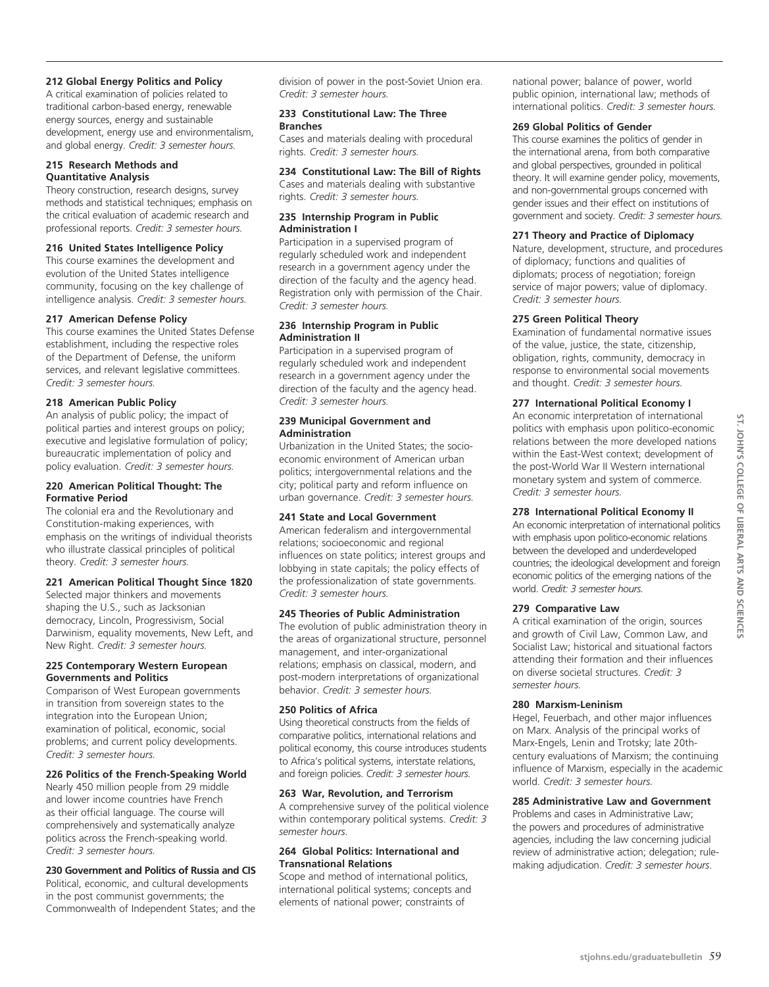# **212 Global Energy Politics and Policy**

A critical examination of policies related to traditional carbon-based energy, renewable energy sources, energy and sustainable development, energy use and environmentalism, and global energy. *Credit: 3 semester hours.*

# **215 Research Methods and Quantitative Analysis**

Theory construction, research designs, survey methods and statistical techniques; emphasis on the critical evaluation of academic research and professional reports. *Credit: 3 semester hours.* 

#### **216 United States Intelligence Policy**

This course examines the development and evolution of the United States intelligence community, focusing on the key challenge of intelligence analysis. *Credit: 3 semester hours.*

## **217 American Defense Policy**

This course examines the United States Defense establishment, including the respective roles of the Department of Defense, the uniform services, and relevant legislative committees. *Credit: 3 semester hours.*

#### **218 American Public Policy**

An analysis of public policy; the impact of political parties and interest groups on policy; executive and legislative formulation of policy; bureaucratic implementation of policy and policy evaluation. *Credit: 3 semester hours.*

#### **220 American Political Thought: The Formative Period**

The colonial era and the Revolutionary and Constitution-making experiences, with emphasis on the writings of individual theorists who illustrate classical principles of political theory. *Credit: 3 semester hours.*

## **221 American Political Thought Since 1820**

Selected major thinkers and movements shaping the U.S., such as Jacksonian democracy, Lincoln, Progressivism, Social Darwinism, equality movements, New Left, and New Right. *Credit: 3 semester hours.*

#### **225 Contemporary Western European Governments and Politics**

Comparison of West European governments in transition from sovereign states to the integration into the European Union; examination of political, economic, social problems; and current policy developments. *Credit: 3 semester hours.*

#### **226 Politics of the French-Speaking World**

Nearly 450 million people from 29 middle and lower income countries have French as their official language. The course will comprehensively and systematically analyze politics across the French-speaking world. *Credit: 3 semester hours.*

## **230 Government and Politics of Russia and CIS**

Political, economic, and cultural developments in the post communist governments; the Commonwealth of Independent States; and the division of power in the post-Soviet Union era. *Credit: 3 semester hours.*

# **233 Constitutional Law: The Three Branches**

Cases and materials dealing with procedural rights. *Credit: 3 semester hours.*

# **234 Constitutional Law: The Bill of Rights**

Cases and materials dealing with substantive rights. *Credit: 3 semester hours.*

# **235 Internship Program in Public Administration I**

Participation in a supervised program of regularly scheduled work and independent research in a government agency under the direction of the faculty and the agency head. Registration only with permission of the Chair. *Credit: 3 semester hours.*

# **236 Internship Program in Public Administration II**

Participation in a supervised program of regularly scheduled work and independent research in a government agency under the direction of the faculty and the agency head. *Credit: 3 semester hours.*

#### **239 Municipal Government and Administration**

Urbanization in the United States; the socioeconomic environment of American urban politics; intergovernmental relations and the city; political party and reform influence on urban governance. *Credit: 3 semester hours.*

# **241 State and Local Government**

American federalism and intergovernmental relations; socioeconomic and regional influences on state politics; interest groups and lobbying in state capitals; the policy effects of the professionalization of state governments. *Credit: 3 semester hours.*

#### **245 Theories of Public Administration**

The evolution of public administration theory in the areas of organizational structure, personnel management, and inter-organizational relations; emphasis on classical, modern, and post-modern interpretations of organizational behavior. *Credit: 3 semester hours.*

#### **250 Politics of Africa**

Using theoretical constructs from the fields of comparative politics, international relations and political economy, this course introduces students to Africa's political systems, interstate relations, and foreign policies. *Credit: 3 semester hours.*

# **263 War, Revolution, and Terrorism**

A comprehensive survey of the political violence within contemporary political systems. *Credit: 3 semester hours.*

#### **264 Global Politics: International and Transnational Relations**

Scope and method of international politics, international political systems; concepts and elements of national power; constraints of

national power; balance of power, world public opinion, international law; methods of international politics. *Credit: 3 semester hours.*

#### **269 Global Politics of Gender**

This course examines the politics of gender in the international arena, from both comparative and global perspectives, grounded in political theory. It will examine gender policy, movements, and non-governmental groups concerned with gender issues and their effect on institutions of government and society. *Credit: 3 semester hours.*

#### **271 Theory and Practice of Diplomacy**

Nature, development, structure, and procedures of diplomacy; functions and qualities of diplomats; process of negotiation; foreign service of major powers; value of diplomacy. *Credit: 3 semester hours.*

#### **275 Green Political Theory**

Examination of fundamental normative issues of the value, justice, the state, citizenship, obligation, rights, community, democracy in response to environmental social movements and thought. *Credit: 3 semester hours.* 

#### **277 International Political Economy I**

An economic interpretation of international politics with emphasis upon politico-economic relations between the more developed nations within the East-West context; development of the post-World War II Western international monetary system and system of commerce. *Credit: 3 semester hours.*

## **278 International Political Economy II**

An economic interpretation of international politics with emphasis upon politico-economic relations between the developed and underdeveloped countries; the ideological development and foreign economic politics of the emerging nations of the world. *Credit: 3 semester hours.*

## **279 Comparative Law**

A critical examination of the origin, sources and growth of Civil Law, Common Law, and Socialist Law; historical and situational factors attending their formation and their influences on diverse societal structures. *Credit: 3 semester hours.*

# **280 Marxism-Leninism**

Hegel, Feuerbach, and other major influences on Marx. Analysis of the principal works of Marx-Engels, Lenin and Trotsky; late 20thcentury evaluations of Marxism; the continuing influence of Marxism, especially in the academic world. *Credit: 3 semester hours.*

## **285 Administrative Law and Government**

Problems and cases in Administrative Law; the powers and procedures of administrative agencies, including the law concerning judicial review of administrative action; delegation; rulemaking adjudication. *Credit: 3 semester hours*.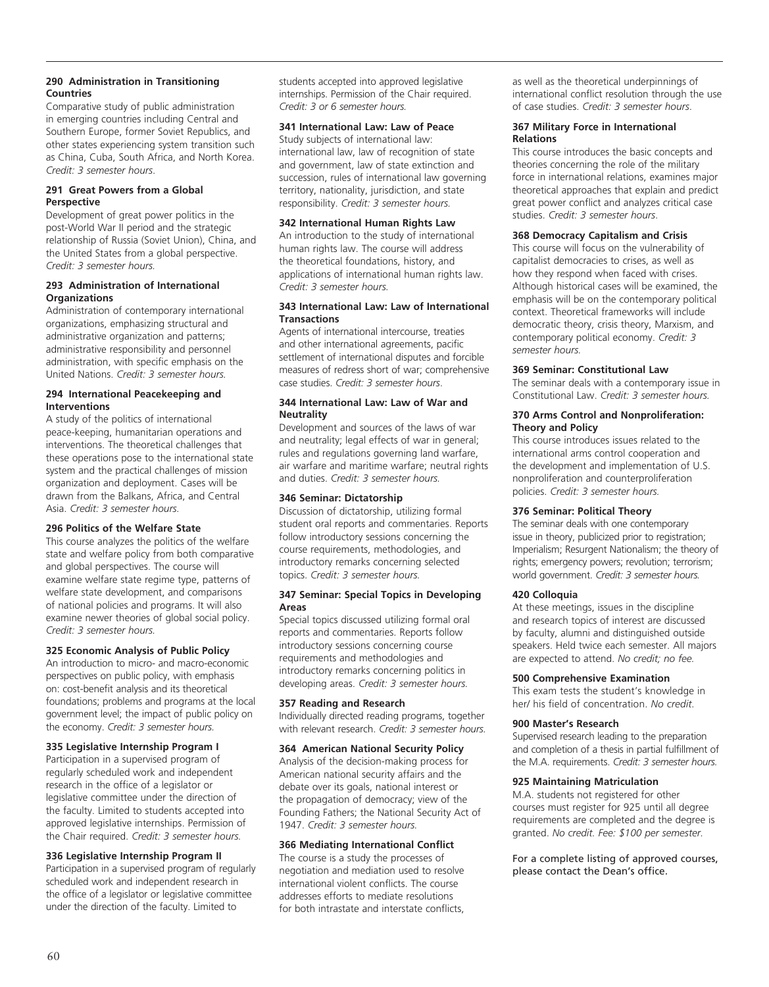# **290 Administration in Transitioning Countries**

Comparative study of public administration in emerging countries including Central and Southern Europe, former Soviet Republics, and other states experiencing system transition such as China, Cuba, South Africa, and North Korea. *Credit: 3 semester hours*.

#### **291 Great Powers from a Global Perspective**

Development of great power politics in the post-World War II period and the strategic relationship of Russia (Soviet Union), China, and the United States from a global perspective. *Credit: 3 semester hours.*

#### **293 Administration of International Organizations**

Administration of contemporary international organizations, emphasizing structural and administrative organization and patterns; administrative responsibility and personnel administration, with specific emphasis on the United Nations. *Credit: 3 semester hours.*

## **294 International Peacekeeping and Interventions**

A study of the politics of international peace-keeping, humanitarian operations and interventions. The theoretical challenges that these operations pose to the international state system and the practical challenges of mission organization and deployment. Cases will be drawn from the Balkans, Africa, and Central Asia. *Credit: 3 semester hours.*

# **296 Politics of the Welfare State**

This course analyzes the politics of the welfare state and welfare policy from both comparative and global perspectives. The course will examine welfare state regime type, patterns of welfare state development, and comparisons of national policies and programs. It will also examine newer theories of global social policy. *Credit: 3 semester hours.*

# **325 Economic Analysis of Public Policy**

An introduction to micro- and macro-economic perspectives on public policy, with emphasis on: cost-benefit analysis and its theoretical foundations; problems and programs at the local government level; the impact of public policy on the economy. *Credit: 3 semester hours.*

## **335 Legislative Internship Program I**

Participation in a supervised program of regularly scheduled work and independent research in the office of a legislator or legislative committee under the direction of the faculty. Limited to students accepted into approved legislative internships. Permission of the Chair required. *Credit: 3 semester hours.*

## **336 Legislative Internship Program II**

Participation in a supervised program of regularly scheduled work and independent research in the office of a legislator or legislative committee under the direction of the faculty. Limited to

students accepted into approved legislative internships. Permission of the Chair required. *Credit: 3 or 6 semester hours.*

#### **341 International Law: Law of Peace**

Study subjects of international law: international law, law of recognition of state and government, law of state extinction and succession, rules of international law governing territory, nationality, jurisdiction, and state responsibility. *Credit: 3 semester hours.*

## **342 International Human Rights Law**

An introduction to the study of international human rights law. The course will address the theoretical foundations, history, and applications of international human rights law. *Credit: 3 semester hours.*

#### **343 International Law: Law of International Transactions**

Agents of international intercourse, treaties and other international agreements, pacific settlement of international disputes and forcible measures of redress short of war; comprehensive case studies. *Credit: 3 semester hours*.

# **344 International Law: Law of War and Neutrality**

Development and sources of the laws of war and neutrality; legal effects of war in general; rules and regulations governing land warfare, air warfare and maritime warfare; neutral rights and duties. *Credit: 3 semester hours.*

# **346 Seminar: Dictatorship**

Discussion of dictatorship, utilizing formal student oral reports and commentaries. Reports follow introductory sessions concerning the course requirements, methodologies, and introductory remarks concerning selected topics. *Credit: 3 semester hours.*

#### **347 Seminar: Special Topics in Developing Areas**

Special topics discussed utilizing formal oral reports and commentaries. Reports follow introductory sessions concerning course requirements and methodologies and introductory remarks concerning politics in developing areas. *Credit: 3 semester hours.*

## **357 Reading and Research**

Individually directed reading programs, together with relevant research. *Credit: 3 semester hours.*

## **364 American National Security Policy**

Analysis of the decision-making process for American national security affairs and the debate over its goals, national interest or the propagation of democracy; view of the Founding Fathers; the National Security Act of 1947. *Credit: 3 semester hours.*

## **366 Mediating International Conflict**

The course is a study the processes of negotiation and mediation used to resolve international violent conflicts. The course addresses efforts to mediate resolutions for both intrastate and interstate conflicts,

as well as the theoretical underpinnings of international conflict resolution through the use of case studies. *Credit: 3 semester hours*.

#### **367 Military Force in International Relations**

This course introduces the basic concepts and theories concerning the role of the military force in international relations, examines major theoretical approaches that explain and predict great power conflict and analyzes critical case studies. *Credit: 3 semester hours*.

## **368 Democracy Capitalism and Crisis**

This course will focus on the vulnerability of capitalist democracies to crises, as well as how they respond when faced with crises. Although historical cases will be examined, the emphasis will be on the contemporary political context. Theoretical frameworks will include democratic theory, crisis theory, Marxism, and contemporary political economy. *Credit: 3 semester hours.*

#### **369 Seminar: Constitutional Law**

The seminar deals with a contemporary issue in Constitutional Law. *Credit: 3 semester hours.*

#### **370 Arms Control and Nonproliferation: Theory and Policy**

This course introduces issues related to the international arms control cooperation and the development and implementation of U.S. nonproliferation and counterproliferation policies. *Credit: 3 semester hours.*

# **376 Seminar: Political Theory**

The seminar deals with one contemporary issue in theory, publicized prior to registration; Imperialism; Resurgent Nationalism; the theory of rights; emergency powers; revolution; terrorism; world government. *Credit: 3 semester hours.*

## **420 Colloquia**

At these meetings, issues in the discipline and research topics of interest are discussed by faculty, alumni and distinguished outside speakers. Held twice each semester. All majors are expected to attend. *No credit; no fee.*

## **500 Comprehensive Examination**

This exam tests the student's knowledge in her/ his field of concentration. *No credit.*

## **900 Master's Research**

Supervised research leading to the preparation and completion of a thesis in partial fulfillment of the M.A. requirements. *Credit: 3 semester hours.*

## **925 Maintaining Matriculation**

M.A. students not registered for other courses must register for 925 until all degree requirements are completed and the degree is granted. *No credit. Fee: \$100 per semester.*

For a complete listing of approved courses, please contact the Dean's office.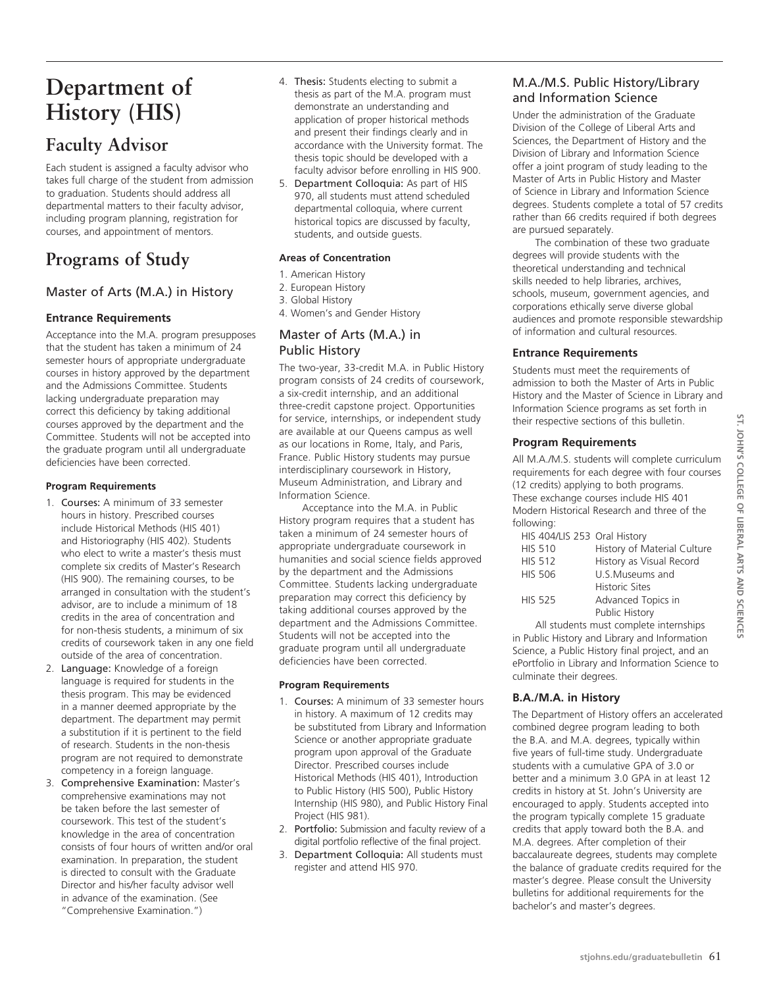# **Department of History (His)**

# **Faculty Advisor**

Each student is assigned a faculty advisor who takes full charge of the student from admission to graduation. Students should address all departmental matters to their faculty advisor, including program planning, registration for courses, and appointment of mentors.

# **Programs of Study**

# Master of Arts (M.A.) in History

# **Entrance Requirements**

Acceptance into the M.A. program presupposes that the student has taken a minimum of 24 semester hours of appropriate undergraduate courses in history approved by the department and the Admissions Committee. Students lacking undergraduate preparation may correct this deficiency by taking additional courses approved by the department and the Committee. Students will not be accepted into the graduate program until all undergraduate deficiencies have been corrected.

# **Program Requirements**

- 1. Courses: A minimum of 33 semester hours in history. Prescribed courses include Historical Methods (HIS 401) and Historiography (HIS 402). Students who elect to write a master's thesis must complete six credits of Master's Research (HIS 900). The remaining courses, to be arranged in consultation with the student's advisor, are to include a minimum of 18 credits in the area of concentration and for non-thesis students, a minimum of six credits of coursework taken in any one field outside of the area of concentration.
- 2. Language: Knowledge of a foreign language is required for students in the thesis program. This may be evidenced in a manner deemed appropriate by the department. The department may permit a substitution if it is pertinent to the field of research. Students in the non-thesis program are not required to demonstrate competency in a foreign language.
- 3. Comprehensive Examination: Master's comprehensive examinations may not be taken before the last semester of coursework. This test of the student's knowledge in the area of concentration consists of four hours of written and/or oral examination. In preparation, the student is directed to consult with the Graduate Director and his/her faculty advisor well in advance of the examination. (See "Comprehensive Examination.")
- 4. Thesis: Students electing to submit a thesis as part of the M.A. program must demonstrate an understanding and application of proper historical methods and present their findings clearly and in accordance with the University format. The thesis topic should be developed with a faculty advisor before enrolling in HIS 900.
- 5. Department Colloquia: As part of HIS 970, all students must attend scheduled departmental colloquia, where current historical topics are discussed by faculty, students, and outside guests.

# **Areas of Concentration**

- 1. American History
- 2. European History
- 3. Global History
- 4. Women's and Gender History

# Master of Arts (M.A.) in Public History

The two-year, 33-credit M.A. in Public History program consists of 24 credits of coursework, a six-credit internship, and an additional three-credit capstone project. Opportunities for service, internships, or independent study are available at our Queens campus as well as our locations in Rome, Italy, and Paris, France. Public History students may pursue interdisciplinary coursework in History, Museum Administration, and Library and Information Science.

Acceptance into the M.A. in Public History program requires that a student has taken a minimum of 24 semester hours of appropriate undergraduate coursework in humanities and social science fields approved by the department and the Admissions Committee. Students lacking undergraduate preparation may correct this deficiency by taking additional courses approved by the department and the Admissions Committee. Students will not be accepted into the graduate program until all undergraduate deficiencies have been corrected.

## **Program Requirements**

- 1. Courses: A minimum of 33 semester hours in history. A maximum of 12 credits may be substituted from Library and Information Science or another appropriate graduate program upon approval of the Graduate Director. Prescribed courses include Historical Methods (HIS 401), Introduction to Public History (HIS 500), Public History Internship (HIS 980), and Public History Final Project (HIS 981).
- 2. Portfolio: Submission and faculty review of a digital portfolio reflective of the final project.
- 3. Department Colloquia: All students must register and attend HIS 970.

# M.A./M.S. Public History/Library and Information Science

Under the administration of the Graduate Division of the College of Liberal Arts and Sciences, the Department of History and the Division of Library and Information Science offer a joint program of study leading to the Master of Arts in Public History and Master of Science in Library and Information Science degrees. Students complete a total of 57 credits rather than 66 credits required if both degrees are pursued separately.

The combination of these two graduate degrees will provide students with the theoretical understanding and technical skills needed to help libraries, archives, schools, museum, government agencies, and corporations ethically serve diverse global audiences and promote responsible stewardship of information and cultural resources.

# **Entrance Requirements**

Students must meet the requirements of admission to both the Master of Arts in Public History and the Master of Science in Library and Information Science programs as set forth in their respective sections of this bulletin.

# **Program Requirements**

All M.A./M.S. students will complete curriculum requirements for each degree with four courses (12 credits) applying to both programs. These exchange courses include HIS 401 Modern Historical Research and three of the following:

| HIS 404/LIS 253 Oral History |                             |
|------------------------------|-----------------------------|
| <b>HIS 510</b>               | History of Material Culture |
| <b>HIS 512</b>               | History as Visual Record    |
| <b>HIS 506</b>               | U.S.Museums and             |
|                              | <b>Historic Sites</b>       |
| <b>HIS 525</b>               | Advanced Topics in          |
|                              | Public History              |
|                              |                             |

All students must complete internships in Public History and Library and Information Science, a Public History final project, and an ePortfolio in Library and Information Science to culminate their degrees.

# **B.A./M.A. in History**

The Department of History offers an accelerated combined degree program leading to both the B.A. and M.A. degrees, typically within five years of full-time study. Undergraduate students with a cumulative GPA of 3.0 or better and a minimum 3.0 GPA in at least 12 credits in history at St. John's University are encouraged to apply. Students accepted into the program typically complete 15 graduate credits that apply toward both the B.A. and M.A. degrees. After completion of their baccalaureate degrees, students may complete the balance of graduate credits required for the master's degree. Please consult the University bulletins for additional requirements for the bachelor's and master's degrees.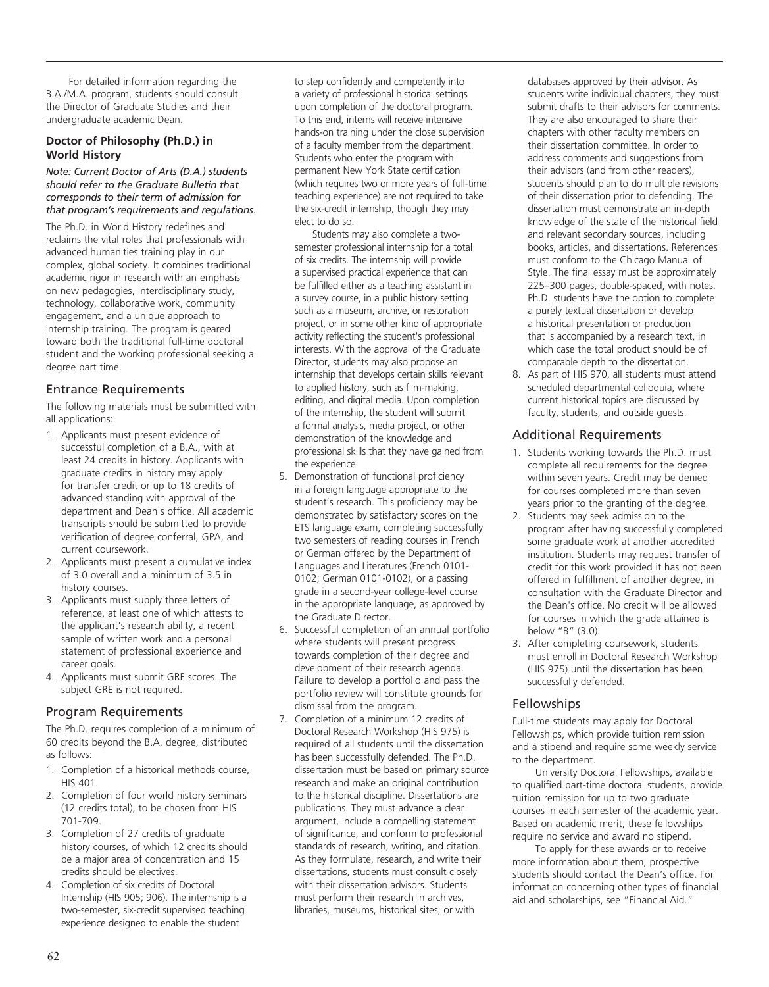For detailed information regarding the B.A./M.A. program, students should consult the Director of Graduate Studies and their undergraduate academic Dean.

# **Doctor of Philosophy (Ph.D.) in World History**

#### *Note: Current Doctor of Arts (D.A.) students should refer to the Graduate Bulletin that corresponds to their term of admission for that program's requirements and regulations*.

The Ph.D. in World History redefines and reclaims the vital roles that professionals with advanced humanities training play in our complex, global society. It combines traditional academic rigor in research with an emphasis on new pedagogies, interdisciplinary study, technology, collaborative work, community engagement, and a unique approach to internship training. The program is geared toward both the traditional full-time doctoral student and the working professional seeking a degree part time.

# Entrance Requirements

The following materials must be submitted with all applications:

- 1. Applicants must present evidence of successful completion of a B.A., with at least 24 credits in history. Applicants with graduate credits in history may apply for transfer credit or up to 18 credits of advanced standing with approval of the department and Dean's office. All academic transcripts should be submitted to provide verification of degree conferral, GPA, and current coursework.
- 2. Applicants must present a cumulative index of 3.0 overall and a minimum of 3.5 in history courses.
- 3. Applicants must supply three letters of reference, at least one of which attests to the applicant's research ability, a recent sample of written work and a personal statement of professional experience and career goals.
- 4. Applicants must submit GRE scores. The subject GRE is not required.

# Program Requirements

The Ph.D. requires completion of a minimum of 60 credits beyond the B.A. degree, distributed as follows:

- 1. Completion of a historical methods course, HIS 401.
- 2. Completion of four world history seminars (12 credits total), to be chosen from HIS 701-709.
- 3. Completion of 27 credits of graduate history courses, of which 12 credits should be a major area of concentration and 15 credits should be electives.
- 4. Completion of six credits of Doctoral Internship (HIS 905; 906). The internship is a two-semester, six-credit supervised teaching experience designed to enable the student

to step confidently and competently into a variety of professional historical settings upon completion of the doctoral program. To this end, interns will receive intensive hands-on training under the close supervision of a faculty member from the department. Students who enter the program with permanent New York State certification (which requires two or more years of full-time teaching experience) are not required to take the six-credit internship, though they may elect to do so.

 Students may also complete a twosemester professional internship for a total of six credits. The internship will provide a supervised practical experience that can be fulfilled either as a teaching assistant in a survey course, in a public history setting such as a museum, archive, or restoration project, or in some other kind of appropriate activity reflecting the student's professional interests. With the approval of the Graduate Director, students may also propose an internship that develops certain skills relevant to applied history, such as film-making, editing, and digital media. Upon completion of the internship, the student will submit a formal analysis, media project, or other demonstration of the knowledge and professional skills that they have gained from the experience.

- 5. Demonstration of functional proficiency in a foreign language appropriate to the student's research. This proficiency may be demonstrated by satisfactory scores on the ETS language exam, completing successfully two semesters of reading courses in French or German offered by the Department of Languages and Literatures (French 0101- 0102; German 0101-0102), or a passing grade in a second-year college-level course in the appropriate language, as approved by the Graduate Director.
- 6. Successful completion of an annual portfolio where students will present progress towards completion of their degree and development of their research agenda. Failure to develop a portfolio and pass the portfolio review will constitute grounds for dismissal from the program.
- 7. Completion of a minimum 12 credits of Doctoral Research Workshop (HIS 975) is required of all students until the dissertation has been successfully defended. The Ph.D. dissertation must be based on primary source research and make an original contribution to the historical discipline. Dissertations are publications. They must advance a clear argument, include a compelling statement of significance, and conform to professional standards of research, writing, and citation. As they formulate, research, and write their dissertations, students must consult closely with their dissertation advisors. Students must perform their research in archives, libraries, museums, historical sites, or with

databases approved by their advisor. As students write individual chapters, they must submit drafts to their advisors for comments. They are also encouraged to share their chapters with other faculty members on their dissertation committee. In order to address comments and suggestions from their advisors (and from other readers), students should plan to do multiple revisions of their dissertation prior to defending. The dissertation must demonstrate an in-depth knowledge of the state of the historical field and relevant secondary sources, including books, articles, and dissertations. References must conform to the Chicago Manual of Style. The final essay must be approximately 225–300 pages, double-spaced, with notes. Ph.D. students have the option to complete a purely textual dissertation or develop a historical presentation or production that is accompanied by a research text, in which case the total product should be of comparable depth to the dissertation.

8. As part of HIS 970, all students must attend scheduled departmental colloquia, where current historical topics are discussed by faculty, students, and outside guests.

# Additional Requirements

- 1. Students working towards the Ph.D. must complete all requirements for the degree within seven years. Credit may be denied for courses completed more than seven years prior to the granting of the degree.
- 2. Students may seek admission to the program after having successfully completed some graduate work at another accredited institution. Students may request transfer of credit for this work provided it has not been offered in fulfillment of another degree, in consultation with the Graduate Director and the Dean's office. No credit will be allowed for courses in which the grade attained is below "B" (3.0).
- 3. After completing coursework, students must enroll in Doctoral Research Workshop (HIS 975) until the dissertation has been successfully defended.

# Fellowships

Full-time students may apply for Doctoral Fellowships, which provide tuition remission and a stipend and require some weekly service to the department.

University Doctoral Fellowships, available to qualified part-time doctoral students, provide tuition remission for up to two graduate courses in each semester of the academic year. Based on academic merit, these fellowships require no service and award no stipend.

To apply for these awards or to receive more information about them, prospective students should contact the Dean's office. For information concerning other types of financial aid and scholarships, see "Financial Aid."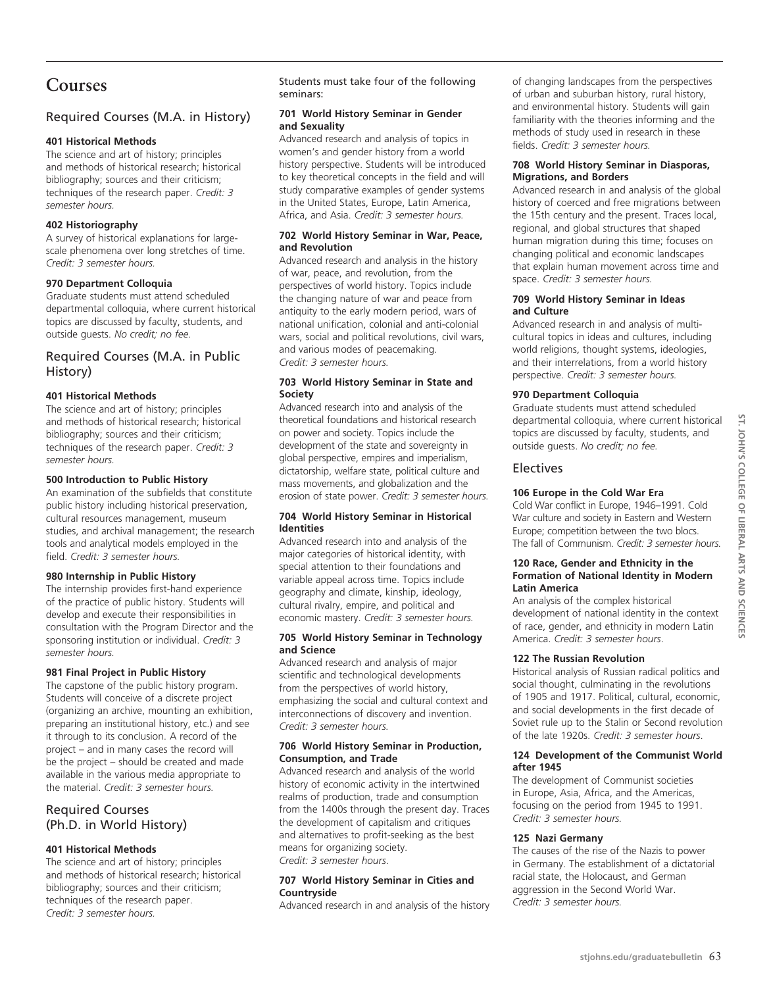# **Courses**

# Required Courses (M.A. in History)

# **401 Historical Methods**

The science and art of history; principles and methods of historical research; historical bibliography; sources and their criticism; techniques of the research paper. *Credit: 3 semester hours.*

# **402 Historiography**

A survey of historical explanations for largescale phenomena over long stretches of time. *Credit: 3 semester hours.*

# **970 Department Colloquia**

Graduate students must attend scheduled departmental colloquia, where current historical topics are discussed by faculty, students, and outside guests. *No credit; no fee.*

# Required Courses (M.A. in Public History)

# **401 Historical Methods**

The science and art of history; principles and methods of historical research; historical bibliography; sources and their criticism; techniques of the research paper. *Credit: 3 semester hours.*

# **500 Introduction to Public History**

An examination of the subfields that constitute public history including historical preservation, cultural resources management, museum studies, and archival management; the research tools and analytical models employed in the field. *Credit: 3 semester hours.*

# **980 Internship in Public History**

The internship provides first-hand experience of the practice of public history. Students will develop and execute their responsibilities in consultation with the Program Director and the sponsoring institution or individual. *Credit: 3 semester hours.*

# **981 Final Project in Public History**

The capstone of the public history program. Students will conceive of a discrete project (organizing an archive, mounting an exhibition, preparing an institutional history, etc.) and see it through to its conclusion. A record of the project – and in many cases the record will be the project – should be created and made available in the various media appropriate to the material. *Credit: 3 semester hours.*

# Required Courses (Ph.D. in World History)

# **401 Historical Methods**

The science and art of history; principles and methods of historical research; historical bibliography; sources and their criticism; techniques of the research paper. *Credit: 3 semester hours.*

Students must take four of the following seminars:

# **701 World History Seminar in Gender and Sexuality**

Advanced research and analysis of topics in women's and gender history from a world history perspective. Students will be introduced to key theoretical concepts in the field and will study comparative examples of gender systems in the United States, Europe, Latin America, Africa, and Asia. *Credit: 3 semester hours.*

#### **702 World History Seminar in War, Peace, and Revolution**

Advanced research and analysis in the history of war, peace, and revolution, from the perspectives of world history. Topics include the changing nature of war and peace from antiquity to the early modern period, wars of national unification, colonial and anti-colonial wars, social and political revolutions, civil wars, and various modes of peacemaking. *Credit: 3 semester hours.*

# **703 World History Seminar in State and Society**

Advanced research into and analysis of the theoretical foundations and historical research on power and society. Topics include the development of the state and sovereignty in global perspective, empires and imperialism, dictatorship, welfare state, political culture and mass movements, and globalization and the erosion of state power. *Credit: 3 semester hours.*

#### **704 World History Seminar in Historical Identities**

Advanced research into and analysis of the major categories of historical identity, with special attention to their foundations and variable appeal across time. Topics include geography and climate, kinship, ideology, cultural rivalry, empire, and political and economic mastery. *Credit: 3 semester hours.*

#### **705 World History Seminar in Technology and Science**

Advanced research and analysis of major scientific and technological developments from the perspectives of world history, emphasizing the social and cultural context and interconnections of discovery and invention. *Credit: 3 semester hours.*

# **706 World History Seminar in Production, Consumption, and Trade**

Advanced research and analysis of the world history of economic activity in the intertwined realms of production, trade and consumption from the 1400s through the present day. Traces the development of capitalism and critiques and alternatives to profit-seeking as the best means for organizing society. *Credit: 3 semester hours*.

# **707 World History Seminar in Cities and Countryside**

Advanced research in and analysis of the history

of changing landscapes from the perspectives of urban and suburban history, rural history, and environmental history. Students will gain familiarity with the theories informing and the methods of study used in research in these fields. *Credit: 3 semester hours.*

#### **708 World History Seminar in Diasporas, Migrations, and Borders**

Advanced research in and analysis of the global history of coerced and free migrations between the 15th century and the present. Traces local, regional, and global structures that shaped human migration during this time; focuses on changing political and economic landscapes that explain human movement across time and space. *Credit: 3 semester hours.*

#### **709 World History Seminar in Ideas and Culture**

Advanced research in and analysis of multicultural topics in ideas and cultures, including world religions, thought systems, ideologies, and their interrelations, from a world history perspective. *Credit: 3 semester hours.*

# **970 Department Colloquia**

Graduate students must attend scheduled departmental colloquia, where current historical topics are discussed by faculty, students, and outside guests. *No credit; no fee.*

# Electives

# **106 Europe in the Cold War Era**

Cold War conflict in Europe, 1946–1991. Cold War culture and society in Eastern and Western Europe; competition between the two blocs. The fall of Communism. *Credit: 3 semester hours.*

# **120 Race, Gender and Ethnicity in the Formation of National Identity in Modern Latin America**

An analysis of the complex historical development of national identity in the context of race, gender, and ethnicity in modern Latin America. *Credit: 3 semester hours*.

# **122 The Russian Revolution**

Historical analysis of Russian radical politics and social thought, culminating in the revolutions of 1905 and 1917. Political, cultural, economic, and social developments in the first decade of Soviet rule up to the Stalin or Second revolution of the late 1920s. *Credit: 3 semester hours*.

#### **124 Development of the Communist World after 1945**

The development of Communist societies in Europe, Asia, Africa, and the Americas, focusing on the period from 1945 to 1991. *Credit: 3 semester hours.*

# **125 Nazi Germany**

The causes of the rise of the Nazis to power in Germany. The establishment of a dictatorial racial state, the Holocaust, and German aggression in the Second World War. *Credit: 3 semester hours.*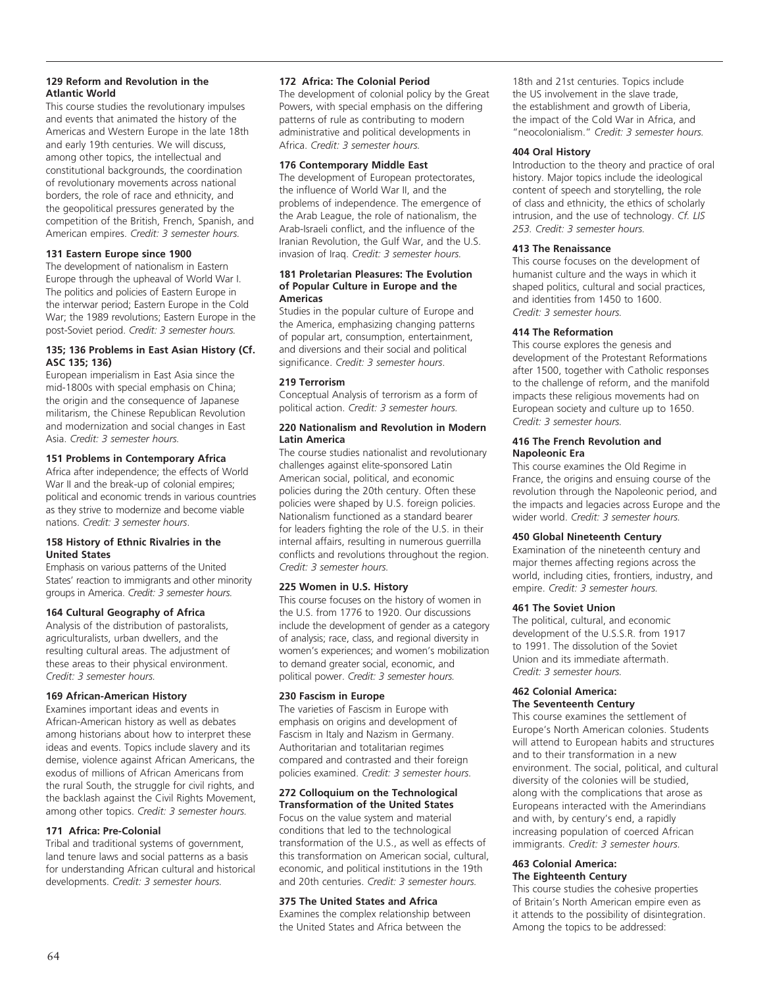# **129 Reform and Revolution in the Atlantic World**

This course studies the revolutionary impulses and events that animated the history of the Americas and Western Europe in the late 18th and early 19th centuries. We will discuss, among other topics, the intellectual and constitutional backgrounds, the coordination of revolutionary movements across national borders, the role of race and ethnicity, and the geopolitical pressures generated by the competition of the British, French, Spanish, and American empires. *Credit: 3 semester hours.*

# **131 Eastern Europe since 1900**

The development of nationalism in Eastern Europe through the upheaval of World War I. The politics and policies of Eastern Europe in the interwar period; Eastern Europe in the Cold War; the 1989 revolutions; Eastern Europe in the post-Soviet period. *Credit: 3 semester hours.*

#### **135; 136 Problems in East Asian History (Cf. ASC 135; 136)**

European imperialism in East Asia since the mid-1800s with special emphasis on China; the origin and the consequence of Japanese militarism, the Chinese Republican Revolution and modernization and social changes in East Asia. *Credit: 3 semester hours.*

#### **151 Problems in Contemporary Africa**

Africa after independence; the effects of World War II and the break-up of colonial empires: political and economic trends in various countries as they strive to modernize and become viable nations. *Credit: 3 semester hours*.

#### **158 History of Ethnic Rivalries in the United States**

Emphasis on various patterns of the United States' reaction to immigrants and other minority groups in America. *Credit: 3 semester hours.*

#### **164 Cultural Geography of Africa**

Analysis of the distribution of pastoralists, agriculturalists, urban dwellers, and the resulting cultural areas. The adjustment of these areas to their physical environment. *Credit: 3 semester hours.*

#### **169 African-American History**

Examines important ideas and events in African-American history as well as debates among historians about how to interpret these ideas and events. Topics include slavery and its demise, violence against African Americans, the exodus of millions of African Americans from the rural South, the struggle for civil rights, and the backlash against the Civil Rights Movement, among other topics. *Credit: 3 semester hours.*

#### **171 Africa: Pre-Colonial**

Tribal and traditional systems of government, land tenure laws and social patterns as a basis for understanding African cultural and historical developments. *Credit: 3 semester hours.*

#### **172 Africa: The Colonial Period**

The development of colonial policy by the Great Powers, with special emphasis on the differing patterns of rule as contributing to modern administrative and political developments in Africa. *Credit: 3 semester hours.*

#### **176 Contemporary Middle East**

The development of European protectorates, the influence of World War II, and the problems of independence. The emergence of the Arab League, the role of nationalism, the Arab-Israeli conflict, and the influence of the Iranian Revolution, the Gulf War, and the U.S. invasion of Iraq. *Credit: 3 semester hours.*

#### **181 Proletarian Pleasures: The Evolution of Popular Culture in Europe and the Americas**

Studies in the popular culture of Europe and the America, emphasizing changing patterns of popular art, consumption, entertainment, and diversions and their social and political significance. *Credit: 3 semester hours*.

#### **219 Terrorism**

Conceptual Analysis of terrorism as a form of political action. *Credit: 3 semester hours.*

#### **220 Nationalism and Revolution in Modern Latin America**

The course studies nationalist and revolutionary challenges against elite-sponsored Latin American social, political, and economic policies during the 20th century. Often these policies were shaped by U.S. foreign policies. Nationalism functioned as a standard bearer for leaders fighting the role of the U.S. in their internal affairs, resulting in numerous guerrilla conflicts and revolutions throughout the region. *Credit: 3 semester hours.*

#### **225 Women in U.S. History**

This course focuses on the history of women in the U.S. from 1776 to 1920. Our discussions include the development of gender as a category of analysis; race, class, and regional diversity in women's experiences; and women's mobilization to demand greater social, economic, and political power. *Credit: 3 semester hours.*

#### **230 Fascism in Europe**

The varieties of Fascism in Europe with emphasis on origins and development of Fascism in Italy and Nazism in Germany. Authoritarian and totalitarian regimes compared and contrasted and their foreign policies examined. *Credit: 3 semester hours.*

#### **272 Colloquium on the Technological Transformation of the United States**

Focus on the value system and material conditions that led to the technological transformation of the U.S., as well as effects of this transformation on American social, cultural, economic, and political institutions in the 19th and 20th centuries. *Credit: 3 semester hours.*

#### **375 The United States and Africa**

Examines the complex relationship between the United States and Africa between the

18th and 21st centuries. Topics include the US involvement in the slave trade, the establishment and growth of Liberia, the impact of the Cold War in Africa, and "neocolonialism." *Credit: 3 semester hours.*

#### **404 Oral History**

Introduction to the theory and practice of oral history. Major topics include the ideological content of speech and storytelling, the role of class and ethnicity, the ethics of scholarly intrusion, and the use of technology. *Cf. LIS 253. Credit: 3 semester hours.*

#### **413 The Renaissance**

This course focuses on the development of humanist culture and the ways in which it shaped politics, cultural and social practices, and identities from 1450 to 1600. *Credit: 3 semester hours.*

#### **414 The Reformation**

This course explores the genesis and development of the Protestant Reformations after 1500, together with Catholic responses to the challenge of reform, and the manifold impacts these religious movements had on European society and culture up to 1650. *Credit: 3 semester hours.*

#### **416 The French Revolution and Napoleonic Era**

This course examines the Old Regime in France, the origins and ensuing course of the revolution through the Napoleonic period, and the impacts and legacies across Europe and the wider world. *Credit: 3 semester hours.*

#### **450 Global Nineteenth Century**

Examination of the nineteenth century and major themes affecting regions across the world, including cities, frontiers, industry, and empire. *Credit: 3 semester hours.* 

#### **461 The Soviet Union**

The political, cultural, and economic development of the U.S.S.R. from 1917 to 1991. The dissolution of the Soviet Union and its immediate aftermath. *Credit: 3 semester hours.*

#### **462 Colonial America: The Seventeenth Century**

This course examines the settlement of Europe's North American colonies. Students will attend to European habits and structures and to their transformation in a new environment. The social, political, and cultural diversity of the colonies will be studied, along with the complications that arose as Europeans interacted with the Amerindians and with, by century's end, a rapidly increasing population of coerced African immigrants. *Credit: 3 semester hours.*

#### **463 Colonial America: The Eighteenth Century**

This course studies the cohesive properties of Britain's North American empire even as it attends to the possibility of disintegration. Among the topics to be addressed: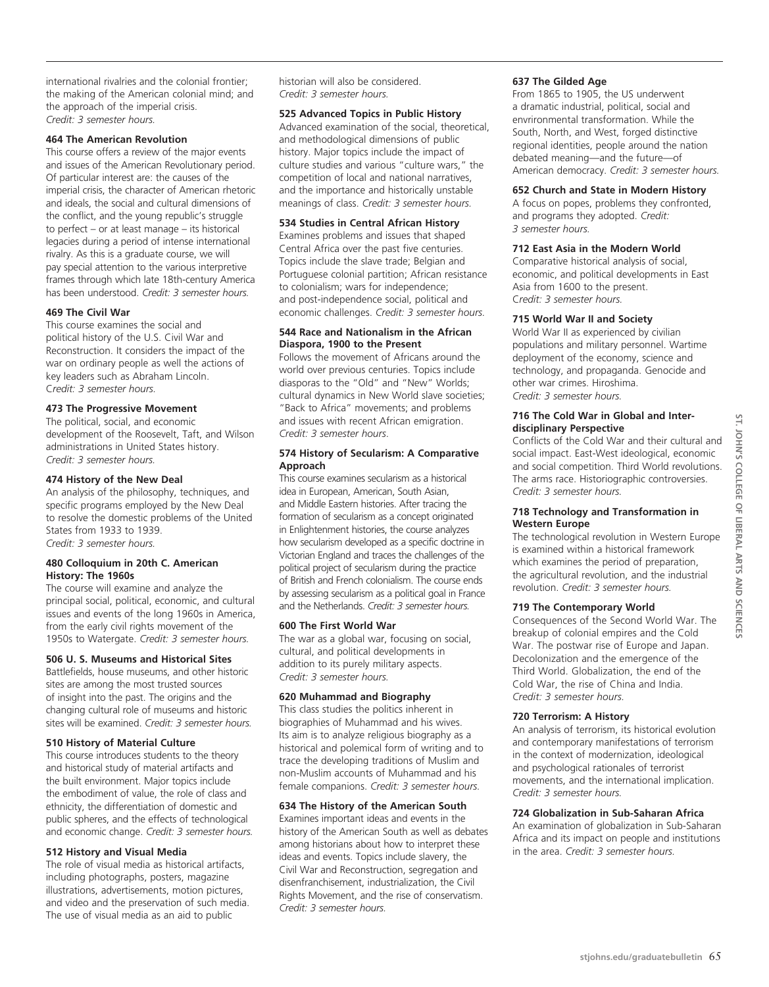international rivalries and the colonial frontier; the making of the American colonial mind; and the approach of the imperial crisis. *Credit: 3 semester hours.*

#### **464 The American Revolution**

This course offers a review of the major events and issues of the American Revolutionary period. Of particular interest are: the causes of the imperial crisis, the character of American rhetoric and ideals, the social and cultural dimensions of the conflict, and the young republic's struggle to perfect – or at least manage – its historical legacies during a period of intense international rivalry. As this is a graduate course, we will pay special attention to the various interpretive frames through which late 18th-century America has been understood. *Credit: 3 semester hours.*

#### **469 The Civil War**

This course examines the social and political history of the U.S. Civil War and Reconstruction. It considers the impact of the war on ordinary people as well the actions of key leaders such as Abraham Lincoln. C*redit: 3 semester hours.*

#### **473 The Progressive Movement**

The political, social, and economic development of the Roosevelt, Taft, and Wilson administrations in United States history. *Credit: 3 semester hours.*

#### **474 History of the New Deal**

An analysis of the philosophy, techniques, and specific programs employed by the New Deal to resolve the domestic problems of the United States from 1933 to 1939. *Credit: 3 semester hours.*

#### **480 Colloquium in 20th C. American History: The 1960s**

The course will examine and analyze the principal social, political, economic, and cultural issues and events of the long 1960s in America, from the early civil rights movement of the 1950s to Watergate. *Credit: 3 semester hours.*

#### **506 U. S. Museums and Historical Sites**

Battlefields, house museums, and other historic sites are among the most trusted sources of insight into the past. The origins and the changing cultural role of museums and historic sites will be examined. *Credit: 3 semester hours.*

#### **510 History of Material Culture**

This course introduces students to the theory and historical study of material artifacts and the built environment. Major topics include the embodiment of value, the role of class and ethnicity, the differentiation of domestic and public spheres, and the effects of technological and economic change. *Credit: 3 semester hours.*

#### **512 History and Visual Media**

The role of visual media as historical artifacts, including photographs, posters, magazine illustrations, advertisements, motion pictures, and video and the preservation of such media. The use of visual media as an aid to public

historian will also be considered. *Credit: 3 semester hours.*

# **525 Advanced Topics in Public History**

Advanced examination of the social, theoretical, and methodological dimensions of public history. Major topics include the impact of culture studies and various "culture wars," the competition of local and national narratives, and the importance and historically unstable meanings of class. *Credit: 3 semester hours.*

#### **534 Studies in Central African History**

Examines problems and issues that shaped Central Africa over the past five centuries. Topics include the slave trade; Belgian and Portuguese colonial partition; African resistance to colonialism; wars for independence; and post-independence social, political and economic challenges. *Credit: 3 semester hours.*

#### **544 Race and Nationalism in the African Diaspora, 1900 to the Present**

Follows the movement of Africans around the world over previous centuries. Topics include diasporas to the "Old" and "New" Worlds; cultural dynamics in New World slave societies; "Back to Africa" movements; and problems and issues with recent African emigration. *Credit: 3 semester hours*.

#### **574 History of Secularism: A Comparative Approach**

This course examines secularism as a historical idea in European, American, South Asian, and Middle Eastern histories. After tracing the formation of secularism as a concept originated in Enlightenment histories, the course analyzes how secularism developed as a specific doctrine in Victorian England and traces the challenges of the political project of secularism during the practice of British and French colonialism. The course ends by assessing secularism as a political goal in France and the Netherlands. *Credit: 3 semester hours.*

#### **600 The First World War**

The war as a global war, focusing on social, cultural, and political developments in addition to its purely military aspects. *Credit: 3 semester hours.* 

#### **620 Muhammad and Biography**

This class studies the politics inherent in biographies of Muhammad and his wives. Its aim is to analyze religious biography as a historical and polemical form of writing and to trace the developing traditions of Muslim and non-Muslim accounts of Muhammad and his female companions. *Credit: 3 semester hours.*

#### **634 The History of the American South**

Examines important ideas and events in the history of the American South as well as debates among historians about how to interpret these ideas and events. Topics include slavery, the Civil War and Reconstruction, segregation and disenfranchisement, industrialization, the Civil Rights Movement, and the rise of conservatism. *Credit: 3 semester hours.*

#### **637 The Gilded Age**

From 1865 to 1905, the US underwent a dramatic industrial, political, social and envrironmental transformation. While the South, North, and West, forged distinctive regional identities, people around the nation debated meaning—and the future—of American democracy. *Credit: 3 semester hours.*

#### **652 Church and State in Modern History**

A focus on popes, problems they confronted, and programs they adopted. *Credit: 3 semester hours.*

# **712 East Asia in the Modern World**

Comparative historical analysis of social, economic, and political developments in East Asia from 1600 to the present. C*redit: 3 semester hours.*

#### **715 World War II and Society**

World War II as experienced by civilian populations and military personnel. Wartime deployment of the economy, science and technology, and propaganda. Genocide and other war crimes. Hiroshima. *Credit: 3 semester hours.*

#### **716 The Cold War in Global and Interdisciplinary Perspective**

Conflicts of the Cold War and their cultural and social impact. East-West ideological, economic and social competition. Third World revolutions. The arms race. Historiographic controversies. *Credit: 3 semester hours.*

#### **718 Technology and Transformation in Western Europe**

The technological revolution in Western Europe is examined within a historical framework which examines the period of preparation, the agricultural revolution, and the industrial revolution. *Credit: 3 semester hours.*

#### **719 The Contemporary World**

Consequences of the Second World War. The breakup of colonial empires and the Cold War. The postwar rise of Europe and Japan. Decolonization and the emergence of the Third World. Globalization, the end of the Cold War, the rise of China and India. *Credit: 3 semester hours.*

#### **720 Terrorism: A History**

An analysis of terrorism, its historical evolution and contemporary manifestations of terrorism in the context of modernization, ideological and psychological rationales of terrorist movements, and the international implication. *Credit: 3 semester hours.*

# **724 Globalization in Sub-Saharan Africa**

An examination of globalization in Sub-Saharan Africa and its impact on people and institutions in the area. *Credit: 3 semester hours.*

 $SL$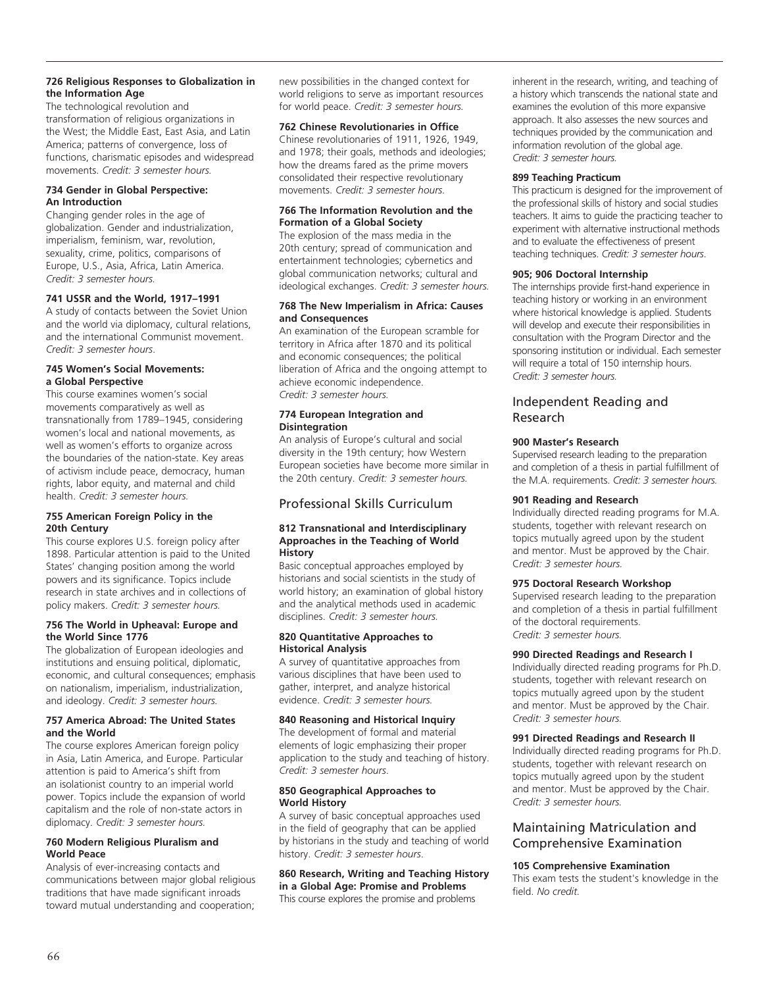#### **726 Religious Responses to Globalization in the Information Age**

The technological revolution and transformation of religious organizations in the West; the Middle East, East Asia, and Latin America; patterns of convergence, loss of functions, charismatic episodes and widespread movements. *Credit: 3 semester hours.*

#### **734 Gender in Global Perspective: An Introduction**

Changing gender roles in the age of globalization. Gender and industrialization, imperialism, feminism, war, revolution, sexuality, crime, politics, comparisons of Europe, U.S., Asia, Africa, Latin America. *Credit: 3 semester hours.*

# **741 USSR and the World, 1917–1991**

A study of contacts between the Soviet Union and the world via diplomacy, cultural relations, and the international Communist movement. *Credit: 3 semester hours*.

#### **745 Women's Social Movements: a Global Perspective**

This course examines women's social movements comparatively as well as transnationally from 1789–1945, considering women's local and national movements, as well as women's efforts to organize across the boundaries of the nation-state. Key areas of activism include peace, democracy, human rights, labor equity, and maternal and child health. *Credit: 3 semester hours.*

#### **755 American Foreign Policy in the 20th Century**

This course explores U.S. foreign policy after 1898. Particular attention is paid to the United States' changing position among the world powers and its significance. Topics include research in state archives and in collections of policy makers. *Credit: 3 semester hours.*

#### **756 The World in Upheaval: Europe and the World Since 1776**

The globalization of European ideologies and institutions and ensuing political, diplomatic, economic, and cultural consequences; emphasis on nationalism, imperialism, industrialization, and ideology. *Credit: 3 semester hours.*

#### **757 America Abroad: The United States and the World**

The course explores American foreign policy in Asia, Latin America, and Europe. Particular attention is paid to America's shift from an isolationist country to an imperial world power. Topics include the expansion of world capitalism and the role of non-state actors in diplomacy. *Credit: 3 semester hours.*

#### **760 Modern Religious Pluralism and World Peace**

Analysis of ever-increasing contacts and communications between major global religious traditions that have made significant inroads toward mutual understanding and cooperation;

new possibilities in the changed context for world religions to serve as important resources for world peace. *Credit: 3 semester hours.*

# **762 Chinese Revolutionaries in Office**

Chinese revolutionaries of 1911, 1926, 1949, and 1978; their goals, methods and ideologies; how the dreams fared as the prime movers consolidated their respective revolutionary movements. *Credit: 3 semester hours.*

#### **766 The Information Revolution and the Formation of a Global Society**

The explosion of the mass media in the 20th century; spread of communication and entertainment technologies; cybernetics and global communication networks; cultural and ideological exchanges. *Credit: 3 semester hours.*

#### **768 The New Imperialism in Africa: Causes and Consequences**

An examination of the European scramble for territory in Africa after 1870 and its political and economic consequences; the political liberation of Africa and the ongoing attempt to achieve economic independence. *Credit: 3 semester hours.*

#### **774 European Integration and Disintegration**

An analysis of Europe's cultural and social diversity in the 19th century; how Western European societies have become more similar in the 20th century. *Credit: 3 semester hours.*

# Professional Skills Curriculum

#### **812 Transnational and Interdisciplinary Approaches in the Teaching of World History**

Basic conceptual approaches employed by historians and social scientists in the study of world history; an examination of global history and the analytical methods used in academic disciplines. *Credit: 3 semester hours.*

#### **820 Quantitative Approaches to Historical Analysis**

A survey of quantitative approaches from various disciplines that have been used to gather, interpret, and analyze historical evidence. *Credit: 3 semester hours.*

# **840 Reasoning and Historical Inquiry**

The development of formal and material elements of logic emphasizing their proper application to the study and teaching of history. *Credit: 3 semester hours*.

#### **850 Geographical Approaches to World History**

A survey of basic conceptual approaches used in the field of geography that can be applied by historians in the study and teaching of world history. *Credit: 3 semester hours*.

# **860 Research, Writing and Teaching History in a Global Age: Promise and Problems**

This course explores the promise and problems

inherent in the research, writing, and teaching of a history which transcends the national state and examines the evolution of this more expansive approach. It also assesses the new sources and techniques provided by the communication and information revolution of the global age. *Credit: 3 semester hours.*

#### **899 Teaching Practicum**

This practicum is designed for the improvement of the professional skills of history and social studies teachers. It aims to guide the practicing teacher to experiment with alternative instructional methods and to evaluate the effectiveness of present teaching techniques. *Credit: 3 semester hours*.

#### **905; 906 Doctoral Internship**

The internships provide first-hand experience in teaching history or working in an environment where historical knowledge is applied. Students will develop and execute their responsibilities in consultation with the Program Director and the sponsoring institution or individual. Each semester will require a total of 150 internship hours. *Credit: 3 semester hours.*

# Independent Reading and Research

# **900 Master's Research**

Supervised research leading to the preparation and completion of a thesis in partial fulfillment of the M.A. requirements. *Credit: 3 semester hours.*

#### **901 Reading and Research**

Individually directed reading programs for M.A. students, together with relevant research on topics mutually agreed upon by the student and mentor. Must be approved by the Chair. C*redit: 3 semester hours.*

# **975 Doctoral Research Workshop**

Supervised research leading to the preparation and completion of a thesis in partial fulfillment of the doctoral requirements. *Credit: 3 semester hours.*

#### **990 Directed Readings and Research I**

Individually directed reading programs for Ph.D. students, together with relevant research on topics mutually agreed upon by the student and mentor. Must be approved by the Chair. *Credit: 3 semester hours.*

# **991 Directed Readings and Research II**

Individually directed reading programs for Ph.D. students, together with relevant research on topics mutually agreed upon by the student and mentor. Must be approved by the Chair. *Credit: 3 semester hours.*

# Maintaining Matriculation and Comprehensive Examination

#### **105 Comprehensive Examination**

This exam tests the student's knowledge in the field. *No credit.*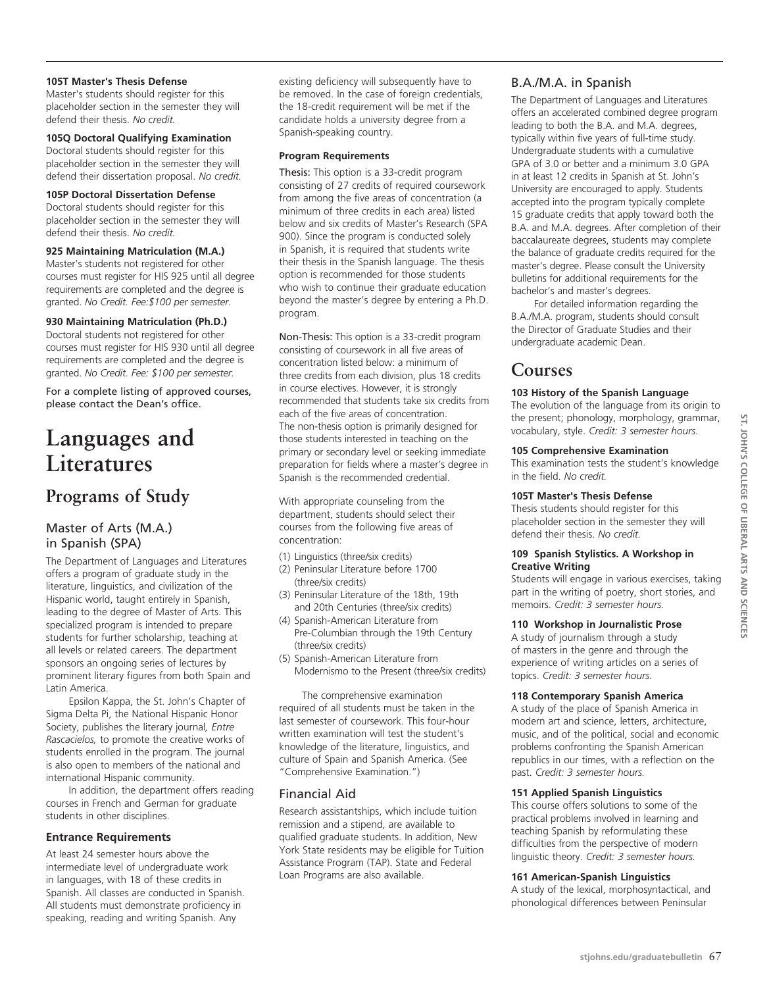#### **105T Master's Thesis Defense**

Master's students should register for this placeholder section in the semester they will defend their thesis. *No credit.*

#### **105Q Doctoral Qualifying Examination**

Doctoral students should register for this placeholder section in the semester they will defend their dissertation proposal. *No credit.*

#### **105P Doctoral Dissertation Defense**

Doctoral students should register for this placeholder section in the semester they will defend their thesis. *No credit.*

#### **925 Maintaining Matriculation (M.A.)**

Master's students not registered for other courses must register for HIS 925 until all degree requirements are completed and the degree is granted. *No Credit. Fee:\$100 per semester.*

# **930 Maintaining Matriculation (Ph.D.)**

Doctoral students not registered for other courses must register for HIS 930 until all degree requirements are completed and the degree is granted. *No Credit. Fee: \$100 per semester.*

For a complete listing of approved courses, please contact the Dean's office.

# **Languages and Literatures**

# **Programs of Study**

# Master of Arts (M.A.) in Spanish (SPA)

The Department of Languages and Literatures offers a program of graduate study in the literature, linguistics, and civilization of the Hispanic world, taught entirely in Spanish, leading to the degree of Master of Arts. This specialized program is intended to prepare students for further scholarship, teaching at all levels or related careers. The department sponsors an ongoing series of lectures by prominent literary figures from both Spain and Latin America.

Epsilon Kappa, the St. John's Chapter of Sigma Delta Pi, the National Hispanic Honor Society, publishes the literary journal*, Entre Rascacielos,* to promote the creative works of students enrolled in the program. The journal is also open to members of the national and international Hispanic community.

In addition, the department offers reading courses in French and German for graduate students in other disciplines.

# **Entrance Requirements**

At least 24 semester hours above the intermediate level of undergraduate work in languages, with 18 of these credits in Spanish. All classes are conducted in Spanish. All students must demonstrate proficiency in speaking, reading and writing Spanish. Any

existing deficiency will subsequently have to be removed. In the case of foreign credentials, the 18-credit requirement will be met if the candidate holds a university degree from a Spanish-speaking country.

#### **Program Requirements**

Thesis: This option is a 33-credit program consisting of 27 credits of required coursework from among the five areas of concentration (a minimum of three credits in each area) listed below and six credits of Master's Research (SPA 900). Since the program is conducted solely in Spanish, it is required that students write their thesis in the Spanish language. The thesis option is recommended for those students who wish to continue their graduate education beyond the master's degree by entering a Ph.D. program.

Non-Thesis: This option is a 33-credit program consisting of coursework in all five areas of concentration listed below: a minimum of three credits from each division, plus 18 credits in course electives. However, it is strongly recommended that students take six credits from each of the five areas of concentration. The non-thesis option is primarily designed for those students interested in teaching on the primary or secondary level or seeking immediate preparation for fields where a master's degree in Spanish is the recommended credential.

With appropriate counseling from the department, students should select their courses from the following five areas of concentration:

- (1) Linguistics (three/six credits)
- (2) Peninsular Literature before 1700 (three/six credits)
- (3) Peninsular Literature of the 18th, 19th and 20th Centuries (three/six credits)
- (4) Spanish-American Literature from Pre-Columbian through the 19th Century (three/six credits)
- (5) Spanish-American Literature from Modernismo to the Present (three/six credits)

The comprehensive examination required of all students must be taken in the last semester of coursework. This four-hour written examination will test the student's knowledge of the literature, linguistics, and culture of Spain and Spanish America. (See "Comprehensive Examination.")

# Financial Aid

Research assistantships, which include tuition remission and a stipend, are available to qualified graduate students. In addition, New York State residents may be eligible for Tuition Assistance Program (TAP). State and Federal Loan Programs are also available.

# B.A./M.A. in Spanish

The Department of Languages and Literatures offers an accelerated combined degree program leading to both the B.A. and M.A. degrees, typically within five years of full-time study. Undergraduate students with a cumulative GPA of 3.0 or better and a minimum 3.0 GPA in at least 12 credits in Spanish at St. John's University are encouraged to apply. Students accepted into the program typically complete 15 graduate credits that apply toward both the B.A. and M.A. degrees. After completion of their baccalaureate degrees, students may complete the balance of graduate credits required for the master's degree. Please consult the University bulletins for additional requirements for the bachelor's and master's degrees.

For detailed information regarding the B.A./M.A. program, students should consult the Director of Graduate Studies and their undergraduate academic Dean.

# **Courses**

# **103 History of the Spanish Language**

The evolution of the language from its origin to the present; phonology, morphology, grammar, vocabulary, style. *Credit: 3 semester hours.*

# **105 Comprehensive Examination**

This examination tests the student's knowledge in the field. *No credit.*

# **105T Master's Thesis Defense**

Thesis students should register for this placeholder section in the semester they will defend their thesis. *No credit.*

#### **109 Spanish Stylistics. A Workshop in Creative Writing**

Students will engage in various exercises, taking part in the writing of poetry, short stories, and memoirs. *Credit: 3 semester hours.*

# **110 Workshop in Journalistic Prose**

A study of journalism through a study of masters in the genre and through the experience of writing articles on a series of topics. *Credit: 3 semester hours.*

# **118 Contemporary Spanish America**

A study of the place of Spanish America in modern art and science, letters, architecture, music, and of the political, social and economic problems confronting the Spanish American republics in our times, with a reflection on the past. *Credit: 3 semester hours.*

# **151 Applied Spanish Linguistics**

This course offers solutions to some of the practical problems involved in learning and teaching Spanish by reformulating these difficulties from the perspective of modern linguistic theory. *Credit: 3 semester hours.* 

# **161 American-Spanish Linguistics**

A study of the lexical, morphosyntactical, and phonological differences between Peninsular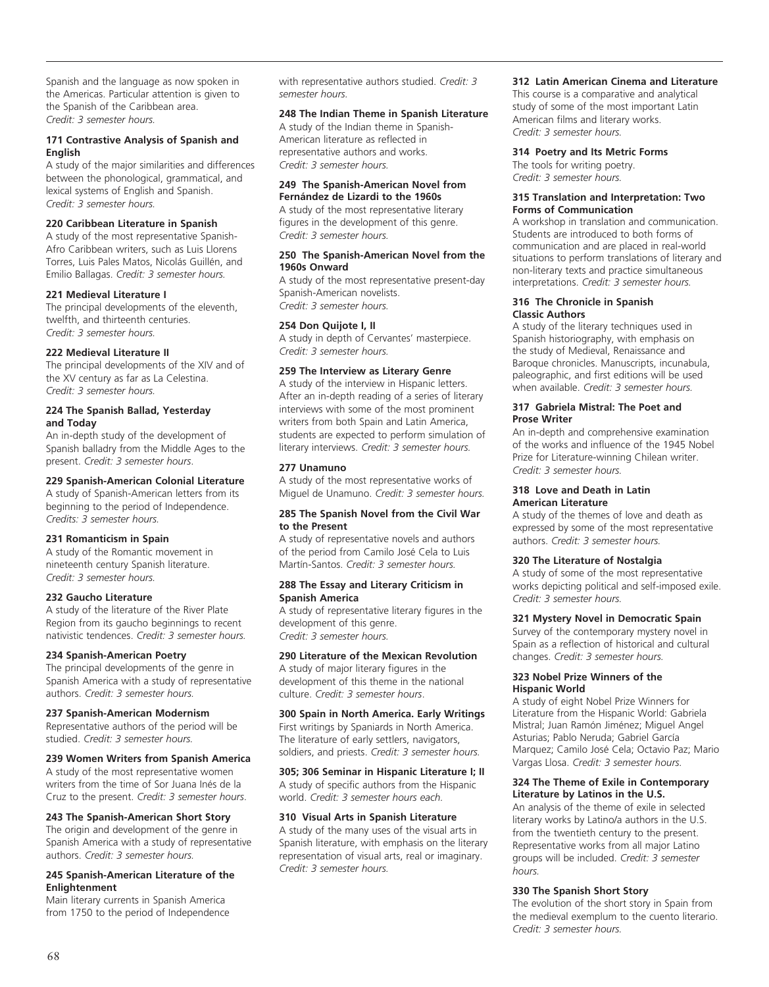Spanish and the language as now spoken in the Americas. Particular attention is given to the Spanish of the Caribbean area. *Credit: 3 semester hours.* 

#### **171 Contrastive Analysis of Spanish and English**

A study of the major similarities and differences between the phonological, grammatical, and lexical systems of English and Spanish. *Credit: 3 semester hours.*

# **220 Caribbean Literature in Spanish**

A study of the most representative Spanish-Afro Caribbean writers, such as Luis Llorens Torres, Luis Pales Matos, Nicolás Guillén, and Emilio Ballagas. *Credit: 3 semester hours.*

#### **221 Medieval Literature I**

The principal developments of the eleventh, twelfth, and thirteenth centuries. *Credit: 3 semester hours.*

#### **222 Medieval Literature II**

The principal developments of the XIV and of the XV century as far as La Celestina. *Credit: 3 semester hours.*

#### **224 The Spanish Ballad, Yesterday and Today**

An in-depth study of the development of Spanish balladry from the Middle Ages to the present. *Credit: 3 semester hours*.

#### **229 Spanish-American Colonial Literature**

A study of Spanish-American letters from its beginning to the period of Independence. *Credits: 3 semester hours.*

#### **231 Romanticism in Spain**

A study of the Romantic movement in nineteenth century Spanish literature. *Credit: 3 semester hours.*

#### **232 Gaucho Literature**

A study of the literature of the River Plate Region from its gaucho beginnings to recent nativistic tendences. *Credit: 3 semester hours.* 

#### **234 Spanish-American Poetry**

The principal developments of the genre in Spanish America with a study of representative authors. *Credit: 3 semester hours.*

#### **237 Spanish-American Modernism**

Representative authors of the period will be studied. *Credit: 3 semester hours.*

#### **239 Women Writers from Spanish America**

A study of the most representative women writers from the time of Sor Juana Inés de la Cruz to the present. *Credit: 3 semester hours*.

# **243 The Spanish-American Short Story**

The origin and development of the genre in Spanish America with a study of representative authors. *Credit: 3 semester hours.* 

#### **245 Spanish-American Literature of the Enlightenment**

Main literary currents in Spanish America from 1750 to the period of Independence with representative authors studied. *Credit: 3 semester hours.*

#### **248 The Indian Theme in Spanish Literature**

A study of the Indian theme in Spanish-American literature as reflected in representative authors and works. *Credit: 3 semester hours.* 

#### **249 The Spanish-American Novel from Fernández de Lizardi to the 1960s**

A study of the most representative literary figures in the development of this genre. *Credit: 3 semester hours.*

#### **250 The Spanish-American Novel from the 1960s Onward**

A study of the most representative present-day Spanish-American novelists. *Credit: 3 semester hours.*

#### **254 Don Quijote I, II**

A study in depth of Cervantes' masterpiece. *Credit: 3 semester hours.*

#### **259 The Interview as Literary Genre**

A study of the interview in Hispanic letters. After an in-depth reading of a series of literary interviews with some of the most prominent writers from both Spain and Latin America, students are expected to perform simulation of literary interviews. *Credit: 3 semester hours.* 

#### **277 Unamuno**

A study of the most representative works of Miguel de Unamuno. *Credit: 3 semester hours.* 

#### **285 The Spanish Novel from the Civil War to the Present**

A study of representative novels and authors of the period from Camilo José Cela to Luis Martín-Santos. *Credit: 3 semester hours.*

#### **288 The Essay and Literary Criticism in Spanish America**

A study of representative literary figures in the development of this genre. *Credit: 3 semester hours.* 

#### **290 Literature of the Mexican Revolution**

A study of major literary figures in the development of this theme in the national culture. *Credit: 3 semester hours*.

# **300 Spain in North America. Early Writings**

First writings by Spaniards in North America. The literature of early settlers, navigators, soldiers, and priests. *Credit: 3 semester hours.*

# **305; 306 Seminar in Hispanic Literature I; II**

A study of specific authors from the Hispanic world. *Credit: 3 semester hours each.*

#### **310 Visual Arts in Spanish Literature**

A study of the many uses of the visual arts in Spanish literature, with emphasis on the literary representation of visual arts, real or imaginary. *Credit: 3 semester hours.*

#### **312 Latin American Cinema and Literature**

This course is a comparative and analytical study of some of the most important Latin American films and literary works. *Credit: 3 semester hours.*

#### **314 Poetry and Its Metric Forms**

The tools for writing poetry. *Credit: 3 semester hours.*

#### **315 Translation and Interpretation: Two Forms of Communication**

A workshop in translation and communication. Students are introduced to both forms of communication and are placed in real-world situations to perform translations of literary and non-literary texts and practice simultaneous interpretations. *Credit: 3 semester hours.*

#### **316 The Chronicle in Spanish Classic Authors**

A study of the literary techniques used in Spanish historiography, with emphasis on the study of Medieval, Renaissance and Baroque chronicles. Manuscripts, incunabula, paleographic, and first editions will be used when available. *Credit: 3 semester hours.*

#### **317 Gabriela Mistral: The Poet and Prose Writer**

An in-depth and comprehensive examination of the works and influence of the 1945 Nobel Prize for Literature-winning Chilean writer. *Credit: 3 semester hours.*

#### **318 Love and Death in Latin American Literature**

A study of the themes of love and death as expressed by some of the most representative authors. *Credit: 3 semester hours.*

#### **320 The Literature of Nostalgia**

A study of some of the most representative works depicting political and self-imposed exile. *Credit: 3 semester hours.* 

#### **321 Mystery Novel in Democratic Spain**

Survey of the contemporary mystery novel in Spain as a reflection of historical and cultural changes. *Credit: 3 semester hours.*

#### **323 Nobel Prize Winners of the Hispanic World**

A study of eight Nobel Prize Winners for Literature from the Hispanic World: Gabriela Mistral; Juan Ramón Jiménez; Miguel Angel Asturias; Pablo Neruda; Gabriel García Marquez; Camilo José Cela; Octavio Paz; Mario Vargas Llosa. *Credit: 3 semester hours.*

#### **324 The Theme of Exile in Contemporary Literature by Latinos in the U.S.**

An analysis of the theme of exile in selected literary works by Latino/a authors in the U.S. from the twentieth century to the present. Representative works from all major Latino groups will be included. *Credit: 3 semester hours.* 

#### **330 The Spanish Short Story**

The evolution of the short story in Spain from the medieval exemplum to the cuento literario. *Credit: 3 semester hours.*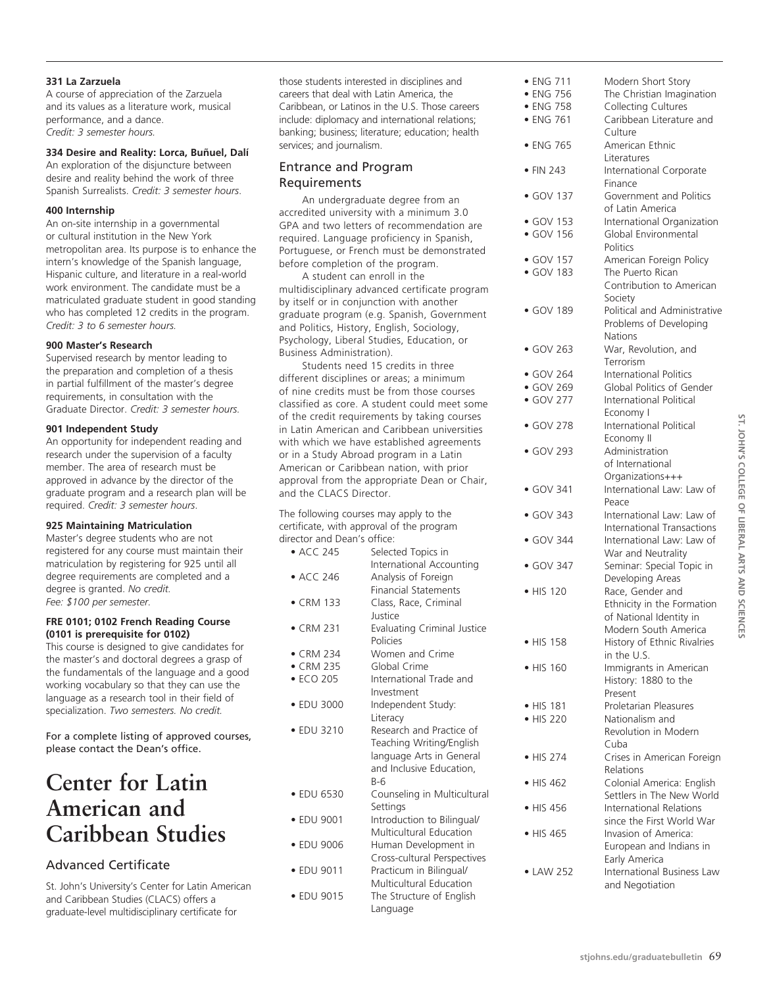# **331 La Zarzuela**

A course of appreciation of the Zarzuela and its values as a literature work, musical performance, and a dance. *Credit: 3 semester hours.*

# **334 Desire and Reality: Lorca, Buñuel, Dalí**

An exploration of the disjuncture between desire and reality behind the work of three Spanish Surrealists. *Credit: 3 semester hours*.

# **400 Internship**

An on-site internship in a governmental or cultural institution in the New York metropolitan area. Its purpose is to enhance the intern's knowledge of the Spanish language, Hispanic culture, and literature in a real-world work environment. The candidate must be a matriculated graduate student in good standing who has completed 12 credits in the program. *Credit: 3 to 6 semester hours.*

# **900 Master's Research**

Supervised research by mentor leading to the preparation and completion of a thesis in partial fulfillment of the master's degree requirements, in consultation with the Graduate Director. *Credit: 3 semester hours.*

# **901 Independent Study**

An opportunity for independent reading and research under the supervision of a faculty member. The area of research must be approved in advance by the director of the graduate program and a research plan will be required. *Credit: 3 semester hours*.

# **925 Maintaining Matriculation**

Master's degree students who are not registered for any course must maintain their matriculation by registering for 925 until all degree requirements are completed and a degree is granted. *No credit. Fee: \$100 per semester.*

#### **FRE 0101; 0102 French Reading Course (0101 is prerequisite for 0102)**

This course is designed to give candidates for the master's and doctoral degrees a grasp of the fundamentals of the language and a good working vocabulary so that they can use the language as a research tool in their field of specialization. *Two semesters. No credit.*

For a complete listing of approved courses, please contact the Dean's office.

# **Center for Latin American and Caribbean Studies**

# Advanced Certificate

St. John's University's Center for Latin American and Caribbean Studies (CLACS) offers a graduate-level multidisciplinary certificate for

those students interested in disciplines and careers that deal with Latin America, the Caribbean, or Latinos in the U.S. Those careers include: diplomacy and international relations; banking; business; literature; education; health services; and journalism.

# Entrance and Program Requirements

An undergraduate degree from an accredited university with a minimum 3.0 GPA and two letters of recommendation are required. Language proficiency in Spanish, Portuguese, or French must be demonstrated before completion of the program.

A student can enroll in the multidisciplinary advanced certificate program by itself or in conjunction with another graduate program (e.g. Spanish, Government and Politics, History, English, Sociology, Psychology, Liberal Studies, Education, or Business Administration).

Students need 15 credits in three different disciplines or areas; a minimum of nine credits must be from those courses classified as core. A student could meet some of the credit requirements by taking courses in Latin American and Caribbean universities with which we have established agreements or in a Study Abroad program in a Latin American or Caribbean nation, with prior approval from the appropriate Dean or Chair, and the CLACS Director.

The following courses may apply to the certificate, with approval of the program director and Dean's office:

| • ACC 245         | Selected Topics in<br>International Accounting |
|-------------------|------------------------------------------------|
| • ACC 246         | Analysis of Foreign                            |
|                   | <b>Financial Statements</b>                    |
| $\bullet$ CRM 133 | Class, Race, Criminal                          |
|                   | Justice                                        |
| $\bullet$ CRM 231 | <b>Evaluating Criminal Justice</b><br>Policies |
| $\bullet$ CRM 234 | Women and Crime                                |
| • CRM 235         | Global Crime                                   |
| • ECO 205         | International Trade and                        |
|                   | Investment                                     |
| • EDU 3000        | Independent Study:                             |
|                   | Literacy                                       |
| • EDU 3210        | Research and Practice of                       |
|                   | Teaching Writing/English                       |
|                   | language Arts in General                       |
|                   | and Inclusive Education,<br>B-6                |
| • EDU 6530        | Counseling in Multicultural                    |
|                   | Settings                                       |
| • EDU 9001        | Introduction to Bilingual/                     |
|                   | Multicultural Education                        |
| • EDU 9006        | Human Development in                           |
|                   | Cross-cultural Perspectives                    |
| • EDU 9011        | Practicum in Bilingual/                        |
|                   | Multicultural Education                        |
| • EDU 9015        | The Structure of English                       |
|                   | Language                                       |

| • ENG 711<br>• ENG 756<br>• ENG 758<br>· ENG 761 | Modern Short Story<br>The Christian Imagination<br><b>Collecting Cultures</b><br>Caribbean Literature and |
|--------------------------------------------------|-----------------------------------------------------------------------------------------------------------|
| • ENG 765                                        | Culture<br>American Ethnic                                                                                |
| $\bullet$ FIN 243                                | Literatures<br>International Corporate<br>Finance                                                         |
| • GOV 137                                        | Government and Politics<br>of Latin America                                                               |
| $\bullet$ GOV 153<br>$\bullet$ GOV 156           | International Organization<br>Global Environmental<br>Politics                                            |
| $\bullet$ GOV 157<br>• GOV 183                   | American Foreign Policy<br>The Puerto Rican<br>Contribution to American<br>Society                        |
| · GOV 189                                        | Political and Administrative<br>Problems of Developing<br><b>Nations</b>                                  |
| · GOV 263                                        | War, Revolution, and<br>Terrorism                                                                         |
| $\bullet$ GOV 264                                | <b>International Politics</b>                                                                             |
| $\bullet$ GOV 269<br>$\bullet$ GOV 277           | Global Politics of Gender<br>International Political                                                      |
|                                                  | Economy I                                                                                                 |
| • GOV 278                                        | <b>International Political</b><br>Economy II                                                              |
| • GOV 293                                        | Administration<br>of International                                                                        |
| $\bullet$ GOV 341                                | Organizations+++<br>International Law: Law of<br>Peace                                                    |
| $\bullet$ GOV 343                                | International Law: Law of<br><b>International Transactions</b>                                            |
| $\bullet$ GOV 344                                | International Law: Law of<br>War and Neutrality                                                           |
| $\bullet$ GOV 347                                | Seminar: Special Topic in<br>Developing Areas                                                             |
| • HIS 120                                        | Race, Gender and<br>Ethnicity in the Formation<br>of National Identity in<br>Modern South America         |
| • HIS 158                                        | History of Ethnic Rivalries<br>in the U.S.                                                                |
| • HIS 160                                        | Immigrants in American<br>History: 1880 to the<br>Present                                                 |
| • HIS 181                                        | Proletarian Pleasures                                                                                     |
| • HIS 220                                        | Nationalism and                                                                                           |
|                                                  | Revolution in Modern                                                                                      |
| $\bullet$ HIS 274                                | Cuba<br>Crises in American Foreign                                                                        |
| • HIS 462                                        | Relations<br>Colonial America: English                                                                    |
| • HIS 456                                        | Settlers in The New World<br><b>International Relations</b><br>since the First World War                  |
| $\bullet$ HIS 465                                | Invasion of America:<br>European and Indians in                                                           |
| • LAW 252                                        | Early America<br>International Business Law<br>and Negotiation                                            |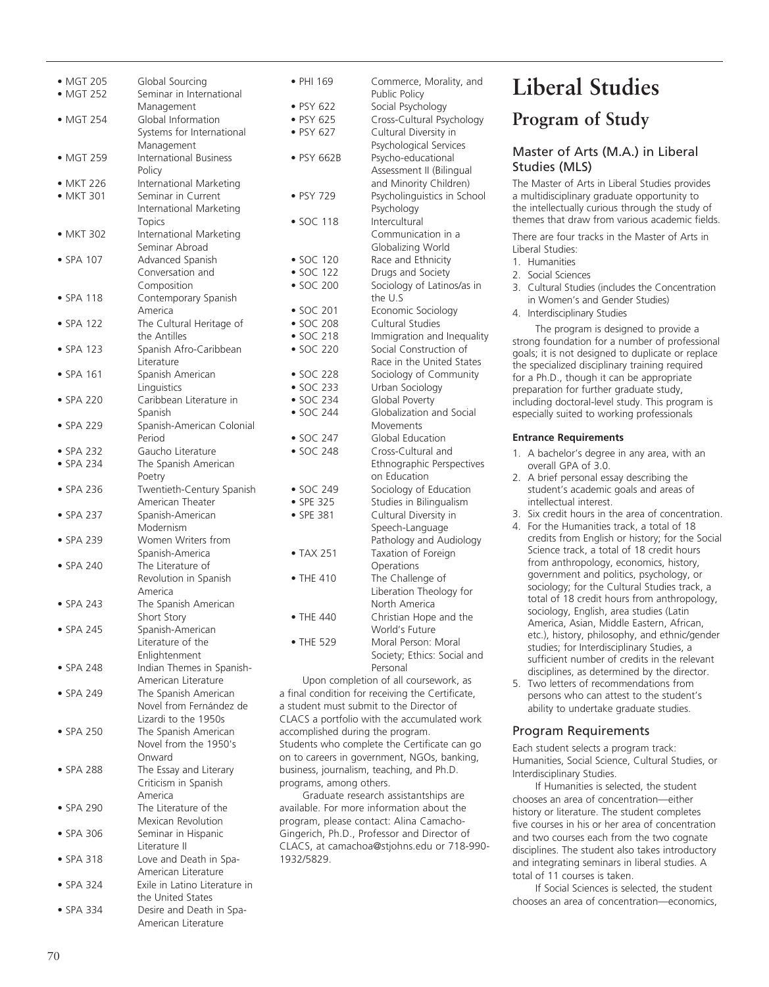| • MGT 205<br>• MGT 252 | Global Sourcing<br>Seminar in International | • PHI 169                        | Commerce, Morality, and<br>Public Policy         |
|------------------------|---------------------------------------------|----------------------------------|--------------------------------------------------|
|                        | Management                                  | • PSY 622                        | Social Psychology                                |
| • MGT 254              | Global Information                          | • PSY 625                        | Cross-Cultural Psychology                        |
|                        | Systems for International                   | • PSY 627                        | Cultural Diversity in                            |
|                        | Management                                  |                                  | Psychological Services                           |
| • MGT 259              | <b>International Business</b>               | • PSY 662B                       | Psycho-educational                               |
|                        | Policy                                      |                                  |                                                  |
|                        |                                             |                                  | Assessment II (Bilingual                         |
| • MKT 226              | International Marketing                     |                                  | and Minority Children)                           |
| • MKT 301              | Seminar in Current                          | • PSY 729                        | Psycholinguistics in School                      |
|                        | International Marketing                     |                                  | Psychology                                       |
|                        | Topics                                      | • SOC 118                        | Intercultural                                    |
| • MKT 302              | International Marketing                     |                                  | Communication in a                               |
|                        | Seminar Abroad                              |                                  | Globalizing World                                |
| • SPA 107              | Advanced Spanish                            | $\bullet$ SOC 120                | Race and Ethnicity                               |
|                        | Conversation and                            | $\bullet$ SOC 122                | Drugs and Society                                |
|                        | Composition                                 | • SOC 200                        | Sociology of Latinos/as in                       |
| $\bullet$ SPA 118      |                                             |                                  | the U.S                                          |
|                        | Contemporary Spanish                        |                                  |                                                  |
|                        | America                                     | $\bullet$ SOC 201                | Economic Sociology                               |
| $\bullet$ SPA 122      | The Cultural Heritage of                    | • SOC 208                        | Cultural Studies                                 |
|                        | the Antilles                                | • SOC 218                        | Immigration and Inequality                       |
| $\bullet$ SPA 123      | Spanish Afro-Caribbean                      | • SOC 220                        | Social Construction of                           |
|                        | Literature                                  |                                  | Race in the United States                        |
| $\bullet$ SPA 161      | Spanish American                            | $\bullet$ SOC 228                | Sociology of Community                           |
|                        | Linguistics                                 | • SOC 233                        | Urban Sociology                                  |
| $\bullet$ SPA 220      | Caribbean Literature in                     | • SOC 234                        | Global Poverty                                   |
|                        | Spanish                                     | • SOC 244                        | Globalization and Social                         |
| $\bullet$ SPA 229      | Spanish-American Colonial                   |                                  | Movements                                        |
|                        | Period                                      | • SOC 247                        | Global Education                                 |
|                        | Gaucho Literature                           | • SOC 248                        | Cross-Cultural and                               |
| $\bullet$ SPA 232      |                                             |                                  |                                                  |
| • SPA 234              | The Spanish American                        |                                  | Ethnographic Perspectives                        |
|                        | Poetry                                      |                                  | on Education                                     |
| $\bullet$ SPA 236      | Twentieth-Century Spanish                   | $\bullet$ SOC 249                | Sociology of Education                           |
|                        | American Theater                            | • SPE 325                        | Studies in Bilingualism                          |
| $\bullet$ SPA 237      | Spanish-American                            | • SPE 381                        | Cultural Diversity in                            |
|                        | Modernism                                   |                                  | Speech-Language                                  |
| $\bullet$ SPA 239      | Women Writers from                          |                                  | Pathology and Audiology                          |
|                        | Spanish-America                             | • TAX 251                        | Taxation of Foreign                              |
| $\bullet$ SPA 240      | The Literature of                           |                                  | Operations                                       |
|                        | Revolution in Spanish                       | $\bullet$ THE 410                | The Challenge of                                 |
|                        | America                                     |                                  | Liberation Theology for                          |
| $\bullet$ SPA 243      | The Spanish American                        |                                  | North America                                    |
|                        | Short Story                                 | • THE 440                        | Christian Hope and the                           |
| $\bullet$ SPA 245      | Spanish-American                            |                                  | World's Future                                   |
|                        |                                             |                                  |                                                  |
|                        | Literature of the                           | • THE 529                        | Moral Person: Moral                              |
|                        | Enlightenment                               |                                  | Society; Ethics: Social and                      |
| $\bullet$ SPA 248      | Indian Themes in Spanish-                   |                                  | Personal                                         |
|                        | American Literature                         |                                  | Upon completion of all coursework, as            |
| $\bullet$ SPA 249      | The Spanish American                        |                                  | a final condition for receiving the Certificate, |
|                        | Novel from Fernández de                     |                                  | a student must submit to the Director of         |
|                        | Lizardi to the 1950s                        |                                  | CLACS a portfolio with the accumulated work      |
| $\bullet$ SPA 250      | The Spanish American                        | accomplished during the program. |                                                  |
|                        | Novel from the 1950's                       |                                  | Students who complete the Certificate can go     |
|                        | Onward                                      |                                  | on to careers in government, NGOs, banking,      |
| $\bullet$ SPA 288      | The Essay and Literary                      |                                  | business, journalism, teaching, and Ph.D.        |
|                        | Criticism in Spanish                        | programs, among others.          |                                                  |
|                        | America                                     |                                  | Graduate research assistantships are             |
|                        |                                             |                                  |                                                  |
| $\bullet$ SPA 290      | The Literature of the                       |                                  | available. For more information about the        |
|                        | Mexican Revolution                          |                                  | program, please contact: Alina Camacho-          |
| $\bullet$ SPA 306      | Seminar in Hispanic                         |                                  | Gingerich, Ph.D., Professor and Director of      |
|                        | Literature II                               |                                  | CLACS, at camachoa@stjohns.edu or 718-990-       |
| $\bullet$ SPA 318      | Love and Death in Spa-                      | 1932/5829.                       |                                                  |
|                        | American Literature                         |                                  |                                                  |
| $\bullet$ SPA 324      | Exile in Latino Literature in               |                                  |                                                  |
|                        | the United States                           |                                  |                                                  |
| • SPA 334              | Desire and Death in Spa-                    |                                  |                                                  |

American Literature

# **Liberal Studies**

# **Program of Study**

# Master of Arts (M.A.) in Liberal Studies (MLS)

The Master of Arts in Liberal Studies provides a multidisciplinary graduate opportunity to the intellectually curious through the study of themes that draw from various academic fields.

There are four tracks in the Master of Arts in Liberal Studies:

- 1. Humanities
- 2. Social Sciences

- 3. Cultural Studies (includes the Concentration in Women's and Gender Studies)
- 4. Interdisciplinary Studies

The program is designed to provide a strong foundation for a number of professional goals; it is not designed to duplicate or replace the specialized disciplinary training required for a Ph.D., though it can be appropriate preparation for further graduate study, including doctoral-level study. This program is especially suited to working professionals

#### **Entrance Requirements**

- 1. A bachelor's degree in any area, with an overall GPA of 3.0.
- 2. A brief personal essay describing the student's academic goals and areas of intellectual interest.
- 3. Six credit hours in the area of concentration.
- 4. For the Humanities track, a total of 18 credits from English or history; for the Social Science track, a total of 18 credit hours from anthropology, economics, history, government and politics, psychology, or sociology; for the Cultural Studies track, a total of 18 credit hours from anthropology, sociology, English, area studies (Latin America, Asian, Middle Eastern, African, etc.), history, philosophy, and ethnic/gender studies; for Interdisciplinary Studies, a sufficient number of credits in the relevant disciplines, as determined by the director.
- 5. Two letters of recommendations from persons who can attest to the student's ability to undertake graduate studies.

# Program Requirements

Each student selects a program track: Humanities, Social Science, Cultural Studies, or Interdisciplinary Studies.

If Humanities is selected, the student chooses an area of concentration—either history or literature. The student completes five courses in his or her area of concentration and two courses each from the two cognate disciplines. The student also takes introductory and integrating seminars in liberal studies. A total of 11 courses is taken.

If Social Sciences is selected, the student chooses an area of concentration—economics,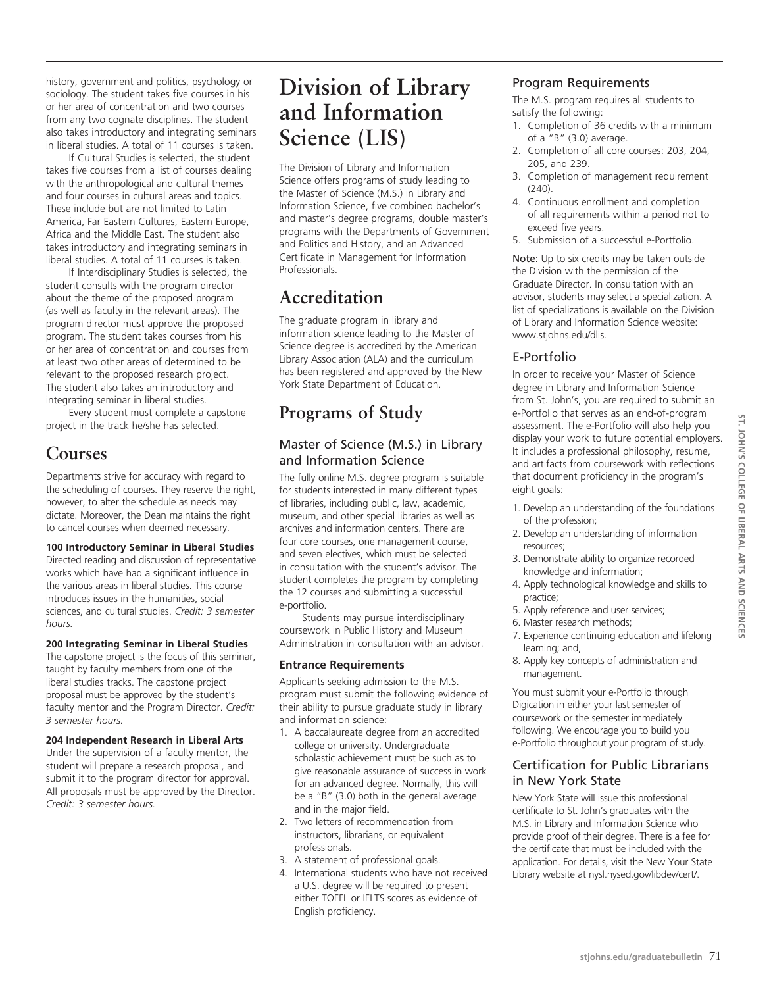history, government and politics, psychology or sociology. The student takes five courses in his or her area of concentration and two courses from any two cognate disciplines. The student also takes introductory and integrating seminars in liberal studies. A total of 11 courses is taken.

If Cultural Studies is selected, the student takes five courses from a list of courses dealing with the anthropological and cultural themes and four courses in cultural areas and topics. These include but are not limited to Latin America, Far Eastern Cultures, Eastern Europe, Africa and the Middle East. The student also takes introductory and integrating seminars in liberal studies. A total of 11 courses is taken.

If Interdisciplinary Studies is selected, the student consults with the program director about the theme of the proposed program (as well as faculty in the relevant areas). The program director must approve the proposed program. The student takes courses from his or her area of concentration and courses from at least two other areas of determined to be relevant to the proposed research project. The student also takes an introductory and integrating seminar in liberal studies.

Every student must complete a capstone project in the track he/she has selected.

# **Courses**

Departments strive for accuracy with regard to the scheduling of courses. They reserve the right, however, to alter the schedule as needs may dictate. Moreover, the Dean maintains the right to cancel courses when deemed necessary.

# **100 Introductory Seminar in Liberal Studies**

Directed reading and discussion of representative works which have had a significant influence in the various areas in liberal studies. This course introduces issues in the humanities, social sciences, and cultural studies. *Credit: 3 semester hours.*

# **200 Integrating Seminar in Liberal Studies**

The capstone project is the focus of this seminar, taught by faculty members from one of the liberal studies tracks. The capstone project proposal must be approved by the student's faculty mentor and the Program Director. *Credit: 3 semester hours.*

# **204 Independent Research in Liberal Arts**

Under the supervision of a faculty mentor, the student will prepare a research proposal, and submit it to the program director for approval. All proposals must be approved by the Director. *Credit: 3 semester hours.*

# **Division of Library and Information Science (LIS)**

The Division of Library and Information Science offers programs of study leading to the Master of Science (M.S.) in Library and Information Science, five combined bachelor's and master's degree programs, double master's programs with the Departments of Government and Politics and History, and an Advanced Certificate in Management for Information Professionals.

# **Accreditation**

The graduate program in library and information science leading to the Master of Science degree is accredited by the American Library Association (ALA) and the curriculum has been registered and approved by the New York State Department of Education.

# **Programs of Study**

# Master of Science (M.S.) in Library and Information Science

The fully online M.S. degree program is suitable for students interested in many different types of libraries, including public, law, academic, museum, and other special libraries as well as archives and information centers. There are four core courses, one management course, and seven electives, which must be selected in consultation with the student's advisor. The student completes the program by completing the 12 courses and submitting a successful e-portfolio.

Students may pursue interdisciplinary coursework in Public History and Museum Administration in consultation with an advisor.

# **Entrance Requirements**

Applicants seeking admission to the M.S. program must submit the following evidence of their ability to pursue graduate study in library and information science:

- 1. A baccalaureate degree from an accredited college or university. Undergraduate scholastic achievement must be such as to give reasonable assurance of success in work for an advanced degree. Normally, this will be a "B" (3.0) both in the general average and in the major field.
- 2. Two letters of recommendation from instructors, librarians, or equivalent professionals.
- 3. A statement of professional goals.
- 4. International students who have not received a U.S. degree will be required to present either TOEFL or IELTS scores as evidence of English proficiency.

# Program Requirements

The M.S. program requires all students to satisfy the following:

- 1. Completion of 36 credits with a minimum of a "B" (3.0) average.
- 2. Completion of all core courses: 203, 204, 205, and 239.
- 3. Completion of management requirement  $(240)$ .
- 4. Continuous enrollment and completion of all requirements within a period not to exceed five years.
- 5. Submission of a successful e-Portfolio.

Note: Up to six credits may be taken outside the Division with the permission of the Graduate Director. In consultation with an advisor, students may select a specialization. A list of specializations is available on the Division of Library and Information Science website: www.stjohns.edu/dlis.

# E-Portfolio

In order to receive your Master of Science degree in Library and Information Science from St. John's, you are required to submit an e-Portfolio that serves as an end-of-program assessment. The e-Portfolio will also help you display your work to future potential employers. It includes a professional philosophy, resume, and artifacts from coursework with reflections that document proficiency in the program's eight goals:

- 1. Develop an understanding of the foundations of the profession;
- 2. Develop an understanding of information resources;
- 3. Demonstrate ability to organize recorded knowledge and information;
- 4. Apply technological knowledge and skills to practice;
- 5. Apply reference and user services;
- 6. Master research methods;
- 7. Experience continuing education and lifelong learning; and,
- 8. Apply key concepts of administration and management.

You must submit your e-Portfolio through Digication in either your last semester of coursework or the semester immediately following. We encourage you to build you e-Portfolio throughout your program of study.

# Certification for Public Librarians in New York State

New York State will issue this professional certificate to St. John's graduates with the M.S. in Library and Information Science who provide proof of their degree. There is a fee for the certificate that must be included with the application. For details, visit the New Your State Library website at nysl.nysed.gov/libdev/cert/.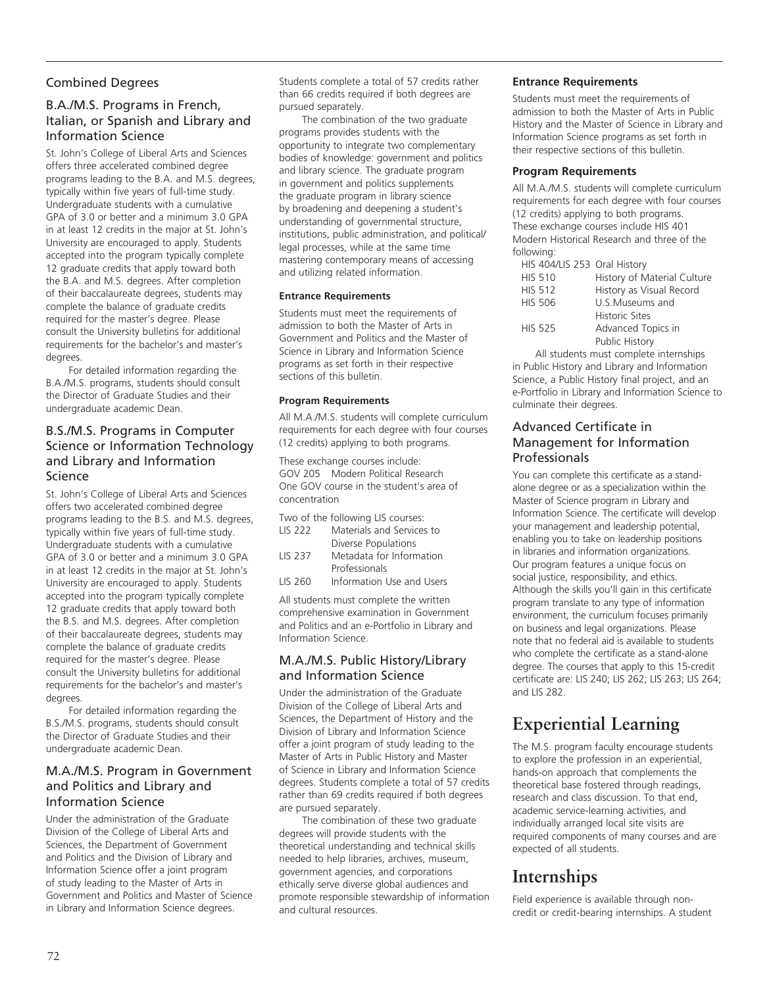# Combined Degrees

# B.A./M.S. Programs in French, Italian, or Spanish and Library and Information Science

St. John's College of Liberal Arts and Sciences offers three accelerated combined degree programs leading to the B.A. and M.S. degrees, typically within five years of full-time study. Undergraduate students with a cumulative GPA of 3.0 or better and a minimum 3.0 GPA in at least 12 credits in the major at St. John's University are encouraged to apply. Students accepted into the program typically complete 12 graduate credits that apply toward both the B.A. and M.S. degrees. After completion of their baccalaureate degrees, students may complete the balance of graduate credits required for the master's degree. Please consult the University bulletins for additional requirements for the bachelor's and master's degrees.

For detailed information regarding the B.A./M.S. programs, students should consult the Director of Graduate Studies and their undergraduate academic Dean.

# B.S./M.S. Programs in Computer Science or Information Technology and Library and Information Science

St. John's College of Liberal Arts and Sciences offers two accelerated combined degree programs leading to the B.S. and M.S. degrees, typically within five years of full-time study. Undergraduate students with a cumulative GPA of 3.0 or better and a minimum 3.0 GPA in at least 12 credits in the major at St. John's University are encouraged to apply. Students accepted into the program typically complete 12 graduate credits that apply toward both the B.S. and M.S. degrees. After completion of their baccalaureate degrees, students may complete the balance of graduate credits required for the master's degree. Please consult the University bulletins for additional requirements for the bachelor's and master's degrees.

For detailed information regarding the B.S./M.S. programs, students should consult the Director of Graduate Studies and their undergraduate academic Dean.

# M.A./M.S. Program in Government and Politics and Library and Information Science

Under the administration of the Graduate Division of the College of Liberal Arts and Sciences, the Department of Government and Politics and the Division of Library and Information Science offer a joint program of study leading to the Master of Arts in Government and Politics and Master of Science in Library and Information Science degrees.

Students complete a total of 57 credits rather than 66 credits required if both degrees are pursued separately.

The combination of the two graduate programs provides students with the opportunity to integrate two complementary bodies of knowledge: government and politics and library science. The graduate program in government and politics supplements the graduate program in library science by broadening and deepening a student's understanding of governmental structure, institutions, public administration, and political/ legal processes, while at the same time mastering contemporary means of accessing and utilizing related information.

#### **Entrance Requirements**

Students must meet the requirements of admission to both the Master of Arts in Government and Politics and the Master of Science in Library and Information Science programs as set forth in their respective sections of this bulletin.

#### **Program Requirements**

All M.A./M.S. students will complete curriculum requirements for each degree with four courses (12 credits) applying to both programs.

These exchange courses include: GOV 205 Modern Political Research One GOV course in the student's area of concentration

|                | Two of the following LIS courses: |
|----------------|-----------------------------------|
| <b>IIS 222</b> | Materials and Services to         |
|                | Diverse Populations               |
| <b>IIS 237</b> | Metadata for Information          |
|                | Professionals                     |

LIS 260 Information Use and Users

All students must complete the written comprehensive examination in Government and Politics and an e-Portfolio in Library and Information Science.

# M.A./M.S. Public History/Library and Information Science

Under the administration of the Graduate Division of the College of Liberal Arts and Sciences, the Department of History and the Division of Library and Information Science offer a joint program of study leading to the Master of Arts in Public History and Master of Science in Library and Information Science degrees. Students complete a total of 57 credits rather than 69 credits required if both degrees are pursued separately.

The combination of these two graduate degrees will provide students with the theoretical understanding and technical skills needed to help libraries, archives, museum, government agencies, and corporations ethically serve diverse global audiences and promote responsible stewardship of information and cultural resources.

# **Entrance Requirements**

Students must meet the requirements of admission to both the Master of Arts in Public History and the Master of Science in Library and Information Science programs as set forth in their respective sections of this bulletin.

# **Program Requirements**

All M.A./M.S. students will complete curriculum requirements for each degree with four courses (12 credits) applying to both programs. These exchange courses include HIS 401 Modern Historical Research and three of the following:

| HIS 404/LIS 253 Oral History |                             |
|------------------------------|-----------------------------|
| <b>HIS 510</b>               | History of Material Culture |
| <b>HIS 512</b>               | History as Visual Record    |
| <b>HIS 506</b>               | U.S.Museums and             |
|                              | <b>Historic Sites</b>       |
| <b>HIS 525</b>               | Advanced Topics in          |
|                              | Public History              |

All students must complete internships in Public History and Library and Information Science, a Public History final project, and an e-Portfolio in Library and Information Science to culminate their degrees.

# Advanced Certificate in Management for Information Professionals

You can complete this certificate as a standalone degree or as a specialization within the Master of Science program in Library and Information Science. The certificate will develop your management and leadership potential, enabling you to take on leadership positions in libraries and information organizations. Our program features a unique focus on social justice, responsibility, and ethics. Although the skills you'll gain in this certificate program translate to any type of information environment, the curriculum focuses primarily on business and legal organizations. Please note that no federal aid is available to students who complete the certificate as a stand-alone degree. The courses that apply to this 15-credit certificate are: LIS 240; LIS 262; LIS 263; LIS 264; and LIS 282.

# **Experiential Learning**

The M.S. program faculty encourage students to explore the profession in an experiential, hands-on approach that complements the theoretical base fostered through readings, research and class discussion. To that end, academic service-learning activities, and individually arranged local site visits are required components of many courses and are expected of all students.

# **Internships**

Field experience is available through noncredit or credit-bearing internships. A student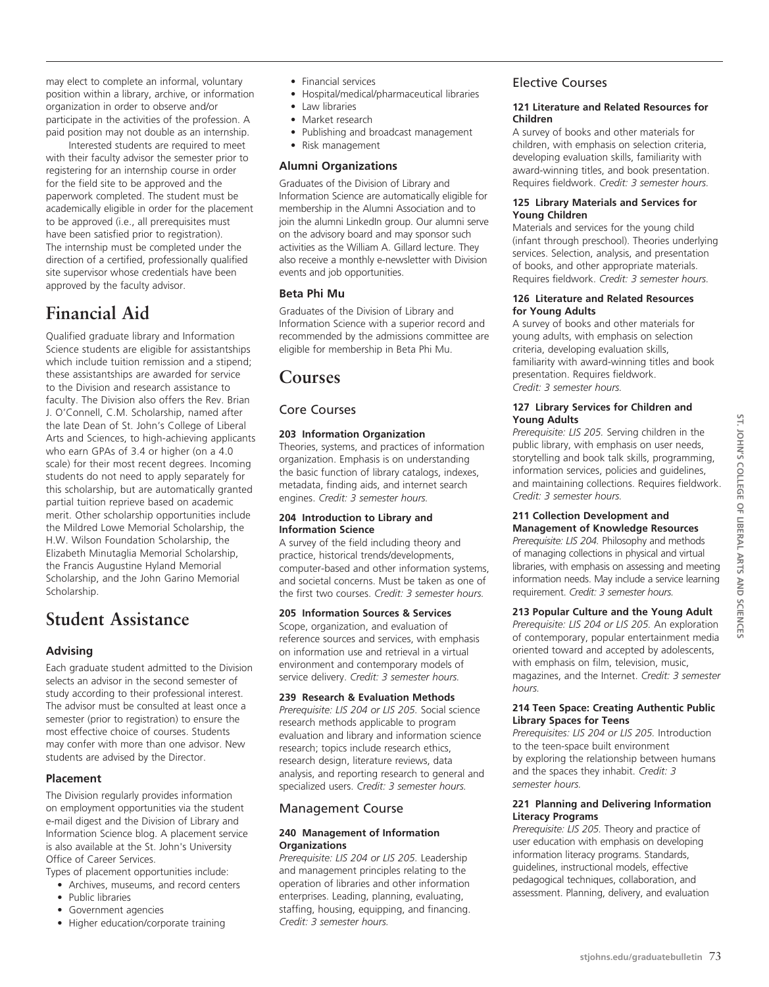may elect to complete an informal, voluntary position within a library, archive, or information organization in order to observe and/or participate in the activities of the profession. A paid position may not double as an internship.

Interested students are required to meet with their faculty advisor the semester prior to registering for an internship course in order for the field site to be approved and the paperwork completed. The student must be academically eligible in order for the placement to be approved (i.e., all prerequisites must have been satisfied prior to registration). The internship must be completed under the direction of a certified, professionally qualified site supervisor whose credentials have been approved by the faculty advisor.

# **Financial Aid**

Qualified graduate library and Information Science students are eligible for assistantships which include tuition remission and a stipend; these assistantships are awarded for service to the Division and research assistance to faculty. The Division also offers the Rev. Brian J. O'Connell, C.M. Scholarship, named after the late Dean of St. John's College of Liberal Arts and Sciences, to high-achieving applicants who earn GPAs of 3.4 or higher (on a 4.0 scale) for their most recent degrees. Incoming students do not need to apply separately for this scholarship, but are automatically granted partial tuition reprieve based on academic merit. Other scholarship opportunities include the Mildred Lowe Memorial Scholarship, the H.W. Wilson Foundation Scholarship, the Elizabeth Minutaglia Memorial Scholarship, the Francis Augustine Hyland Memorial Scholarship, and the John Garino Memorial Scholarship.

# **Student Assistance**

# **Advising**

Each graduate student admitted to the Division selects an advisor in the second semester of study according to their professional interest. The advisor must be consulted at least once a semester (prior to registration) to ensure the most effective choice of courses. Students may confer with more than one advisor. New students are advised by the Director.

# **Placement**

The Division regularly provides information on employment opportunities via the student e-mail digest and the Division of Library and Information Science blog. A placement service is also available at the St. John's University Office of Career Services.

Types of placement opportunities include:

- • Archives, museums, and record centers
- Public libraries
- Government agencies
- Higher education/corporate training
- • Financial services
- Hospital/medical/pharmaceutical libraries
- Law libraries
- Market research
- • Publishing and broadcast management
- • Risk management

# **Alumni Organizations**

Graduates of the Division of Library and Information Science are automatically eligible for membership in the Alumni Association and to join the alumni LinkedIn group. Our alumni serve on the advisory board and may sponsor such activities as the William A. Gillard lecture. They also receive a monthly e-newsletter with Division events and job opportunities.

# **Beta Phi Mu**

Graduates of the Division of Library and Information Science with a superior record and recommended by the admissions committee are eligible for membership in Beta Phi Mu.

# **Courses**

# Core Courses

# **203 Information Organization**

Theories, systems, and practices of information organization. Emphasis is on understanding the basic function of library catalogs, indexes, metadata, finding aids, and internet search engines. *Credit: 3 semester hours.*

#### **204 Introduction to Library and Information Science**

A survey of the field including theory and practice, historical trends/developments, computer-based and other information systems, and societal concerns. Must be taken as one of the first two courses. *Credit: 3 semester hours.*

# **205 Information Sources & Services**

Scope, organization, and evaluation of reference sources and services, with emphasis on information use and retrieval in a virtual environment and contemporary models of service delivery. *Credit: 3 semester hours.*

# **239 Research & Evaluation Methods**

*Prerequisite: LIS 204 or LIS 205.* Social science research methods applicable to program evaluation and library and information science research; topics include research ethics, research design, literature reviews, data analysis, and reporting research to general and specialized users. *Credit: 3 semester hours.*

# Management Course

# **240 Management of Information Organizations**

*Prerequisite: LIS 204 or LIS 205.* Leadership and management principles relating to the operation of libraries and other information enterprises. Leading, planning, evaluating, staffing, housing, equipping, and financing. *Credit: 3 semester hours.*

# Elective Courses

#### **121 Literature and Related Resources for Children**

A survey of books and other materials for children, with emphasis on selection criteria, developing evaluation skills, familiarity with award-winning titles, and book presentation. Requires fieldwork. *Credit: 3 semester hours.*

#### **125 Library Materials and Services for Young Children**

Materials and services for the young child (infant through preschool). Theories underlying services. Selection, analysis, and presentation of books, and other appropriate materials. Requires fieldwork. *Credit: 3 semester hours.*

#### **126 Literature and Related Resources for Young Adults**

A survey of books and other materials for young adults, with emphasis on selection criteria, developing evaluation skills, familiarity with award-winning titles and book presentation. Requires fieldwork. *Credit: 3 semester hours.*

#### **127 Library Services for Children and Young Adults**

*Prerequisite: LIS 205.* Serving children in the public library, with emphasis on user needs, storytelling and book talk skills, programming, information services, policies and guidelines, and maintaining collections. Requires fieldwork. *Credit: 3 semester hours.*

#### **211 Collection Development and Management of Knowledge Resources**

*Prerequisite: LIS 204.* Philosophy and methods of managing collections in physical and virtual libraries, with emphasis on assessing and meeting information needs. May include a service learning requirement. *Credit: 3 semester hours.*

# **213 Popular Culture and the Young Adult**

*Prerequisite: LIS 204 or LIS 205.* An exploration of contemporary, popular entertainment media oriented toward and accepted by adolescents, with emphasis on film, television, music, magazines, and the Internet. *Credit: 3 semester hours.*

#### **214 Teen Space: Creating Authentic Public Library Spaces for Teens**

*Prerequisites: LIS 204 or LIS 205.* Introduction to the teen-space built environment by exploring the relationship between humans and the spaces they inhabit. *Credit: 3 semester hours.*

# **221 Planning and Delivering Information Literacy Programs**

*Prerequisite: LIS 205.* Theory and practice of user education with emphasis on developing information literacy programs. Standards, guidelines, instructional models, effective pedagogical techniques, collaboration, and assessment. Planning, delivery, and evaluation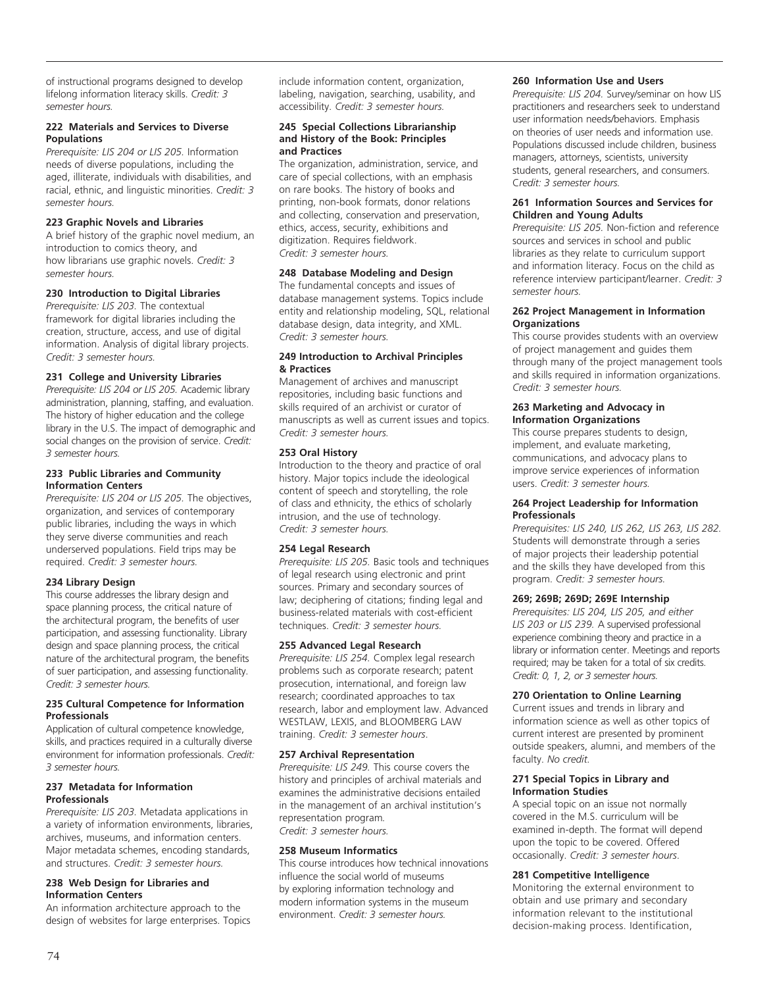of instructional programs designed to develop lifelong information literacy skills. *Credit: 3 semester hours.*

#### **222 Materials and Services to Diverse Populations**

*Prerequisite: LIS 204 or LIS 205.* Information needs of diverse populations, including the aged, illiterate, individuals with disabilities, and racial, ethnic, and linguistic minorities. *Credit: 3 semester hours.*

#### **223 Graphic Novels and Libraries**

A brief history of the graphic novel medium, an introduction to comics theory, and how librarians use graphic novels. *Credit: 3 semester hours.*

# **230 Introduction to Digital Libraries**

*Prerequisite: LIS 203.* The contextual framework for digital libraries including the creation, structure, access, and use of digital information. Analysis of digital library projects. *Credit: 3 semester hours.*

#### **231 College and University Libraries**

*Prerequisite: LIS 204 or LIS 205.* Academic library administration, planning, staffing, and evaluation. The history of higher education and the college library in the U.S. The impact of demographic and social changes on the provision of service. *Credit: 3 semester hours.*

#### **233 Public Libraries and Community Information Centers**

*Prerequisite: LIS 204 or LIS 205.* The objectives, organization, and services of contemporary public libraries, including the ways in which they serve diverse communities and reach underserved populations. Field trips may be required. *Credit: 3 semester hours.*

# **234 Library Design**

This course addresses the library design and space planning process, the critical nature of the architectural program, the benefits of user participation, and assessing functionality. Library design and space planning process, the critical nature of the architectural program, the benefits of suer participation, and assessing functionality. *Credit: 3 semester hours.*

#### **235 Cultural Competence for Information Professionals**

Application of cultural competence knowledge, skills, and practices required in a culturally diverse environment for information professionals. *Credit: 3 semester hours.*

#### **237 Metadata for Information Professionals**

*Prerequisite: LIS 203.* Metadata applications in a variety of information environments, libraries, archives, museums, and information centers. Major metadata schemes, encoding standards, and structures. *Credit: 3 semester hours.*

# **238 Web Design for Libraries and Information Centers**

An information architecture approach to the design of websites for large enterprises. Topics include information content, organization, labeling, navigation, searching, usability, and accessibility. *Credit: 3 semester hours.*

#### **245 Special Collections Librarianship and History of the Book: Principles and Practices**

The organization, administration, service, and care of special collections, with an emphasis on rare books. The history of books and printing, non-book formats, donor relations and collecting, conservation and preservation, ethics, access, security, exhibitions and digitization. Requires fieldwork. *Credit: 3 semester hours.*

#### **248 Database Modeling and Design**

The fundamental concepts and issues of database management systems. Topics include entity and relationship modeling, SQL, relational database design, data integrity, and XML. *Credit: 3 semester hours.*

#### **249 Introduction to Archival Principles & Practices**

Management of archives and manuscript repositories, including basic functions and skills required of an archivist or curator of manuscripts as well as current issues and topics. *Credit: 3 semester hours.*

#### **253 Oral History**

Introduction to the theory and practice of oral history. Major topics include the ideological content of speech and storytelling, the role of class and ethnicity, the ethics of scholarly intrusion, and the use of technology. *Credit: 3 semester hours.*

#### **254 Legal Research**

*Prerequisite: LIS 205.* Basic tools and techniques of legal research using electronic and print sources. Primary and secondary sources of law; deciphering of citations; finding legal and business-related materials with cost-efficient techniques. *Credit: 3 semester hours.*

#### **255 Advanced Legal Research**

*Prerequisite: LIS 254.* Complex legal research problems such as corporate research; patent prosecution, international, and foreign law research; coordinated approaches to tax research, labor and employment law. Advanced WESTLAW, LEXIS, and BLOOMBERG LAW training. *Credit: 3 semester hours*.

#### **257 Archival Representation**

*Prerequisite: LIS 249.* This course covers the history and principles of archival materials and examines the administrative decisions entailed in the management of an archival institution's representation program*. Credit: 3 semester hours.*

# **258 Museum Informatics**

This course introduces how technical innovations influence the social world of museums by exploring information technology and modern information systems in the museum environment. *Credit: 3 semester hours.*

#### **260 Information Use and Users**

*Prerequisite: LIS 204.* Survey/seminar on how LIS practitioners and researchers seek to understand user information needs/behaviors. Emphasis on theories of user needs and information use. Populations discussed include children, business managers, attorneys, scientists, university students, general researchers, and consumers. C*redit: 3 semester hours.*

#### **261 Information Sources and Services for Children and Young Adults**

*Prerequisite: LIS 205.* Non-fiction and reference sources and services in school and public libraries as they relate to curriculum support and information literacy. Focus on the child as reference interview participant/learner. *Credit: 3 semester hours.*

#### **262 Project Management in Information Organizations**

This course provides students with an overview of project management and guides them through many of the project management tools and skills required in information organizations. *Credit: 3 semester hours.* 

#### **263 Marketing and Advocacy in Information Organizations**

This course prepares students to design, implement, and evaluate marketing, communications, and advocacy plans to improve service experiences of information users. *Credit: 3 semester hours.* 

#### **264 Project Leadership for Information Professionals**

*Prerequisites: LIS 240, LIS 262, LIS 263, LIS 282.*  Students will demonstrate through a series of major projects their leadership potential and the skills they have developed from this program. *Credit: 3 semester hours.* 

#### **269; 269B; 269D; 269E Internship**

*Prerequisites: LIS 204, LIS 205, and either LIS 203 or LIS 239.* A supervised professional experience combining theory and practice in a library or information center. Meetings and reports required; may be taken for a total of six credits. *Credit: 0, 1, 2, or 3 semester hours.*

#### **270 Orientation to Online Learning**

Current issues and trends in library and information science as well as other topics of current interest are presented by prominent outside speakers, alumni, and members of the faculty. *No credit.*

#### **271 Special Topics in Library and Information Studies**

A special topic on an issue not normally covered in the M.S. curriculum will be examined in-depth. The format will depend upon the topic to be covered. Offered occasionally. *Credit: 3 semester hours*.

# **281 Competitive Intelligence**

Monitoring the external environment to obtain and use primary and secondary information relevant to the institutional decision-making process. Identification,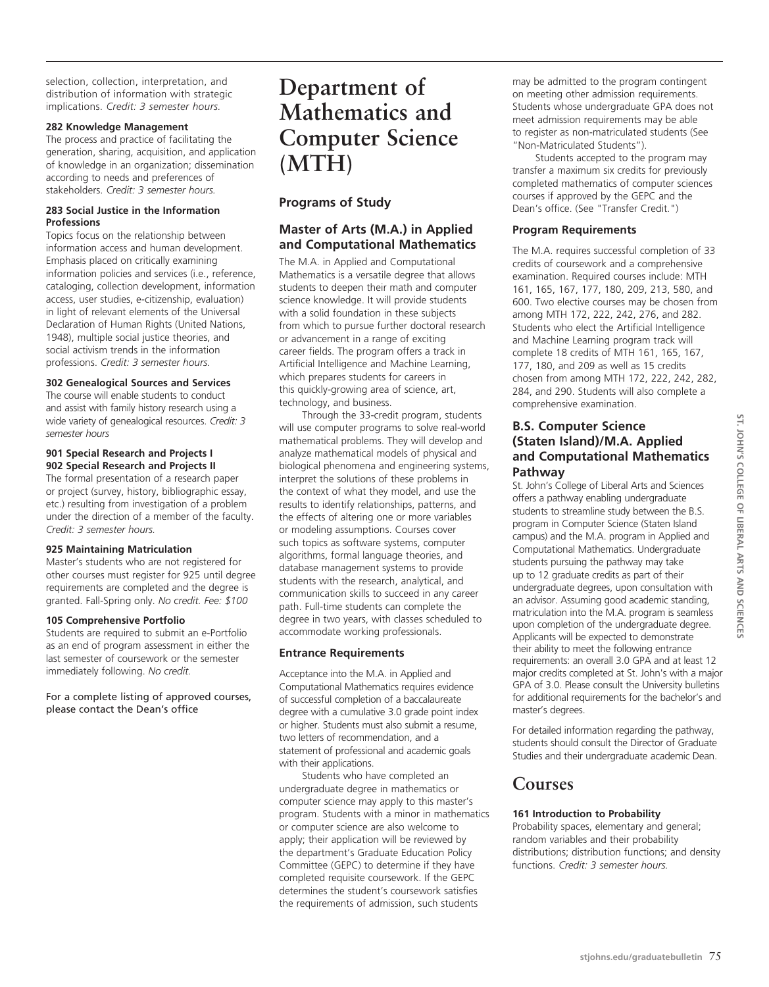selection, collection, interpretation, and distribution of information with strategic implications. *Credit: 3 semester hours.*

#### **282 Knowledge Management**

The process and practice of facilitating the generation, sharing, acquisition, and application of knowledge in an organization; dissemination according to needs and preferences of stakeholders. *Credit: 3 semester hours.*

#### **283 Social Justice in the Information Professions**

Topics focus on the relationship between information access and human development. Emphasis placed on critically examining information policies and services (i.e., reference, cataloging, collection development, information access, user studies, e-citizenship, evaluation) in light of relevant elements of the Universal Declaration of Human Rights (United Nations, 1948), multiple social justice theories, and social activism trends in the information professions. *Credit: 3 semester hours.*

# **302 Genealogical Sources and Services**

The course will enable students to conduct and assist with family history research using a wide variety of genealogical resources. *Credit: 3 semester hours* 

#### **901 Special Research and Projects I 902 Special Research and Projects II**

The formal presentation of a research paper or project (survey, history, bibliographic essay, etc.) resulting from investigation of a problem under the direction of a member of the faculty. *Credit: 3 semester hours.*

# **925 Maintaining Matriculation**

Master's students who are not registered for other courses must register for 925 until degree requirements are completed and the degree is granted. Fall-Spring only. *No credit. Fee: \$100*

# **105 Comprehensive Portfolio**

Students are required to submit an e-Portfolio as an end of program assessment in either the last semester of coursework or the semester immediately following. *No credit.*

For a complete listing of approved courses, please contact the Dean's office

# **Department of Mathematics and Computer Science (MTH)**

# **Programs of Study**

# **Master of Arts (M.A.) in Applied and Computational Mathematics**

The M.A. in Applied and Computational Mathematics is a versatile degree that allows students to deepen their math and computer science knowledge. It will provide students with a solid foundation in these subjects from which to pursue further doctoral research or advancement in a range of exciting career fields. The program offers a track in Artificial Intelligence and Machine Learning, which prepares students for careers in this quickly-growing area of science, art, technology, and business.

Through the 33-credit program, students will use computer programs to solve real-world mathematical problems. They will develop and analyze mathematical models of physical and biological phenomena and engineering systems, interpret the solutions of these problems in the context of what they model, and use the results to identify relationships, patterns, and the effects of altering one or more variables or modeling assumptions. Courses cover such topics as software systems, computer algorithms, formal language theories, and database management systems to provide students with the research, analytical, and communication skills to succeed in any career path. Full-time students can complete the degree in two years, with classes scheduled to accommodate working professionals.

# **Entrance Requirements**

Acceptance into the M.A. in Applied and Computational Mathematics requires evidence of successful completion of a baccalaureate degree with a cumulative 3.0 grade point index or higher. Students must also submit a resume, two letters of recommendation, and a statement of professional and academic goals with their applications.

Students who have completed an undergraduate degree in mathematics or computer science may apply to this master's program. Students with a minor in mathematics or computer science are also welcome to apply; their application will be reviewed by the department's Graduate Education Policy Committee (GEPC) to determine if they have completed requisite coursework. If the GEPC determines the student's coursework satisfies the requirements of admission, such students

may be admitted to the program contingent on meeting other admission requirements. Students whose undergraduate GPA does not meet admission requirements may be able to register as non-matriculated students (See "Non-Matriculated Students").

Students accepted to the program may transfer a maximum six credits for previously completed mathematics of computer sciences courses if approved by the GEPC and the Dean's office. (See "Transfer Credit.")

# **Program Requirements**

The M.A. requires successful completion of 33 credits of coursework and a comprehensive examination. Required courses include: MTH 161, 165, 167, 177, 180, 209, 213, 580, and 600. Two elective courses may be chosen from among MTH 172, 222, 242, 276, and 282. Students who elect the Artificial Intelligence and Machine Learning program track will complete 18 credits of MTH 161, 165, 167, 177, 180, and 209 as well as 15 credits chosen from among MTH 172, 222, 242, 282, 284, and 290. Students will also complete a comprehensive examination.

# **B.S. Computer Science (Staten Island)/M.A. Applied and Computational Mathematics Pathway**

St. John's College of Liberal Arts and Sciences offers a pathway enabling undergraduate students to streamline study between the B.S. program in Computer Science (Staten Island campus) and the M.A. program in Applied and Computational Mathematics. Undergraduate students pursuing the pathway may take up to 12 graduate credits as part of their undergraduate degrees, upon consultation with an advisor. Assuming good academic standing, matriculation into the M.A. program is seamless upon completion of the undergraduate degree. Applicants will be expected to demonstrate their ability to meet the following entrance requirements: an overall 3.0 GPA and at least 12 major credits completed at St. John's with a major GPA of 3.0. Please consult the University bulletins for additional requirements for the bachelor's and master's degrees.

For detailed information regarding the pathway, students should consult the Director of Graduate Studies and their undergraduate academic Dean.

# **Courses**

# **161 Introduction to Probability**

Probability spaces, elementary and general; random variables and their probability distributions; distribution functions; and density functions. *Credit: 3 semester hours.*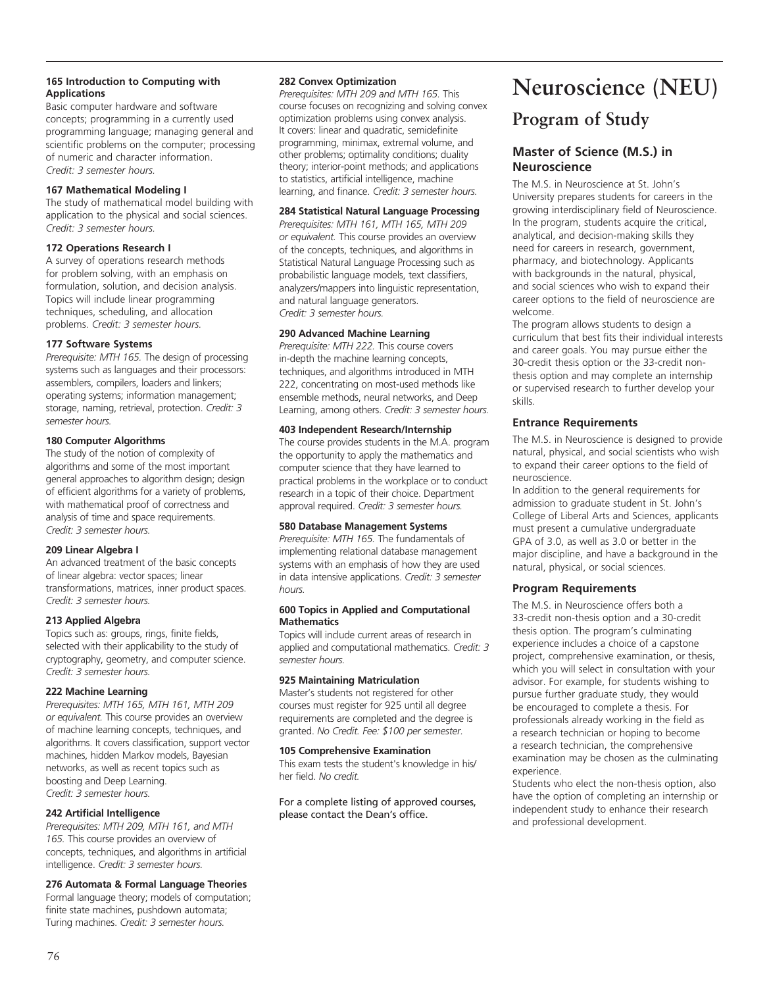# **165 Introduction to Computing with Applications**

Basic computer hardware and software concepts; programming in a currently used programming language; managing general and scientific problems on the computer; processing of numeric and character information. *Credit: 3 semester hours.*

#### **167 Mathematical Modeling I**

The study of mathematical model building with application to the physical and social sciences. *Credit: 3 semester hours.*

# **172 Operations Research I**

A survey of operations research methods for problem solving, with an emphasis on formulation, solution, and decision analysis. Topics will include linear programming techniques, scheduling, and allocation problems. *Credit: 3 semester hours.*

# **177 Software Systems**

*Prerequisite: MTH 165.* The design of processing systems such as languages and their processors: assemblers, compilers, loaders and linkers; operating systems; information management; storage, naming, retrieval, protection. *Credit: 3 semester hours.*

# **180 Computer Algorithms**

The study of the notion of complexity of algorithms and some of the most important general approaches to algorithm design; design of efficient algorithms for a variety of problems, with mathematical proof of correctness and analysis of time and space requirements. *Credit: 3 semester hours.*

# **209 Linear Algebra I**

An advanced treatment of the basic concepts of linear algebra: vector spaces; linear transformations, matrices, inner product spaces. *Credit: 3 semester hours.*

# **213 Applied Algebra**

Topics such as: groups, rings, finite fields, selected with their applicability to the study of cryptography, geometry, and computer science. *Credit: 3 semester hours.*

# **222 Machine Learning**

*Prerequisites: MTH 165, MTH 161, MTH 209 or equivalent.* This course provides an overview of machine learning concepts, techniques, and algorithms. It covers classification, support vector machines, hidden Markov models, Bayesian networks, as well as recent topics such as boosting and Deep Learning. *Credit: 3 semester hours.*

# **242 Artificial Intelligence**

*Prerequisites: MTH 209, MTH 161, and MTH 165.* This course provides an overview of concepts, techniques, and algorithms in artificial intelligence. *Credit: 3 semester hours.*

# **276 Automata & Formal Language Theories**

Formal language theory; models of computation; finite state machines, pushdown automata; Turing machines. *Credit: 3 semester hours.* 

#### **282 Convex Optimization**

*Prerequisites: MTH 209 and MTH 165.* This course focuses on recognizing and solving convex optimization problems using convex analysis. It covers: linear and quadratic, semidefinite programming, minimax, extremal volume, and other problems; optimality conditions; duality theory; interior-point methods; and applications to statistics, artificial intelligence, machine learning, and finance. *Credit: 3 semester hours.* 

# **284 Statistical Natural Language Processing**

*Prerequisites: MTH 161, MTH 165, MTH 209 or equivalent.* This course provides an overview of the concepts, techniques, and algorithms in Statistical Natural Language Processing such as probabilistic language models, text classifiers, analyzers/mappers into linguistic representation, and natural language generators. *Credit: 3 semester hours.*

#### **290 Advanced Machine Learning**

*Prerequisite: MTH 222.* This course covers in-depth the machine learning concepts, techniques, and algorithms introduced in MTH 222, concentrating on most-used methods like ensemble methods, neural networks, and Deep Learning, among others. *Credit: 3 semester hours.*

#### **403 Independent Research/Internship**

The course provides students in the M.A. program the opportunity to apply the mathematics and computer science that they have learned to practical problems in the workplace or to conduct research in a topic of their choice. Department approval required. *Credit: 3 semester hours.*

# **580 Database Management Systems**

*Prerequisite: MTH 165.* The fundamentals of implementing relational database management systems with an emphasis of how they are used in data intensive applications. *Credit: 3 semester hours.*

#### **600 Topics in Applied and Computational Mathematics**

Topics will include current areas of research in applied and computational mathematics. *Credit: 3 semester hours.*

# **925 Maintaining Matriculation**

Master's students not registered for other courses must register for 925 until all degree requirements are completed and the degree is granted. *No Credit. Fee: \$100 per semester.*

#### **105 Comprehensive Examination**

This exam tests the student's knowledge in his/ her field. *No credit.*

For a complete listing of approved courses, please contact the Dean's office.

# **Neuroscience (NEU)**

# **Program of Study**

# **Master of Science (M.S.) in Neuroscience**

The M.S. in Neuroscience at St. John's University prepares students for careers in the growing interdisciplinary field of Neuroscience. In the program, students acquire the critical, analytical, and decision-making skills they need for careers in research, government, pharmacy, and biotechnology. Applicants with backgrounds in the natural, physical, and social sciences who wish to expand their career options to the field of neuroscience are welcome.

The program allows students to design a curriculum that best fits their individual interests and career goals. You may pursue either the 30-credit thesis option or the 33-credit nonthesis option and may complete an internship or supervised research to further develop your skills.

# **Entrance Requirements**

The M.S. in Neuroscience is designed to provide natural, physical, and social scientists who wish to expand their career options to the field of neuroscience.

In addition to the general requirements for admission to graduate student in St. John's College of Liberal Arts and Sciences, applicants must present a cumulative undergraduate GPA of 3.0, as well as 3.0 or better in the major discipline, and have a background in the natural, physical, or social sciences.

# **Program Requirements**

The M.S. in Neuroscience offers both a 33-credit non-thesis option and a 30-credit thesis option. The program's culminating experience includes a choice of a capstone project, comprehensive examination, or thesis, which you will select in consultation with your advisor. For example, for students wishing to pursue further graduate study, they would be encouraged to complete a thesis. For professionals already working in the field as a research technician or hoping to become a research technician, the comprehensive examination may be chosen as the culminating experience.

Students who elect the non-thesis option, also have the option of completing an internship or independent study to enhance their research and professional development.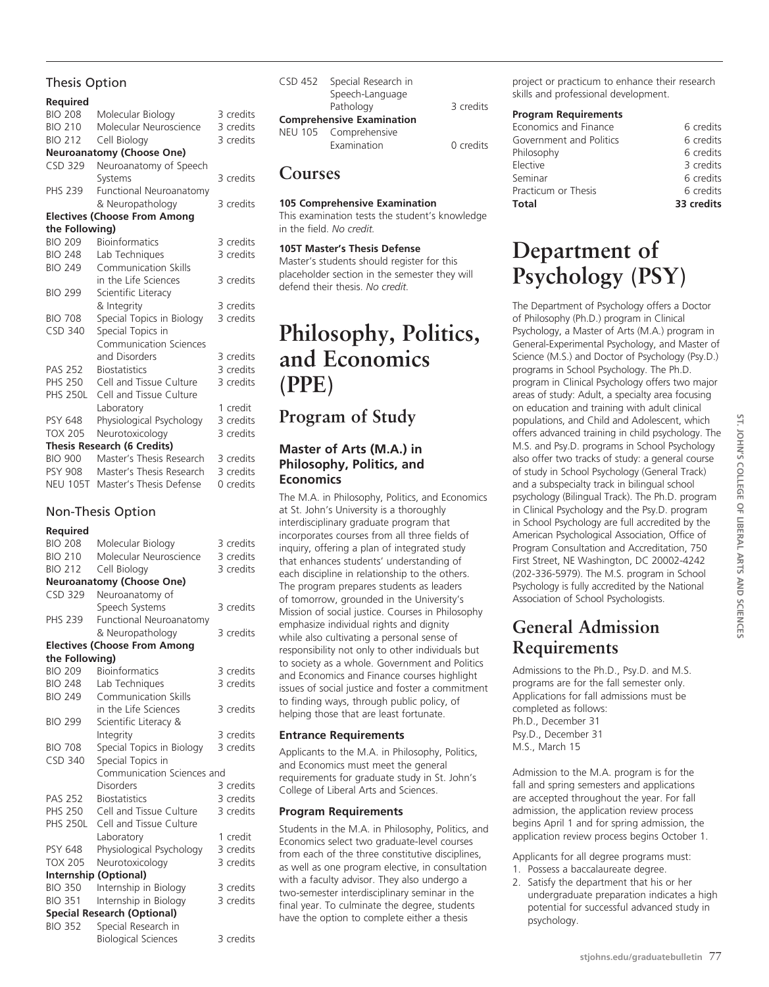# Thesis Option

# **Required**

| <b>BIO 208</b>  | Molecular Biology                   | 3 credits |
|-----------------|-------------------------------------|-----------|
| <b>BIO 210</b>  | Molecular Neuroscience              | 3 credits |
| <b>BIO 212</b>  | Cell Biology                        | 3 credits |
|                 | <b>Neuroanatomy (Choose One)</b>    |           |
| CSD 329         | Neuroanatomy of Speech              |           |
|                 | Systems                             | 3 credits |
| <b>PHS 239</b>  | Functional Neuroanatomy             |           |
|                 | & Neuropathology                    | 3 credits |
|                 | <b>Electives (Choose From Among</b> |           |
| the Following)  |                                     |           |
| <b>BIO 209</b>  | <b>Bioinformatics</b>               | 3 credits |
| <b>BIO 248</b>  | Lab Techniques                      | 3 credits |
| <b>BIO 249</b>  | Communication Skills                |           |
|                 | in the Life Sciences                | 3 credits |
| <b>BIO 299</b>  | Scientific Literacy                 |           |
|                 | & Integrity                         | 3 credits |
| <b>BIO 708</b>  | Special Topics in Biology           | 3 credits |
| <b>CSD 340</b>  | Special Topics in                   |           |
|                 | <b>Communication Sciences</b>       |           |
|                 | and Disorders                       | 3 credits |
| <b>PAS 252</b>  | <b>Biostatistics</b>                | 3 credits |
| <b>PHS 250</b>  | Cell and Tissue Culture             | 3 credits |
| <b>PHS 250L</b> | Cell and Tissue Culture             |           |
|                 | Laboratory                          | 1 credit  |
| <b>PSY 648</b>  | Physiological Psychology            | 3 credits |
| <b>TOX 205</b>  | Neurotoxicology                     | 3 credits |
|                 | <b>Thesis Research (6 Credits)</b>  |           |
| <b>BIO 900</b>  | Master's Thesis Research            | 3 credits |
| <b>PSY 908</b>  | Master's Thesis Research            | 3 credits |
| <b>NEU 105T</b> | Master's Thesis Defense             | 0 credits |

# Non-Thesis Option

#### **Required**

| <b>BIO 208</b>  | Molecular Biology                   | 3 credits |
|-----------------|-------------------------------------|-----------|
| <b>BIO 210</b>  | Molecular Neuroscience              | 3 credits |
| <b>BIO 212</b>  | Cell Biology                        | 3 credits |
|                 | <b>Neuroanatomy (Choose One)</b>    |           |
| <b>CSD 329</b>  | Neuroanatomy of                     |           |
|                 | Speech Systems                      | 3 credits |
| <b>PHS 239</b>  | Functional Neuroanatomy             |           |
|                 | & Neuropathology                    | 3 credits |
|                 | <b>Electives (Choose From Among</b> |           |
| the Following)  |                                     |           |
| <b>BIO 209</b>  | <b>Bioinformatics</b>               | 3 credits |
| <b>BIO 248</b>  | Lab Techniques                      | 3 credits |
| <b>BIO 249</b>  | <b>Communication Skills</b>         |           |
|                 | in the Life Sciences                | 3 credits |
| <b>BIO 299</b>  | Scientific Literacy &               |           |
|                 | Integrity                           | 3 credits |
| <b>BIO 708</b>  | Special Topics in Biology           | 3 credits |
| <b>CSD 340</b>  | Special Topics in                   |           |
|                 | Communication Sciences and          |           |
|                 | <b>Disorders</b>                    | 3 credits |
| <b>PAS 252</b>  | <b>Biostatistics</b>                | 3 credits |
| <b>PHS 250</b>  | Cell and Tissue Culture             | 3 credits |
| <b>PHS 250L</b> | Cell and Tissue Culture             |           |
|                 | Laboratory                          | 1 credit  |
| <b>PSY 648</b>  | Physiological Psychology            | 3 credits |
| <b>TOX 205</b>  | Neurotoxicology                     | 3 credits |
|                 | Internship (Optional)               |           |
| <b>BIO 350</b>  | Internship in Biology               | 3 credits |
| <b>BIO 351</b>  | Internship in Biology               | 3 credits |
|                 | <b>Special Research (Optional)</b>  |           |
| <b>BIO 352</b>  | Special Research in                 |           |
|                 | <b>Biological Sciences</b>          | 3 credits |

| CSD 452 Special Research in<br>Speech-Language |           |
|------------------------------------------------|-----------|
| Pathology                                      | 3 credits |
| <b>Comprehensive Examination</b>               |           |
| NEU 105 Comprehensive<br>Examination           | 0 credits |

# **Courses**

#### **105 Comprehensive Examination**

This examination tests the student's knowledge in the field. *No credit.*

#### **105T Master's Thesis Defense**

Master's students should register for this placeholder section in the semester they will defend their thesis. *No credit.*

# **Philosophy, Politics, and Economics (PPE)**

# **Program of Study**

# **Master of Arts (M.A.) in Philosophy, Politics, and Economics**

The M.A. in Philosophy, Politics, and Economics at St. John's University is a thoroughly interdisciplinary graduate program that incorporates courses from all three fields of inquiry, offering a plan of integrated study that enhances students' understanding of each discipline in relationship to the others. The program prepares students as leaders of tomorrow, grounded in the University's Mission of social justice. Courses in Philosophy emphasize individual rights and dignity while also cultivating a personal sense of responsibility not only to other individuals but to society as a whole. Government and Politics and Economics and Finance courses highlight issues of social justice and foster a commitment to finding ways, through public policy, of helping those that are least fortunate.

# **Entrance Requirements**

Applicants to the M.A. in Philosophy, Politics, and Economics must meet the general requirements for graduate study in St. John's College of Liberal Arts and Sciences.

# **Program Requirements**

Students in the M.A. in Philosophy, Politics, and Economics select two graduate-level courses from each of the three constitutive disciplines, as well as one program elective, in consultation with a faculty advisor. They also undergo a two-semester interdisciplinary seminar in the final year. To culminate the degree, students have the option to complete either a thesis

project or practicum to enhance their research skills and professional development.

#### **Program Requirements**

| Total                   | 33 credits |
|-------------------------|------------|
| Practicum or Thesis     | 6 credits  |
| Seminar                 | 6 credits  |
| Elective                | 3 credits  |
| Philosophy              | 6 credits  |
| Government and Politics | 6 credits  |
| Economics and Finance   | 6 credits  |
|                         |            |

# **Department of Psychology (psy)**

The Department of Psychology offers a Doctor of Philosophy (Ph.D.) program in Clinical Psychology, a Master of Arts (M.A.) program in General-Experimental Psychology, and Master of Science (M.S.) and Doctor of Psychology (Psy.D.) programs in School Psychology. The Ph.D. program in Clinical Psychology offers two major areas of study: Adult, a specialty area focusing on education and training with adult clinical populations, and Child and Adolescent, which offers advanced training in child psychology. The M.S. and Psy.D. programs in School Psychology also offer two tracks of study: a general course of study in School Psychology (General Track) and a subspecialty track in bilingual school psychology (Bilingual Track). The Ph.D. program in Clinical Psychology and the Psy.D. program in School Psychology are full accredited by the American Psychological Association, Office of Program Consultation and Accreditation, 750 First Street, NE Washington, DC 20002-4242 (202-336-5979). The M.S. program in School Psychology is fully accredited by the National Association of School Psychologists.

# **General Admission Requirements**

Admissions to the Ph.D., Psy.D. and M.S. programs are for the fall semester only. Applications for fall admissions must be completed as follows: Ph.D., December 31 Psy.D., December 31 M.S., March 15

Admission to the M.A. program is for the fall and spring semesters and applications are accepted throughout the year. For fall admission, the application review process begins April 1 and for spring admission, the application review process begins October 1.

Applicants for all degree programs must:

- 1. Possess a baccalaureate degree.
- 2. Satisfy the department that his or her undergraduate preparation indicates a high potential for successful advanced study in psychology.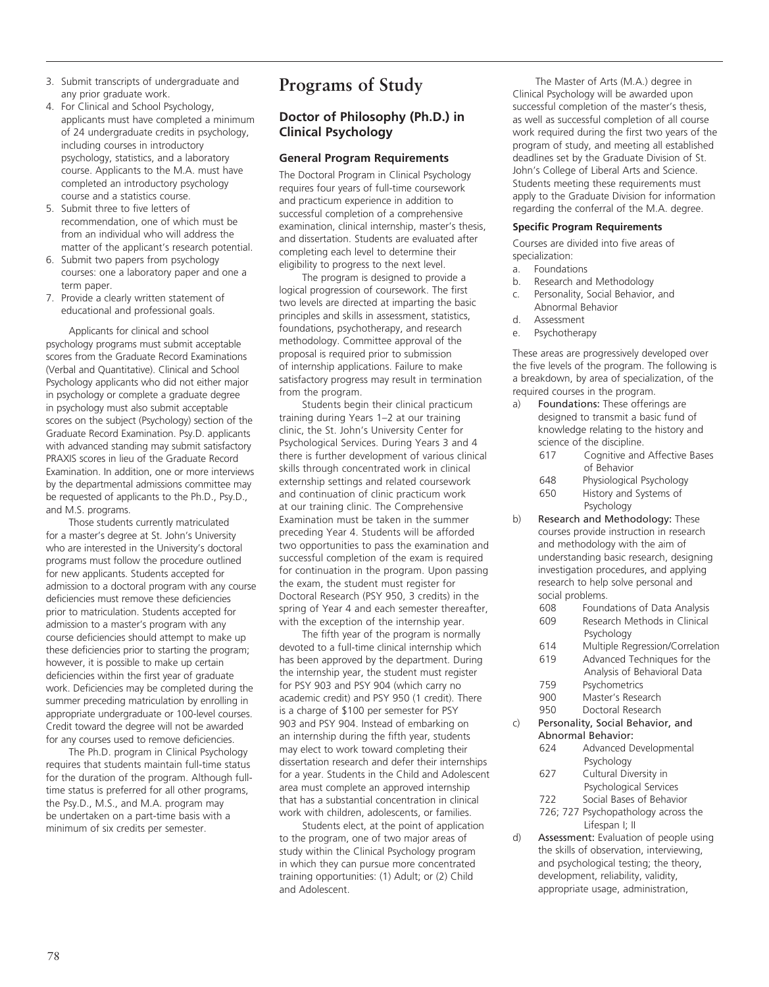- 3. Submit transcripts of undergraduate and any prior graduate work.
- 4. For Clinical and School Psychology, applicants must have completed a minimum of 24 undergraduate credits in psychology, including courses in introductory psychology, statistics, and a laboratory course. Applicants to the M.A. must have completed an introductory psychology course and a statistics course.
- 5. Submit three to five letters of recommendation, one of which must be from an individual who will address the matter of the applicant's research potential.
- 6. Submit two papers from psychology courses: one a laboratory paper and one a term paper.
- 7. Provide a clearly written statement of educational and professional goals.

Applicants for clinical and school psychology programs must submit acceptable scores from the Graduate Record Examinations (Verbal and Quantitative). Clinical and School Psychology applicants who did not either major in psychology or complete a graduate degree in psychology must also submit acceptable scores on the subject (Psychology) section of the Graduate Record Examination. Psy.D. applicants with advanced standing may submit satisfactory PRAXIS scores in lieu of the Graduate Record Examination. In addition, one or more interviews by the departmental admissions committee may be requested of applicants to the Ph.D., Psy.D., and M.S. programs.

Those students currently matriculated for a master's degree at St. John's University who are interested in the University's doctoral programs must follow the procedure outlined for new applicants. Students accepted for admission to a doctoral program with any course deficiencies must remove these deficiencies prior to matriculation. Students accepted for admission to a master's program with any course deficiencies should attempt to make up these deficiencies prior to starting the program; however, it is possible to make up certain deficiencies within the first year of graduate work. Deficiencies may be completed during the summer preceding matriculation by enrolling in appropriate undergraduate or 100-level courses. Credit toward the degree will not be awarded for any courses used to remove deficiencies.

The Ph.D. program in Clinical Psychology requires that students maintain full-time status for the duration of the program. Although fulltime status is preferred for all other programs, the Psy.D., M.S., and M.A. program may be undertaken on a part-time basis with a minimum of six credits per semester.

# **Programs of Study**

# **Doctor of Philosophy (Ph.D.) in Clinical Psychology**

# **General Program Requirements**

The Doctoral Program in Clinical Psychology requires four years of full-time coursework and practicum experience in addition to successful completion of a comprehensive examination, clinical internship, master's thesis, and dissertation. Students are evaluated after completing each level to determine their eligibility to progress to the next level.

The program is designed to provide a logical progression of coursework. The first two levels are directed at imparting the basic principles and skills in assessment, statistics, foundations, psychotherapy, and research methodology. Committee approval of the proposal is required prior to submission of internship applications. Failure to make satisfactory progress may result in termination from the program.

Students begin their clinical practicum training during Years 1–2 at our training clinic, the St. John's University Center for Psychological Services. During Years 3 and 4 there is further development of various clinical skills through concentrated work in clinical externship settings and related coursework and continuation of clinic practicum work at our training clinic. The Comprehensive Examination must be taken in the summer preceding Year 4. Students will be afforded two opportunities to pass the examination and successful completion of the exam is required for continuation in the program. Upon passing the exam, the student must register for Doctoral Research (PSY 950, 3 credits) in the spring of Year 4 and each semester thereafter, with the exception of the internship year.

The fifth year of the program is normally devoted to a full-time clinical internship which has been approved by the department. During the internship year, the student must register for PSY 903 and PSY 904 (which carry no academic credit) and PSY 950 (1 credit). There is a charge of \$100 per semester for PSY 903 and PSY 904. Instead of embarking on an internship during the fifth year, students may elect to work toward completing their dissertation research and defer their internships for a year. Students in the Child and Adolescent area must complete an approved internship that has a substantial concentration in clinical work with children, adolescents, or families.

Students elect, at the point of application to the program, one of two major areas of study within the Clinical Psychology program in which they can pursue more concentrated training opportunities: (1) Adult; or (2) Child and Adolescent.

The Master of Arts (M.A.) degree in Clinical Psychology will be awarded upon successful completion of the master's thesis, as well as successful completion of all course work required during the first two years of the program of study, and meeting all established deadlines set by the Graduate Division of St. John's College of Liberal Arts and Science. Students meeting these requirements must apply to the Graduate Division for information regarding the conferral of the M.A. degree.

#### **Specific Program Requirements**

Courses are divided into five areas of specialization:

- a. Foundations
- b. Research and Methodology
- c. Personality, Social Behavior, and Abnormal Behavior
- d. Assessment
- e. Psychotherapy

These areas are progressively developed over the five levels of the program. The following is a breakdown, by area of specialization, of the required courses in the program.

- a) Foundations: These offerings are designed to transmit a basic fund of knowledge relating to the history and science of the discipline.
	- 617 Cognitive and Affective Bases of Behavior 648 Physiological Psychology

650 History and Systems of Psychology

- b) Research and Methodology: These courses provide instruction in research and methodology with the aim of understanding basic research, designing investigation procedures, and applying research to help solve personal and social problems.
	- 608 Foundations of Data Analysis 609 Research Methods in Clinical Psychology
	- 614 Multiple Regression/Correlation
	- 619 Advanced Techniques for the Analysis of Behavioral Data
	- 759 Psychometrics
	- 900 Master's Research
	- 950 Doctoral Research

c) Personality, Social Behavior, and Abnormal Behavior:

- 624 Advanced Developmental Psychology
- 627 Cultural Diversity in Psychological Services
- 722 Social Bases of Behavior
- 726; 727 Psychopathology across the Lifespan I; II
- d) Assessment: Evaluation of people using the skills of observation, interviewing, and psychological testing; the theory, development, reliability, validity, appropriate usage, administration,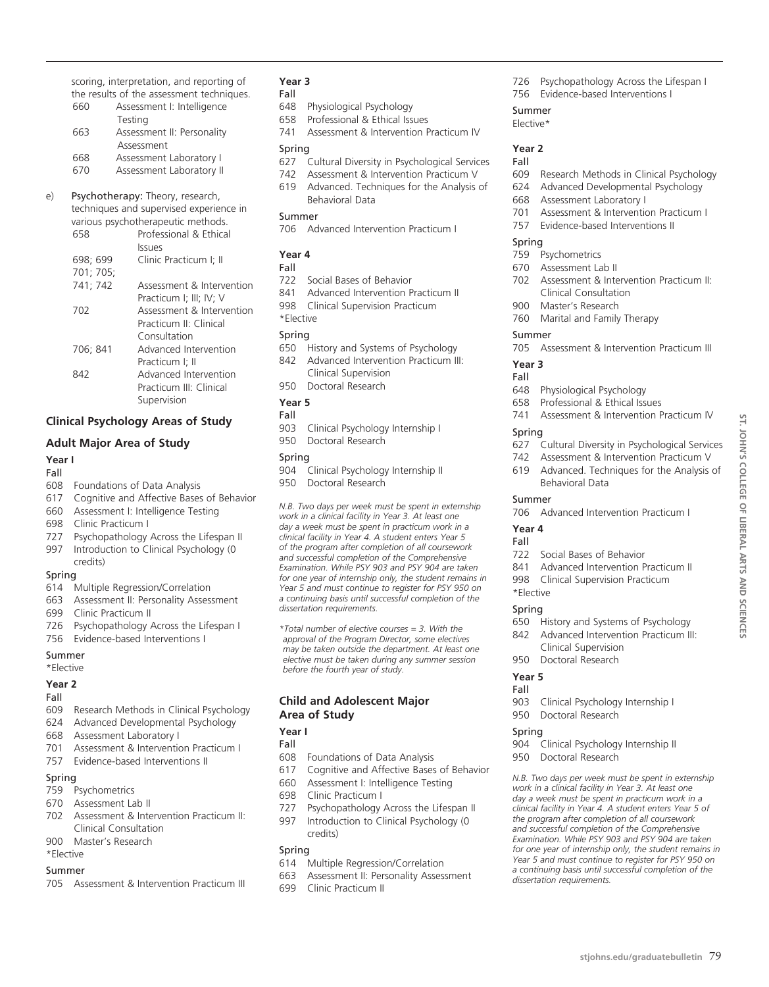scoring, interpretation, and reporting of the results of the assessment techniques.

- 660 Assessment I: Intelligence Testing 663 Assessment II: Personality Assessment 668 Assessment Laboratory I
- 670 Assessment Laboratory II
- e) Psychotherapy: Theory, research, techniques and supervised experience in

|           | various psychotherapeutic methods. |
|-----------|------------------------------------|
| 658       | Professional & Ethical             |
|           | <b>Issues</b>                      |
| 698; 699  | Clinic Practicum I; II             |
| 701; 705; |                                    |
| 741: 742  | Assessment & Intervention          |
|           | Practicum I; III; IV; V            |
| 702       | Assessment & Intervention          |
|           | Practicum II <sup>.</sup> Clinical |
|           | Consultation                       |
| 706; 841  | Advanced Intervention              |
|           | Practicum I; II                    |
| 842       | Advanced Intervention              |
|           | Practicum III: Clinical            |
|           | Supervision                        |
|           |                                    |

# **Clinical Psychology Areas of Study**

# **Adult Major Area of Study**

#### **Year I** Fall

- 608 Foundations of Data Analysis
- 617 Cognitive and Affective Bases of Behavior
- 660 Assessment I: Intelligence Testing
- 698 Clinic Practicum I
- 727 Psychopathology Across the Lifespan II
- 997 Introduction to Clinical Psychology (0 credits)

#### Spring

- 614 Multiple Regression/Correlation
- 663 Assessment II: Personality Assessment
- 699 Clinic Practicum II
- 726 Psychopathology Across the Lifespan I
- 756 Evidence-based Interventions I

#### Summer

\*Elective

#### **Year 2**

- Fall
- 609 Research Methods in Clinical Psychology
- 624 Advanced Developmental Psychology
- 668 Assessment Laboratory I
- 701 Assessment & Intervention Practicum I
- 757 Evidence-based Interventions II

# Spring

- 759 Psychometrics
- 670 Assessment Lab II
- 702 Assessment & Intervention Practicum II: Clinical Consultation
- 900 Master's Research

# \*Elective

# Summer

705 Assessment & Intervention Practicum III

# **Year 3**

- Fall<br>648
- Physiological Psychology
- 658 Professional & Ethical Issues
- 741 Assessment & Intervention Practicum IV Spring

- 627 Cultural Diversity in Psychological Services
- 742 Assessment & Intervention Practicum V 619 Advanced. Techniques for the Analysis of Behavioral Data

#### Summer

706 Advanced Intervention Practicum I

# **Year 4**

# Fall

- 722 Social Bases of Behavior
- 841 Advanced Intervention Practicum II
- 998 Clinical Supervision Practicum

# \*Elective

# Spring

- 650 History and Systems of Psychology
- 842 Advanced Intervention Practicum III: Clinical Supervision
- 950 Doctoral Research

# **Year 5**

- Fall
- 903 Clinical Psychology Internship I 950 Doctoral Research

# Spring

- 904 Clinical Psychology Internship II
- 950 Doctoral Research

*N.B. Two days per week must be spent in externship work in a clinical facility in Year 3. At least one day a week must be spent in practicum work in a clinical facility in Year 4. A student enters Year 5 of the program after completion of all coursework and successful completion of the Comprehensive Examination. While PSY 903 and PSY 904 are taken for one year of internship only, the student remains in Year 5 and must continue to register for PSY 950 on a continuing basis until successful completion of the dissertation requirements.*

*\*Total number of elective courses = 3. With the approval of the Program Director, some electives may be taken outside the department. At least one elective must be taken during any summer session before the fourth year of study.*

# **Child and Adolescent Major Area of Study**

# **Year I**

Fall

- 608 Foundations of Data Analysis
- 617 Cognitive and Affective Bases of Behavior
- 660 Assessment I: Intelligence Testing
- 698 Clinic Practicum I
- 727 Psychopathology Across the Lifespan II
- 997 Introduction to Clinical Psychology (0 credits)

# Spring

- 614 Multiple Regression/Correlation
- 663 Assessment II: Personality Assessment
- 699 Clinic Practicum II
- 726 Psychopathology Across the Lifespan I 756 Evidence-based Interventions I
	-

#### Summer Elective\*

#### **Year 2** Fall

- 609 Research Methods in Clinical Psychology
- 624 Advanced Developmental Psychology
- 668 Assessment Laboratory I
- 701 Assessment & Intervention Practicum I
- 757 Evidence-based Interventions II

# Spring

- 759 Psychometrics
- 670 Assessment Lab II
- 702 Assessment & Intervention Practicum II: Clinical Consultation
- 900 Master's Research
- 760 Marital and Family Therapy

# Summer

705 Assessment & Intervention Practicum III

741 Assessment & Intervention Practicum IV

627 Cultural Diversity in Psychological Services 742 Assessment & Intervention Practicum V 619 Advanced. Techniques for the Analysis of

706 Advanced Intervention Practicum I

841 Advanced Intervention Practicum II 998 Clinical Supervision Practicum

650 History and Systems of Psychology 842 Advanced Intervention Practicum III: Clinical Supervision 950 Doctoral Research

903 Clinical Psychology Internship I

904 Clinical Psychology Internship II

*N.B. Two days per week must be spent in externship work in a clinical facility in Year 3. At least one day a week must be spent in practicum work in a clinical facility in Year 4. A student enters Year 5 of the program after completion of all coursework and successful completion of the Comprehensive Examination. While PSY 903 and PSY 904 are taken for one year of internship only, the student remains in Year 5 and must continue to register for PSY 950 on a continuing basis until successful completion of the*

950 Doctoral Research

950 Doctoral Research

*dissertation requirements.* 

**stjohns.edu/graduatebulletin** 79

**st. John's**

**college of Liberal Arts**

ST. JOHN'S COLLEGE OF LIBERAL ARTS AND SCIENCES

**and Sciences**

#### **Year 3** Fall

Spring

Summer

**Year 4** Fall

\*Elective Spring

**Year 5** Fall

Spring

- 648 Physiological Psychology
- 658 Professional & Ethical Issues

Behavioral Data

722 Social Bases of Behavior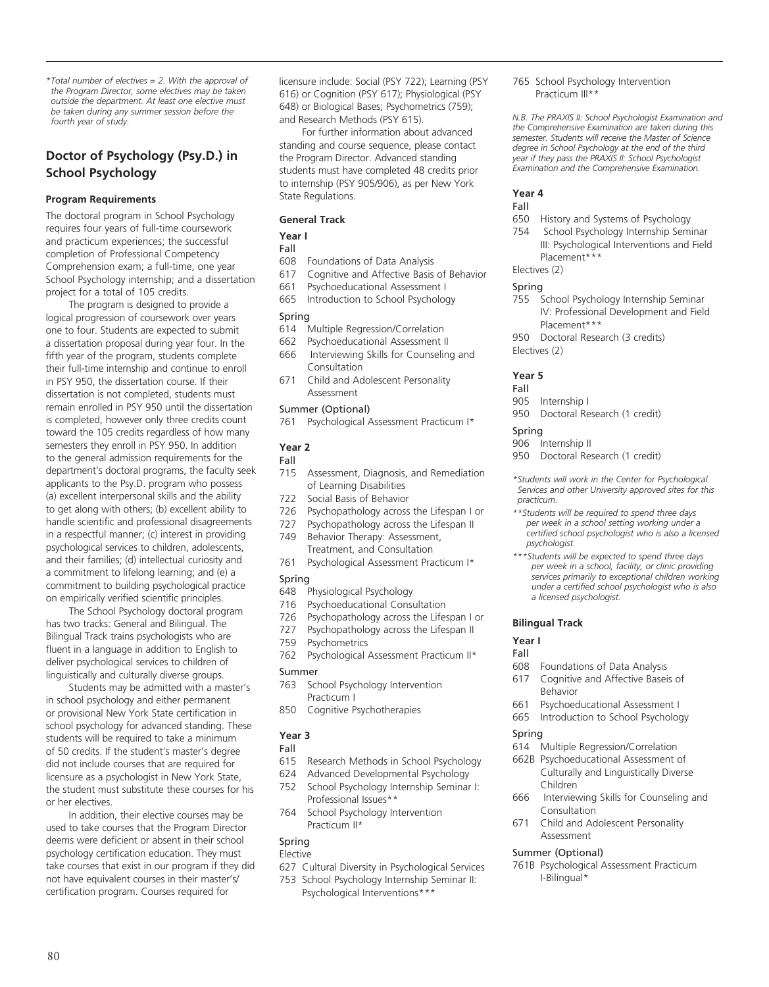*\*Total number of electives = 2. With the approval of the Program Director, some electives may be taken outside the department. At least one elective must be taken during any summer session before the fourth year of study.* 

# **Doctor of Psychology (Psy.D.) in School Psychology**

#### **Program Requirements**

The doctoral program in School Psychology requires four years of full-time coursework and practicum experiences; the successful completion of Professional Competency Comprehension exam; a full-time, one year School Psychology internship; and a dissertation project for a total of 105 credits.

The program is designed to provide a logical progression of coursework over years one to four. Students are expected to submit a dissertation proposal during year four. In the fifth year of the program, students complete their full-time internship and continue to enroll in PSY 950, the dissertation course. If their dissertation is not completed, students must remain enrolled in PSY 950 until the dissertation is completed, however only three credits count toward the 105 credits regardless of how many semesters they enroll in PSY 950. In addition to the general admission requirements for the department's doctoral programs, the faculty seek applicants to the Psy.D. program who possess (a) excellent interpersonal skills and the ability to get along with others; (b) excellent ability to handle scientific and professional disagreements in a respectful manner; (c) interest in providing psychological services to children, adolescents, and their families; (d) intellectual curiosity and a commitment to lifelong learning; and (e) a commitment to building psychological practice on empirically verified scientific principles.

The School Psychology doctoral program has two tracks: General and Bilingual. The Bilingual Track trains psychologists who are fluent in a language in addition to English to deliver psychological services to children of linguistically and culturally diverse groups.

Students may be admitted with a master's in school psychology and either permanent or provisional New York State certification in school psychology for advanced standing. These students will be required to take a minimum of 50 credits. If the student's master's degree did not include courses that are required for licensure as a psychologist in New York State, the student must substitute these courses for his or her electives.

In addition, their elective courses may be used to take courses that the Program Director deems were deficient or absent in their school psychology certification education. They must take courses that exist in our program if they did not have equivalent courses in their master's/ certification program. Courses required for

licensure include: Social (PSY 722); Learning (PSY 616) or Cognition (PSY 617); Physiological (PSY 648) or Biological Bases; Psychometrics (759); and Research Methods (PSY 615).

For further information about advanced standing and course sequence, please contact the Program Director. Advanced standing students must have completed 48 credits prior to internship (PSY 905/906), as per New York State Regulations.

#### **General Track**

# **Year I**

# Fall<br>608

- Foundations of Data Analysis
- 617 Cognitive and Affective Basis of Behavior
- 661 Psychoeducational Assessment I
- 665 Introduction to School Psychology

#### Spring

- 614 Multiple Regression/Correlation
- 662 Psychoeducational Assessment II
- 666 Interviewing Skills for Counseling and Consultation
- 671 Child and Adolescent Personality Assessment

#### Summer (Optional)

761 Psychological Assessment Practicum I\*

#### **Year 2** Fall

- 
- 715 Assessment, Diagnosis, and Remediation of Learning Disabilities
- 722 Social Basis of Behavior
- 726 Psychopathology across the Lifespan I or
- 727 Psychopathology across the Lifespan II
- 749 Behavior Therapy: Assessment, Treatment, and Consultation
- 761 Psychological Assessment Practicum I\*

#### Spring

- 648 Physiological Psychology
- 716 Psychoeducational Consultation
- 
- 726 Psychopathology across the Lifespan I or<br>727 Psychopathology across the Lifespan II Psychopathology across the Lifespan II
- 759 Psychometrics
- 762 Psychological Assessment Practicum II\*

#### Summer

- 763 School Psychology Intervention Practicum I
- 850 Cognitive Psychotherapies

#### **Year 3**

# Fall

- 615 Research Methods in School Psychology
- 624 Advanced Developmental Psychology 752 School Psychology Internship Seminar I:
- Professional Issues\*\* 764 School Psychology Intervention
- Practicum II\*

#### Spring Elective

- 627 Cultural Diversity in Psychological Services
- 753 School Psychology Internship Seminar II:
	- Psychological Interventions\*\*

765 School Psychology Intervention Practicum III\*\*

*N.B. The PRAXIS II: School Psychologist Examination and the Comprehensive Examination are taken during this semester. Students will receive the Master of Science degree in School Psychology at the end of the third year if they pass the PRAXIS II: School Psychologist Examination and the Comprehensive Examination.* 

#### **Year 4**

# Fall

- 650 History and Systems of Psychology<br>754 School Psychology Internship Semi
- School Psychology Internship Seminar III: Psychological Interventions and Field Placement\*\*\*

#### Electives (2)

#### Spring

- 755 School Psychology Internship Seminar IV: Professional Development and Field Placement\*\*\*
- 950 Doctoral Research (3 credits) Electives (2)

#### **Year 5**

# Fall

- 905 Internship I
- 950 Doctoral Research (1 credit)

# Spring

#### 906 Internship II

950 Doctoral Research (1 credit)

*\*Students will work in the Center for Psychological Services and other University approved sites for this practicum.*

- *\*\*Students will be required to spend three days per week in a school setting working under a certified school psychologist who is also a licensed psychologist.*
- *\*\*\*Students will be expected to spend three days per week in a school, facility, or clinic providing services primarily to exceptional children working under a certified school psychologist who is also a licensed psychologist.*

#### **Bilingual Track**

#### **Year I**

# Fall<br>608

- Foundations of Data Analysis
- 617 Cognitive and Affective Baseis of Behavior
- 661 Psychoeducational Assessment I
- 665 Introduction to School Psychology

# Spring

- 614 Multiple Regression/Correlation
- 662B Psychoeducational Assessment of Culturally and Linguistically Diverse Children
- 666 Interviewing Skills for Counseling and Consultation
- 671 Child and Adolescent Personality Assessment

#### Summer (Optional)

761B Psychological Assessment Practicum I-Bilingual\*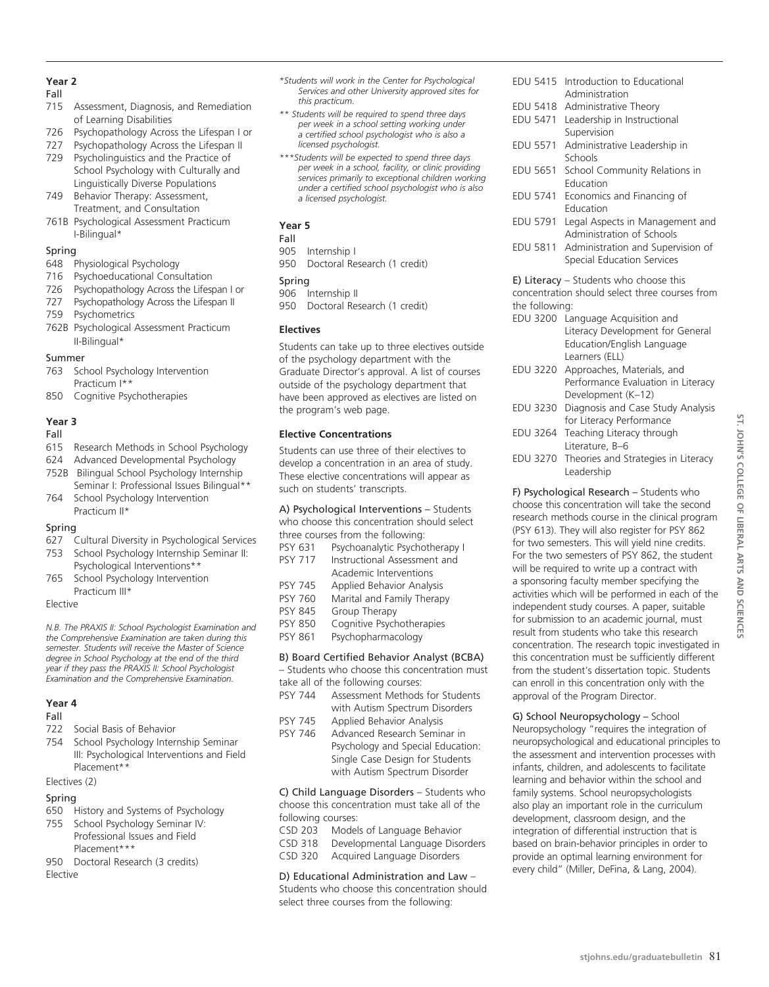# **Year 2**

#### Fall

- 715 Assessment, Diagnosis, and Remediation of Learning Disabilities
- 726 Psychopathology Across the Lifespan I or
- 727 Psychopathology Across the Lifespan II
- 729 Psycholinguistics and the Practice of School Psychology with Culturally and Linguistically Diverse Populations
- 749 Behavior Therapy: Assessment, Treatment, and Consultation
- 761B Psychological Assessment Practicum I-Bilingual\*

# Spring

# 648 Physiological Psychology

- 716 Psychoeducational Consultation
- 726 Psychopathology Across the Lifespan I or
- 727 Psychopathology Across the Lifespan II
- 759 Psychometrics
- 762B Psychological Assessment Practicum II-Bilingual\*

# Summer

- 763 School Psychology Intervention Practicum I\*\*
- 850 Cognitive Psychotherapies

# **Year 3**

# Fall

- 615 Research Methods in School Psychology
- 624 Advanced Developmental Psychology
- 752B Bilingual School Psychology Internship Seminar I: Professional Issues Bilingual\*\* 764 School Psychology Intervention
- Practicum II\*

# Spring

- 627 Cultural Diversity in Psychological Services 753 School Psychology Internship Seminar II:
- Psychological Interventions\*\*
- 765 School Psychology Intervention Practicum III\*

# Elective

*N.B. The PRAXIS II: School Psychologist Examination and the Comprehensive Examination are taken during this semester. Students will receive the Master of Science degree in School Psychology at the end of the third year if they pass the PRAXIS II: School Psychologist Examination and the Comprehensive Examination.* 

# **Year 4**

# Fall

- 722 Social Basis of Behavior
- 754 School Psychology Internship Seminar III: Psychological Interventions and Field Placement\*\*

Electives (2)

# Spring

- 650 History and Systems of Psychology
- 755 School Psychology Seminar IV: Professional Issues and Field Placement\*\*\*
- 950 Doctoral Research (3 credits) Elective
- *\*Students will work in the Center for Psychological Services and other University approved sites for this practicum.*
- *\*\* Students will be required to spend three days per week in a school setting working under a certified school psychologist who is also a licensed psychologist.*
- *\*\*\*Students will be expected to spend three days per week in a school, facility, or clinic providing services primarily to exceptional children working under a certified school psychologist who is also a licensed psychologist.*

# **Year 5**

# Fall

- 905 Internship I
- 950 Doctoral Research (1 credit)

# Spring

- 906 Internship II
- 950 Doctoral Research (1 credit)

# **Electives**

Students can take up to three electives outside of the psychology department with the Graduate Director's approval. A list of courses outside of the psychology department that have been approved as electives are listed on the program's web page.

# **Elective Concentrations**

Students can use three of their electives to develop a concentration in an area of study. These elective concentrations will appear as such on students' transcripts.

#### A) Psychological Interventions – Students who choose this concentration should select three courses from the following:

| PSY 631        | Psychoanalytic Psychotherapy I   |
|----------------|----------------------------------|
| <b>PSY 717</b> | Instructional Assessment and     |
|                | Academic Interventions           |
| <b>PSY 745</b> | <b>Applied Behavior Analysis</b> |
| <b>PSY 760</b> | Marital and Family Therapy       |
| <b>PSY 845</b> | Group Therapy                    |
| <b>PSY 850</b> | Cognitive Psychotherapies        |
| <b>PSY 861</b> | Psychopharmacology               |
|                |                                  |

# B) Board Certified Behavior Analyst (BCBA)

– Students who choose this concentration must take all of the following courses:

- PSY 744 Assessment Methods for Students with Autism Spectrum Disorders PSY 745 Applied Behavior Analysis
- PSY 746 Advanced Research Seminar in Psychology and Special Education: Single Case Design for Students with Autism Spectrum Disorder

C) Child Language Disorders – Students who choose this concentration must take all of the following courses:<br>CSD 203 Model

- Models of Language Behavior
- CSD 318 Developmental Language Disorders
- CSD 320 Acquired Language Disorders

# D) Educational Administration and Law –

Students who choose this concentration should select three courses from the following:

- EDU 5415 Introduction to Educational Administration
- EDU 5418 Administrative Theory
- EDU 5471 Leadership in Instructional Supervision
- EDU 5571 Administrative Leadership in Schools
- EDU 5651 School Community Relations in Education
- EDU 5741 Economics and Financing of Education
- EDU 5791 Legal Aspects in Management and Administration of Schools
- EDU 5811 Administration and Supervision of Special Education Services

E) Literacy – Students who choose this concentration should select three courses from the following:

- EDU 3200 Language Acquisition and Literacy Development for General Education/English Language Learners (ELL)
- EDU 3220 Approaches, Materials, and Performance Evaluation in Literacy Development (K–12)
- EDU 3230 Diagnosis and Case Study Analysis for Literacy Performance EDU 3264 Teaching Literacy through Literature, B–6
- EDU 3270 Theories and Strategies in Literacy Leadership

F) Psychological Research – Students who choose this concentration will take the second research methods course in the clinical program (PSY 613). They will also register for PSY 862 for two semesters. This will yield nine credits. For the two semesters of PSY 862, the student will be required to write up a contract with a sponsoring faculty member specifying the activities which will be performed in each of the independent study courses. A paper, suitable for submission to an academic journal, must result from students who take this research concentration. The research topic investigated in this concentration must be sufficiently different from the student's dissertation topic. Students can enroll in this concentration only with the approval of the Program Director.

G) School Neuropsychology – School Neuropsychology "requires the integration of neuropsychological and educational principles to the assessment and intervention processes with infants, children, and adolescents to facilitate learning and behavior within the school and family systems. School neuropsychologists also play an important role in the curriculum development, classroom design, and the integration of differential instruction that is based on brain-behavior principles in order to provide an optimal learning environment for every child" (Miller, DeFina, & Lang, 2004).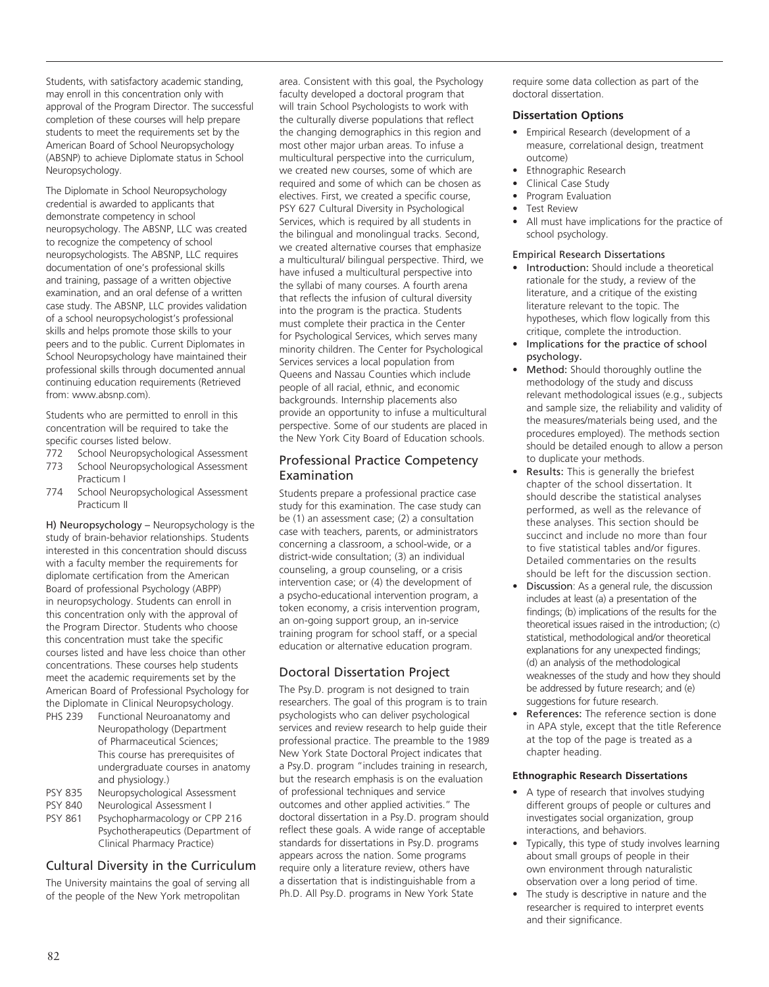Students, with satisfactory academic standing, may enroll in this concentration only with approval of the Program Director. The successful completion of these courses will help prepare students to meet the requirements set by the American Board of School Neuropsychology (ABSNP) to achieve Diplomate status in School Neuropsychology.

The Diplomate in School Neuropsychology credential is awarded to applicants that demonstrate competency in school neuropsychology. The ABSNP, LLC was created to recognize the competency of school neuropsychologists. The ABSNP, LLC requires documentation of one's professional skills and training, passage of a written objective examination, and an oral defense of a written case study. The ABSNP, LLC provides validation of a school neuropsychologist's professional skills and helps promote those skills to your peers and to the public. Current Diplomates in School Neuropsychology have maintained their professional skills through documented annual continuing education requirements (Retrieved from: www.absnp.com).

Students who are permitted to enroll in this concentration will be required to take the specific courses listed below.

- 772 School Neuropsychological Assessment
- School Neuropsychological Assessment Practicum I
- 774 School Neuropsychological Assessment Practicum II

H) Neuropsychology – Neuropsychology is the study of brain-behavior relationships. Students interested in this concentration should discuss with a faculty member the requirements for diplomate certification from the American Board of professional Psychology (ABPP) in neuropsychology. Students can enroll in this concentration only with the approval of the Program Director. Students who choose this concentration must take the specific courses listed and have less choice than other concentrations. These courses help students meet the academic requirements set by the American Board of Professional Psychology for the Diplomate in Clinical Neuropsychology.

| PHS 239        | Functional Neuroanatomy and      |
|----------------|----------------------------------|
|                | Neuropathology (Department       |
|                | of Pharmaceutical Sciences;      |
|                | This course has prerequisites of |
|                | undergraduate courses in anatomy |
|                | and physiology.)                 |
| <b>PSY 835</b> | Neuropsychological Assessment    |

- 
- PSY 840 Neurological Assessment I<br>PSY 861 Psychopharmacology or CI Psychopharmacology or CPP 216 Psychotherapeutics (Department of Clinical Pharmacy Practice)

# Cultural Diversity in the Curriculum

The University maintains the goal of serving all of the people of the New York metropolitan

area. Consistent with this goal, the Psychology faculty developed a doctoral program that will train School Psychologists to work with the culturally diverse populations that reflect the changing demographics in this region and most other major urban areas. To infuse a multicultural perspective into the curriculum, we created new courses, some of which are required and some of which can be chosen as electives. First, we created a specific course, PSY 627 Cultural Diversity in Psychological Services, which is required by all students in the bilingual and monolingual tracks. Second, we created alternative courses that emphasize a multicultural/ bilingual perspective. Third, we have infused a multicultural perspective into the syllabi of many courses. A fourth arena that reflects the infusion of cultural diversity into the program is the practica. Students must complete their practica in the Center for Psychological Services, which serves many minority children. The Center for Psychological Services services a local population from Queens and Nassau Counties which include people of all racial, ethnic, and economic backgrounds. Internship placements also provide an opportunity to infuse a multicultural perspective. Some of our students are placed in the New York City Board of Education schools.

# Professional Practice Competency Examination

Students prepare a professional practice case study for this examination. The case study can be (1) an assessment case; (2) a consultation case with teachers, parents, or administrators concerning a classroom, a school-wide, or a district-wide consultation; (3) an individual counseling, a group counseling, or a crisis intervention case; or (4) the development of a psycho-educational intervention program, a token economy, a crisis intervention program, an on-going support group, an in-service training program for school staff, or a special education or alternative education program.

# Doctoral Dissertation Project

The Psy.D. program is not designed to train researchers. The goal of this program is to train psychologists who can deliver psychological services and review research to help guide their professional practice. The preamble to the 1989 New York State Doctoral Project indicates that a Psy.D. program "includes training in research, but the research emphasis is on the evaluation of professional techniques and service outcomes and other applied activities." The doctoral dissertation in a Psy.D. program should reflect these goals. A wide range of acceptable standards for dissertations in Psy.D. programs appears across the nation. Some programs require only a literature review, others have a dissertation that is indistinguishable from a Ph.D. All Psy.D. programs in New York State

require some data collection as part of the doctoral dissertation.

# **Dissertation Options**

- Empirical Research (development of a measure, correlational design, treatment outcome)
- Ethnographic Research
- Clinical Case Study
- Program Evaluation
- **Test Review**
- All must have implications for the practice of school psychology.

# Empirical Research Dissertations

- Introduction: Should include a theoretical rationale for the study, a review of the literature, and a critique of the existing literature relevant to the topic. The hypotheses, which flow logically from this critique, complete the introduction.
- Implications for the practice of school psychology.
- Method: Should thoroughly outline the methodology of the study and discuss relevant methodological issues (e.g., subjects and sample size, the reliability and validity of the measures/materials being used, and the procedures employed). The methods section should be detailed enough to allow a person to duplicate your methods.
- Results: This is generally the briefest chapter of the school dissertation. It should describe the statistical analyses performed, as well as the relevance of these analyses. This section should be succinct and include no more than four to five statistical tables and/or figures. Detailed commentaries on the results should be left for the discussion section.
- **Discussion:** As a general rule, the discussion includes at least (a) a presentation of the findings; (b) implications of the results for the theoretical issues raised in the introduction; (c) statistical, methodological and/or theoretical explanations for any unexpected findings; (d) an analysis of the methodological weaknesses of the study and how they should be addressed by future research; and (e) suggestions for future research.
- References: The reference section is done in APA style, except that the title Reference at the top of the page is treated as a chapter heading.

# **Ethnographic Research Dissertations**

- A type of research that involves studying different groups of people or cultures and investigates social organization, group interactions, and behaviors.
- • Typically, this type of study involves learning about small groups of people in their own environment through naturalistic observation over a long period of time.
- The study is descriptive in nature and the researcher is required to interpret events and their significance.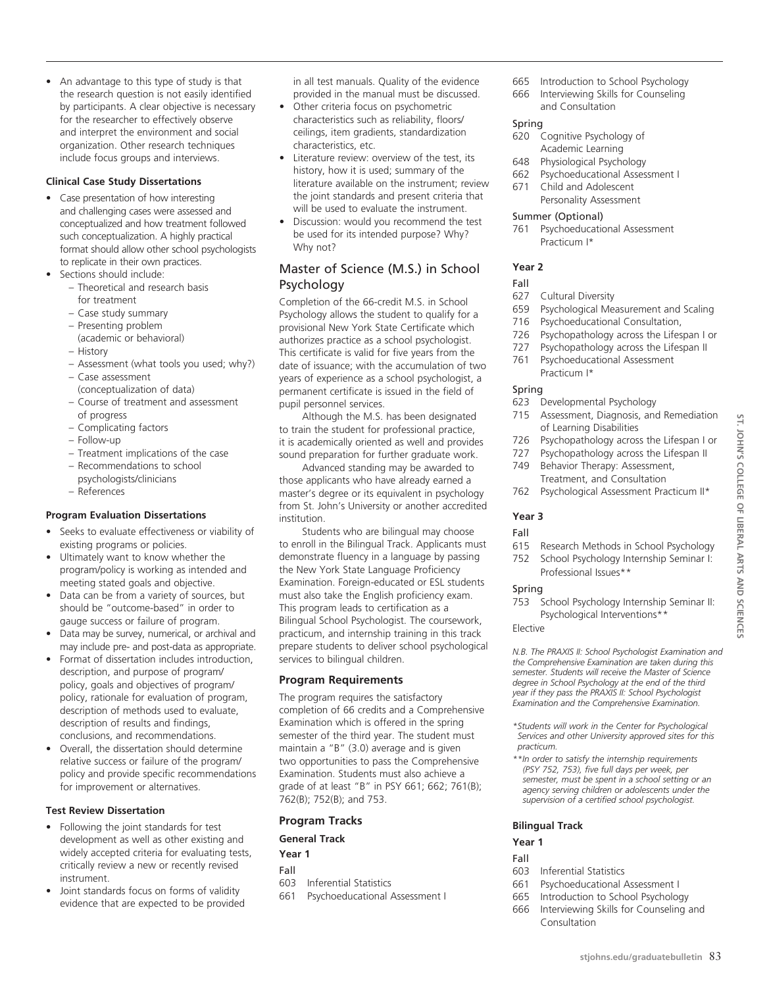• An advantage to this type of study is that the research question is not easily identified by participants. A clear objective is necessary for the researcher to effectively observe and interpret the environment and social organization. Other research techniques include focus groups and interviews.

#### **Clinical Case Study Dissertations**

- Case presentation of how interesting and challenging cases were assessed and conceptualized and how treatment followed such conceptualization. A highly practical format should allow other school psychologists to replicate in their own practices.
- Sections should include:
	- Theoretical and research basis for treatment
	- Case study summary
	- Presenting problem
	- (academic or behavioral)
	- History
	- Assessment (what tools you used; why?)
	- Case assessment
	- (conceptualization of data)
	- Course of treatment and assessment of progress
	- Complicating factors
	- Follow-up
	- Treatment implications of the case
	- Recommendations to school
	- psychologists/clinicians
	- References

#### **Program Evaluation Dissertations**

- Seeks to evaluate effectiveness or viability of existing programs or policies.
- Ultimately want to know whether the program/policy is working as intended and meeting stated goals and objective.
- Data can be from a variety of sources, but should be "outcome-based" in order to gauge success or failure of program.
- Data may be survey, numerical, or archival and may include pre- and post-data as appropriate.
- Format of dissertation includes introduction, description, and purpose of program/ policy, goals and objectives of program/ policy, rationale for evaluation of program, description of methods used to evaluate, description of results and findings, conclusions, and recommendations.
- Overall, the dissertation should determine relative success or failure of the program/ policy and provide specific recommendations for improvement or alternatives.

# **Test Review Dissertation**

- Following the joint standards for test development as well as other existing and widely accepted criteria for evaluating tests, critically review a new or recently revised instrument.
- Joint standards focus on forms of validity evidence that are expected to be provided

in all test manuals. Quality of the evidence provided in the manual must be discussed.

- Other criteria focus on psychometric characteristics such as reliability, floors/ ceilings, item gradients, standardization characteristics, etc.
- Literature review: overview of the test, its history, how it is used; summary of the literature available on the instrument; review the joint standards and present criteria that will be used to evaluate the instrument.
- Discussion: would you recommend the test be used for its intended purpose? Why? Why not?

# Master of Science (M.S.) in School Psychology

Completion of the 66-credit M.S. in School Psychology allows the student to qualify for a provisional New York State Certificate which authorizes practice as a school psychologist. This certificate is valid for five years from the date of issuance; with the accumulation of two years of experience as a school psychologist, a permanent certificate is issued in the field of pupil personnel services.

Although the M.S. has been designated to train the student for professional practice, it is academically oriented as well and provides sound preparation for further graduate work.

Advanced standing may be awarded to those applicants who have already earned a master's degree or its equivalent in psychology from St. John's University or another accredited institution.

Students who are bilingual may choose to enroll in the Bilingual Track. Applicants must demonstrate fluency in a language by passing the New York State Language Proficiency Examination. Foreign-educated or ESL students must also take the English proficiency exam. This program leads to certification as a Bilingual School Psychologist. The coursework, practicum, and internship training in this track prepare students to deliver school psychological services to bilingual children.

# **Program Requirements**

The program requires the satisfactory completion of 66 credits and a Comprehensive Examination which is offered in the spring semester of the third year. The student must maintain a "B" (3.0) average and is given two opportunities to pass the Comprehensive Examination. Students must also achieve a grade of at least "B" in PSY 661; 662; 761(B); 762(B); 752(B); and 753.

# **Program Tracks**

# **General Track**

**Year 1**

- Fall
- 603 Inferential Statistics
- 661 Psychoeducational Assessment I
- 665 Introduction to School Psychology
- 666 Interviewing Skills for Counseling and Consultation

#### Spring

- 620 Cognitive Psychology of Academic Learning
- 648 Physiological Psychology
- 662 Psychoeducational Assessment I
- 671 Child and Adolescent Personality Assessment

#### Summer (Optional)

761 Psychoeducational Assessment Practicum I\*

#### **Year 2**

#### Fall

- 627 Cultural Diversity
- 659 Psychological Measurement and Scaling
- 716 Psychoeducational Consultation,
- 726 Psychopathology across the Lifespan I or
- 727 Psychopathology across the Lifespan II 761 Psychoeducational Assessment Practicum I\*

#### Spring

- 623 Developmental Psychology
- 715 Assessment, Diagnosis, and Remediation of Learning Disabilities
- 726 Psychopathology across the Lifespan I or
- 727 Psychopathology across the Lifespan II
- 749 Behavior Therapy: Assessment, Treatment, and Consultation
- 762 Psychological Assessment Practicum II\*

# **Year 3**

#### Fall

- 615 Research Methods in School Psychology
- 752 School Psychology Internship Seminar I: Professional Issues\*\*

#### Spring

753 School Psychology Internship Seminar II: Psychological Interventions\*\*

# Elective

*N.B. The PRAXIS II: School Psychologist Examination and the Comprehensive Examination are taken during this semester. Students will receive the Master of Science degree in School Psychology at the end of the third year if they pass the PRAXIS II: School Psychologist Examination and the Comprehensive Examination.*

- *\*Students will work in the Center for Psychological Services and other University approved sites for this practicum.*
- *\*\*In order to satisfy the internship requirements (PSY 752, 753), five full days per week, per semester, must be spent in a school setting or an agency serving children or adolescents under the supervision of a certified school psychologist.*

#### **Bilingual Track**

# **Year 1**

- Fall
- 603 Inferential Statistics
- 661 Psychoeducational Assessment I
- 665 Introduction to School Psychology
- 666 Interviewing Skills for Counseling and Consultation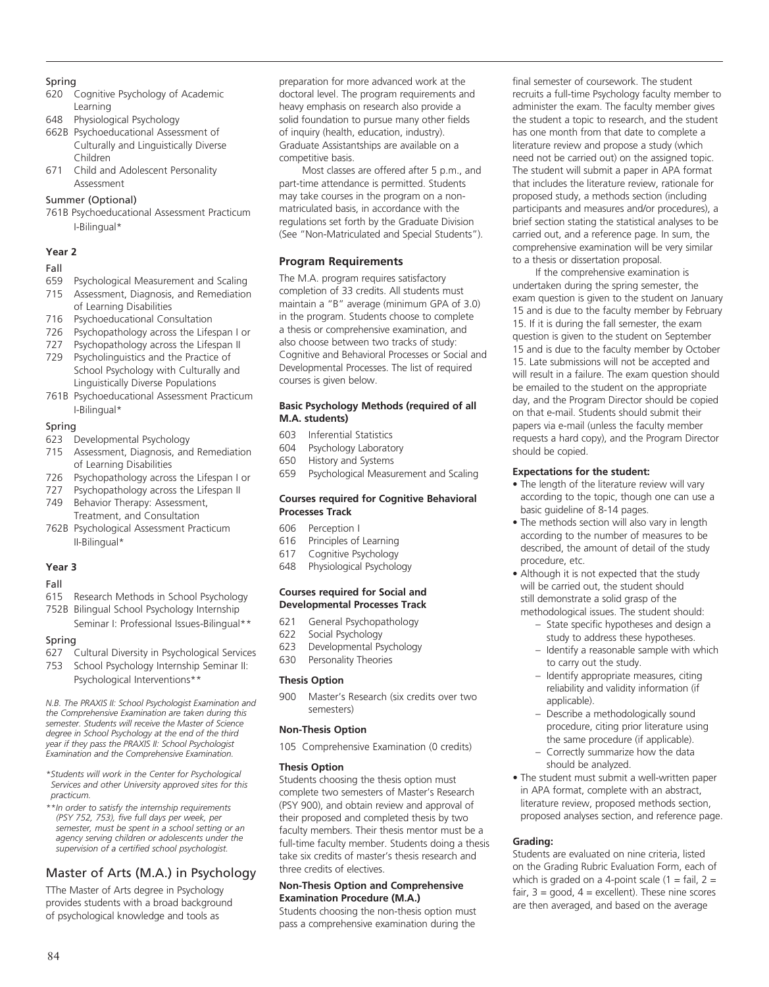#### Spring

- 620 Cognitive Psychology of Academic Learning
- 648 Physiological Psychology
- 662B Psychoeducational Assessment of Culturally and Linguistically Diverse Children
- 671 Child and Adolescent Personality Assessment

# Summer (Optional)

761B Psychoeducational Assessment Practicum I-Bilingual\*

#### **Year 2**

# Fall

- 659 Psychological Measurement and Scaling
- 715 Assessment, Diagnosis, and Remediation of Learning Disabilities
- 716 Psychoeducational Consultation
- 726 Psychopathology across the Lifespan I or
- 727 Psychopathology across the Lifespan II
- 729 Psycholinguistics and the Practice of School Psychology with Culturally and Linguistically Diverse Populations
- 761B Psychoeducational Assessment Practicum I-Bilingual\*

#### Spring

- 623 Developmental Psychology
- 715 Assessment, Diagnosis, and Remediation of Learning Disabilities
- 726 Psychopathology across the Lifespan I or
- 727 Psychopathology across the Lifespan II 749 Behavior Therapy: Assessment,
- Treatment, and Consultation 762B Psychological Assessment Practicum II-Bilingual\*

# **Year 3**

# Fall

- 615 Research Methods in School Psychology
- 752B Bilingual School Psychology Internship Seminar I: Professional Issues-Bilingual\*\*

# Spring

- 627 Cultural Diversity in Psychological Services
- 753 School Psychology Internship Seminar II: Psychological Interventions\*\*

*N.B. The PRAXIS II: School Psychologist Examination and the Comprehensive Examination are taken during this semester. Students will receive the Master of Science degree in School Psychology at the end of the third year if they pass the PRAXIS II: School Psychologist Examination and the Comprehensive Examination.*

*\*Students will work in the Center for Psychological Services and other University approved sites for this practicum.*

*\*\*In order to satisfy the internship requirements (PSY 752, 753), five full days per week, per semester, must be spent in a school setting or an agency serving children or adolescents under the supervision of a certified school psychologist.*

# Master of Arts (M.A.) in Psychology

TThe Master of Arts degree in Psychology provides students with a broad background of psychological knowledge and tools as

preparation for more advanced work at the doctoral level. The program requirements and heavy emphasis on research also provide a solid foundation to pursue many other fields of inquiry (health, education, industry). Graduate Assistantships are available on a competitive basis.

Most classes are offered after 5 p.m., and part-time attendance is permitted. Students may take courses in the program on a nonmatriculated basis, in accordance with the regulations set forth by the Graduate Division (See "Non-Matriculated and Special Students").

# **Program Requirements**

The M.A. program requires satisfactory completion of 33 credits. All students must maintain a "B" average (minimum GPA of 3.0) in the program. Students choose to complete a thesis or comprehensive examination, and also choose between two tracks of study: Cognitive and Behavioral Processes or Social and Developmental Processes. The list of required courses is given below.

#### **Basic Psychology Methods (required of all M.A. students)**

- 603 Inferential Statistics
- 604 Psychology Laboratory
- 650 History and Systems
- 659 Psychological Measurement and Scaling

#### **Courses required for Cognitive Behavioral Processes Track**

#### 606 Perception I

- 616 Principles of Learning
- 617 Cognitive Psychology
- 648 Physiological Psychology

#### **Courses required for Social and Developmental Processes Track**

- 621 General Psychopathology
- 622 Social Psychology
- 623 Developmental Psychology
- 630 Personality Theories

# **Thesis Option**

900 Master's Research (six credits over two semesters)

# **Non-Thesis Option**

105 Comprehensive Examination (0 credits)

# **Thesis Option**

Students choosing the thesis option must complete two semesters of Master's Research (PSY 900), and obtain review and approval of their proposed and completed thesis by two faculty members. Their thesis mentor must be a full-time faculty member. Students doing a thesis take six credits of master's thesis research and three credits of electives.

# **Non-Thesis Option and Comprehensive Examination Procedure (M.A.)**

Students choosing the non-thesis option must pass a comprehensive examination during the final semester of coursework. The student recruits a full-time Psychology faculty member to administer the exam. The faculty member gives the student a topic to research, and the student has one month from that date to complete a literature review and propose a study (which need not be carried out) on the assigned topic. The student will submit a paper in APA format that includes the literature review, rationale for proposed study, a methods section (including participants and measures and/or procedures), a brief section stating the statistical analyses to be carried out, and a reference page. In sum, the comprehensive examination will be very similar to a thesis or dissertation proposal.

If the comprehensive examination is undertaken during the spring semester, the exam question is given to the student on January 15 and is due to the faculty member by February 15. If it is during the fall semester, the exam question is given to the student on September 15 and is due to the faculty member by October 15. Late submissions will not be accepted and will result in a failure. The exam question should be emailed to the student on the appropriate day, and the Program Director should be copied on that e-mail. Students should submit their papers via e-mail (unless the faculty member requests a hard copy), and the Program Director should be copied.

#### **Expectations for the student:**

- The length of the literature review will vary according to the topic, though one can use a basic guideline of 8-14 pages.
- The methods section will also vary in length according to the number of measures to be described, the amount of detail of the study procedure, etc.
- Although it is not expected that the study will be carried out, the student should still demonstrate a solid grasp of the methodological issues. The student should:
	- State specific hypotheses and design a study to address these hypotheses.
	- Identify a reasonable sample with which to carry out the study.
	- Identify appropriate measures, citing reliability and validity information (if applicable).
	- Describe a methodologically sound procedure, citing prior literature using the same procedure (if applicable).
	- Correctly summarize how the data should be analyzed.
- The student must submit a well-written paper in APA format, complete with an abstract, literature review, proposed methods section, proposed analyses section, and reference page.

# **Grading:**

Students are evaluated on nine criteria, listed on the Grading Rubric Evaluation Form, each of which is graded on a 4-point scale  $(1 = \text{fail}, 2 = \text{null})$ fair,  $3 = \text{good}$ ,  $4 = \text{excellent}$ ). These nine scores are then averaged, and based on the average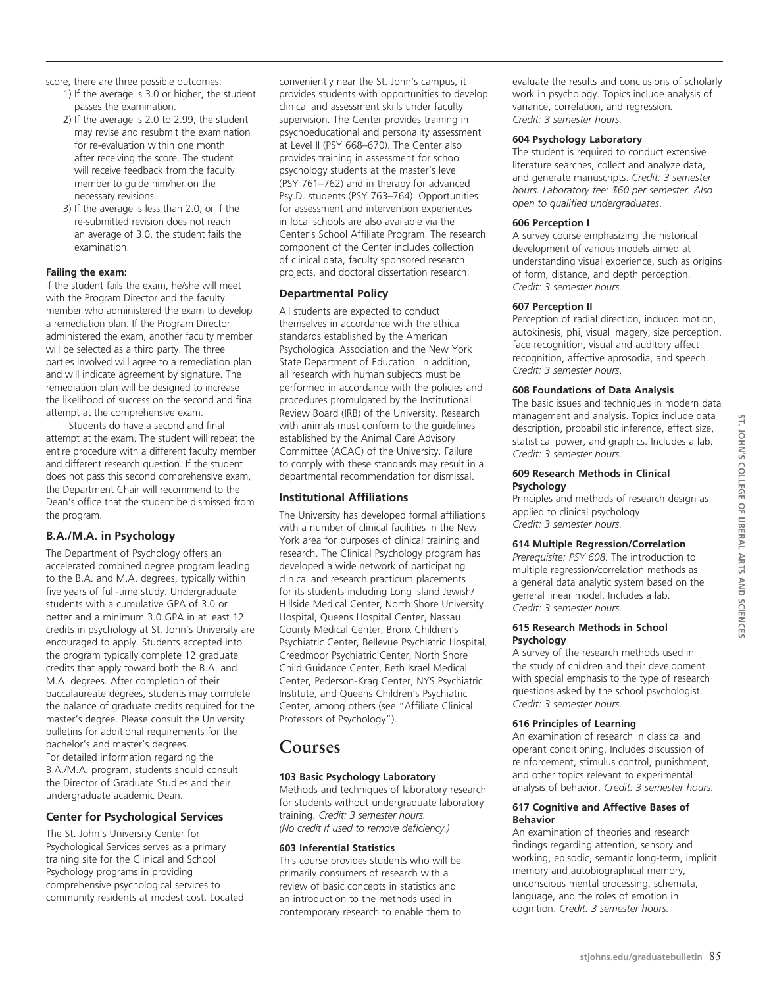score, there are three possible outcomes:

- 1) If the average is 3.0 or higher, the student passes the examination.
- 2) If the average is 2.0 to 2.99, the student may revise and resubmit the examination for re-evaluation within one month after receiving the score. The student will receive feedback from the faculty member to guide him/her on the necessary revisions.
- 3) If the average is less than 2.0, or if the re-submitted revision does not reach an average of 3.0, the student fails the examination.

# **Failing the exam:**

If the student fails the exam, he/she will meet with the Program Director and the faculty member who administered the exam to develop a remediation plan. If the Program Director administered the exam, another faculty member will be selected as a third party. The three parties involved will agree to a remediation plan and will indicate agreement by signature. The remediation plan will be designed to increase the likelihood of success on the second and final attempt at the comprehensive exam.

Students do have a second and final attempt at the exam. The student will repeat the entire procedure with a different faculty member and different research question. If the student does not pass this second comprehensive exam, the Department Chair will recommend to the Dean's office that the student be dismissed from the program.

# **B.A./M.A. in Psychology**

The Department of Psychology offers an accelerated combined degree program leading to the B.A. and M.A. degrees, typically within five years of full-time study. Undergraduate students with a cumulative GPA of 3.0 or better and a minimum 3.0 GPA in at least 12 credits in psychology at St. John's University are encouraged to apply. Students accepted into the program typically complete 12 graduate credits that apply toward both the B.A. and M.A. degrees. After completion of their baccalaureate degrees, students may complete the balance of graduate credits required for the master's degree. Please consult the University bulletins for additional requirements for the bachelor's and master's degrees. For detailed information regarding the B.A./M.A. program, students should consult the Director of Graduate Studies and their undergraduate academic Dean.

# **Center for Psychological Services**

The St. John's University Center for Psychological Services serves as a primary training site for the Clinical and School Psychology programs in providing comprehensive psychological services to community residents at modest cost. Located

conveniently near the St. John's campus, it provides students with opportunities to develop clinical and assessment skills under faculty supervision. The Center provides training in psychoeducational and personality assessment at Level II (PSY 668–670). The Center also provides training in assessment for school psychology students at the master's level (PSY 761–762) and in therapy for advanced Psy.D. students (PSY 763–764). Opportunities for assessment and intervention experiences in local schools are also available via the Center's School Affiliate Program. The research component of the Center includes collection of clinical data, faculty sponsored research projects, and doctoral dissertation research.

# **Departmental Policy**

All students are expected to conduct themselves in accordance with the ethical standards established by the American Psychological Association and the New York State Department of Education. In addition, all research with human subjects must be performed in accordance with the policies and procedures promulgated by the Institutional Review Board (IRB) of the University. Research with animals must conform to the guidelines established by the Animal Care Advisory Committee (ACAC) of the University. Failure to comply with these standards may result in a departmental recommendation for dismissal.

# **Institutional Affiliations**

The University has developed formal affiliations with a number of clinical facilities in the New York area for purposes of clinical training and research. The Clinical Psychology program has developed a wide network of participating clinical and research practicum placements for its students including Long Island Jewish/ Hillside Medical Center, North Shore University Hospital, Queens Hospital Center, Nassau County Medical Center, Bronx Children's Psychiatric Center, Bellevue Psychiatric Hospital, Creedmoor Psychiatric Center, North Shore Child Guidance Center, Beth Israel Medical Center, Pederson-Krag Center, NYS Psychiatric Institute, and Queens Children's Psychiatric Center, among others (see "Affiliate Clinical Professors of Psychology").

# **Courses**

# **103 Basic Psychology Laboratory**

Methods and techniques of laboratory research for students without undergraduate laboratory training. *Credit: 3 semester hours. (No credit if used to remove deficiency.)*

# **603 Inferential Statistics**

This course provides students who will be primarily consumers of research with a review of basic concepts in statistics and an introduction to the methods used in contemporary research to enable them to

evaluate the results and conclusions of scholarly work in psychology. Topics include analysis of variance, correlation, and regression*. Credit: 3 semester hours.*

#### **604 Psychology Laboratory**

The student is required to conduct extensive literature searches, collect and analyze data, and generate manuscripts. *Credit: 3 semester hours. Laboratory fee: \$60 per semester. Also open to qualified undergraduates*.

#### **606 Perception I**

A survey course emphasizing the historical development of various models aimed at understanding visual experience, such as origins of form, distance, and depth perception. *Credit: 3 semester hours.*

#### **607 Perception II**

Perception of radial direction, induced motion, autokinesis, phi, visual imagery, size perception, face recognition, visual and auditory affect recognition, affective aprosodia, and speech. *Credit: 3 semester hours*.

# **608 Foundations of Data Analysis**

The basic issues and techniques in modern data management and analysis. Topics include data description, probabilistic inference, effect size, statistical power, and graphics. Includes a lab. *Credit: 3 semester hours.*

#### **609 Research Methods in Clinical Psychology**

Principles and methods of research design as applied to clinical psychology. *Credit: 3 semester hours.*

# **614 Multiple Regression/Correlation**

*Prerequisite: PSY 608.* The introduction to multiple regression/correlation methods as a general data analytic system based on the general linear model. Includes a lab. *Credit: 3 semester hours.*

#### **615 Research Methods in School Psychology**

A survey of the research methods used in the study of children and their development with special emphasis to the type of research questions asked by the school psychologist. *Credit: 3 semester hours.*

# **616 Principles of Learning**

An examination of research in classical and operant conditioning. Includes discussion of reinforcement, stimulus control, punishment, and other topics relevant to experimental analysis of behavior. *Credit: 3 semester hours.*

#### **617 Cognitive and Affective Bases of Behavior**

An examination of theories and research findings regarding attention, sensory and working, episodic, semantic long-term, implicit memory and autobiographical memory, unconscious mental processing, schemata, language, and the roles of emotion in cognition. *Credit: 3 semester hours.*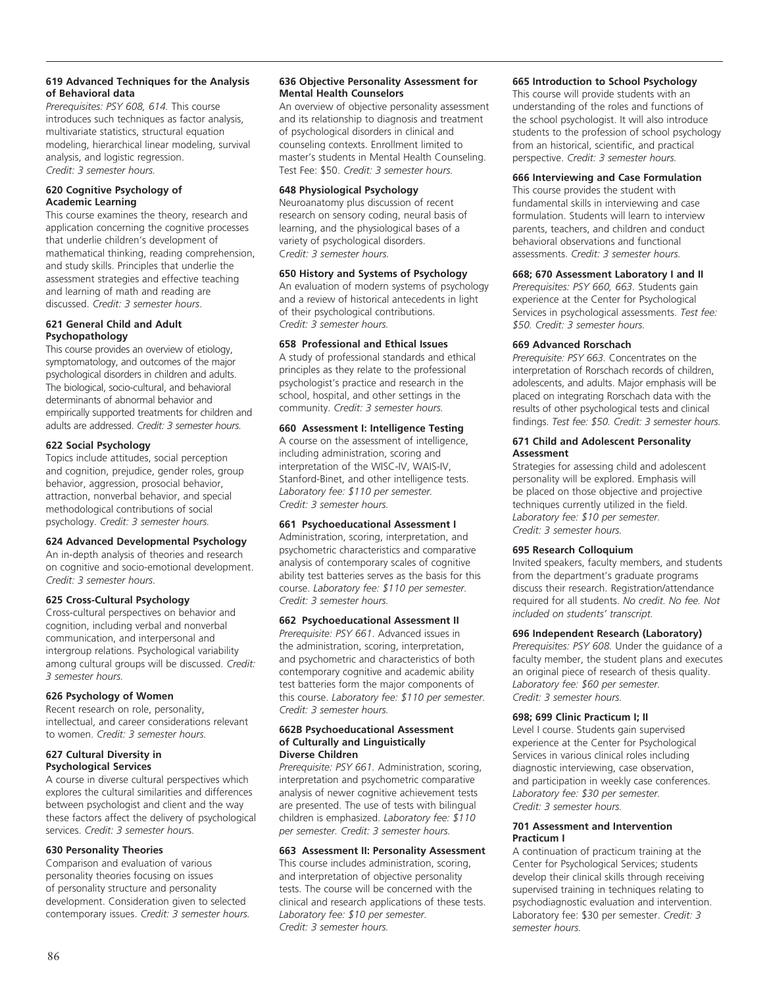#### **619 Advanced Techniques for the Analysis of Behavioral data**

*Prerequisites: PSY 608, 614.* This course introduces such techniques as factor analysis, multivariate statistics, structural equation modeling, hierarchical linear modeling, survival analysis, and logistic regression. *Credit: 3 semester hours.*

#### **620 Cognitive Psychology of Academic Learning**

This course examines the theory, research and application concerning the cognitive processes that underlie children's development of mathematical thinking, reading comprehension, and study skills. Principles that underlie the assessment strategies and effective teaching and learning of math and reading are discussed. *Credit: 3 semester hours*.

#### **621 General Child and Adult Psychopathology**

This course provides an overview of etiology, symptomatology, and outcomes of the major psychological disorders in children and adults. The biological, socio-cultural, and behavioral determinants of abnormal behavior and empirically supported treatments for children and adults are addressed. *Credit: 3 semester hours.*

# **622 Social Psychology**

Topics include attitudes, social perception and cognition, prejudice, gender roles, group behavior, aggression, prosocial behavior, attraction, nonverbal behavior, and special methodological contributions of social psychology. *Credit: 3 semester hours.*

# **624 Advanced Developmental Psychology**

An in-depth analysis of theories and research on cognitive and socio-emotional development. *Credit: 3 semester hours*.

# **625 Cross-Cultural Psychology**

Cross-cultural perspectives on behavior and cognition, including verbal and nonverbal communication, and interpersonal and intergroup relations. Psychological variability among cultural groups will be discussed. *Credit: 3 semester hours.*

# **626 Psychology of Women**

Recent research on role, personality, intellectual, and career considerations relevant to women. *Credit: 3 semester hours.*

#### **627 Cultural Diversity in Psychological Services**

A course in diverse cultural perspectives which explores the cultural similarities and differences between psychologist and client and the way these factors affect the delivery of psychological services. *Credit: 3 semester hour*s.

# **630 Personality Theories**

Comparison and evaluation of various personality theories focusing on issues of personality structure and personality development. Consideration given to selected contemporary issues. *Credit: 3 semester hours.*

#### **636 Objective Personality Assessment for Mental Health Counselors**

An overview of objective personality assessment and its relationship to diagnosis and treatment of psychological disorders in clinical and counseling contexts. Enrollment limited to master's students in Mental Health Counseling. Test Fee: \$50. *Credit: 3 semester hours.*

# **648 Physiological Psychology**

Neuroanatomy plus discussion of recent research on sensory coding, neural basis of learning, and the physiological bases of a variety of psychological disorders. C*redit: 3 semester hours.*

# **650 History and Systems of Psychology**

An evaluation of modern systems of psychology and a review of historical antecedents in light of their psychological contributions. *Credit: 3 semester hours.*

# **658 Professional and Ethical Issues**

A study of professional standards and ethical principles as they relate to the professional psychologist's practice and research in the school, hospital, and other settings in the community. *Credit: 3 semester hours.*

# **660 Assessment I: Intelligence Testing**

A course on the assessment of intelligence, including administration, scoring and interpretation of the WISC-IV, WAIS-IV, Stanford-Binet, and other intelligence tests. *Laboratory fee: \$110 per semester. Credit: 3 semester hours.*

# **661 Psychoeducational Assessment I**

Administration, scoring, interpretation, and psychometric characteristics and comparative analysis of contemporary scales of cognitive ability test batteries serves as the basis for this course. *Laboratory fee: \$110 per semester. Credit: 3 semester hours.*

# **662 Psychoeducational Assessment II**

*Prerequisite: PSY 661*. Advanced issues in the administration, scoring, interpretation, and psychometric and characteristics of both contemporary cognitive and academic ability test batteries form the major components of this course. *Laboratory fee: \$110 per semester. Credit: 3 semester hours.*

#### **662B Psychoeducational Assessment of Culturally and Linguistically Diverse Children**

*Prerequisite: PSY 661.* Administration, scoring, interpretation and psychometric comparative analysis of newer cognitive achievement tests are presented. The use of tests with bilingual children is emphasized. *Laboratory fee: \$110 per semester. Credit: 3 semester hours.*

# **663 Assessment II: Personality Assessment**

This course includes administration, scoring, and interpretation of objective personality tests. The course will be concerned with the clinical and research applications of these tests. *Laboratory fee: \$10 per semester. Credit: 3 semester hours.*

# **665 Introduction to School Psychology**

This course will provide students with an understanding of the roles and functions of the school psychologist. It will also introduce students to the profession of school psychology from an historical, scientific, and practical perspective. *Credit: 3 semester hours.*

# **666 Interviewing and Case Formulation**

This course provides the student with fundamental skills in interviewing and case formulation. Students will learn to interview parents, teachers, and children and conduct behavioral observations and functional assessments. *Credit: 3 semester hours.*

# **668; 670 Assessment Laboratory I and II**

*Prerequisites: PSY 660, 663.* Students gain experience at the Center for Psychological Services in psychological assessments. *Test fee: \$50. Credit: 3 semester hours.*

# **669 Advanced Rorschach**

*Prerequisite: PSY 663.* Concentrates on the interpretation of Rorschach records of children, adolescents, and adults. Major emphasis will be placed on integrating Rorschach data with the results of other psychological tests and clinical findings. *Test fee: \$50. Credit: 3 semester hours.*

#### **671 Child and Adolescent Personality Assessment**

Strategies for assessing child and adolescent personality will be explored. Emphasis will be placed on those objective and projective techniques currently utilized in the field. *Laboratory fee: \$10 per semester. Credit: 3 semester hours.*

# **695 Research Colloquium**

Invited speakers, faculty members, and students from the department's graduate programs discuss their research. Registration/attendance required for all students. *No credit. No fee. Not included on students' transcript.*

# **696 Independent Research (Laboratory)**

*Prerequisites: PSY 608.* Under the guidance of a faculty member, the student plans and executes an original piece of research of thesis quality. *Laboratory fee: \$60 per semester. Credit: 3 semester hours.*

# **698; 699 Clinic Practicum I; II**

Level I course. Students gain supervised experience at the Center for Psychological Services in various clinical roles including diagnostic interviewing, case observation, and participation in weekly case conferences. *Laboratory fee: \$30 per semester. Credit: 3 semester hours.* 

#### **701 Assessment and Intervention Practicum I**

A continuation of practicum training at the Center for Psychological Services; students develop their clinical skills through receiving supervised training in techniques relating to psychodiagnostic evaluation and intervention. Laboratory fee: \$30 per semester. *Credit: 3 semester hours.*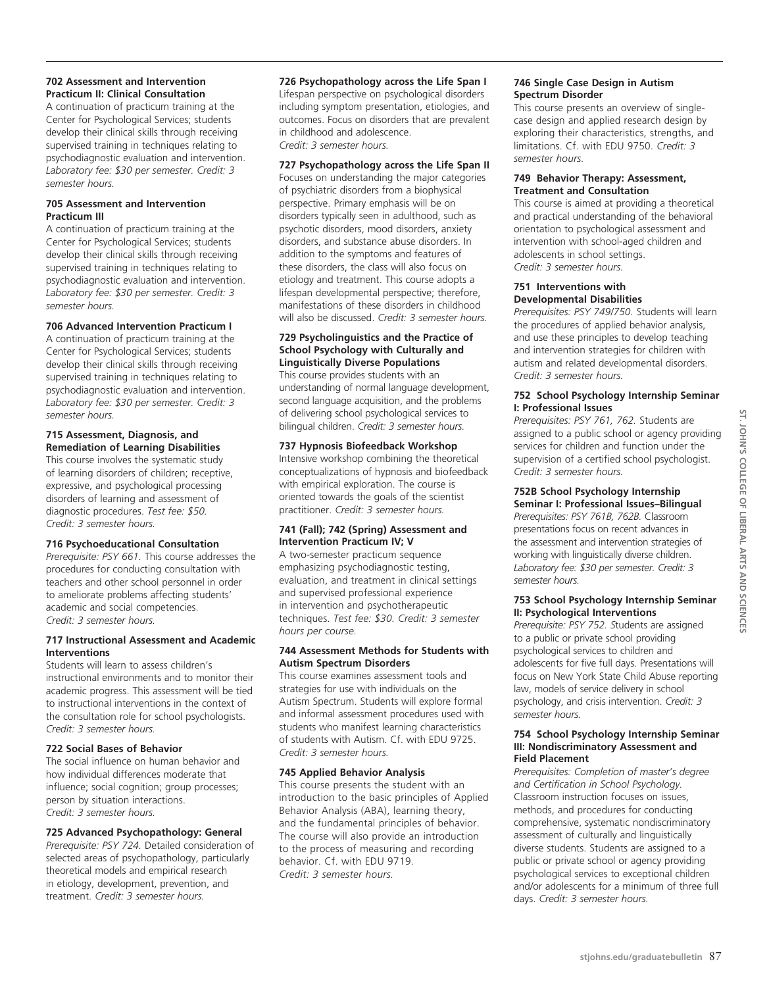# **702 Assessment and Intervention Practicum II: Clinical Consultation**

A continuation of practicum training at the Center for Psychological Services; students develop their clinical skills through receiving supervised training in techniques relating to psychodiagnostic evaluation and intervention. *Laboratory fee: \$30 per semester. Credit: 3 semester hours.*

# **705 Assessment and Intervention Practicum III**

A continuation of practicum training at the Center for Psychological Services; students develop their clinical skills through receiving supervised training in techniques relating to psychodiagnostic evaluation and intervention. *Laboratory fee: \$30 per semester. Credit: 3 semester hours.* 

# **706 Advanced Intervention Practicum I**

A continuation of practicum training at the Center for Psychological Services; students develop their clinical skills through receiving supervised training in techniques relating to psychodiagnostic evaluation and intervention. *Laboratory fee: \$30 per semester. Credit: 3 semester hours.*

#### **715 Assessment, Diagnosis, and Remediation of Learning Disabilities**

This course involves the systematic study of learning disorders of children; receptive, expressive, and psychological processing disorders of learning and assessment of diagnostic procedures. *Test fee: \$50. Credit: 3 semester hours.*

# **716 Psychoeducational Consultation**

*Prerequisite: PSY 661.* This course addresses the procedures for conducting consultation with teachers and other school personnel in order to ameliorate problems affecting students' academic and social competencies. *Credit: 3 semester hours.*

# **717 Instructional Assessment and Academic Interventions**

Students will learn to assess children's instructional environments and to monitor their academic progress. This assessment will be tied to instructional interventions in the context of the consultation role for school psychologists. *Credit: 3 semester hours.*

# **722 Social Bases of Behavior**

The social influence on human behavior and how individual differences moderate that influence; social cognition; group processes; person by situation interactions. *Credit: 3 semester hours.*

# **725 Advanced Psychopathology: General**

*Prerequisite: PSY 724.* Detailed consideration of selected areas of psychopathology, particularly theoretical models and empirical research in etiology, development, prevention, and treatment. *Credit: 3 semester hours.*

**726 Psychopathology across the Life Span I** Lifespan perspective on psychological disorders including symptom presentation, etiologies, and outcomes. Focus on disorders that are prevalent in childhood and adolescence. *Credit: 3 semester hours.*

# **727 Psychopathology across the Life Span II**

Focuses on understanding the major categories of psychiatric disorders from a biophysical perspective. Primary emphasis will be on disorders typically seen in adulthood, such as psychotic disorders, mood disorders, anxiety disorders, and substance abuse disorders. In addition to the symptoms and features of these disorders, the class will also focus on etiology and treatment. This course adopts a lifespan developmental perspective; therefore, manifestations of these disorders in childhood will also be discussed. *Credit: 3 semester hours.*

#### **729 Psycholinguistics and the Practice of School Psychology with Culturally and Linguistically Diverse Populations**

This course provides students with an understanding of normal language development, second language acquisition, and the problems of delivering school psychological services to bilingual children. *Credit: 3 semester hours.*

# **737 Hypnosis Biofeedback Workshop**

Intensive workshop combining the theoretical conceptualizations of hypnosis and biofeedback with empirical exploration. The course is oriented towards the goals of the scientist practitioner. *Credit: 3 semester hours.*

#### **741 (Fall); 742 (Spring) Assessment and Intervention Practicum IV; V**

A two-semester practicum sequence emphasizing psychodiagnostic testing, evaluation, and treatment in clinical settings and supervised professional experience in intervention and psychotherapeutic techniques. *Test fee: \$30. Credit: 3 semester hours per course.*

#### **744 Assessment Methods for Students with Autism Spectrum Disorders**

This course examines assessment tools and strategies for use with individuals on the Autism Spectrum. Students will explore formal and informal assessment procedures used with students who manifest learning characteristics of students with Autism. Cf. with EDU 9725. *Credit: 3 semester hours.*

# **745 Applied Behavior Analysis**

This course presents the student with an introduction to the basic principles of Applied Behavior Analysis (ABA), learning theory, and the fundamental principles of behavior. The course will also provide an introduction to the process of measuring and recording behavior. Cf. with EDU 9719. *Credit: 3 semester hours.*

# **746 Single Case Design in Autism Spectrum Disorder**

This course presents an overview of singlecase design and applied research design by exploring their characteristics, strengths, and limitations. Cf. with EDU 9750. *Credit: 3 semester hours.*

#### **749 Behavior Therapy: Assessment, Treatment and Consultation**

This course is aimed at providing a theoretical and practical understanding of the behavioral orientation to psychological assessment and intervention with school-aged children and adolescents in school settings. *Credit: 3 semester hours.*

#### **751 Interventions with Developmental Disabilities**

*Prerequisites: PSY 749/750.* Students will learn the procedures of applied behavior analysis, and use these principles to develop teaching and intervention strategies for children with autism and related developmental disorders. *Credit: 3 semester hours.*

#### **752 School Psychology Internship Seminar I: Professional Issues**

*Prerequisites: PSY 761, 762.* Students are assigned to a public school or agency providing services for children and function under the supervision of a certified school psychologist. *Credit: 3 semester hours.*

#### **752B School Psychology Internship Seminar I: Professional Issues–Bilingual**

*Prerequisites: PSY 761B, 762B.* Classroom presentations focus on recent advances in the assessment and intervention strategies of working with linguistically diverse children. *Laboratory fee: \$30 per semester. Credit: 3 semester hours.*

# **753 School Psychology Internship Seminar II: Psychological Interventions**

*Prerequisite: PSY 752. S*tudents are assigned to a public or private school providing psychological services to children and adolescents for five full days. Presentations will focus on New York State Child Abuse reporting law, models of service delivery in school psychology, and crisis intervention. *Credit: 3 semester hours.*

#### **754 School Psychology Internship Seminar III: Nondiscriminatory Assessment and Field Placement**

*Prerequisites: Completion of master's degree and Certification in School Psychology.*  Classroom instruction focuses on issues, methods, and procedures for conducting comprehensive, systematic nondiscriminatory assessment of culturally and linguistically diverse students. Students are assigned to a public or private school or agency providing psychological services to exceptional children and/or adolescents for a minimum of three full days. *Credit: 3 semester hours.*

<u>ي</u>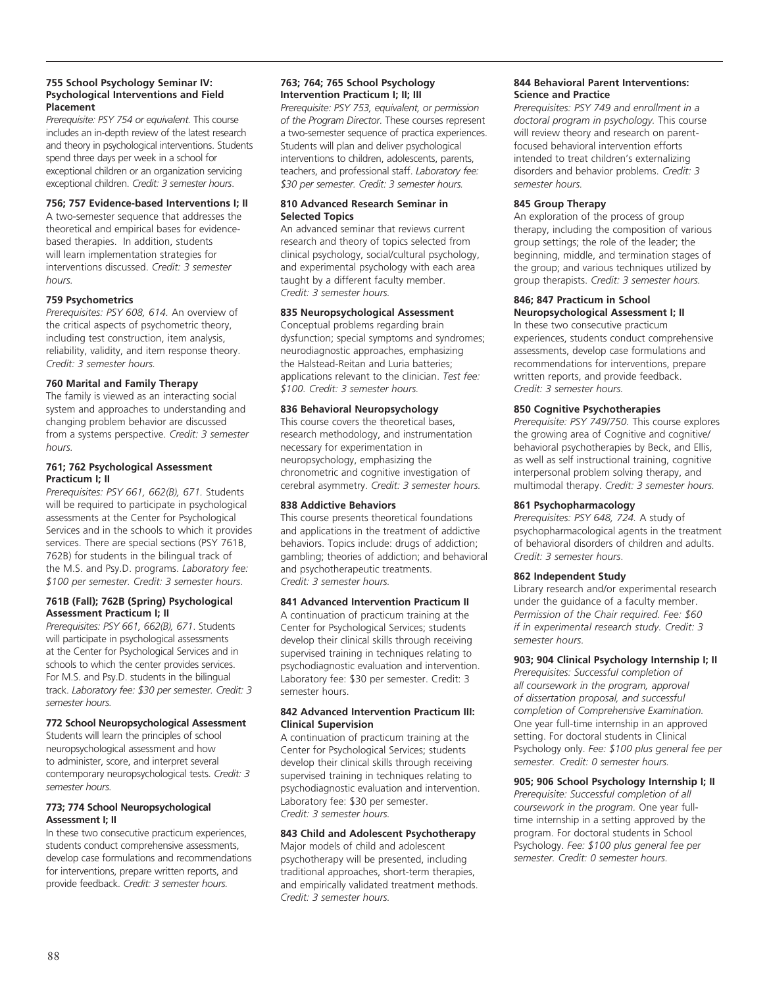#### **755 School Psychology Seminar IV: Psychological Interventions and Field Placement**

*Prerequisite: PSY 754 or equivalent.* This course includes an in-depth review of the latest research and theory in psychological interventions. Students spend three days per week in a school for exceptional children or an organization servicing exceptional children. *Credit: 3 semester hours*.

#### **756; 757 Evidence-based Interventions I; II**

A two-semester sequence that addresses the theoretical and empirical bases for evidencebased therapies. In addition, students will learn implementation strategies for interventions discussed. *Credit: 3 semester hours.*

#### **759 Psychometrics**

*Prerequisites: PSY 608, 614.* An overview of the critical aspects of psychometric theory, including test construction, item analysis, reliability, validity, and item response theory. *Credit: 3 semester hours.*

#### **760 Marital and Family Therapy**

The family is viewed as an interacting social system and approaches to understanding and changing problem behavior are discussed from a systems perspective. *Credit: 3 semester hours.*

#### **761; 762 Psychological Assessment Practicum I; II**

*Prerequisites: PSY 661, 662(B), 671.* Students will be required to participate in psychological assessments at the Center for Psychological Services and in the schools to which it provides services. There are special sections (PSY 761B, 762B) for students in the bilingual track of the M.S. and Psy.D. programs. *Laboratory fee: \$100 per semester. Credit: 3 semester hours*.

#### **761B (Fall); 762B (Spring) Psychological Assessment Practicum I; II**

*Prerequisites: PSY 661, 662(B), 671*. Students will participate in psychological assessments at the Center for Psychological Services and in schools to which the center provides services. For M.S. and Psy.D. students in the bilingual track. *Laboratory fee: \$30 per semester. Credit: 3 semester hours.*

# **772 School Neuropsychological Assessment**

Students will learn the principles of school neuropsychological assessment and how to administer, score, and interpret several contemporary neuropsychological tests. *Credit: 3 semester hours.* 

# **773; 774 School Neuropsychological Assessment I; II**

In these two consecutive practicum experiences, students conduct comprehensive assessments, develop case formulations and recommendations for interventions, prepare written reports, and provide feedback. *Credit: 3 semester hours.* 

# **763; 764; 765 School Psychology Intervention Practicum I; II; III**

*Prerequisite: PSY 753, equivalent, or permission of the Program Director.* These courses represent a two-semester sequence of practica experiences. Students will plan and deliver psychological interventions to children, adolescents, parents, teachers, and professional staff. *Laboratory fee: \$30 per semester. Credit: 3 semester hours.*

#### **810 Advanced Research Seminar in Selected Topics**

An advanced seminar that reviews current research and theory of topics selected from clinical psychology, social/cultural psychology, and experimental psychology with each area taught by a different faculty member. *Credit: 3 semester hours.*

# **835 Neuropsychological Assessment**

Conceptual problems regarding brain dysfunction; special symptoms and syndromes; neurodiagnostic approaches, emphasizing the Halstead-Reitan and Luria batteries; applications relevant to the clinician. *Test fee: \$100. Credit: 3 semester hours.*

# **836 Behavioral Neuropsychology**

This course covers the theoretical bases, research methodology, and instrumentation necessary for experimentation in neuropsychology, emphasizing the chronometric and cognitive investigation of cerebral asymmetry. *Credit: 3 semester hours.*

#### **838 Addictive Behaviors**

This course presents theoretical foundations and applications in the treatment of addictive behaviors. Topics include: drugs of addiction; gambling; theories of addiction; and behavioral and psychotherapeutic treatments. *Credit: 3 semester hours.*

#### **841 Advanced Intervention Practicum II**

A continuation of practicum training at the Center for Psychological Services; students develop their clinical skills through receiving supervised training in techniques relating to psychodiagnostic evaluation and intervention. Laboratory fee: \$30 per semester. Credit: 3 semester hours.

#### **842 Advanced Intervention Practicum III: Clinical Supervision**

A continuation of practicum training at the Center for Psychological Services; students develop their clinical skills through receiving supervised training in techniques relating to psychodiagnostic evaluation and intervention. Laboratory fee: \$30 per semester. *Credit: 3 semester hours.* 

#### **843 Child and Adolescent Psychotherapy**

Major models of child and adolescent psychotherapy will be presented, including traditional approaches, short-term therapies, and empirically validated treatment methods. *Credit: 3 semester hours.*

#### **844 Behavioral Parent Interventions: Science and Practice**

*Prerequisites: PSY 749 and enrollment in a doctoral program in psychology.* This course will review theory and research on parentfocused behavioral intervention efforts intended to treat children's externalizing disorders and behavior problems. *Credit: 3 semester hours.*

#### **845 Group Therapy**

An exploration of the process of group therapy, including the composition of various group settings; the role of the leader; the beginning, middle, and termination stages of the group; and various techniques utilized by group therapists. *Credit: 3 semester hours.*

#### **846; 847 Practicum in School Neuropsychological Assessment I; II**

In these two consecutive practicum experiences, students conduct comprehensive assessments, develop case formulations and recommendations for interventions, prepare written reports, and provide feedback. *Credit: 3 semester hours.*

#### **850 Cognitive Psychotherapies**

*Prerequisite: PSY 749/750.* This course explores the growing area of Cognitive and cognitive/ behavioral psychotherapies by Beck, and Ellis, as well as self instructional training, cognitive interpersonal problem solving therapy, and multimodal therapy. *Credit: 3 semester hours.* 

#### **861 Psychopharmacology**

*Prerequisites: PSY 648, 724.* A study of psychopharmacological agents in the treatment of behavioral disorders of children and adults. *Credit: 3 semester hours*.

#### **862 Independent Study**

Library research and/or experimental research under the guidance of a faculty member. *Permission of the Chair required. Fee: \$60 if in experimental research study. Credit: 3 semester hours.*

# **903; 904 Clinical Psychology Internship I; II**

*Prerequisites: Successful completion of all coursework in the program, approval of dissertation proposal, and successful completion of Comprehensive Examination.*  One year full-time internship in an approved setting. For doctoral students in Clinical Psychology only. *Fee: \$100 plus general fee per semester. Credit: 0 semester hours.*

# **905; 906 School Psychology Internship I; II**

*Prerequisite: Successful completion of all coursework in the program.* One year fulltime internship in a setting approved by the program. For doctoral students in School Psychology. *Fee: \$100 plus general fee per semester. Credit: 0 semester hours.*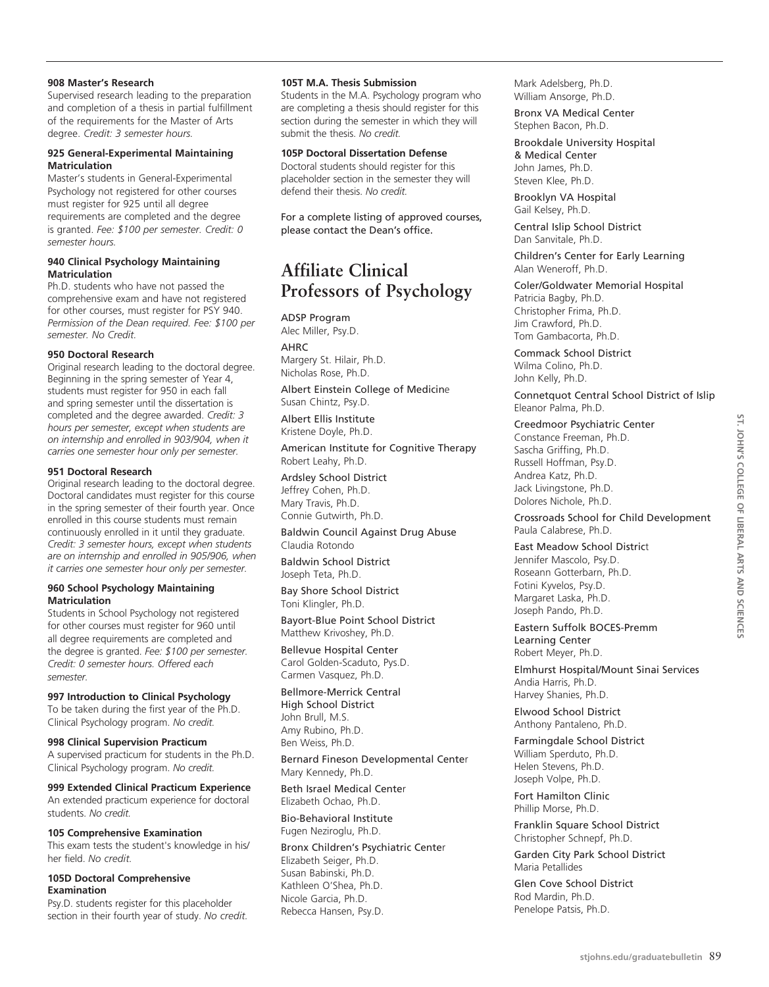#### **908 Master's Research**

Supervised research leading to the preparation and completion of a thesis in partial fulfillment of the requirements for the Master of Arts degree. *Credit: 3 semester hours.*

#### **925 General-Experimental Maintaining Matriculation**

Master's students in General-Experimental Psychology not registered for other courses must register for 925 until all degree requirements are completed and the degree is granted. *Fee: \$100 per semester. Credit: 0 semester hours.* 

#### **940 Clinical Psychology Maintaining Matriculation**

Ph.D. students who have not passed the comprehensive exam and have not registered for other courses, must register for PSY 940. *Permission of the Dean required. Fee: \$100 per semester. No Credit.* 

# **950 Doctoral Research**

Original research leading to the doctoral degree. Beginning in the spring semester of Year 4, students must register for 950 in each fall and spring semester until the dissertation is completed and the degree awarded. *Credit: 3 hours per semester, except when students are on internship and enrolled in 903/904, when it carries one semester hour only per semester.*

#### **951 Doctoral Research**

Original research leading to the doctoral degree. Doctoral candidates must register for this course in the spring semester of their fourth year. Once enrolled in this course students must remain continuously enrolled in it until they graduate. *Credit: 3 semester hours, except when students are on internship and enrolled in 905/906, when it carries one semester hour only per semester.*

#### **960 School Psychology Maintaining Matriculation**

Students in School Psychology not registered for other courses must register for 960 until all degree requirements are completed and the degree is granted. *Fee: \$100 per semester. Credit: 0 semester hours. Offered each semester.*

# **997 Introduction to Clinical Psychology**

To be taken during the first year of the Ph.D. Clinical Psychology program. *No credit.*

**998 Clinical Supervision Practicum** A supervised practicum for students in the Ph.D. Clinical Psychology program. *No credit.*

**999 Extended Clinical Practicum Experience** An extended practicum experience for doctoral students. *No credit.*

# **105 Comprehensive Examination**

This exam tests the student's knowledge in his/ her field. *No credit.*

#### **105D Doctoral Comprehensive Examination**

Psy.D. students register for this placeholder section in their fourth year of study. *No credit.* 

# **105T M.A. Thesis Submission**

Students in the M.A. Psychology program who are completing a thesis should register for this section during the semester in which they will submit the thesis. *No credit.*

#### **105P Doctoral Dissertation Defense**

Doctoral students should register for this placeholder section in the semester they will defend their thesis. *No credit.*

For a complete listing of approved courses, please contact the Dean's office.

# **Affiliate Clinical Professors of Psychology**

ADSP Program Alec Miller, Psy.D.

**AHRC** Margery St. Hilair, Ph.D. Nicholas Rose, Ph.D.

Albert Einstein College of Medicine Susan Chintz, Psy.D.

Albert Ellis Institute Kristene Doyle, Ph.D.

American Institute for Cognitive Therapy Robert Leahy, Ph.D.

Ardsley School District Jeffrey Cohen, Ph.D. Mary Travis, Ph.D. Connie Gutwirth, Ph.D.

Baldwin Council Against Drug Abuse Claudia Rotondo

Baldwin School District Joseph Teta, Ph.D.

Bay Shore School District Toni Klingler, Ph.D.

Bayort-Blue Point School District Matthew Krivoshey, Ph.D.

Bellevue Hospital Center Carol Golden-Scaduto, Pys.D. Carmen Vasquez, Ph.D.

Bellmore-Merrick Central High School District John Brull, M.S. Amy Rubino, Ph.D. Ben Weiss, Ph.D.

Bernard Fineson Developmental Center Mary Kennedy, Ph.D.

Beth Israel Medical Center Elizabeth Ochao, Ph.D.

Bio-Behavioral Institute Fugen Neziroglu, Ph.D.

Bronx Children's Psychiatric Center Elizabeth Seiger, Ph.D. Susan Babinski, Ph.D. Kathleen O'Shea, Ph.D. Nicole Garcia, Ph.D. Rebecca Hansen, Psy.D.

Mark Adelsberg, Ph.D. William Ansorge, Ph.D.

Bronx VA Medical Center Stephen Bacon, Ph.D.

Brookdale University Hospital & Medical Center John James, Ph.D. Steven Klee, Ph.D.

Brooklyn VA Hospital Gail Kelsey, Ph.D.

Central Islip School District Dan Sanvitale, Ph.D.

Children's Center for Early Learning Alan Weneroff, Ph.D.

Coler/Goldwater Memorial Hospital Patricia Bagby, Ph.D. Christopher Frima, Ph.D. Jim Crawford, Ph.D. Tom Gambacorta, Ph.D.

Commack School District Wilma Colino, Ph.D. John Kelly, Ph.D.

Connetquot Central School District of Islip Eleanor Palma, Ph.D.

#### Creedmoor Psychiatric Center

Constance Freeman, Ph.D. Sascha Griffing, Ph.D. Russell Hoffman, Psy.D. Andrea Katz, Ph.D. Jack Livingstone, Ph.D. Dolores Nichole, Ph.D.

Crossroads School for Child Development Paula Calabrese, Ph.D.

East Meadow School District Jennifer Mascolo, Psy.D. Roseann Gotterbarn, Ph.D. Fotini Kyvelos, Psy.D. Margaret Laska, Ph.D. Joseph Pando, Ph.D.

Eastern Suffolk BOCES-Premm Learning Center Robert Meyer, Ph.D.

Elmhurst Hospital/Mount Sinai Services Andia Harris, Ph.D. Harvey Shanies, Ph.D.

Elwood School District Anthony Pantaleno, Ph.D.

Farmingdale School District William Sperduto, Ph.D. Helen Stevens, Ph.D. Joseph Volpe, Ph.D.

Fort Hamilton Clinic Phillip Morse, Ph.D.

Franklin Square School District Christopher Schnepf, Ph.D.

Garden City Park School District Maria Petallides

Glen Cove School District Rod Mardin, Ph.D. Penelope Patsis, Ph.D.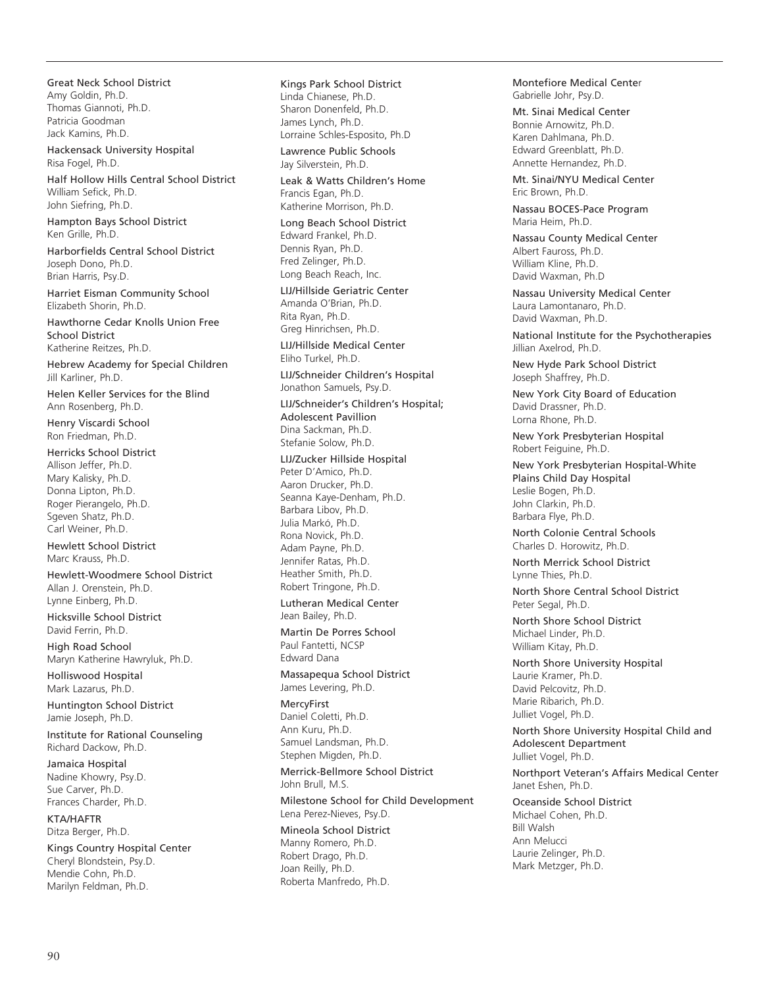Great Neck School District Amy Goldin, Ph.D. Thomas Giannoti, Ph.D. Patricia Goodman Jack Kamins, Ph.D.

Hackensack University Hospital Risa Fogel, Ph.D.

Half Hollow Hills Central School District William Sefick, Ph.D. John Siefring, Ph.D.

Hampton Bays School District Ken Grille, Ph.D.

Harborfields Central School District Joseph Dono, Ph.D. Brian Harris, Psy.D.

Harriet Eisman Community School Elizabeth Shorin, Ph.D.

Hawthorne Cedar Knolls Union Free School District Katherine Reitzes, Ph.D.

Hebrew Academy for Special Children Jill Karliner, Ph.D.

Helen Keller Services for the Blind Ann Rosenberg, Ph.D.

Henry Viscardi School Ron Friedman, Ph.D.

Herricks School District Allison Jeffer, Ph.D. Mary Kalisky, Ph.D. Donna Lipton, Ph.D. Roger Pierangelo, Ph.D. Sgeven Shatz, Ph.D. Carl Weiner, Ph.D.

Hewlett School District Marc Krauss, Ph.D.

Hewlett-Woodmere School District Allan J. Orenstein, Ph.D. Lynne Einberg, Ph.D.

Hicksville School District David Ferrin, Ph.D.

High Road School Maryn Katherine Hawryluk, Ph.D.

Holliswood Hospital Mark Lazarus, Ph.D.

Huntington School District Jamie Joseph, Ph.D.

Institute for Rational Counseling Richard Dackow, Ph.D.

Jamaica Hospital Nadine Khowry, Psy.D. Sue Carver, Ph.D. Frances Charder, Ph.D.

KTA/HAFTR Ditza Berger, Ph.D.

Kings Country Hospital Center Cheryl Blondstein, Psy.D. Mendie Cohn, Ph.D. Marilyn Feldman, Ph.D.

Kings Park School District Linda Chianese, Ph.D. Sharon Donenfeld, Ph.D. James Lynch, Ph.D. Lorraine Schles-Esposito, Ph.D

Lawrence Public Schools Jay Silverstein, Ph.D.

Leak & Watts Children's Home Francis Egan, Ph.D. Katherine Morrison, Ph.D.

Long Beach School District Edward Frankel, Ph.D. Dennis Ryan, Ph.D. Fred Zelinger, Ph.D. Long Beach Reach, Inc.

LIJ/Hillside Geriatric Center Amanda O'Brian, Ph.D. Rita Ryan, Ph.D. Greg Hinrichsen, Ph.D.

LIJ/Hillside Medical Center Eliho Turkel, Ph.D.

LIJ/Schneider Children's Hospital Jonathon Samuels, Psy.D.

LIJ/Schneider's Children's Hospital; Adolescent Pavillion Dina Sackman, Ph.D. Stefanie Solow, Ph.D.

# LIJ/Zucker Hillside Hospital

Peter D'Amico, Ph.D. Aaron Drucker, Ph.D. Seanna Kaye-Denham, Ph.D. Barbara Libov, Ph.D. Julia Markó, Ph.D. Rona Novick, Ph.D. Adam Payne, Ph.D. Jennifer Ratas, Ph.D. Heather Smith, Ph.D. Robert Tringone, Ph.D.

Lutheran Medical Center Jean Bailey, Ph.D.

Martin De Porres School Paul Fantetti, NCSP Edward Dana

Massapequa School District James Levering, Ph.D.

MercyFirst Daniel Coletti, Ph.D. Ann Kuru, Ph.D. Samuel Landsman, Ph.D. Stephen Migden, Ph.D.

Merrick-Bellmore School District John Brull, M.S.

Milestone School for Child Development Lena Perez-Nieves, Psy.D.

Mineola School District Manny Romero, Ph.D. Robert Drago, Ph.D. Joan Reilly, Ph.D. Roberta Manfredo, Ph.D.

Montefiore Medical Center Gabrielle Johr, Psy.D.

Mt. Sinai Medical Center Bonnie Arnowitz, Ph.D. Karen Dahlmana, Ph.D. Edward Greenblatt, Ph.D. Annette Hernandez, Ph.D.

Mt. Sinai/NYU Medical Center Eric Brown, Ph.D.

Nassau BOCES-Pace Program Maria Heim, Ph.D.

Nassau County Medical Center Albert Fauross, Ph.D. William Kline, Ph.D. David Waxman, Ph.D

Nassau University Medical Center Laura Lamontanaro, Ph.D. David Waxman, Ph.D.

National Institute for the Psychotherapies Jillian Axelrod, Ph.D.

New Hyde Park School District Joseph Shaffrey, Ph.D.

New York City Board of Education David Drassner, Ph.D. Lorna Rhone, Ph.D.

New York Presbyterian Hospital Robert Feiguine, Ph.D.

New York Presbyterian Hospital-White Plains Child Day Hospital Leslie Bogen, Ph.D. John Clarkin, Ph.D. Barbara Flye, Ph.D.

North Colonie Central Schools Charles D. Horowitz, Ph.D.

North Merrick School District Lynne Thies, Ph.D.

North Shore Central School District Peter Segal, Ph.D.

North Shore School District Michael Linder, Ph.D. William Kitay, Ph.D.

North Shore University Hospital Laurie Kramer, Ph.D. David Pelcovitz, Ph.D. Marie Ribarich, Ph.D. Julliet Vogel, Ph.D.

North Shore University Hospital Child and Adolescent Department Julliet Vogel, Ph.D.

Northport Veteran's Affairs Medical Center Janet Eshen, Ph.D.

Oceanside School District Michael Cohen, Ph.D. Bill Walsh Ann Melucci Laurie Zelinger, Ph.D. Mark Metzger, Ph.D.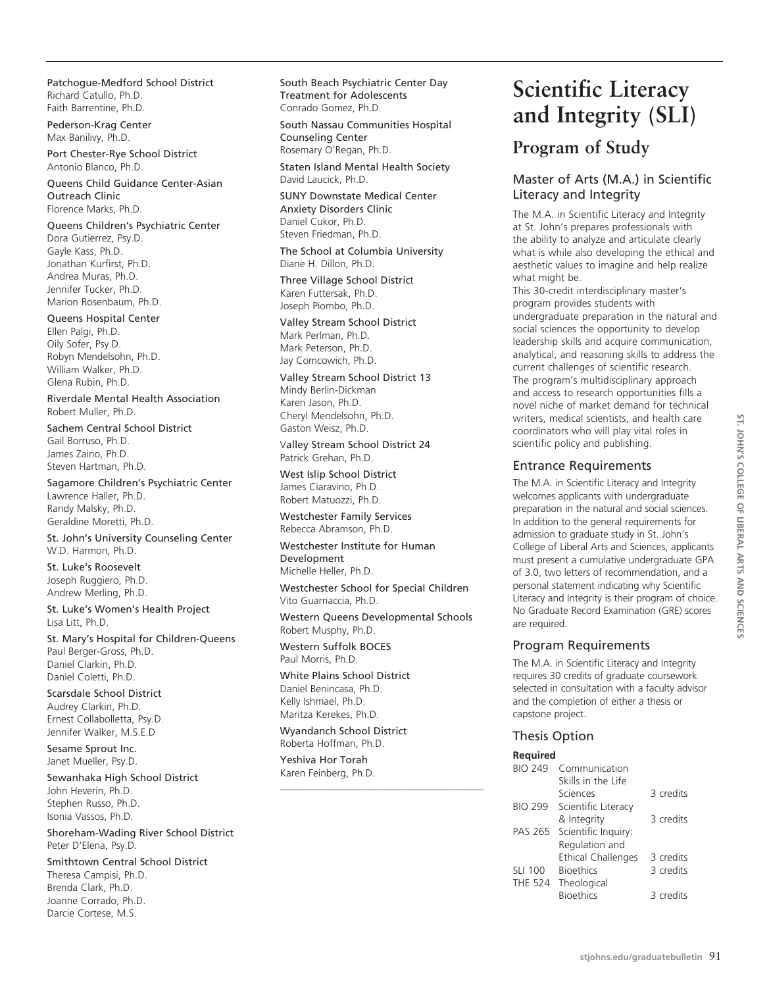Patchogue-Medford School District Richard Catullo, Ph.D. Faith Barrentine, Ph.D.

Pederson-Krag Center Max Banilivy, Ph.D.

Port Chester-Rye School District Antonio Blanco, Ph.D.

Queens Child Guidance Center-Asian Outreach Clinic Florence Marks, Ph.D.

Queens Children's Psychiatric Center Dora Gutierrez, Psy.D. Gayle Kass, Ph.D. Jonathan Kurfirst, Ph.D. Andrea Muras, Ph.D. Jennifer Tucker, Ph.D. Marion Rosenbaum, Ph.D.

Queens Hospital Center Ellen Palgi, Ph.D. Oily Sofer, Psy.D. Robyn Mendelsohn, Ph.D. William Walker, Ph.D. Glena Rubin, Ph.D.

Riverdale Mental Health Association Robert Muller, Ph.D.

Sachem Central School District Gail Borruso, Ph.D. James Zaino, Ph.D. Steven Hartman, Ph.D.

Sagamore Children's Psychiatric Center Lawrence Haller, Ph.D. Randy Malsky, Ph.D. Geraldine Moretti, Ph.D.

St. John's University Counseling Center W.D. Harmon, Ph.D.

St. Luke's Roosevelt Joseph Ruggiero, Ph.D. Andrew Merling, Ph.D.

St. Luke's Women's Health Project Lisa Litt, Ph.D.

St. Mary's Hospital for Children-Queens Paul Berger-Gross, Ph.D. Daniel Clarkin, Ph.D. Daniel Coletti, Ph.D.

Scarsdale School District Audrey Clarkin, Ph.D. Ernest Collabolletta, Psy.D. Jennifer Walker, M.S.E.D

Sesame Sprout Inc. Janet Mueller, Psy.D.

Sewanhaka High School District John Heverin, Ph.D. Stephen Russo, Ph.D. Isonia Vassos, Ph.D.

Shoreham-Wading River School District Peter D'Elena, Psy.D.

Smithtown Central School District Theresa Campisi, Ph.D. Brenda Clark, Ph.D. Joanne Corrado, Ph.D. Darcie Cortese, M.S.

South Beach Psychiatric Center Day Treatment for Adolescents Conrado Gomez, Ph.D.

South Nassau Communities Hospital Counseling Center Rosemary O'Regan, Ph.D.

Staten Island Mental Health Society David Laucick, Ph.D.

SUNY Downstate Medical Center Anxiety Disorders Clinic Daniel Cukor, Ph.D. Steven Friedman, Ph.D.

The School at Columbia University Diane H. Dillon, Ph.D.

Three Village School District Karen Futtersak, Ph.D. Joseph Piombo, Ph.D.

Valley Stream School District Mark Perlman, Ph.D. Mark Peterson, Ph.D. Jay Comcowich, Ph.D.

Valley Stream School District 13 Mindy Berlin-Dickman Karen Jason, Ph.D. Cheryl Mendelsohn, Ph.D. Gaston Weisz, Ph.D.

Valley Stream School District 24 Patrick Grehan, Ph.D.

West Islip School District James Ciaravino, Ph.D. Robert Matuozzi, Ph.D.

Westchester Family Services Rebecca Abramson, Ph.D.

Westchester Institute for Human Development Michelle Heller, Ph.D.

Westchester School for Special Children Vito Guarnaccia, Ph.D.

Western Queens Developmental Schools Robert Musphy, Ph.D.

\_\_\_\_\_\_\_\_\_\_\_\_\_\_\_\_\_\_\_\_\_\_\_\_\_\_\_\_\_\_\_\_\_\_\_\_\_\_\_\_

Western Suffolk BOCES Paul Morris, Ph.D.

White Plains School District Daniel Benincasa, Ph.D. Kelly Ishmael, Ph.D. Maritza Kerekes, Ph.D.

Wyandanch School District Roberta Hoffman, Ph.D.

Yeshiva Hor Torah Karen Feinberg, Ph.D.

# **Scientific Literacy and Integrity (SLI)**

# **Program of Study**

# Master of Arts (M.A.) in Scientific Literacy and Integrity

The M.A. in Scientific Literacy and Integrity at St. John's prepares professionals with the ability to analyze and articulate clearly what is while also developing the ethical and aesthetic values to imagine and help realize what might be.

This 30-credit interdisciplinary master's program provides students with undergraduate preparation in the natural and social sciences the opportunity to develop leadership skills and acquire communication, analytical, and reasoning skills to address the current challenges of scientific research. The program's multidisciplinary approach and access to research opportunities fills a novel niche of market demand for technical writers, medical scientists, and health care coordinators who will play vital roles in scientific policy and publishing.

# Entrance Requirements

The M.A. in Scientific Literacy and Integrity welcomes applicants with undergraduate preparation in the natural and social sciences. In addition to the general requirements for admission to graduate study in St. John's College of Liberal Arts and Sciences, applicants must present a cumulative undergraduate GPA of 3.0, two letters of recommendation, and a personal statement indicating why Scientific Literacy and Integrity is their program of choice. No Graduate Record Examination (GRE) scores are required.

# Program Requirements

The M.A. in Scientific Literacy and Integrity requires 30 credits of graduate coursework selected in consultation with a faculty advisor and the completion of either a thesis or capstone project.

# Thesis Option

| Required       |                     |           |
|----------------|---------------------|-----------|
| <b>BIO 249</b> | Communication       |           |
|                | Skills in the Life  |           |
|                | Sciences            | 3 credits |
| <b>BIO 299</b> | Scientific Literacy |           |
|                | & Integrity         | 3 credits |
| <b>PAS 265</b> | Scientific Inquiry: |           |
|                | Regulation and      |           |
|                | Ethical Challenges  | 3 credits |
| <b>SLI 100</b> | <b>Bioethics</b>    | 3 credits |
| THE 524        | Theological         |           |
|                | <b>Bioethics</b>    | 3 credits |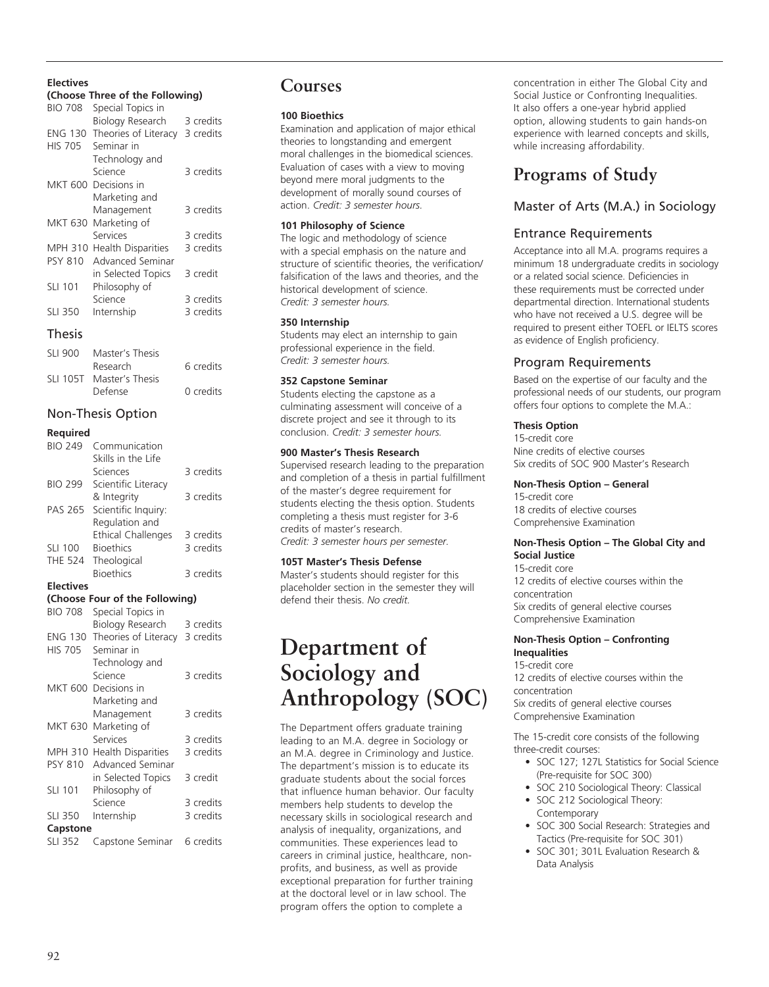#### **Electives**

#### **(Choose Three of the Following)**

| <b>BIO 708</b> | Special Topics in         |           |
|----------------|---------------------------|-----------|
|                | Biology Research          | 3 credits |
| <b>ENG 130</b> | Theories of Literacy      | 3 credits |
| <b>HIS 705</b> | Seminar in                |           |
|                | Technology and            |           |
|                | Science                   | 3 credits |
| MKT 600        | Decisions in              |           |
|                | Marketing and             |           |
|                | Management                | 3 credits |
| MKT 630        | Marketing of              |           |
|                | Services                  | 3 credits |
| <b>MPH 310</b> | <b>Health Disparities</b> | 3 credits |
| <b>PSY 810</b> | Advanced Seminar          |           |
|                | in Selected Topics        | 3 credit  |
| <b>SLI 101</b> | Philosophy of             |           |
|                | Science                   | 3 credits |
| <b>SLI 350</b> | Internship                | 3 credits |

#### Thesis

| SLI 900 | Master's Thesis          |           |
|---------|--------------------------|-----------|
|         | Research                 | 6 credits |
|         | SLI 105T Master's Thesis |           |
|         | Defense                  | 0 credits |

# Non-Thesis Option

#### **Required**

| <b>BIO 249</b> | Communication             |           |
|----------------|---------------------------|-----------|
|                | Skills in the Life        |           |
|                | Sciences                  | 3 credits |
| <b>BIO 299</b> | Scientific Literacy       |           |
|                | & Integrity               | 3 credits |
| PAS 265        | Scientific Inquiry:       |           |
|                | Regulation and            |           |
|                | <b>Ethical Challenges</b> | 3 credits |
| <b>SLI 100</b> | <b>Bioethics</b>          | 3 credits |
| THE 524        | Theological               |           |
|                | <b>Bioethics</b>          | 3 credits |

#### **Electives**

#### **(Choose Four of the Following)**

| <b>BIO 708</b> | Special Topics in              |           |  |
|----------------|--------------------------------|-----------|--|
|                | Biology Research               | 3 credits |  |
| ENG 130        | Theories of Literacy 3 credits |           |  |
| <b>HIS 705</b> | Seminar in                     |           |  |
|                | Technology and                 |           |  |
|                | Science                        | 3 credits |  |
| MKT 600        | Decisions in                   |           |  |
|                | Marketing and                  |           |  |
|                | Management                     | 3 credits |  |
| MKT 630        | Marketing of                   |           |  |
|                | Services                       | 3 credits |  |
| MPH 310        | <b>Health Disparities</b>      | 3 credits |  |
| <b>PSY 810</b> | Advanced Seminar               |           |  |
|                | in Selected Topics             | 3 credit  |  |
| <b>SLI 101</b> | Philosophy of                  |           |  |
|                | Science                        | 3 credits |  |
| <b>SLI 350</b> | Internship                     | 3 credits |  |
| Capstone       |                                |           |  |
| <b>SLI 352</b> | Capstone Seminar               | 6 credits |  |

# **Courses**

#### **100 Bioethics**

Examination and application of major ethical theories to longstanding and emergent moral challenges in the biomedical sciences. Evaluation of cases with a view to moving beyond mere moral judgments to the development of morally sound courses of action. *Credit: 3 semester hours.*

#### **101 Philosophy of Science**

The logic and methodology of science with a special emphasis on the nature and structure of scientific theories, the verification/ falsification of the laws and theories, and the historical development of science. *Credit: 3 semester hours.*

#### **350 Internship**

Students may elect an internship to gain professional experience in the field. *Credit: 3 semester hours.*

#### **352 Capstone Seminar**

Students electing the capstone as a culminating assessment will conceive of a discrete project and see it through to its conclusion. *Credit: 3 semester hours.*

#### **900 Master's Thesis Research**

Supervised research leading to the preparation and completion of a thesis in partial fulfillment of the master's degree requirement for students electing the thesis option. Students completing a thesis must register for 3-6 credits of master's research. *Credit: 3 semester hours per semester.*

#### **105T Master's Thesis Defense**

Master's students should register for this placeholder section in the semester they will defend their thesis. *No credit.*

# **Department of Sociology and Anthropology (SOC)**

The Department offers graduate training leading to an M.A. degree in Sociology or an M.A. degree in Criminology and Justice. The department's mission is to educate its graduate students about the social forces that influence human behavior. Our faculty members help students to develop the necessary skills in sociological research and analysis of inequality, organizations, and communities. These experiences lead to careers in criminal justice, healthcare, nonprofits, and business, as well as provide exceptional preparation for further training at the doctoral level or in law school. The program offers the option to complete a

concentration in either The Global City and Social Justice or Confronting Inequalities. It also offers a one-year hybrid applied option, allowing students to gain hands-on experience with learned concepts and skills, while increasing affordability.

# **Programs of Study**

# Master of Arts (M.A.) in Sociology

# Entrance Requirements

Acceptance into all M.A. programs requires a minimum 18 undergraduate credits in sociology or a related social science. Deficiencies in these requirements must be corrected under departmental direction. International students who have not received a U.S. degree will be required to present either TOEFL or IELTS scores as evidence of English proficiency.

# Program Requirements

Based on the expertise of our faculty and the professional needs of our students, our program offers four options to complete the M.A.:

#### **Thesis Option**

15-credit core Nine credits of elective courses Six credits of SOC 900 Master's Research

#### **Non-Thesis Option – General**

15-credit core 18 credits of elective courses Comprehensive Examination

#### **Non-Thesis Option – The Global City and Social Justice**

#### 15-credit core

12 credits of elective courses within the concentration Six credits of general elective courses Comprehensive Examination

#### **Non-Thesis Option – Confronting Inequalities**

15-credit core 12 credits of elective courses within the concentration Six credits of general elective courses Comprehensive Examination

The 15-credit core consists of the following three-credit courses:

- SOC 127; 127L Statistics for Social Science (Pre-requisite for SOC 300)
- SOC 210 Sociological Theory: Classical
- SOC 212 Sociological Theory: Contemporary
- SOC 300 Social Research: Strategies and Tactics (Pre-requisite for SOC 301)
- • SOC 301; 301L Evaluation Research & Data Analysis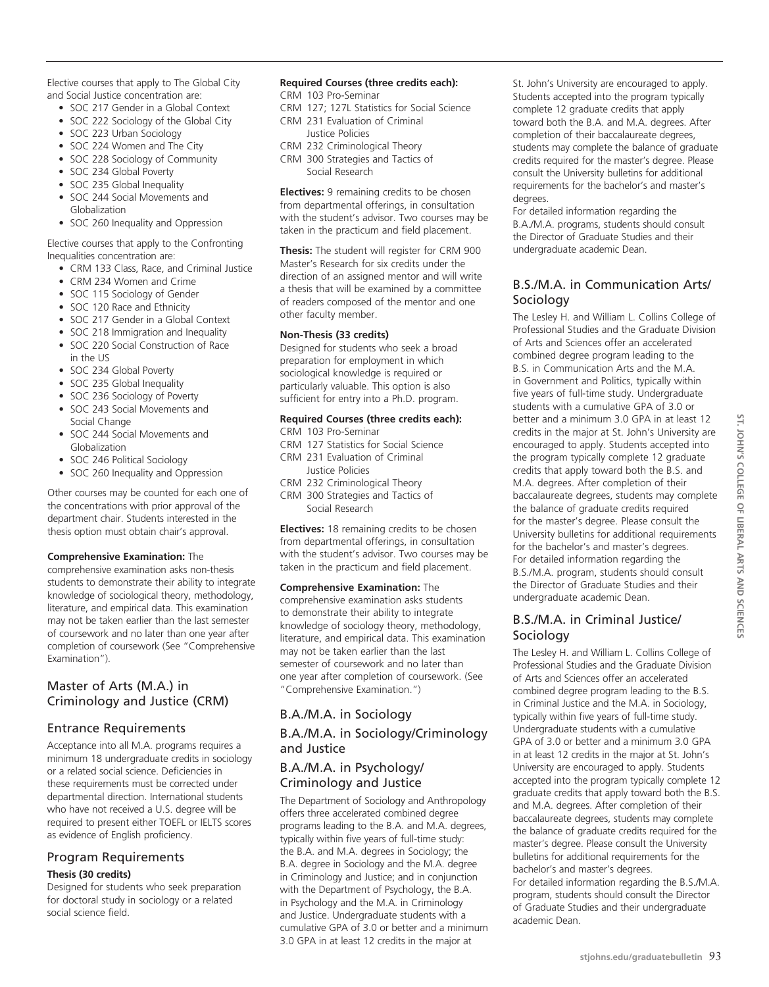Elective courses that apply to The Global City and Social Justice concentration are:

- SOC 217 Gender in a Global Context
- SOC 222 Sociology of the Global City
- SOC 223 Urban Sociology
- SOC 224 Women and The City
- SOC 228 Sociology of Community
- SOC 234 Global Poverty
- SOC 235 Global Inequality
- SOC 244 Social Movements and Globalization
- SOC 260 Inequality and Oppression

Elective courses that apply to the Confronting Inequalities concentration are:

- CRM 133 Class, Race, and Criminal Justice
- CRM 234 Women and Crime
- SOC 115 Sociology of Gender
- SOC 120 Race and Ethnicity
- SOC 217 Gender in a Global Context
- SOC 218 Immigration and Inequality
- SOC 220 Social Construction of Race in the US
- SOC 234 Global Poverty
- SOC 235 Global Inequality
- SOC 236 Sociology of Poverty
- SOC 243 Social Movements and Social Change
- SOC 244 Social Movements and Globalization
- SOC 246 Political Sociology
- SOC 260 Inequality and Oppression

Other courses may be counted for each one of the concentrations with prior approval of the department chair. Students interested in the thesis option must obtain chair's approval.

#### **Comprehensive Examination:** The

comprehensive examination asks non-thesis students to demonstrate their ability to integrate knowledge of sociological theory, methodology, literature, and empirical data. This examination may not be taken earlier than the last semester of coursework and no later than one year after completion of coursework (See "Comprehensive Examination").

# Master of Arts (M.A.) in Criminology and Justice (CRM)

# Entrance Requirements

Acceptance into all M.A. programs requires a minimum 18 undergraduate credits in sociology or a related social science. Deficiencies in these requirements must be corrected under departmental direction. International students who have not received a U.S. degree will be required to present either TOEFL or IELTS scores as evidence of English proficiency.

# Program Requirements **Thesis (30 credits)**

Designed for students who seek preparation for doctoral study in sociology or a related social science field.

# **Required Courses (three credits each):**

- CRM 103 Pro-Seminar
- CRM 127; 127L Statistics for Social Science
- CRM 231 Evaluation of Criminal Justice Policies
- CRM 232 Criminological Theory
- CRM 300 Strategies and Tactics of
	- Social Research

**Electives:** 9 remaining credits to be chosen from departmental offerings, in consultation with the student's advisor. Two courses may be taken in the practicum and field placement.

**Thesis:** The student will register for CRM 900 Master's Research for six credits under the direction of an assigned mentor and will write a thesis that will be examined by a committee of readers composed of the mentor and one other faculty member.

# **Non-Thesis (33 credits)**

Designed for students who seek a broad preparation for employment in which sociological knowledge is required or particularly valuable. This option is also sufficient for entry into a Ph.D. program.

# **Required Courses (three credits each):**

- CRM 103 Pro-Seminar
- CRM 127 Statistics for Social Science
- CRM 231 Evaluation of Criminal Justice Policies
- CRM 232 Criminological Theory CRM 300 Strategies and Tactics of Social Research

**Electives:** 18 remaining credits to be chosen from departmental offerings, in consultation with the student's advisor. Two courses may be taken in the practicum and field placement.

**Comprehensive Examination:** The comprehensive examination asks students to demonstrate their ability to integrate knowledge of sociology theory, methodology, literature, and empirical data. This examination may not be taken earlier than the last semester of coursework and no later than one year after completion of coursework. (See "Comprehensive Examination.")

# B.A./M.A. in Sociology B.A./M.A. in Sociology/Criminology and Justice

# B.A./M.A. in Psychology/ Criminology and Justice

The Department of Sociology and Anthropology offers three accelerated combined degree programs leading to the B.A. and M.A. degrees, typically within five years of full-time study: the B.A. and M.A. degrees in Sociology; the B.A. degree in Sociology and the M.A. degree in Criminology and Justice; and in conjunction with the Department of Psychology, the B.A. in Psychology and the M.A. in Criminology and Justice. Undergraduate students with a cumulative GPA of 3.0 or better and a minimum 3.0 GPA in at least 12 credits in the major at

St. John's University are encouraged to apply. Students accepted into the program typically complete 12 graduate credits that apply toward both the B.A. and M.A. degrees. After completion of their baccalaureate degrees, students may complete the balance of graduate credits required for the master's degree. Please consult the University bulletins for additional requirements for the bachelor's and master's degrees.

For detailed information regarding the B.A./M.A. programs, students should consult the Director of Graduate Studies and their undergraduate academic Dean.

# B.S./M.A. in Communication Arts/ Sociology

The Lesley H. and William L. Collins College of Professional Studies and the Graduate Division of Arts and Sciences offer an accelerated combined degree program leading to the B.S. in Communication Arts and the M.A. in Government and Politics, typically within five years of full-time study. Undergraduate students with a cumulative GPA of 3.0 or better and a minimum 3.0 GPA in at least 12 credits in the major at St. John's University are encouraged to apply. Students accepted into the program typically complete 12 graduate credits that apply toward both the B.S. and M.A. degrees. After completion of their baccalaureate degrees, students may complete the balance of graduate credits required for the master's degree. Please consult the University bulletins for additional requirements for the bachelor's and master's degrees. For detailed information regarding the B.S./M.A. program, students should consult the Director of Graduate Studies and their undergraduate academic Dean.

# B.S./M.A. in Criminal Justice/ Sociology

The Lesley H. and William L. Collins College of Professional Studies and the Graduate Division of Arts and Sciences offer an accelerated combined degree program leading to the B.S. in Criminal Justice and the M.A. in Sociology, typically within five years of full-time study. Undergraduate students with a cumulative GPA of 3.0 or better and a minimum 3.0 GPA in at least 12 credits in the major at St. John's University are encouraged to apply. Students accepted into the program typically complete 12 graduate credits that apply toward both the B.S. and M.A. degrees. After completion of their baccalaureate degrees, students may complete the balance of graduate credits required for the master's degree. Please consult the University bulletins for additional requirements for the bachelor's and master's degrees. For detailed information regarding the B.S./M.A. program, students should consult the Director of Graduate Studies and their undergraduate academic Dean.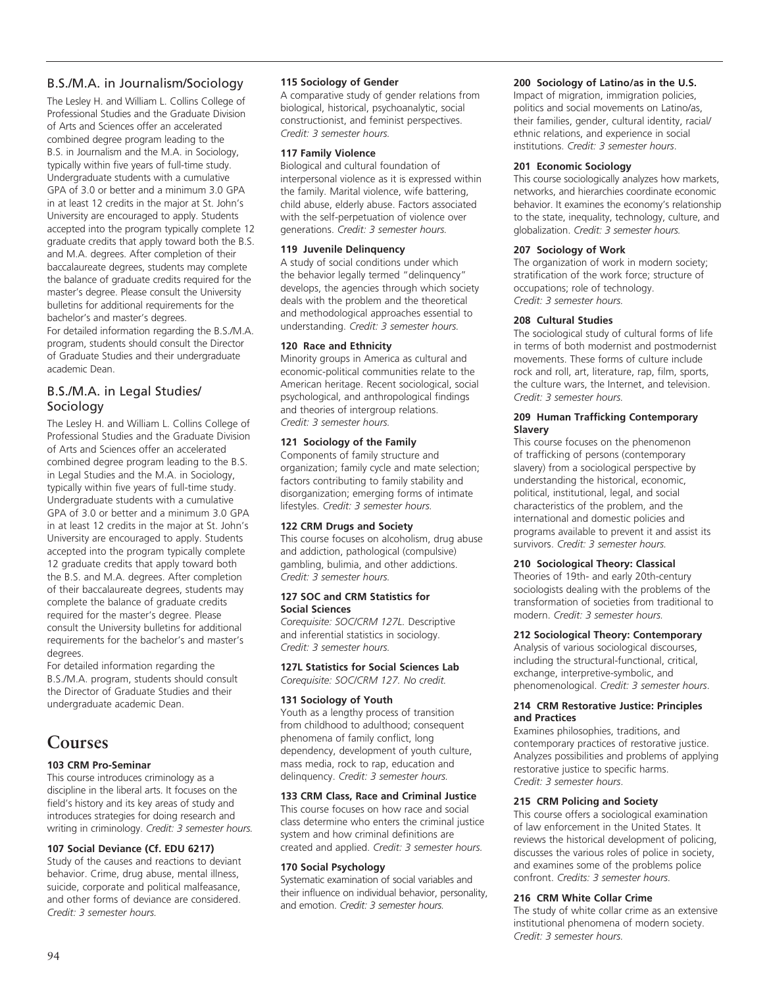# B.S./M.A. in Journalism/Sociology

The Lesley H. and William L. Collins College of Professional Studies and the Graduate Division of Arts and Sciences offer an accelerated combined degree program leading to the B.S. in Journalism and the M.A. in Sociology, typically within five years of full-time study. Undergraduate students with a cumulative GPA of 3.0 or better and a minimum 3.0 GPA in at least 12 credits in the major at St. John's University are encouraged to apply. Students accepted into the program typically complete 12 graduate credits that apply toward both the B.S. and M.A. degrees. After completion of their baccalaureate degrees, students may complete the balance of graduate credits required for the master's degree. Please consult the University bulletins for additional requirements for the bachelor's and master's degrees.

For detailed information regarding the B.S./M.A. program, students should consult the Director of Graduate Studies and their undergraduate academic Dean.

# B.S./M.A. in Legal Studies/ Sociology

The Lesley H. and William L. Collins College of Professional Studies and the Graduate Division of Arts and Sciences offer an accelerated combined degree program leading to the B.S. in Legal Studies and the M.A. in Sociology, typically within five years of full-time study. Undergraduate students with a cumulative GPA of 3.0 or better and a minimum 3.0 GPA in at least 12 credits in the major at St. John's University are encouraged to apply. Students accepted into the program typically complete 12 graduate credits that apply toward both the B.S. and M.A. degrees. After completion of their baccalaureate degrees, students may complete the balance of graduate credits required for the master's degree. Please consult the University bulletins for additional requirements for the bachelor's and master's degrees.

For detailed information regarding the B.S./M.A. program, students should consult the Director of Graduate Studies and their undergraduate academic Dean.

# **Courses**

# **103 CRM Pro-Seminar**

This course introduces criminology as a discipline in the liberal arts. It focuses on the field's history and its key areas of study and introduces strategies for doing research and writing in criminology. *Credit: 3 semester hours.*

# **107 Social Deviance (Cf. EDU 6217)**

Study of the causes and reactions to deviant behavior. Crime, drug abuse, mental illness, suicide, corporate and political malfeasance, and other forms of deviance are considered. *Credit: 3 semester hours.*

#### **115 Sociology of Gender**

A comparative study of gender relations from biological, historical, psychoanalytic, social constructionist, and feminist perspectives. *Credit: 3 semester hours.*

# **117 Family Violence**

Biological and cultural foundation of interpersonal violence as it is expressed within the family. Marital violence, wife battering, child abuse, elderly abuse. Factors associated with the self-perpetuation of violence over generations. *Credit: 3 semester hours.*

#### **119 Juvenile Delinquency**

A study of social conditions under which the behavior legally termed "delinquency" develops, the agencies through which society deals with the problem and the theoretical and methodological approaches essential to understanding. *Credit: 3 semester hours.*

# **120 Race and Ethnicity**

Minority groups in America as cultural and economic-political communities relate to the American heritage. Recent sociological, social psychological, and anthropological findings and theories of intergroup relations. *Credit: 3 semester hours.*

#### **121 Sociology of the Family**

Components of family structure and organization; family cycle and mate selection; factors contributing to family stability and disorganization; emerging forms of intimate lifestyles. *Credit: 3 semester hours.*

# **122 CRM Drugs and Society**

This course focuses on alcoholism, drug abuse and addiction, pathological (compulsive) gambling, bulimia, and other addictions. *Credit: 3 semester hours.*

#### **127 SOC and CRM Statistics for Social Sciences**

*Corequisite: SOC/CRM 127L.* Descriptive and inferential statistics in sociology. *Credit: 3 semester hours.*

#### **127L Statistics for Social Sciences Lab** *Corequisite: SOC/CRM 127. No credit.*

#### **131 Sociology of Youth**

Youth as a lengthy process of transition from childhood to adulthood; consequent phenomena of family conflict, long dependency, development of youth culture, mass media, rock to rap, education and delinquency. *Credit: 3 semester hours.*

# **133 CRM Class, Race and Criminal Justice**

This course focuses on how race and social class determine who enters the criminal justice system and how criminal definitions are created and applied. *Credit: 3 semester hours.*

#### **170 Social Psychology**

Systematic examination of social variables and their influence on individual behavior, personality, and emotion. *Credit: 3 semester hours.*

# **200 Sociology of Latino/as in the U.S.**

Impact of migration, immigration policies, politics and social movements on Latino/as, their families, gender, cultural identity, racial/ ethnic relations, and experience in social institutions. *Credit: 3 semester hours*.

#### **201 Economic Sociology**

This course sociologically analyzes how markets, networks, and hierarchies coordinate economic behavior. It examines the economy's relationship to the state, inequality, technology, culture, and globalization. *Credit: 3 semester hours.*

#### **207 Sociology of Work**

The organization of work in modern society; stratification of the work force; structure of occupations; role of technology. *Credit: 3 semester hours.*

#### **208 Cultural Studies**

The sociological study of cultural forms of life in terms of both modernist and postmodernist movements. These forms of culture include rock and roll, art, literature, rap, film, sports, the culture wars, the Internet, and television. *Credit: 3 semester hours.*

#### **209 Human Trafficking Contemporary Slavery**

This course focuses on the phenomenon of trafficking of persons (contemporary slavery) from a sociological perspective by understanding the historical, economic, political, institutional, legal, and social characteristics of the problem, and the international and domestic policies and programs available to prevent it and assist its survivors. *Credit: 3 semester hours.*

# **210 Sociological Theory: Classical**

Theories of 19th- and early 20th-century sociologists dealing with the problems of the transformation of societies from traditional to modern. *Credit: 3 semester hours.*

# **212 Sociological Theory: Contemporary**

Analysis of various sociological discourses, including the structural-functional, critical, exchange, interpretive-symbolic, and phenomenological. *Credit: 3 semester hours*.

#### **214 CRM Restorative Justice: Principles and Practices**

Examines philosophies, traditions, and contemporary practices of restorative justice. Analyzes possibilities and problems of applying restorative justice to specific harms. *Credit: 3 semester hours*.

# **215 CRM Policing and Society**

This course offers a sociological examination of law enforcement in the United States. It reviews the historical development of policing, discusses the various roles of police in society, and examines some of the problems police confront. *Credits: 3 semester hours.*

# **216 CRM White Collar Crime**

The study of white collar crime as an extensive institutional phenomena of modern society. *Credit: 3 semester hours.*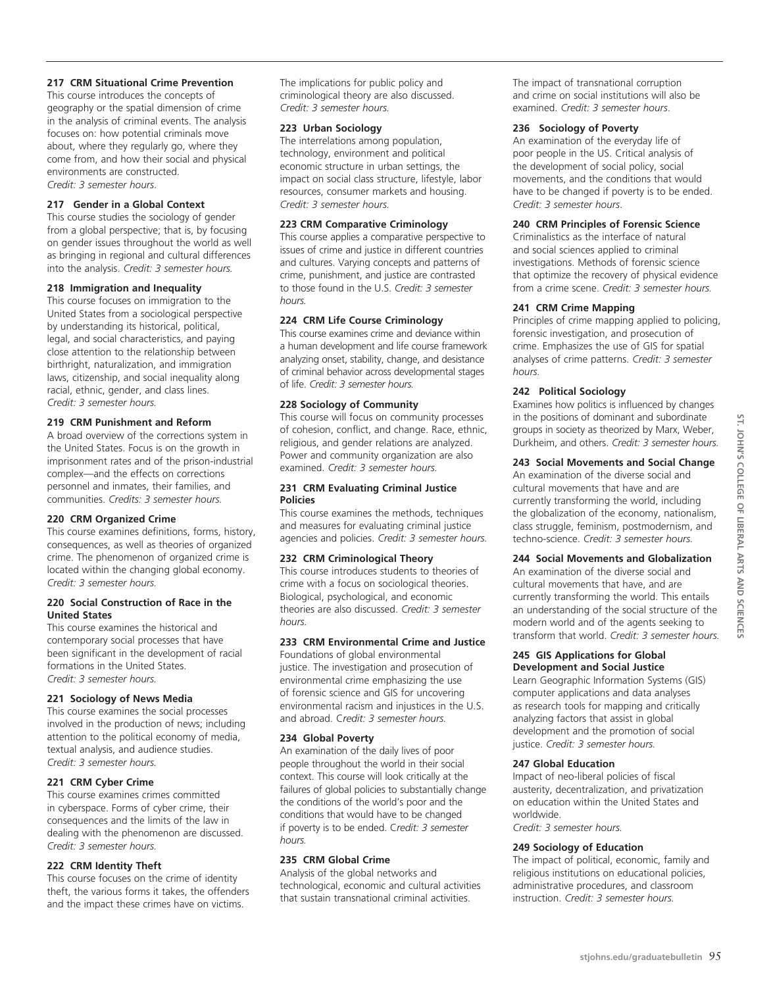# **217 CRM Situational Crime Prevention**

This course introduces the concepts of geography or the spatial dimension of crime in the analysis of criminal events. The analysis focuses on: how potential criminals move about, where they regularly go, where they come from, and how their social and physical environments are constructed. *Credit: 3 semester hours*.

# **217 Gender in a Global Context**

This course studies the sociology of gender from a global perspective; that is, by focusing on gender issues throughout the world as well as bringing in regional and cultural differences into the analysis. *Credit: 3 semester hours.*

#### **218 Immigration and Inequality**

This course focuses on immigration to the United States from a sociological perspective by understanding its historical, political, legal, and social characteristics, and paying close attention to the relationship between birthright, naturalization, and immigration laws, citizenship, and social inequality along racial, ethnic, gender, and class lines. *Credit: 3 semester hours.*

#### **219 CRM Punishment and Reform**

A broad overview of the corrections system in the United States. Focus is on the growth in imprisonment rates and of the prison-industrial complex—and the effects on corrections personnel and inmates, their families, and communities. *Credits: 3 semester hours.*

#### **220 CRM Organized Crime**

This course examines definitions, forms, history, consequences, as well as theories of organized crime. The phenomenon of organized crime is located within the changing global economy. *Credit: 3 semester hours.*

#### **220 Social Construction of Race in the United States**

This course examines the historical and contemporary social processes that have been significant in the development of racial formations in the United States. *Credit: 3 semester hours.*

# **221 Sociology of News Media**

This course examines the social processes involved in the production of news; including attention to the political economy of media, textual analysis, and audience studies. *Credit: 3 semester hours.*

# **221 CRM Cyber Crime**

This course examines crimes committed in cyberspace. Forms of cyber crime, their consequences and the limits of the law in dealing with the phenomenon are discussed. *Credit: 3 semester hours.*

#### **222 CRM Identity Theft**

This course focuses on the crime of identity theft, the various forms it takes, the offenders and the impact these crimes have on victims.

The implications for public policy and criminological theory are also discussed. *Credit: 3 semester hours.*

# **223 Urban Sociology**

The interrelations among population, technology, environment and political economic structure in urban settings, the impact on social class structure, lifestyle, labor resources, consumer markets and housing. *Credit: 3 semester hours.*

#### **223 CRM Comparative Criminology**

This course applies a comparative perspective to issues of crime and justice in different countries and cultures. Varying concepts and patterns of crime, punishment, and justice are contrasted to those found in the U.S. *Credit: 3 semester hours.*

#### **224 CRM Life Course Criminology**

This course examines crime and deviance within a human development and life course framework analyzing onset, stability, change, and desistance of criminal behavior across developmental stages of life. *Credit: 3 semester hours.*

#### **228 Sociology of Community**

This course will focus on community processes of cohesion, conflict, and change. Race, ethnic, religious, and gender relations are analyzed. Power and community organization are also examined. *Credit: 3 semester hours.*

#### **231 CRM Evaluating Criminal Justice Policies**

This course examines the methods, techniques and measures for evaluating criminal justice agencies and policies. *Credit: 3 semester hours.*

# **232 CRM Criminological Theory**

This course introduces students to theories of crime with a focus on sociological theories. Biological, psychological, and economic theories are also discussed. *Credit: 3 semester hours.*

# **233 CRM Environmental Crime and Justice**

Foundations of global environmental justice. The investigation and prosecution of environmental crime emphasizing the use of forensic science and GIS for uncovering environmental racism and injustices in the U.S. and abroad. C*redit: 3 semester hours.*

# **234 Global Poverty**

An examination of the daily lives of poor people throughout the world in their social context. This course will look critically at the failures of global policies to substantially change the conditions of the world's poor and the conditions that would have to be changed if poverty is to be ended. C*redit: 3 semester hours.*

#### **235 CRM Global Crime**

Analysis of the global networks and technological, economic and cultural activities that sustain transnational criminal activities.

The impact of transnational corruption and crime on social institutions will also be examined. *Credit: 3 semester hours*.

#### **236 Sociology of Poverty**

An examination of the everyday life of poor people in the US. Critical analysis of the development of social policy, social movements, and the conditions that would have to be changed if poverty is to be ended. *Credit: 3 semester hours*.

# **240 CRM Principles of Forensic Science**

Criminalistics as the interface of natural and social sciences applied to criminal investigations. Methods of forensic science that optimize the recovery of physical evidence from a crime scene. *Credit: 3 semester hours.*

#### **241 CRM Crime Mapping**

Principles of crime mapping applied to policing, forensic investigation, and prosecution of crime. Emphasizes the use of GIS for spatial analyses of crime patterns. *Credit: 3 semester hours.*

#### **242 Political Sociology**

Examines how politics is influenced by changes in the positions of dominant and subordinate groups in society as theorized by Marx, Weber, Durkheim, and others. *Credit: 3 semester hours.*

# **243 Social Movements and Social Change**

An examination of the diverse social and cultural movements that have and are currently transforming the world, including the globalization of the economy, nationalism, class struggle, feminism, postmodernism, and techno-science. *Credit: 3 semester hours.*

# **244 Social Movements and Globalization**

An examination of the diverse social and cultural movements that have, and are currently transforming the world. This entails an understanding of the social structure of the modern world and of the agents seeking to transform that world. *Credit: 3 semester hours.*

#### **245 GIS Applications for Global Development and Social Justice**

Learn Geographic Information Systems (GIS) computer applications and data analyses as research tools for mapping and critically analyzing factors that assist in global development and the promotion of social justice. *Credit: 3 semester hours.*

# **247 Global Education**

Impact of neo-liberal policies of fiscal austerity, decentralization, and privatization on education within the United States and worldwide.

*Credit: 3 semester hours.*

#### **249 Sociology of Education**

The impact of political, economic, family and religious institutions on educational policies, administrative procedures, and classroom instruction. *Credit: 3 semester hours.*

**st. John's college of Liberal**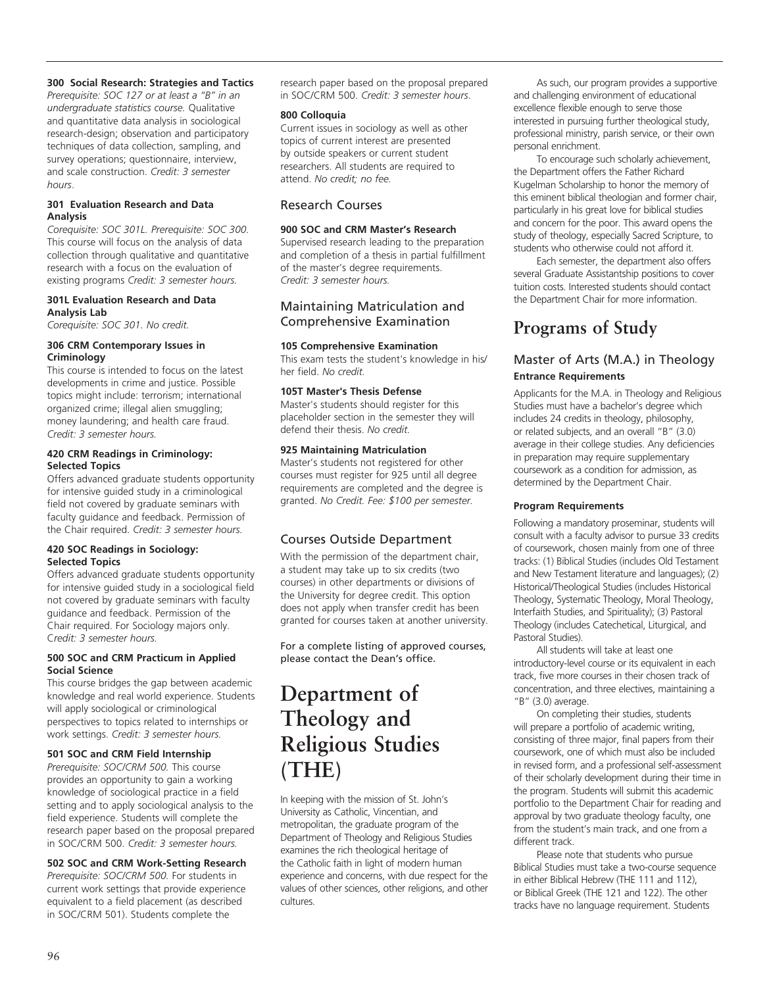#### **300 Social Research: Strategies and Tactics**

*Prerequisite: SOC 127 or at least a "B" in an undergraduate statistics course.* Qualitative and quantitative data analysis in sociological research-design; observation and participatory techniques of data collection, sampling, and survey operations; questionnaire, interview, and scale construction. *Credit: 3 semester hours*.

#### **301 Evaluation Research and Data Analysis**

*Corequisite: SOC 301L. Prerequisite: SOC 300.* This course will focus on the analysis of data collection through qualitative and quantitative research with a focus on the evaluation of existing programs *Credit: 3 semester hours.*

#### **301L Evaluation Research and Data Analysis Lab**

*Corequisite: SOC 301. No credit.*

#### **306 CRM Contemporary Issues in Criminology**

This course is intended to focus on the latest developments in crime and justice. Possible topics might include: terrorism; international organized crime; illegal alien smuggling; money laundering; and health care fraud. *Credit: 3 semester hours.*

#### **420 CRM Readings in Criminology: Selected Topics**

Offers advanced graduate students opportunity for intensive guided study in a criminological field not covered by graduate seminars with faculty guidance and feedback. Permission of the Chair required. *Credit: 3 semester hours.*

#### **420 SOC Readings in Sociology: Selected Topics**

Offers advanced graduate students opportunity for intensive guided study in a sociological field not covered by graduate seminars with faculty guidance and feedback. Permission of the Chair required. For Sociology majors only. C*redit: 3 semester hours.*

#### **500 SOC and CRM Practicum in Applied Social Science**

This course bridges the gap between academic knowledge and real world experience. Students will apply sociological or criminological perspectives to topics related to internships or work settings. *Credit: 3 semester hours.*

# **501 SOC and CRM Field Internship**

*Prerequisite: SOC/CRM 500.* This course provides an opportunity to gain a working knowledge of sociological practice in a field setting and to apply sociological analysis to the field experience. Students will complete the research paper based on the proposal prepared in SOC/CRM 500. *Credit: 3 semester hours.*

#### **502 SOC and CRM Work-Setting Research**  *Prerequisite: SOC/CRM 500.* For students in current work settings that provide experience equivalent to a field placement (as described in SOC/CRM 501). Students complete the

research paper based on the proposal prepared in SOC/CRM 500. *Credit: 3 semester hours*.

#### **800 Colloquia**

Current issues in sociology as well as other topics of current interest are presented by outside speakers or current student researchers. All students are required to attend. *No credit; no fee.*

# Research Courses

# **900 SOC and CRM Master's Research**

Supervised research leading to the preparation and completion of a thesis in partial fulfillment of the master's degree requirements. *Credit: 3 semester hours.*

# Maintaining Matriculation and Comprehensive Examination

# **105 Comprehensive Examination**

This exam tests the student's knowledge in his/ her field. *No credit.*

# **105T Master's Thesis Defense**

Master's students should register for this placeholder section in the semester they will defend their thesis. *No credit.* 

# **925 Maintaining Matriculation**

Master's students not registered for other courses must register for 925 until all degree requirements are completed and the degree is granted. *No Credit. Fee: \$100 per semester.*

# Courses Outside Department

With the permission of the department chair, a student may take up to six credits (two courses) in other departments or divisions of the University for degree credit. This option does not apply when transfer credit has been granted for courses taken at another university.

For a complete listing of approved courses, please contact the Dean's office.

# **Department of Theology and Religious Studies (THE)**

In keeping with the mission of St. John's University as Catholic, Vincentian, and metropolitan, the graduate program of the Department of Theology and Religious Studies examines the rich theological heritage of the Catholic faith in light of modern human experience and concerns, with due respect for the values of other sciences, other religions, and other cultures.

As such, our program provides a supportive and challenging environment of educational excellence flexible enough to serve those interested in pursuing further theological study, professional ministry, parish service, or their own personal enrichment.

To encourage such scholarly achievement, the Department offers the Father Richard Kugelman Scholarship to honor the memory of this eminent biblical theologian and former chair, particularly in his great love for biblical studies and concern for the poor. This award opens the study of theology, especially Sacred Scripture, to students who otherwise could not afford it.

Each semester, the department also offers several Graduate Assistantship positions to cover tuition costs. Interested students should contact the Department Chair for more information.

# **Programs of Study**

# Master of Arts (M.A.) in Theology **Entrance Requirements**

Applicants for the M.A. in Theology and Religious Studies must have a bachelor's degree which includes 24 credits in theology, philosophy, or related subjects, and an overall "B" (3.0) average in their college studies. Any deficiencies in preparation may require supplementary coursework as a condition for admission, as determined by the Department Chair.

# **Program Requirements**

Following a mandatory proseminar, students will consult with a faculty advisor to pursue 33 credits of coursework, chosen mainly from one of three tracks: (1) Biblical Studies (includes Old Testament and New Testament literature and languages); (2) Historical/Theological Studies (includes Historical Theology, Systematic Theology, Moral Theology, Interfaith Studies, and Spirituality); (3) Pastoral Theology (includes Catechetical, Liturgical, and Pastoral Studies).

All students will take at least one introductory-level course or its equivalent in each track, five more courses in their chosen track of concentration, and three electives, maintaining a " $B''$  (3.0) average.

On completing their studies, students will prepare a portfolio of academic writing, consisting of three major, final papers from their coursework, one of which must also be included in revised form, and a professional self-assessment of their scholarly development during their time in the program. Students will submit this academic portfolio to the Department Chair for reading and approval by two graduate theology faculty, one from the student's main track, and one from a different track.

Please note that students who pursue Biblical Studies must take a two-course sequence in either Biblical Hebrew (THE 111 and 112), or Biblical Greek (THE 121 and 122). The other tracks have no language requirement. Students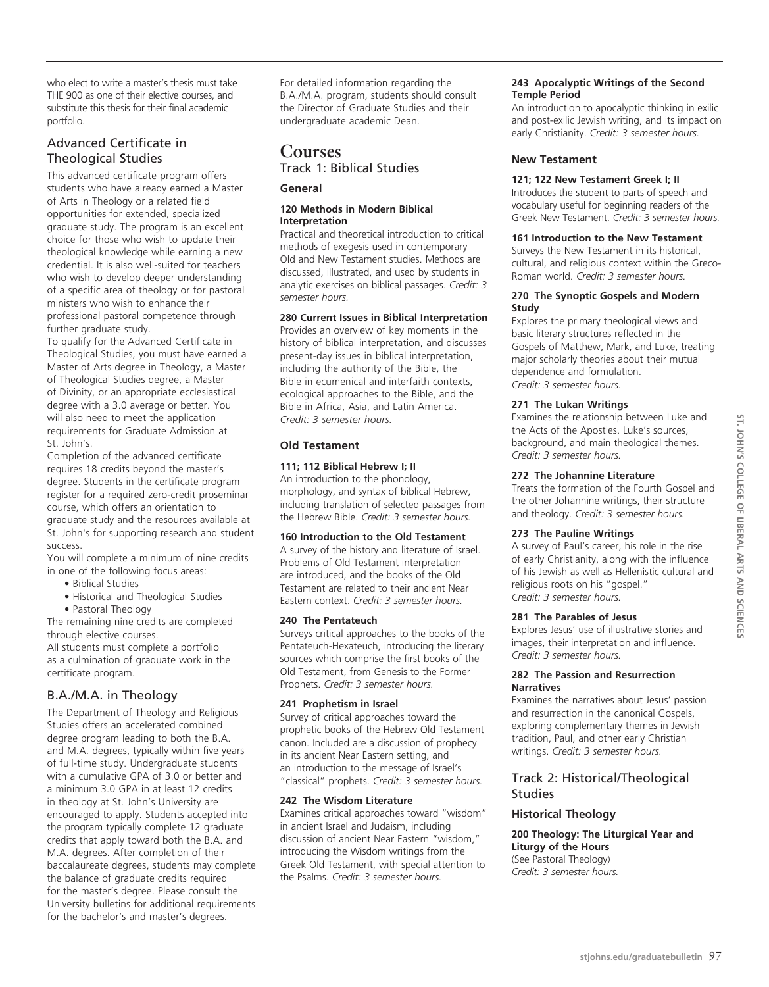who elect to write a master's thesis must take THE 900 as one of their elective courses, and substitute this thesis for their final academic portfolio.

# Advanced Certificate in Theological Studies

This advanced certificate program offers students who have already earned a Master of Arts in Theology or a related field opportunities for extended, specialized graduate study. The program is an excellent choice for those who wish to update their theological knowledge while earning a new credential. It is also well-suited for teachers who wish to develop deeper understanding of a specific area of theology or for pastoral ministers who wish to enhance their professional pastoral competence through further graduate study.

To qualify for the Advanced Certificate in Theological Studies, you must have earned a Master of Arts degree in Theology, a Master of Theological Studies degree, a Master of Divinity, or an appropriate ecclesiastical degree with a 3.0 average or better. You will also need to meet the application requirements for Graduate Admission at St. John's.

Completion of the advanced certificate requires 18 credits beyond the master's degree. Students in the certificate program register for a required zero-credit proseminar course, which offers an orientation to

graduate study and the resources available at St. John's for supporting research and student success.

You will complete a minimum of nine credits in one of the following focus areas:

• Biblical Studies

• Historical and Theological Studies

• Pastoral Theology

The remaining nine credits are completed through elective courses.

All students must complete a portfolio as a culmination of graduate work in the certificate program.

# B.A./M.A. in Theology

The Department of Theology and Religious Studies offers an accelerated combined degree program leading to both the B.A. and M.A. degrees, typically within five years of full-time study. Undergraduate students with a cumulative GPA of 3.0 or better and a minimum 3.0 GPA in at least 12 credits in theology at St. John's University are encouraged to apply. Students accepted into the program typically complete 12 graduate credits that apply toward both the B.A. and M.A. degrees. After completion of their baccalaureate degrees, students may complete the balance of graduate credits required for the master's degree. Please consult the University bulletins for additional requirements for the bachelor's and master's degrees.

For detailed information regarding the B.A./M.A. program, students should consult the Director of Graduate Studies and their undergraduate academic Dean.

# **Courses** Track 1: Biblical Studies

# **General**

#### **120 Methods in Modern Biblical Interpretation**

Practical and theoretical introduction to critical methods of exegesis used in contemporary Old and New Testament studies. Methods are discussed, illustrated, and used by students in analytic exercises on biblical passages. *Credit: 3 semester hours.*

# **280 Current Issues in Biblical Interpretation**

Provides an overview of key moments in the history of biblical interpretation, and discusses present-day issues in biblical interpretation, including the authority of the Bible, the Bible in ecumenical and interfaith contexts, ecological approaches to the Bible, and the Bible in Africa, Asia, and Latin America. *Credit: 3 semester hours.*

# **Old Testament**

# **111; 112 Biblical Hebrew I; II**

An introduction to the phonology, morphology, and syntax of biblical Hebrew, including translation of selected passages from the Hebrew Bible. *Credit: 3 semester hours.*

# **160 Introduction to the Old Testament**

A survey of the history and literature of Israel. Problems of Old Testament interpretation are introduced, and the books of the Old Testament are related to their ancient Near Eastern context. *Credit: 3 semester hours.*

# **240 The Pentateuch**

Surveys critical approaches to the books of the Pentateuch-Hexateuch, introducing the literary sources which comprise the first books of the Old Testament, from Genesis to the Former Prophets. *Credit: 3 semester hours.*

# **241 Prophetism in Israel**

Survey of critical approaches toward the prophetic books of the Hebrew Old Testament canon. Included are a discussion of prophecy in its ancient Near Eastern setting, and an introduction to the message of Israel's "classical" prophets. *Credit: 3 semester hours.*

# **242 The Wisdom Literature**

Examines critical approaches toward "wisdom" in ancient Israel and Judaism, including discussion of ancient Near Eastern "wisdom," introducing the Wisdom writings from the Greek Old Testament, with special attention to the Psalms. *Credit: 3 semester hours.*

# **243 Apocalyptic Writings of the Second Temple Period**

An introduction to apocalyptic thinking in exilic and post-exilic Jewish writing, and its impact on early Christianity. *Credit: 3 semester hours.*

# **New Testament**

# **121; 122 New Testament Greek I; II**

Introduces the student to parts of speech and vocabulary useful for beginning readers of the Greek New Testament. *Credit: 3 semester hours.*

# **161 Introduction to the New Testament**

Surveys the New Testament in its historical, cultural, and religious context within the Greco-Roman world. *Credit: 3 semester hours.*

# **270 The Synoptic Gospels and Modern Study**

Explores the primary theological views and basic literary structures reflected in the Gospels of Matthew, Mark, and Luke, treating major scholarly theories about their mutual dependence and formulation. *Credit: 3 semester hours.*

# **271 The Lukan Writings**

Examines the relationship between Luke and the Acts of the Apostles. Luke's sources, background, and main theological themes. *Credit: 3 semester hours.*

# **272 The Johannine Literature**

Treats the formation of the Fourth Gospel and the other Johannine writings, their structure and theology. *Credit: 3 semester hours.*

# **273 The Pauline Writings**

A survey of Paul's career, his role in the rise of early Christianity, along with the influence of his Jewish as well as Hellenistic cultural and religious roots on his "gospel." *Credit: 3 semester hours.*

# **281 The Parables of Jesus**

Explores Jesus' use of illustrative stories and images, their interpretation and influence. *Credit: 3 semester hours.*

#### **282 The Passion and Resurrection Narratives**

Examines the narratives about Jesus' passion and resurrection in the canonical Gospels, exploring complementary themes in Jewish tradition, Paul, and other early Christian writings. *Credit: 3 semester hours.*

# Track 2: Historical/Theological **Studies**

# **Historical Theology**

# **200 Theology: The Liturgical Year and Liturgy of the Hours**

(See Pastoral Theology) *Credit: 3 semester hours.*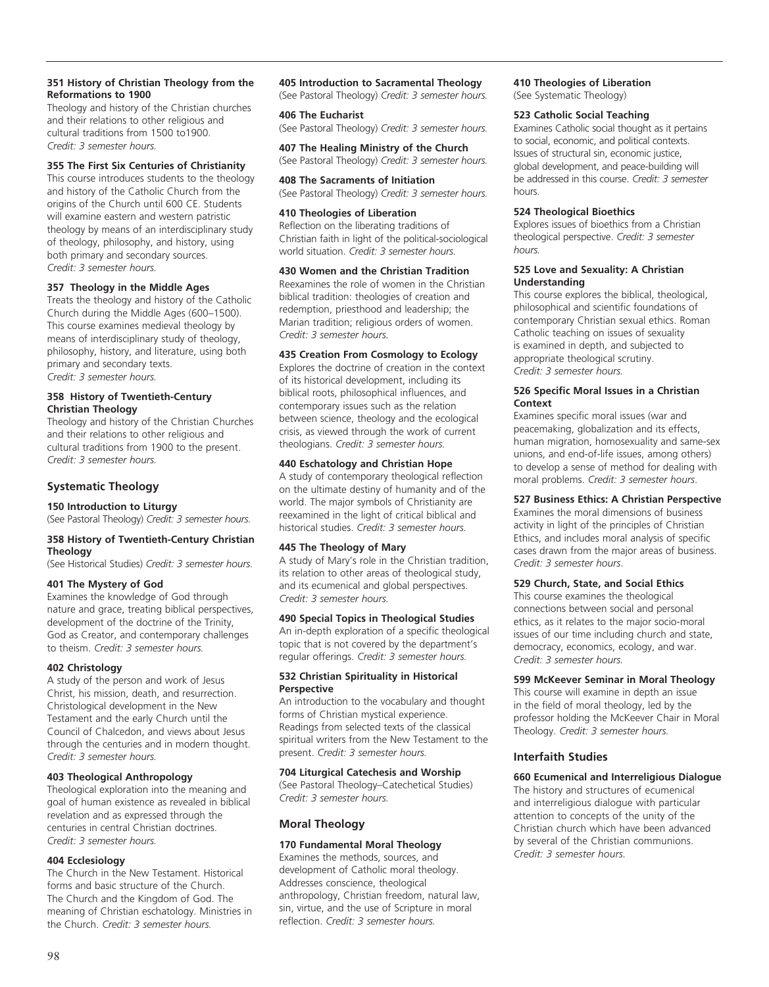#### **351 History of Christian Theology from the Reformations to 1900**

Theology and history of the Christian churches and their relations to other religious and cultural traditions from 1500 to1900. *Credit: 3 semester hours.*

#### **355 The First Six Centuries of Christianity**

This course introduces students to the theology and history of the Catholic Church from the origins of the Church until 600 CE. Students will examine eastern and western patristic theology by means of an interdisciplinary study of theology, philosophy, and history, using both primary and secondary sources. *Credit: 3 semester hours.*

#### **357 Theology in the Middle Ages**

Treats the theology and history of the Catholic Church during the Middle Ages (600–1500). This course examines medieval theology by means of interdisciplinary study of theology, philosophy, history, and literature, using both primary and secondary texts. *Credit: 3 semester hours.*

#### **358 History of Twentieth-Century Christian Theology**

Theology and history of the Christian Churches and their relations to other religious and cultural traditions from 1900 to the present. *Credit: 3 semester hours.*

## **Systematic Theology**

#### **150 Introduction to Liturgy**

(See Pastoral Theology) *Credit: 3 semester hours.*

#### **358 History of Twentieth-Century Christian Theology**

(See Historical Studies) *Credit: 3 semester hours.*

#### **401 The Mystery of God**

Examines the knowledge of God through nature and grace, treating biblical perspectives, development of the doctrine of the Trinity, God as Creator, and contemporary challenges to theism. *Credit: 3 semester hours.*

#### **402 Christology**

A study of the person and work of Jesus Christ, his mission, death, and resurrection. Christological development in the New Testament and the early Church until the Council of Chalcedon, and views about Jesus through the centuries and in modern thought. *Credit: 3 semester hours.*

#### **403 Theological Anthropology**

Theological exploration into the meaning and goal of human existence as revealed in biblical revelation and as expressed through the centuries in central Christian doctrines. *Credit: 3 semester hours.*

#### **404 Ecclesiology**

The Church in the New Testament. Historical forms and basic structure of the Church. The Church and the Kingdom of God. The meaning of Christian eschatology. Ministries in the Church. *Credit: 3 semester hours.*

#### **405 Introduction to Sacramental Theology**

(See Pastoral Theology) *Credit: 3 semester hours.*

**406 The Eucharist** (See Pastoral Theology) *Credit: 3 semester hours.*

#### **407 The Healing Ministry of the Church** (See Pastoral Theology) *Credit: 3 semester hours.*

**408 The Sacraments of Initiation** (See Pastoral Theology) *Credit: 3 semester hours.*

#### **410 Theologies of Liberation**

Reflection on the liberating traditions of Christian faith in light of the political-sociological world situation. *Credit: 3 semester hours.*

#### **430 Women and the Christian Tradition**

Reexamines the role of women in the Christian biblical tradition: theologies of creation and redemption, priesthood and leadership; the Marian tradition; religious orders of women. *Credit: 3 semester hours.*

#### **435 Creation From Cosmology to Ecology**

Explores the doctrine of creation in the context of its historical development, including its biblical roots, philosophical influences, and contemporary issues such as the relation between science, theology and the ecological crisis, as viewed through the work of current theologians. *Credit: 3 semester hours.*

#### **440 Eschatology and Christian Hope**

A study of contemporary theological reflection on the ultimate destiny of humanity and of the world. The major symbols of Christianity are reexamined in the light of critical biblical and historical studies. *Credit: 3 semester hours.*

#### **445 The Theology of Mary**

A study of Mary's role in the Christian tradition, its relation to other areas of theological study, and its ecumenical and global perspectives. *Credit: 3 semester hours.*

#### **490 Special Topics in Theological Studies**

An in-depth exploration of a specific theological topic that is not covered by the department's regular offerings. *Credit: 3 semester hours.* 

#### **532 Christian Spirituality in Historical Perspective**

An introduction to the vocabulary and thought forms of Christian mystical experience. Readings from selected texts of the classical spiritual writers from the New Testament to the present. *Credit: 3 semester hours.*

#### **704 Liturgical Catechesis and Worship**

(See Pastoral Theology–Catechetical Studies) *Credit: 3 semester hours.*

#### **Moral Theology**

#### **170 Fundamental Moral Theology**

Examines the methods, sources, and development of Catholic moral theology. Addresses conscience, theological anthropology, Christian freedom, natural law, sin, virtue, and the use of Scripture in moral reflection. *Credit: 3 semester hours.*

## **410 Theologies of Liberation**

(See Systematic Theology)

#### **523 Catholic Social Teaching**

Examines Catholic social thought as it pertains to social, economic, and political contexts. Issues of structural sin, economic justice, global development, and peace-building will be addressed in this course. *Credit: 3 semester* hours.

#### **524 Theological Bioethics**

Explores issues of bioethics from a Christian theological perspective. *Credit: 3 semester hours.*

#### **525 Love and Sexuality: A Christian Understanding**

This course explores the biblical, theological, philosophical and scientific foundations of contemporary Christian sexual ethics. Roman Catholic teaching on issues of sexuality is examined in depth, and subjected to appropriate theological scrutiny. *Credit: 3 semester hours.*

#### **526 Specific Moral Issues in a Christian Context**

Examines specific moral issues (war and peacemaking, globalization and its effects, human migration, homosexuality and same-sex unions, and end-of-life issues, among others) to develop a sense of method for dealing with moral problems. *Credit: 3 semester hours*.

#### **527 Business Ethics: A Christian Perspective**

Examines the moral dimensions of business activity in light of the principles of Christian Ethics, and includes moral analysis of specific cases drawn from the major areas of business. *Credit: 3 semester hours*.

#### **529 Church, State, and Social Ethics**

This course examines the theological connections between social and personal ethics, as it relates to the major socio-moral issues of our time including church and state, democracy, economics, ecology, and war. *Credit: 3 semester hours.*

#### **599 McKeever Seminar in Moral Theology**

This course will examine in depth an issue in the field of moral theology, led by the professor holding the McKeever Chair in Moral Theology. *Credit: 3 semester hours.*

#### **Interfaith Studies**

## **660 Ecumenical and Interreligious Dialogue**

The history and structures of ecumenical and interreligious dialogue with particular attention to concepts of the unity of the Christian church which have been advanced by several of the Christian communions. *Credit: 3 semester hours.*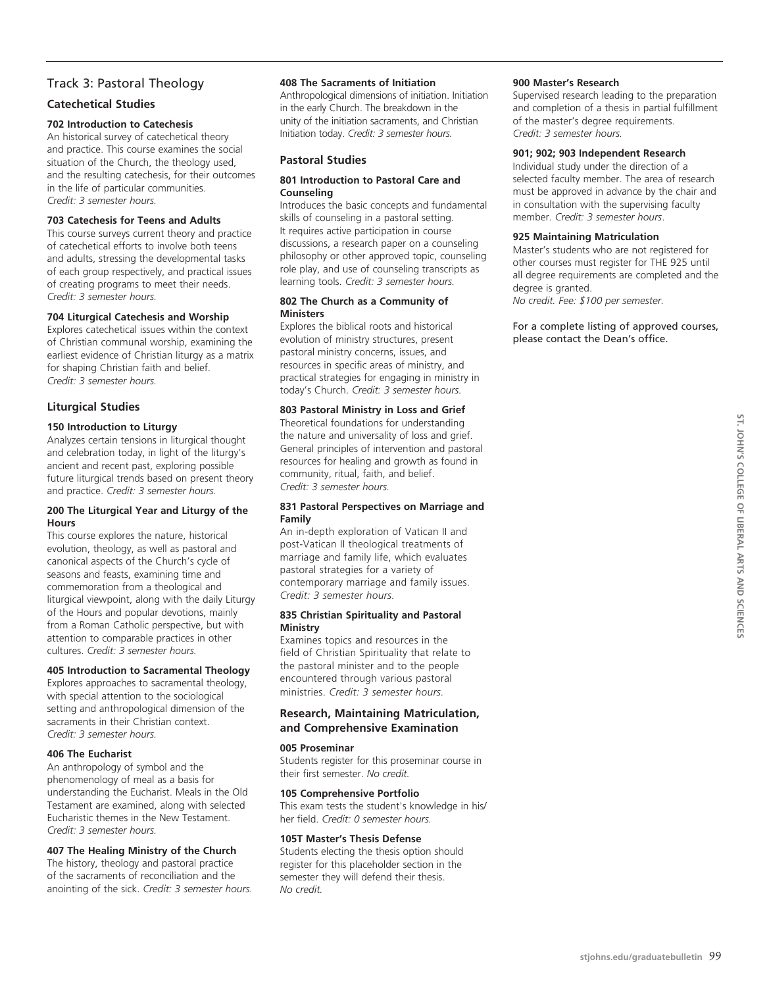## Track 3: Pastoral Theology

## **Catechetical Studies**

#### **702 Introduction to Catechesis**

An historical survey of catechetical theory and practice. This course examines the social situation of the Church, the theology used, and the resulting catechesis, for their outcomes in the life of particular communities. *Credit: 3 semester hours.*

#### **703 Catechesis for Teens and Adults**

This course surveys current theory and practice of catechetical efforts to involve both teens and adults, stressing the developmental tasks of each group respectively, and practical issues of creating programs to meet their needs. *Credit: 3 semester hours.*

#### **704 Liturgical Catechesis and Worship**

Explores catechetical issues within the context of Christian communal worship, examining the earliest evidence of Christian liturgy as a matrix for shaping Christian faith and belief. *Credit: 3 semester hours.*

## **Liturgical Studies**

#### **150 Introduction to Liturgy**

Analyzes certain tensions in liturgical thought and celebration today, in light of the liturgy's ancient and recent past, exploring possible future liturgical trends based on present theory and practice. *Credit: 3 semester hours.*

#### **200 The Liturgical Year and Liturgy of the Hours**

This course explores the nature, historical evolution, theology, as well as pastoral and canonical aspects of the Church's cycle of seasons and feasts, examining time and commemoration from a theological and liturgical viewpoint, along with the daily Liturgy of the Hours and popular devotions, mainly from a Roman Catholic perspective, but with attention to comparable practices in other cultures. *Credit: 3 semester hours.*

#### **405 Introduction to Sacramental Theology**

Explores approaches to sacramental theology, with special attention to the sociological setting and anthropological dimension of the sacraments in their Christian context. *Credit: 3 semester hours.*

#### **406 The Eucharist**

An anthropology of symbol and the phenomenology of meal as a basis for understanding the Eucharist. Meals in the Old Testament are examined, along with selected Eucharistic themes in the New Testament. *Credit: 3 semester hours.*

## **407 The Healing Ministry of the Church**

The history, theology and pastoral practice of the sacraments of reconciliation and the anointing of the sick. *Credit: 3 semester hours.*

#### **408 The Sacraments of Initiation**

Anthropological dimensions of initiation. Initiation in the early Church. The breakdown in the unity of the initiation sacraments, and Christian Initiation today. *Credit: 3 semester hours.*

#### **Pastoral Studies**

#### **801 Introduction to Pastoral Care and Counseling**

Introduces the basic concepts and fundamental skills of counseling in a pastoral setting. It requires active participation in course discussions, a research paper on a counseling philosophy or other approved topic, counseling role play, and use of counseling transcripts as learning tools. *Credit: 3 semester hours.*

#### **802 The Church as a Community of Ministers**

Explores the biblical roots and historical evolution of ministry structures, present pastoral ministry concerns, issues, and resources in specific areas of ministry, and practical strategies for engaging in ministry in today's Church. *Credit: 3 semester hours.*

#### **803 Pastoral Ministry in Loss and Grief**

Theoretical foundations for understanding the nature and universality of loss and grief. General principles of intervention and pastoral resources for healing and growth as found in community, ritual, faith, and belief. *Credit: 3 semester hours.*

#### **831 Pastoral Perspectives on Marriage and Family**

An in-depth exploration of Vatican II and post-Vatican II theological treatments of marriage and family life, which evaluates pastoral strategies for a variety of contemporary marriage and family issues. *Credit: 3 semester hours.*

#### **835 Christian Spirituality and Pastoral Ministry**

Examines topics and resources in the field of Christian Spirituality that relate to the pastoral minister and to the people encountered through various pastoral ministries. *Credit: 3 semester hours.*

#### **Research, Maintaining Matriculation, and Comprehensive Examination**

#### **005 Proseminar**

Students register for this proseminar course in their first semester. *No credit.*

#### **105 Comprehensive Portfolio**

This exam tests the student's knowledge in his/ her field. *Credit: 0 semester hours.* 

#### **105T Master's Thesis Defense**

Students electing the thesis option should register for this placeholder section in the semester they will defend their thesis. *No credit.*

#### **900 Master's Research**

Supervised research leading to the preparation and completion of a thesis in partial fulfillment of the master's degree requirements. *Credit: 3 semester hours.*

#### **901; 902; 903 Independent Research**

Individual study under the direction of a selected faculty member. The area of research must be approved in advance by the chair and in consultation with the supervising faculty member. *Credit: 3 semester hours*.

#### **925 Maintaining Matriculation**

Master's students who are not registered for other courses must register for THE 925 until all degree requirements are completed and the degree is granted. *No credit. Fee: \$100 per semester.*

For a complete listing of approved courses, please contact the Dean's office.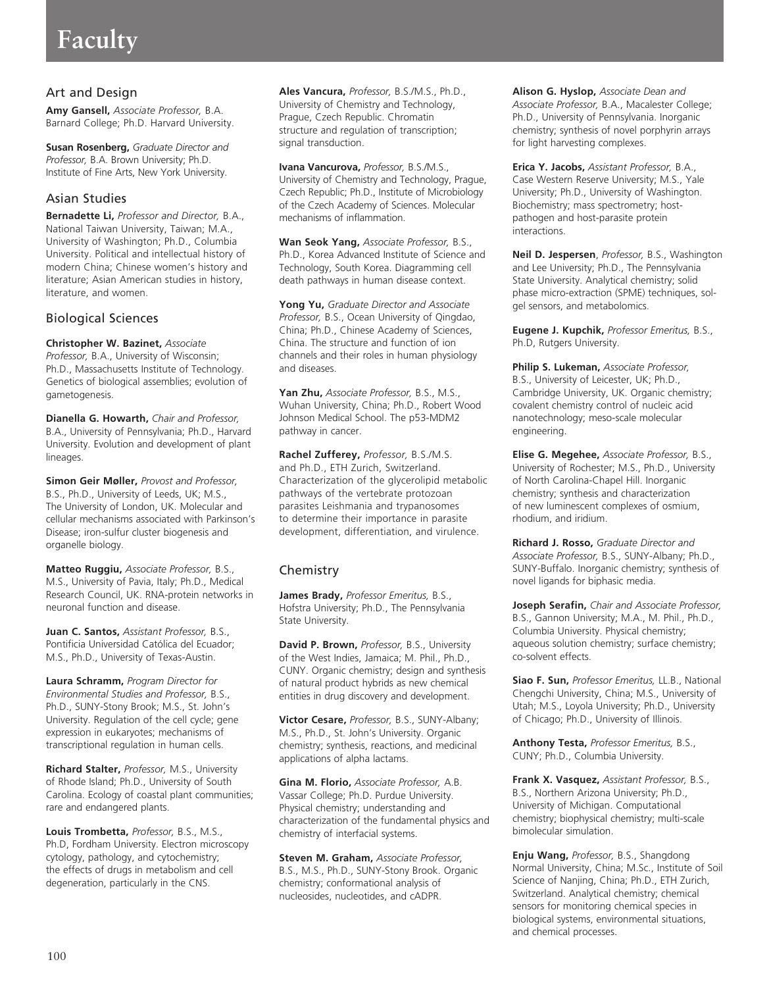# **Faculty**

## Art and Design

**Amy Gansell,** *Associate Professor,* B.A. Barnard College; Ph.D. Harvard University.

**Susan Rosenberg,** *Graduate Director and Professor,* B.A. Brown University; Ph.D. Institute of Fine Arts, New York University.

## Asian Studies

**Bernadette Li,** *Professor and Director,* B.A., National Taiwan University, Taiwan; M.A., University of Washington; Ph.D., Columbia University. Political and intellectual history of modern China; Chinese women's history and literature; Asian American studies in history, literature, and women.

## Biological Sciences

**Christopher W. Bazinet,** *Associate Professor,* B.A., University of Wisconsin; Ph.D., Massachusetts Institute of Technology. Genetics of biological assemblies; evolution of gametogenesis.

**Dianella G. Howarth,** *Chair and Professor,* B.A., University of Pennsylvania; Ph.D., Harvard University. Evolution and development of plant lineages.

**Simon Geir Møller,** *Provost and Professor,* B.S., Ph.D., University of Leeds, UK; M.S., The University of London, UK. Molecular and cellular mechanisms associated with Parkinson's Disease; iron-sulfur cluster biogenesis and organelle biology.

**Matteo Ruggiu,** *Associate Professor,* B.S., M.S., University of Pavia, Italy; Ph.D., Medical Research Council, UK. RNA-protein networks in neuronal function and disease.

**Juan C. Santos,** *Assistant Professor,* B.S., Pontificia Universidad Católica del Ecuador; M.S., Ph.D., University of Texas-Austin.

**Laura Schramm,** *Program Director for Environmental Studies and Professor,* B.S., Ph.D., SUNY-Stony Brook; M.S., St. John's University. Regulation of the cell cycle; gene expression in eukaryotes; mechanisms of transcriptional regulation in human cells.

**Richard Stalter,** *Professor,* M.S., University of Rhode Island; Ph.D., University of South Carolina. Ecology of coastal plant communities; rare and endangered plants.

**Louis Trombetta,** *Professor,* B.S., M.S., Ph.D, Fordham University. Electron microscopy cytology, pathology, and cytochemistry; the effects of drugs in metabolism and cell degeneration, particularly in the CNS.

**Ales Vancura,** *Professor,* B.S./M.S., Ph.D., University of Chemistry and Technology, Prague, Czech Republic. Chromatin structure and regulation of transcription; signal transduction.

**Ivana Vancurova,** *Professor,* B.S./M.S., University of Chemistry and Technology, Prague, Czech Republic; Ph.D., Institute of Microbiology of the Czech Academy of Sciences. Molecular mechanisms of inflammation.

**Wan Seok Yang,** *Associate Professor,* B.S., Ph.D., Korea Advanced Institute of Science and Technology, South Korea. Diagramming cell death pathways in human disease context.

**Yong Yu,** *Graduate Director and Associate Professor,* B.S., Ocean University of Qingdao, China; Ph.D., Chinese Academy of Sciences, China. The structure and function of ion channels and their roles in human physiology and diseases.

**Yan Zhu,** *Associate Professor,* B.S., M.S., Wuhan University, China; Ph.D., Robert Wood Johnson Medical School. The p53-MDM2 pathway in cancer.

**Rachel Zufferey,** *Professor,* B.S./M.S. and Ph.D., ETH Zurich, Switzerland. Characterization of the glycerolipid metabolic pathways of the vertebrate protozoan parasites Leishmania and trypanosomes to determine their importance in parasite development, differentiation, and virulence.

## **Chemistry**

**James Brady,** *Professor Emeritus,* B.S., Hofstra University; Ph.D., The Pennsylvania State University.

**David P. Brown,** *Professor,* B.S., University of the West Indies, Jamaica; M. Phil., Ph.D., CUNY. Organic chemistry; design and synthesis of natural product hybrids as new chemical entities in drug discovery and development.

**Victor Cesare,** *Professor,* B.S., SUNY-Albany; M.S., Ph.D., St. John's University. Organic chemistry; synthesis, reactions, and medicinal applications of alpha lactams.

**Gina M. Florio,** *Associate Professor,* A.B. Vassar College; Ph.D. Purdue University. Physical chemistry; understanding and characterization of the fundamental physics and chemistry of interfacial systems.

**Steven M. Graham,** *Associate Professor,*  B.S., M.S., Ph.D., SUNY-Stony Brook. Organic chemistry; conformational analysis of nucleosides, nucleotides, and cADPR.

**Alison G. Hyslop,** *Associate Dean and Associate Professor,* B.A., Macalester College; Ph.D., University of Pennsylvania. Inorganic chemistry; synthesis of novel porphyrin arrays for light harvesting complexes.

**Erica Y. Jacobs,** *Assistant Professor,* B.A., Case Western Reserve University; M.S., Yale University; Ph.D., University of Washington. Biochemistry; mass spectrometry; hostpathogen and host-parasite protein interactions.

**Neil D. Jespersen**, *Professor,* B.S., Washington and Lee University; Ph.D., The Pennsylvania State University. Analytical chemistry; solid phase micro-extraction (SPME) techniques, solgel sensors, and metabolomics.

**Eugene J. Kupchik,** *Professor Emeritus,* B.S., Ph.D, Rutgers University.

**Philip S. Lukeman,** *Associate Professor,*  B.S., University of Leicester, UK; Ph.D., Cambridge University, UK. Organic chemistry; covalent chemistry control of nucleic acid nanotechnology; meso-scale molecular engineering.

**Elise G. Megehee,** *Associate Professor,* B.S., University of Rochester; M.S., Ph.D., University of North Carolina-Chapel Hill. Inorganic chemistry; synthesis and characterization of new luminescent complexes of osmium, rhodium, and iridium.

**Richard J. Rosso,** *Graduate Director and Associate Professor,* B.S., SUNY-Albany; Ph.D., SUNY-Buffalo. Inorganic chemistry; synthesis of novel ligands for biphasic media.

**Joseph Serafin,** *Chair and Associate Professor,* B.S., Gannon University; M.A., M. Phil., Ph.D., Columbia University. Physical chemistry; aqueous solution chemistry; surface chemistry; co-solvent effects.

**Siao F. Sun,** *Professor Emeritus,* LL.B., National Chengchi University, China; M.S., University of Utah; M.S., Loyola University; Ph.D., University of Chicago; Ph.D., University of Illinois.

**Anthony Testa,** *Professor Emeritus,* B.S., CUNY; Ph.D., Columbia University.

**Frank X. Vasquez,** *Assistant Professor,* B.S., B.S., Northern Arizona University; Ph.D., University of Michigan. Computational chemistry; biophysical chemistry; multi-scale bimolecular simulation.

**Enju Wang,** *Professor,* B.S., Shangdong Normal University, China; M.Sc., Institute of Soil Science of Nanjing, China; Ph.D., ETH Zurich, Switzerland. Analytical chemistry; chemical sensors for monitoring chemical species in biological systems, environmental situations, and chemical processes.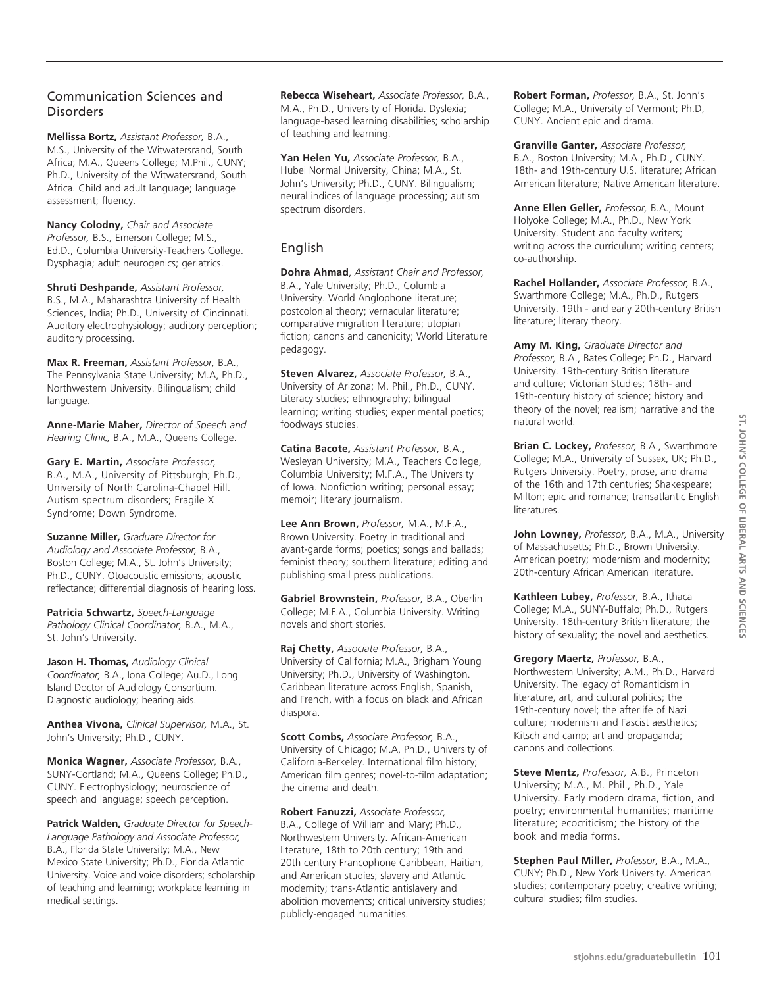## Communication Sciences and **Disorders**

**Mellissa Bortz,** *Assistant Professor,* B.A., M.S., University of the Witwatersrand, South Africa; M.A., Queens College; M.Phil., CUNY; Ph.D., University of the Witwatersrand, South Africa. Child and adult language; language assessment; fluency.

**Nancy Colodny,** *Chair and Associate Professor,* B.S., Emerson College; M.S., Ed.D., Columbia University-Teachers College. Dysphagia; adult neurogenics; geriatrics.

**Shruti Deshpande,** *Assistant Professor,* B.S., M.A., Maharashtra University of Health Sciences, India; Ph.D., University of Cincinnati. Auditory electrophysiology; auditory perception; auditory processing.

**Max R. Freeman,** *Assistant Professor,* B.A., The Pennsylvania State University; M.A, Ph.D., Northwestern University. Bilingualism; child language.

**Anne-Marie Maher,** *Director of Speech and Hearing Clinic,* B.A., M.A., Queens College.

**Gary E. Martin,** *Associate Professor,* B.A., M.A., University of Pittsburgh; Ph.D., University of North Carolina-Chapel Hill. Autism spectrum disorders; Fragile X Syndrome; Down Syndrome.

**Suzanne Miller,** *Graduate Director for Audiology and Associate Professor,* B.A., Boston College; M.A., St. John's University; Ph.D., CUNY. Otoacoustic emissions; acoustic reflectance; differential diagnosis of hearing loss.

**Patricia Schwartz,** *Speech-Language Pathology Clinical Coordinator,* B.A., M.A., St. John's University.

**Jason H. Thomas,** *Audiology Clinical Coordinator,* B.A., Iona College; Au.D., Long Island Doctor of Audiology Consortium. Diagnostic audiology; hearing aids.

**Anthea Vivona,** *Clinical Supervisor,* M.A., St. John's University; Ph.D., CUNY.

**Monica Wagner,** *Associate Professor,* B.A., SUNY-Cortland; M.A., Queens College; Ph.D., CUNY. Electrophysiology; neuroscience of speech and language; speech perception.

**Patrick Walden,** *Graduate Director for Speech-Language Pathology and Associate Professor,*  B.A., Florida State University; M.A., New Mexico State University; Ph.D., Florida Atlantic University. Voice and voice disorders; scholarship of teaching and learning; workplace learning in medical settings.

**Rebecca Wiseheart,** *Associate Professor,* B.A., M.A., Ph.D., University of Florida. Dyslexia; language-based learning disabilities; scholarship of teaching and learning.

**Yan Helen Yu,** *Associate Professor,* B.A., Hubei Normal University, China; M.A., St. John's University; Ph.D., CUNY. Bilingualism; neural indices of language processing; autism spectrum disorders.

## English

**Dohra Ahmad**, *Assistant Chair and Professor,* B.A., Yale University; Ph.D., Columbia University. World Anglophone literature; postcolonial theory; vernacular literature; comparative migration literature; utopian fiction; canons and canonicity; World Literature pedagogy.

**Steven Alvarez,** *Associate Professor,* B.A., University of Arizona; M. Phil., Ph.D., CUNY. Literacy studies; ethnography; bilingual learning; writing studies; experimental poetics; foodways studies.

**Catina Bacote,** *Assistant Professor,* B.A., Wesleyan University; M.A., Teachers College, Columbia University; M.F.A., The University of Iowa. Nonfiction writing; personal essay; memoir; literary journalism.

**Lee Ann Brown,** *Professor,* M.A., M.F.A., Brown University. Poetry in traditional and avant-garde forms; poetics; songs and ballads; feminist theory; southern literature; editing and publishing small press publications.

**Gabriel Brownstein,** *Professor,* B.A., Oberlin College; M.F.A., Columbia University. Writing novels and short stories.

**Raj Chetty,** *Associate Professor,* B.A., University of California; M.A., Brigham Young University; Ph.D., University of Washington. Caribbean literature across English, Spanish, and French, with a focus on black and African diaspora.

**Scott Combs,** *Associate Professor,* B.A., University of Chicago; M.A, Ph.D., University of California-Berkeley. International film history; American film genres; novel-to-film adaptation; the cinema and death.

**Robert Fanuzzi,** *Associate Professor,*  B.A., College of William and Mary; Ph.D., Northwestern University. African-American literature, 18th to 20th century; 19th and 20th century Francophone Caribbean, Haitian, and American studies; slavery and Atlantic modernity; trans-Atlantic antislavery and abolition movements; critical university studies; publicly-engaged humanities.

**Robert Forman,** *Professor,* B.A., St. John's College; M.A., University of Vermont; Ph.D, CUNY. Ancient epic and drama.

**Granville Ganter,** *Associate Professor,* B.A., Boston University; M.A., Ph.D., CUNY. 18th- and 19th-century U.S. literature; African American literature; Native American literature.

**Anne Ellen Geller,** *Professor,* B.A., Mount Holyoke College; M.A., Ph.D., New York University. Student and faculty writers; writing across the curriculum; writing centers; co-authorship.

**Rachel Hollander,** *Associate Professor,* B.A., Swarthmore College; M.A., Ph.D., Rutgers University. 19th - and early 20th-century British literature; literary theory.

**Amy M. King,** *Graduate Director and Professor,* B.A., Bates College; Ph.D., Harvard University. 19th-century British literature and culture; Victorian Studies; 18th- and 19th-century history of science; history and theory of the novel; realism; narrative and the natural world.

**Brian C. Lockey,** *Professor,* B.A., Swarthmore College; M.A., University of Sussex, UK; Ph.D., Rutgers University. Poetry, prose, and drama of the 16th and 17th centuries; Shakespeare; Milton; epic and romance; transatlantic English literatures.

**John Lowney,** *Professor,* B.A., M.A., University of Massachusetts; Ph.D., Brown University. American poetry; modernism and modernity; 20th-century African American literature.

**Kathleen Lubey,** *Professor,* B.A., Ithaca College; M.A., SUNY-Buffalo; Ph.D., Rutgers University. 18th-century British literature; the history of sexuality; the novel and aesthetics.

**Gregory Maertz,** *Professor,* B.A., Northwestern University; A.M., Ph.D., Harvard University. The legacy of Romanticism in literature, art, and cultural politics; the 19th-century novel; the afterlife of Nazi culture; modernism and Fascist aesthetics; Kitsch and camp; art and propaganda; canons and collections.

**Steve Mentz,** *Professor,* A.B., Princeton University; M.A., M. Phil., Ph.D., Yale University. Early modern drama, fiction, and poetry; environmental humanities; maritime literature; ecocriticism; the history of the book and media forms.

**Stephen Paul Miller,** *Professor,* B.A., M.A., CUNY; Ph.D., New York University. American studies; contemporary poetry; creative writing; cultural studies; film studies.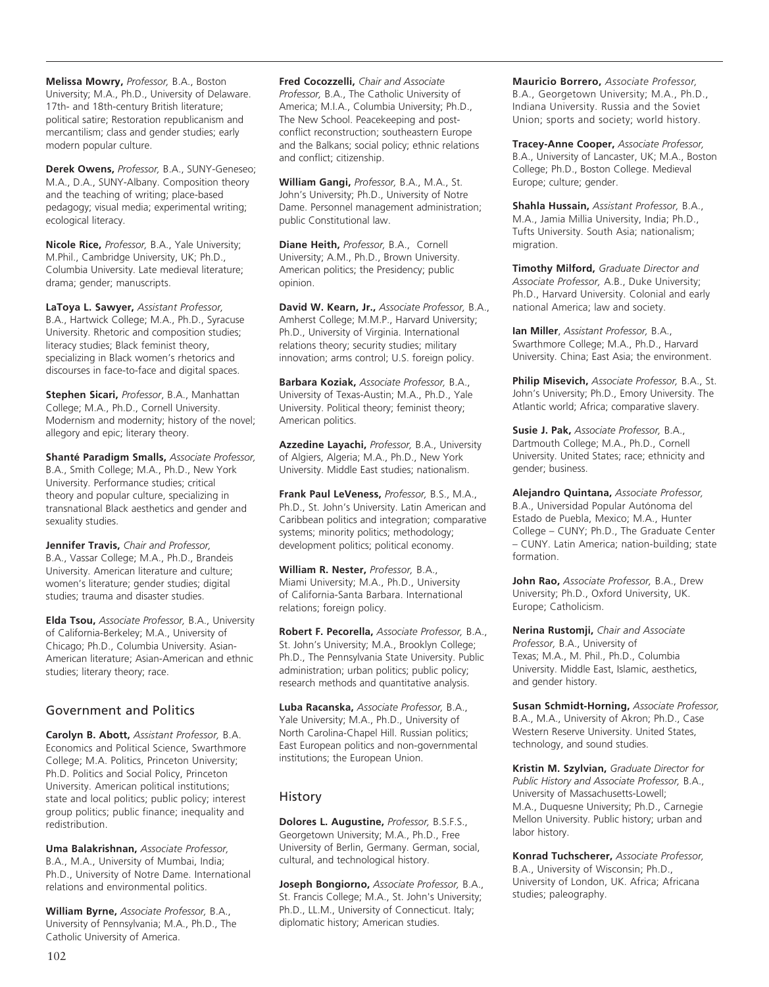**Melissa Mowry,** *Professor,* B.A., Boston University; M.A., Ph.D., University of Delaware. 17th- and 18th-century British literature; political satire; Restoration republicanism and mercantilism; class and gender studies; early modern popular culture.

**Derek Owens,** *Professor,* B.A., SUNY-Geneseo; M.A., D.A., SUNY-Albany. Composition theory and the teaching of writing; place-based pedagogy; visual media; experimental writing; ecological literacy.

**Nicole Rice,** *Professor,* B.A., Yale University; M.Phil., Cambridge University, UK; Ph.D., Columbia University. Late medieval literature; drama; gender; manuscripts.

**LaToya L. Sawyer,** *Assistant Professor,*  B.A., Hartwick College; M.A., Ph.D., Syracuse University. Rhetoric and composition studies; literacy studies; Black feminist theory, specializing in Black women's rhetorics and discourses in face-to-face and digital spaces.

**Stephen Sicari,** *Professor*, B.A., Manhattan College; M.A., Ph.D., Cornell University. Modernism and modernity; history of the novel; allegory and epic; literary theory.

**Shanté Paradigm Smalls,** *Associate Professor,* B.A., Smith College; M.A., Ph.D., New York University. Performance studies; critical theory and popular culture, specializing in transnational Black aesthetics and gender and sexuality studies.

**Jennifer Travis,** *Chair and Professor,*  B.A., Vassar College; M.A., Ph.D., Brandeis University. American literature and culture; women's literature; gender studies; digital studies; trauma and disaster studies.

**Elda Tsou,** *Associate Professor,* B.A., University of California-Berkeley; M.A., University of Chicago; Ph.D., Columbia University. Asian-American literature; Asian-American and ethnic studies; literary theory; race.

## Government and Politics

**Carolyn B. Abott,** *Assistant Professor,* B.A. Economics and Political Science, Swarthmore College; M.A. Politics, Princeton University; Ph.D. Politics and Social Policy, Princeton University. American political institutions; state and local politics; public policy; interest group politics; public finance; inequality and redistribution.

**Uma Balakrishnan,** *Associate Professor,* B.A., M.A., University of Mumbai, India; Ph.D., University of Notre Dame. International relations and environmental politics.

**William Byrne,** *Associate Professor,* B.A., University of Pennsylvania; M.A., Ph.D., The Catholic University of America.

**Fred Cocozzelli,** *Chair and Associate Professor,* B.A., The Catholic University of America; M.I.A., Columbia University; Ph.D., The New School. Peacekeeping and postconflict reconstruction; southeastern Europe and the Balkans; social policy; ethnic relations and conflict; citizenship.

**William Gangi,** *Professor,* B.A., M.A., St. John's University; Ph.D., University of Notre Dame. Personnel management administration; public Constitutional law.

**Diane Heith,** *Professor,* B.A., Cornell University; A.M., Ph.D., Brown University. American politics; the Presidency; public opinion.

**David W. Kearn, Jr.,** *Associate Professor,* B.A., Amherst College; M.M.P., Harvard University; Ph.D., University of Virginia. International relations theory; security studies; military innovation; arms control; U.S. foreign policy.

**Barbara Koziak,** *Associate Professor,* B.A., University of Texas-Austin; M.A., Ph.D., Yale University. Political theory; feminist theory; American politics.

**Azzedine Layachi,** *Professor,* B.A., University of Algiers, Algeria; M.A., Ph.D., New York University. Middle East studies; nationalism.

**Frank Paul LeVeness,** *Professor,* B.S., M.A., Ph.D., St. John's University. Latin American and Caribbean politics and integration; comparative systems; minority politics; methodology; development politics; political economy.

**William R. Nester,** *Professor,* B.A., Miami University; M.A., Ph.D., University of California-Santa Barbara. International relations; foreign policy.

**Robert F. Pecorella,** *Associate Professor,* B.A., St. John's University; M.A., Brooklyn College; Ph.D., The Pennsylvania State University. Public administration; urban politics; public policy; research methods and quantitative analysis.

**Luba Racanska,** *Associate Professor,* B.A., Yale University; M.A., Ph.D., University of North Carolina-Chapel Hill. Russian politics; East European politics and non-governmental institutions; the European Union.

## **History**

**Dolores L. Augustine,** *Professor,* B.S.F.S., Georgetown University; M.A., Ph.D., Free University of Berlin, Germany. German, social, cultural, and technological history.

**Joseph Bongiorno,** *Associate Professor,* B.A., St. Francis College; M.A., St. John's University; Ph.D., LL.M., University of Connecticut. Italy; diplomatic history; American studies.

**Mauricio Borrero,** *Associate Professor,* B.A., Georgetown University; M.A., Ph.D., Indiana University. Russia and the Soviet Union; sports and society; world history.

**Tracey-Anne Cooper,** *Associate Professor,*  B.A., University of Lancaster, UK; M.A., Boston College; Ph.D., Boston College. Medieval Europe; culture; gender.

**Shahla Hussain,** *Assistant Professor,* B.A., M.A., Jamia Millia University, India; Ph.D., Tufts University. South Asia; nationalism; migration.

**Timothy Milford,** *Graduate Director and Associate Professor,* A.B., Duke University; Ph.D., Harvard University. Colonial and early national America; law and society.

**Ian Miller**, *Assistant Professor,* B.A., Swarthmore College; M.A., Ph.D., Harvard University. China; East Asia; the environment.

**Philip Misevich,** *Associate Professor,* B.A., St. John's University; Ph.D., Emory University. The Atlantic world; Africa; comparative slavery.

**Susie J. Pak,** *Associate Professor,* B.A., Dartmouth College; M.A., Ph.D., Cornell University. United States; race; ethnicity and gender; business.

**Alejandro Quintana,** *Associate Professor,* B.A., Universidad Popular Autónoma del Estado de Puebla, Mexico; M.A., Hunter College – CUNY; Ph.D., The Graduate Center – CUNY. Latin America; nation-building; state formation.

**John Rao,** *Associate Professor,* B.A., Drew University; Ph.D., Oxford University, UK. Europe; Catholicism.

**Nerina Rustomji,** *Chair and Associate Professor,* B.A., University of Texas; M.A., M. Phil., Ph.D., Columbia University. Middle East, Islamic, aesthetics, and gender history.

**Susan Schmidt-Horning,** *Associate Professor,* B.A., M.A., University of Akron; Ph.D., Case Western Reserve University. United States, technology, and sound studies.

**Kristin M. Szylvian,** *Graduate Director for Public History and Associate Professor,* B.A., University of Massachusetts-Lowell; M.A., Duquesne University; Ph.D., Carnegie Mellon University. Public history; urban and labor history.

**Konrad Tuchscherer,** *Associate Professor,* B.A., University of Wisconsin; Ph.D., University of London, UK. Africa; Africana studies; paleography.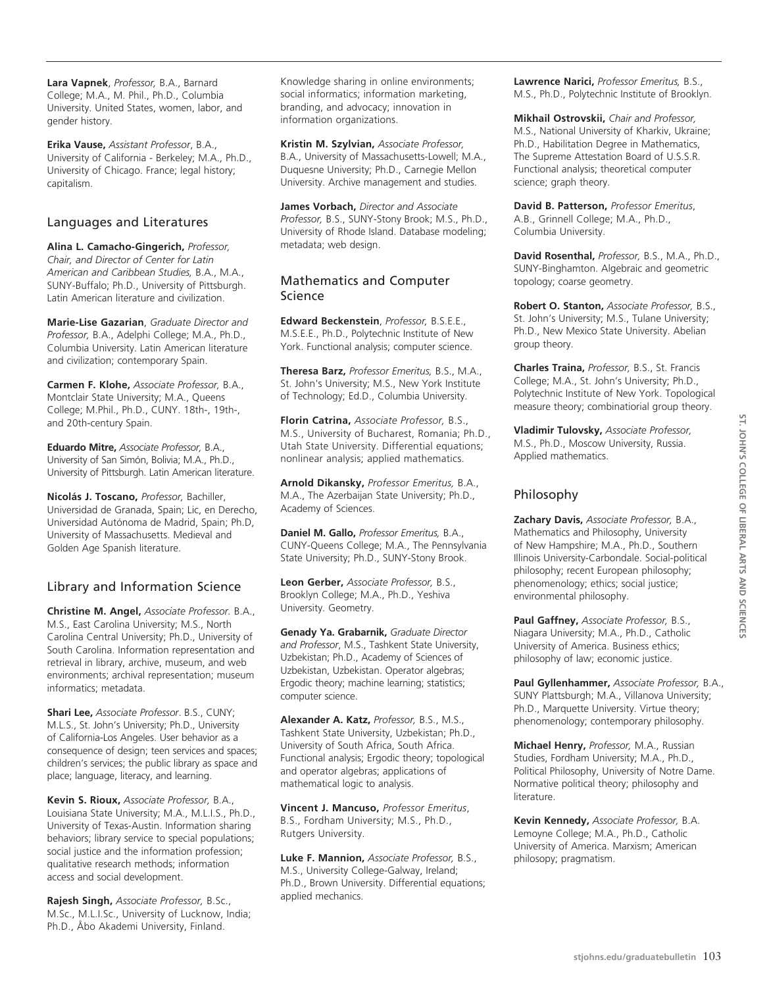**Lara Vapnek**, *Professor,* B.A., Barnard College; M.A., M. Phil., Ph.D., Columbia University. United States, women, labor, and gender history.

**Erika Vause,** *Assistant Professor*, B.A., University of California - Berkeley; M.A., Ph.D., University of Chicago. France; legal history; capitalism.

#### Languages and Literatures

**Alina L. Camacho-Gingerich,** *Professor, Chair, and Director of Center for Latin American and Caribbean Studies,* B.A., M.A., SUNY-Buffalo; Ph.D., University of Pittsburgh. Latin American literature and civilization.

**Marie-Lise Gazarian**, *Graduate Director and Professor,* B.A., Adelphi College; M.A., Ph.D., Columbia University. Latin American literature and civilization; contemporary Spain.

**Carmen F. Klohe,** *Associate Professor,* B.A., Montclair State University; M.A., Queens College; M.Phil., Ph.D., CUNY. 18th-, 19th-, and 20th-century Spain.

**Eduardo Mitre,** *Associate Professor,* B.A., University of San Simón, Bolivia; M.A., Ph.D., University of Pittsburgh. Latin American literature.

**Nicolás J. Toscano,** *Professor,* Bachiller, Universidad de Granada, Spain; Lic, en Derecho, Universidad Autónoma de Madrid, Spain; Ph.D, University of Massachusetts. Medieval and Golden Age Spanish literature.

## Library and Information Science

**Christine M. Angel,** *Associate Professor.* B.A., M.S., East Carolina University; M.S., North Carolina Central University; Ph.D., University of South Carolina. Information representation and retrieval in library, archive, museum, and web environments; archival representation; museum informatics; metadata.

**Shari Lee,** *Associate Professor*. B.S., CUNY; M.L.S., St. John's University; Ph.D., University of California-Los Angeles. User behavior as a consequence of design; teen services and spaces; children's services; the public library as space and place; language, literacy, and learning.

**Kevin S. Rioux,** *Associate Professor,* B.A., Louisiana State University; M.A., M.L.I.S., Ph.D., University of Texas-Austin. Information sharing behaviors; library service to special populations; social justice and the information profession; qualitative research methods; information access and social development.

**Rajesh Singh,** *Associate Professor,* B.Sc., M.Sc., M.L.I.Sc., University of Lucknow, India; Ph.D., Åbo Akademi University, Finland.

Knowledge sharing in online environments; social informatics; information marketing, branding, and advocacy; innovation in information organizations.

**Kristin M. Szylvian,** *Associate Professor,* B.A., University of Massachusetts-Lowell; M.A., Duquesne University; Ph.D., Carnegie Mellon University. Archive management and studies.

**James Vorbach,** *Director and Associate Professor,* B.S., SUNY-Stony Brook; M.S., Ph.D., University of Rhode Island. Database modeling; metadata; web design.

## Mathematics and Computer Science

**Edward Beckenstein**, *Professor,* B.S.E.E., M.S.E.E., Ph.D., Polytechnic Institute of New York. Functional analysis; computer science.

**Theresa Barz,** *Professor Emeritus,* B.S., M.A., St. John's University; M.S., New York Institute of Technology; Ed.D., Columbia University.

**Florin Catrina,** *Associate Professor,* B.S., M.S., University of Bucharest, Romania; Ph.D., Utah State University. Differential equations; nonlinear analysis; applied mathematics.

**Arnold Dikansky,** *Professor Emeritus,* B.A., M.A., The Azerbaijan State University; Ph.D., Academy of Sciences.

**Daniel M. Gallo,** *Professor Emeritus,* B.A., CUNY-Queens College; M.A., The Pennsylvania State University; Ph.D., SUNY-Stony Brook.

**Leon Gerber,** *Associate Professor,* B.S., Brooklyn College; M.A., Ph.D., Yeshiva University. Geometry.

**Genady Ya. Grabarnik,** *Graduate Director and Professor*, M.S., Tashkent State University, Uzbekistan; Ph.D., Academy of Sciences of Uzbekistan, Uzbekistan. Operator algebras; Ergodic theory; machine learning; statistics; computer science.

**Alexander A. Katz,** *Professor,* B.S., M.S., Tashkent State University, Uzbekistan; Ph.D., University of South Africa, South Africa. Functional analysis; Ergodic theory; topological and operator algebras; applications of mathematical logic to analysis.

**Vincent J. Mancuso,** *Professor Emeritus*, B.S., Fordham University; M.S., Ph.D., Rutgers University.

**Luke F. Mannion,** *Associate Professor,* B.S., M.S., University College-Galway, Ireland; Ph.D., Brown University. Differential equations; applied mechanics.

**Lawrence Narici,** *Professor Emeritus,* B.S., M.S., Ph.D., Polytechnic Institute of Brooklyn.

**Mikhail Ostrovskii,** *Chair and Professor,* M.S., National University of Kharkiv, Ukraine; Ph.D., Habilitation Degree in Mathematics, The Supreme Attestation Board of U.S.S.R. Functional analysis; theoretical computer science; graph theory.

**David B. Patterson,** *Professor Emeritus*, A.B., Grinnell College; M.A., Ph.D., Columbia University.

**David Rosenthal,** *Professor,* B.S., M.A., Ph.D., SUNY-Binghamton. Algebraic and geometric topology; coarse geometry.

**Robert O. Stanton,** *Associate Professor,* B.S., St. John's University; M.S., Tulane University; Ph.D., New Mexico State University. Abelian group theory.

**Charles Traina,** *Professor,* B.S., St. Francis College; M.A., St. John's University; Ph.D., Polytechnic Institute of New York. Topological measure theory; combinatiorial group theory.

**Vladimir Tulovsky,** *Associate Professor,* M.S., Ph.D., Moscow University, Russia. Applied mathematics.

## Philosophy

**Zachary Davis,** *Associate Professor,* B.A., Mathematics and Philosophy, University of New Hampshire; M.A., Ph.D., Southern Illinois University-Carbondale. Social-political philosophy; recent European philosophy; phenomenology; ethics; social justice; environmental philosophy.

**Paul Gaffney,** *Associate Professor,* B.S., Niagara University; M.A., Ph.D., Catholic University of America. Business ethics; philosophy of law; economic justice.

**Paul Gyllenhammer,** *Associate Professor,* B.A., SUNY Plattsburgh; M.A., Villanova University; Ph.D., Marquette University. Virtue theory; phenomenology; contemporary philosophy.

**Michael Henry,** *Professor,* M.A., Russian Studies, Fordham University; M.A., Ph.D., Political Philosophy, University of Notre Dame. Normative political theory; philosophy and literature.

**Kevin Kennedy,** *Associate Professor,* B.A. Lemoyne College; M.A., Ph.D., Catholic University of America. Marxism; American philosopy; pragmatism.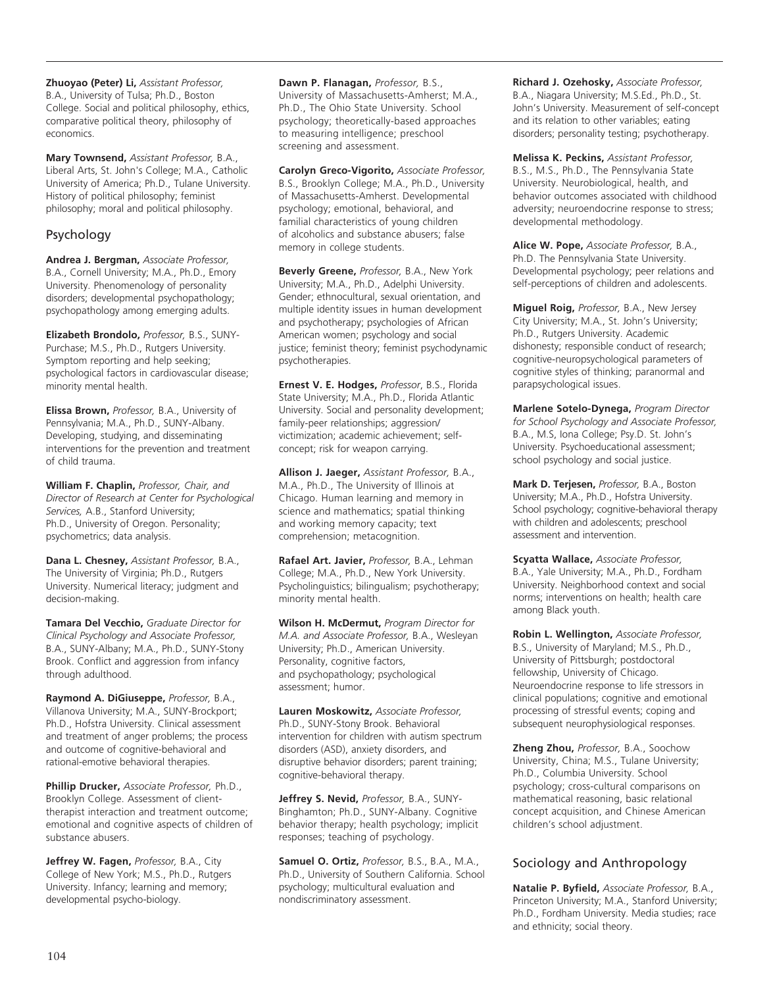**Zhuoyao (Peter) Li,** *Assistant Professor,*  B.A., University of Tulsa; Ph.D., Boston College. Social and political philosophy, ethics, comparative political theory, philosophy of economics.

**Mary Townsend,** *Assistant Professor,* B.A., Liberal Arts, St. John's College; M.A., Catholic University of America; Ph.D., Tulane University. History of political philosophy; feminist philosophy; moral and political philosophy.

## Psychology

**Andrea J. Bergman,** *Associate Professor,* B.A., Cornell University; M.A., Ph.D., Emory University. Phenomenology of personality disorders; developmental psychopathology; psychopathology among emerging adults.

**Elizabeth Brondolo,** *Professor,* B.S., SUNY-Purchase; M.S., Ph.D., Rutgers University. Symptom reporting and help seeking; psychological factors in cardiovascular disease; minority mental health.

**Elissa Brown,** *Professor,* B.A., University of Pennsylvania; M.A., Ph.D., SUNY-Albany. Developing, studying, and disseminating interventions for the prevention and treatment of child trauma.

**William F. Chaplin,** *Professor, Chair, and Director of Research at Center for Psychological Services,* A.B., Stanford University; Ph.D., University of Oregon. Personality; psychometrics; data analysis.

**Dana L. Chesney,** *Assistant Professor,* B.A., The University of Virginia; Ph.D., Rutgers University. Numerical literacy; judgment and decision-making.

**Tamara Del Vecchio,** *Graduate Director for Clinical Psychology and Associate Professor,* B.A., SUNY-Albany; M.A., Ph.D., SUNY-Stony Brook. Conflict and aggression from infancy through adulthood.

**Raymond A. DiGiuseppe,** *Professor,* B.A., Villanova University; M.A., SUNY-Brockport; Ph.D., Hofstra University. Clinical assessment and treatment of anger problems; the process and outcome of cognitive-behavioral and rational-emotive behavioral therapies.

**Phillip Drucker,** *Associate Professor,* Ph.D., Brooklyn College. Assessment of clienttherapist interaction and treatment outcome; emotional and cognitive aspects of children of substance abusers.

**Jeffrey W. Fagen,** *Professor,* B.A., City College of New York; M.S., Ph.D., Rutgers University. Infancy; learning and memory; developmental psycho-biology.

**Dawn P. Flanagan,** *Professor,* B.S., University of Massachusetts-Amherst; M.A., Ph.D., The Ohio State University. School psychology; theoretically-based approaches to measuring intelligence; preschool screening and assessment.

**Carolyn Greco-Vigorito,** *Associate Professor,*  B.S., Brooklyn College; M.A., Ph.D., University of Massachusetts-Amherst. Developmental psychology; emotional, behavioral, and familial characteristics of young children of alcoholics and substance abusers; false memory in college students.

**Beverly Greene,** *Professor,* B.A., New York University; M.A., Ph.D., Adelphi University. Gender; ethnocultural, sexual orientation, and multiple identity issues in human development and psychotherapy; psychologies of African American women; psychology and social justice; feminist theory; feminist psychodynamic psychotherapies.

**Ernest V. E. Hodges,** *Professor*, B.S., Florida State University; M.A., Ph.D., Florida Atlantic University. Social and personality development; family-peer relationships; aggression/ victimization; academic achievement; selfconcept; risk for weapon carrying.

**Allison J. Jaeger,** *Assistant Professor,* B.A., M.A., Ph.D., The University of Illinois at Chicago. Human learning and memory in science and mathematics; spatial thinking and working memory capacity; text comprehension; metacognition.

**Rafael Art. Javier,** *Professor,* B.A., Lehman College; M.A., Ph.D., New York University. Psycholinguistics; bilingualism; psychotherapy; minority mental health.

**Wilson H. McDermut,** *Program Director for M.A. and Associate Professor,* B.A., Wesleyan University; Ph.D., American University. Personality, cognitive factors, and psychopathology; psychological assessment; humor.

**Lauren Moskowitz,** *Associate Professor,* Ph.D., SUNY-Stony Brook. Behavioral intervention for children with autism spectrum disorders (ASD), anxiety disorders, and disruptive behavior disorders; parent training; cognitive-behavioral therapy.

**Jeffrey S. Nevid,** *Professor,* B.A., SUNY-Binghamton; Ph.D., SUNY-Albany. Cognitive behavior therapy; health psychology; implicit responses; teaching of psychology.

**Samuel O. Ortiz,** *Professor,* B.S., B.A., M.A., Ph.D., University of Southern California. School psychology; multicultural evaluation and nondiscriminatory assessment.

**Richard J. Ozehosky,** *Associate Professor,*  B.A., Niagara University; M.S.Ed., Ph.D., St. John's University. Measurement of self-concept and its relation to other variables; eating disorders; personality testing; psychotherapy.

**Melissa K. Peckins,** *Assistant Professor,* B.S., M.S., Ph.D., The Pennsylvania State University. Neurobiological, health, and behavior outcomes associated with childhood adversity; neuroendocrine response to stress; developmental methodology.

**Alice W. Pope,** *Associate Professor,* B.A., Ph.D. The Pennsylvania State University. Developmental psychology; peer relations and self-perceptions of children and adolescents.

**Miguel Roig,** *Professor,* B.A., New Jersey City University; M.A., St. John's University; Ph.D., Rutgers University. Academic dishonesty; responsible conduct of research; cognitive-neuropsychological parameters of cognitive styles of thinking; paranormal and parapsychological issues.

**Marlene Sotelo-Dynega,** *Program Director for School Psychology and Associate Professor,* B.A., M.S, Iona College; Psy.D. St. John's University. Psychoeducational assessment; school psychology and social justice.

**Mark D. Terjesen,** *Professor,* B.A., Boston University; M.A., Ph.D., Hofstra University. School psychology; cognitive-behavioral therapy with children and adolescents; preschool assessment and intervention.

**Scyatta Wallace,** *Associate Professor,*  B.A., Yale University; M.A., Ph.D., Fordham University. Neighborhood context and social norms; interventions on health; health care among Black youth.

**Robin L. Wellington,** *Associate Professor,*  B.S., University of Maryland; M.S., Ph.D., University of Pittsburgh; postdoctoral fellowship, University of Chicago. Neuroendocrine response to life stressors in clinical populations; cognitive and emotional processing of stressful events; coping and subsequent neurophysiological responses.

**Zheng Zhou,** *Professor,* B.A., Soochow University, China; M.S., Tulane University; Ph.D., Columbia University. School psychology; cross-cultural comparisons on mathematical reasoning, basic relational concept acquisition, and Chinese American children's school adjustment.

## Sociology and Anthropology

**Natalie P. Byfield,** *Associate Professor,* B.A., Princeton University; M.A., Stanford University; Ph.D., Fordham University. Media studies; race and ethnicity; social theory.